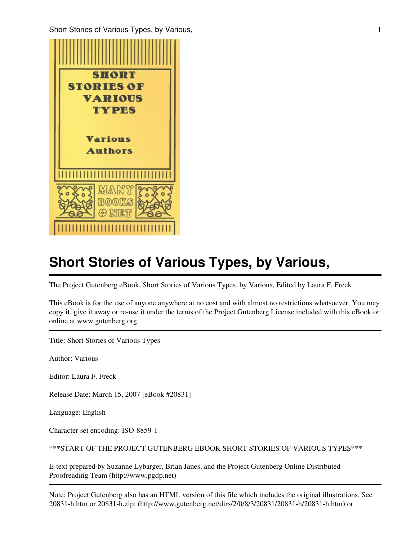Short Stories of Various Types, by Various, 1988, 1988, 1989, 1989, 1989, 1989, 1989, 1989, 1989, 1989, 1989, 1



# **Short Stories of Various Types, by Various,**

The Project Gutenberg eBook, Short Stories of Various Types, by Various, Edited by Laura F. Freck

This eBook is for the use of anyone anywhere at no cost and with almost no restrictions whatsoever. You may copy it, give it away or re-use it under the terms of the Project Gutenberg License included with this eBook or online at www.gutenberg.org

Title: Short Stories of Various Types

Author: Various

Editor: Laura F. Freck

Release Date: March 15, 2007 [eBook #20831]

Language: English

Character set encoding: ISO-8859-1

\*\*\*START OF THE PROJECT GUTENBERG EBOOK SHORT STORIES OF VARIOUS TYPES\*\*\*

E-text prepared by Suzanne Lybarger, Brian Janes, and the Project Gutenberg Online Distributed Proofreading Team (http://www.pgdp.net)

Note: Project Gutenberg also has an HTML version of this file which includes the original illustrations. See 20831-h.htm or 20831-h.zip: (http://www.gutenberg.net/dirs/2/0/8/3/20831/20831-h/20831-h.htm) or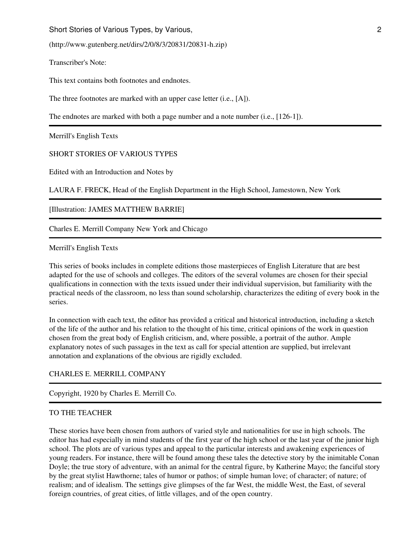Short Stories of Various Types, by Various, 2008. **2008** 2008. **2008** 2008. **2008** 2008. **2008** 2008. **2008** 2008. **2008** 2008. **2008.** 

(http://www.gutenberg.net/dirs/2/0/8/3/20831/20831-h.zip)

Transcriber's Note:

This text contains both footnotes and endnotes.

The three footnotes are marked with an upper case letter (i.e., [A]).

The endnotes are marked with both a page number and a note number (i.e., [126-1]).

Merrill's English Texts

SHORT STORIES OF VARIOUS TYPES

Edited with an Introduction and Notes by

LAURA F. FRECK, Head of the English Department in the High School, Jamestown, New York

[Illustration: JAMES MATTHEW BARRIE]

Charles E. Merrill Company New York and Chicago

Merrill's English Texts

This series of books includes in complete editions those masterpieces of English Literature that are best adapted for the use of schools and colleges. The editors of the several volumes are chosen for their special qualifications in connection with the texts issued under their individual supervision, but familiarity with the practical needs of the classroom, no less than sound scholarship, characterizes the editing of every book in the series.

In connection with each text, the editor has provided a critical and historical introduction, including a sketch of the life of the author and his relation to the thought of his time, critical opinions of the work in question chosen from the great body of English criticism, and, where possible, a portrait of the author. Ample explanatory notes of such passages in the text as call for special attention are supplied, but irrelevant annotation and explanations of the obvious are rigidly excluded.

#### CHARLES E. MERRILL COMPANY

Copyright, 1920 by Charles E. Merrill Co.

#### TO THE TEACHER

These stories have been chosen from authors of varied style and nationalities for use in high schools. The editor has had especially in mind students of the first year of the high school or the last year of the junior high school. The plots are of various types and appeal to the particular interests and awakening experiences of young readers. For instance, there will be found among these tales the detective story by the inimitable Conan Doyle; the true story of adventure, with an animal for the central figure, by Katherine Mayo; the fanciful story by the great stylist Hawthorne; tales of humor or pathos; of simple human love; of character; of nature; of realism; and of idealism. The settings give glimpses of the far West, the middle West, the East, of several foreign countries, of great cities, of little villages, and of the open country.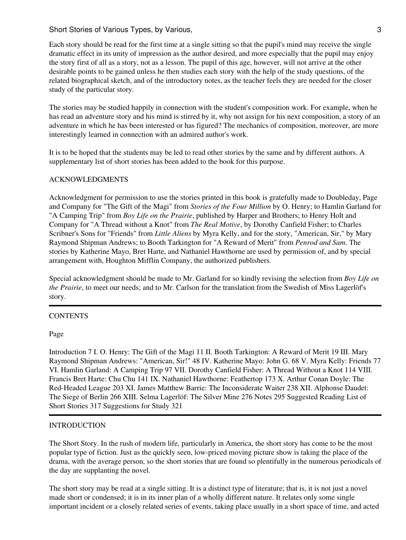Each story should be read for the first time at a single sitting so that the pupil's mind may receive the single dramatic effect in its unity of impression as the author desired, and more especially that the pupil may enjoy the story first of all as a story, not as a lesson. The pupil of this age, however, will not arrive at the other desirable points to be gained unless he then studies each story with the help of the study questions, of the related biographical sketch, and of the introductory notes, as the teacher feels they are needed for the closer study of the particular story.

The stories may be studied happily in connection with the student's composition work. For example, when he has read an adventure story and his mind is stirred by it, why not assign for his next composition, a story of an adventure in which he has been interested or has figured? The mechanics of composition, moreover, are more interestingly learned in connection with an admired author's work.

It is to be hoped that the students may be led to read other stories by the same and by different authors. A supplementary list of short stories has been added to the book for this purpose.

#### ACKNOWLEDGMENTS

Acknowledgment for permission to use the stories printed in this book is gratefully made to Doubleday, Page and Company for "The Gift of the Magi" from *Stories of the Four Million* by O. Henry; to Hamlin Garland for "A Camping Trip" from *Boy Life on the Prairie*, published by Harper and Brothers; to Henry Holt and Company for "A Thread without a Knot" from *The Real Motive*, by Dorothy Canfield Fisher; to Charles Scribner's Sons for "Friends" from *Little Aliens* by Myra Kelly, and for the story, "American, Sir," by Mary Raymond Shipman Andrews; to Booth Tarkington for "A Reward of Merit" from *Penrod and Sam*. The stories by Katherine Mayo, Bret Harte, and Nathaniel Hawthorne are used by permission of, and by special arrangement with, Houghton Mifflin Company, the authorized publishers.

Special acknowledgment should be made to Mr. Garland for so kindly revising the selection from *Boy Life on the Prairie*, to meet our needs; and to Mr. Carlson for the translation from the Swedish of Miss Lagerlöf's story.

#### **CONTENTS**

Page

Introduction 7 I. O. Henry: The Gift of the Magi 11 II. Booth Tarkington: A Reward of Merit 19 III. Mary Raymond Shipman Andrews: "American, Sir!" 48 IV. Katherine Mayo: John G. 68 V. Myra Kelly: Friends 77 VI. Hamlin Garland: A Camping Trip 97 VII. Dorothy Canfield Fisher: A Thread Without a Knot 114 VIII. Francis Bret Harte: Chu Chu 141 IX. Nathaniel Hawthorne: Feathertop 173 X. Arthur Conan Doyle: The Red-Headed League 203 XI. James Matthew Barrie: The Inconsiderate Waiter 238 XII. Alphonse Daudet: The Siege of Berlin 266 XIII. Selma Lagerlöf: The Silver Mine 276 Notes 295 Suggested Reading List of Short Stories 317 Suggestions for Study 321

## INTRODUCTION

The Short Story. In the rush of modern life, particularly in America, the short story has come to be the most popular type of fiction. Just as the quickly seen, low-priced moving picture show is taking the place of the drama, with the average person, so the short stories that are found so plentifully in the numerous periodicals of the day are supplanting the novel.

The short story may be read at a single sitting. It is a distinct type of literature; that is, it is not just a novel made short or condensed; it is in its inner plan of a wholly different nature. It relates only some single important incident or a closely related series of events, taking place usually in a short space of time, and acted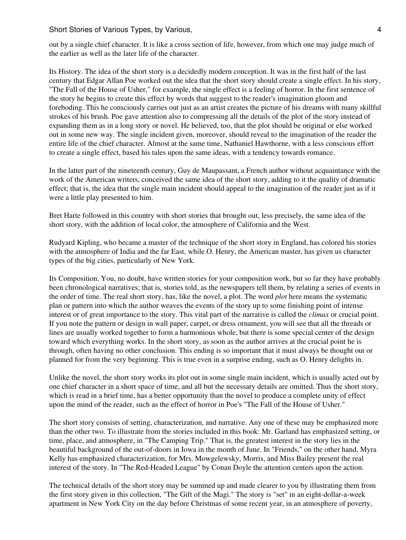out by a single chief character. It is like a cross section of life, however, from which one may judge much of the earlier as well as the later life of the character.

Its History. The idea of the short story is a decidedly modern conception. It was in the first half of the last century that Edgar Allan Poe worked out the idea that the short story should create a single effect. In his story, "The Fall of the House of Usher," for example, the single effect is a feeling of horror. In the first sentence of the story he begins to create this effect by words that suggest to the reader's imagination gloom and foreboding. This he consciously carries out just as an artist creates the picture of his dreams with many skillful strokes of his brush. Poe gave attention also to compressing all the details of the plot of the story instead of expanding them as in a long story or novel. He believed, too, that the plot should be original or else worked out in some new way. The single incident given, moreover, should reveal to the imagination of the reader the entire life of the chief character. Almost at the same time, Nathaniel Hawthorne, with a less conscious effort to create a single effect, based his tales upon the same ideas, with a tendency towards romance.

In the latter part of the nineteenth century, Guy de Maupassant, a French author without acquaintance with the work of the American writers, conceived the same idea of the short story, adding to it the quality of dramatic effect; that is, the idea that the single main incident should appeal to the imagination of the reader just as if it were a little play presented to him.

Bret Harte followed in this country with short stories that brought out, less precisely, the same idea of the short story, with the addition of local color, the atmosphere of California and the West.

Rudyard Kipling, who became a master of the technique of the short story in England, has colored his stories with the atmosphere of India and the far East, while O. Henry, the American master, has given us character types of the big cities, particularly of New York.

Its Composition. You, no doubt, have written stories for your composition work, but so far they have probably been chronological narratives; that is, stories told, as the newspapers tell them, by relating a series of events in the order of time. The real short story, has, like the novel, a plot. The word *plot* here means the systematic plan or pattern into which the author weaves the events of the story up to some finishing point of intense interest or of great importance to the story. This vital part of the narrative is called the *climax* or crucial point. If you note the pattern or design in wall paper, carpet, or dress ornament, you will see that all the threads or lines are usually worked together to form a harmonious whole, but there is some special center of the design toward which everything works. In the short story, as soon as the author arrives at the crucial point he is through, often having no other conclusion. This ending is so important that it must always be thought out or planned for from the very beginning. This is true even in a surprise ending, such as O. Henry delights in.

Unlike the novel, the short story works its plot out in some single main incident, which is usually acted out by one chief character in a short space of time, and all but the necessary details are omitted. Thus the short story, which is read in a brief time, has a better opportunity than the novel to produce a complete unity of effect upon the mind of the reader, such as the effect of horror in Poe's "The Fall of the House of Usher."

The short story consists of setting, characterization, and narrative. Any one of these may be emphasized more than the other two. To illustrate from the stories included in this book: Mr. Garland has emphasized setting, or time, place, and atmosphere, in "The Camping Trip." That is, the greatest interest in the story lies in the beautiful background of the out-of-doors in Iowa in the month of June. In "Friends," on the other hand, Myra Kelly has emphasized characterization, for Mrs. Mowgelewsky, Morris, and Miss Bailey present the real interest of the story. In "The Red-Headed League" by Conan Doyle the attention centers upon the action.

The technical details of the short story may be summed up and made clearer to you by illustrating them from the first story given in this collection, "The Gift of the Magi." The story is "set" in an eight-dollar-a-week apartment in New York City on the day before Christmas of some recent year, in an atmosphere of poverty,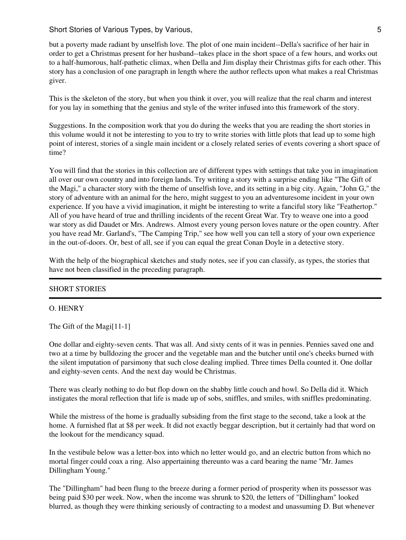but a poverty made radiant by unselfish love. The plot of one main incident--Della's sacrifice of her hair in order to get a Christmas present for her husband--takes place in the short space of a few hours, and works out to a half-humorous, half-pathetic climax, when Della and Jim display their Christmas gifts for each other. This story has a conclusion of one paragraph in length where the author reflects upon what makes a real Christmas giver.

This is the skeleton of the story, but when you think it over, you will realize that the real charm and interest for you lay in something that the genius and style of the writer infused into this framework of the story.

Suggestions. In the composition work that you do during the weeks that you are reading the short stories in this volume would it not be interesting to you to try to write stories with little plots that lead up to some high point of interest, stories of a single main incident or a closely related series of events covering a short space of time?

You will find that the stories in this collection are of different types with settings that take you in imagination all over our own country and into foreign lands. Try writing a story with a surprise ending like "The Gift of the Magi," a character story with the theme of unselfish love, and its setting in a big city. Again, "John G," the story of adventure with an animal for the hero, might suggest to you an adventuresome incident in your own experience. If you have a vivid imagination, it might be interesting to write a fanciful story like "Feathertop." All of you have heard of true and thrilling incidents of the recent Great War. Try to weave one into a good war story as did Daudet or Mrs. Andrews. Almost every young person loves nature or the open country. After you have read Mr. Garland's, "The Camping Trip," see how well you can tell a story of your own experience in the out-of-doors. Or, best of all, see if you can equal the great Conan Doyle in a detective story.

With the help of the biographical sketches and study notes, see if you can classify, as types, the stories that have not been classified in the preceding paragraph.

## SHORT STORIES

#### O. HENRY

The Gift of the Magi[11-1]

One dollar and eighty-seven cents. That was all. And sixty cents of it was in pennies. Pennies saved one and two at a time by bulldozing the grocer and the vegetable man and the butcher until one's cheeks burned with the silent imputation of parsimony that such close dealing implied. Three times Della counted it. One dollar and eighty-seven cents. And the next day would be Christmas.

There was clearly nothing to do but flop down on the shabby little couch and howl. So Della did it. Which instigates the moral reflection that life is made up of sobs, sniffles, and smiles, with sniffles predominating.

While the mistress of the home is gradually subsiding from the first stage to the second, take a look at the home. A furnished flat at \$8 per week. It did not exactly beggar description, but it certainly had that word on the lookout for the mendicancy squad.

In the vestibule below was a letter-box into which no letter would go, and an electric button from which no mortal finger could coax a ring. Also appertaining thereunto was a card bearing the name "Mr. James Dillingham Young."

The "Dillingham" had been flung to the breeze during a former period of prosperity when its possessor was being paid \$30 per week. Now, when the income was shrunk to \$20, the letters of "Dillingham" looked blurred, as though they were thinking seriously of contracting to a modest and unassuming D. But whenever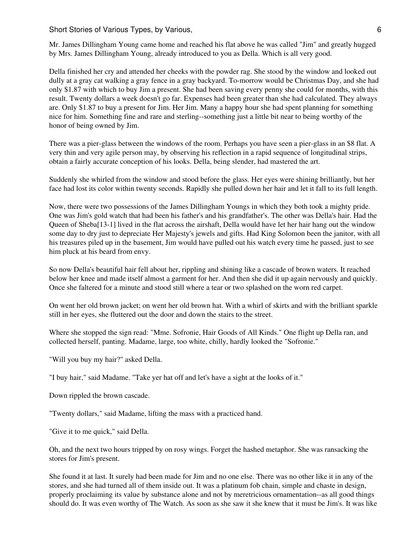Mr. James Dillingham Young came home and reached his flat above he was called "Jim" and greatly hugged by Mrs. James Dillingham Young, already introduced to you as Della. Which is all very good.

Della finished her cry and attended her cheeks with the powder rag. She stood by the window and looked out dully at a gray cat walking a gray fence in a gray backyard. To-morrow would be Christmas Day, and she had only \$1.87 with which to buy Jim a present. She had been saving every penny she could for months, with this result. Twenty dollars a week doesn't go far. Expenses had been greater than she had calculated. They always are. Only \$1.87 to buy a present for Jim. Her Jim. Many a happy hour she had spent planning for something nice for him. Something fine and rare and sterling--something just a little bit near to being worthy of the honor of being owned by Jim.

There was a pier-glass between the windows of the room. Perhaps you have seen a pier-glass in an \$8 flat. A very thin and very agile person may, by observing his reflection in a rapid sequence of longitudinal strips, obtain a fairly accurate conception of his looks. Della, being slender, had mastered the art.

Suddenly she whirled from the window and stood before the glass. Her eyes were shining brilliantly, but her face had lost its color within twenty seconds. Rapidly she pulled down her hair and let it fall to its full length.

Now, there were two possessions of the James Dillingham Youngs in which they both took a mighty pride. One was Jim's gold watch that had been his father's and his grandfather's. The other was Della's hair. Had the Queen of Sheba[13-1] lived in the flat across the airshaft, Della would have let her hair hang out the window some day to dry just to depreciate Her Majesty's jewels and gifts. Had King Solomon been the janitor, with all his treasures piled up in the basement, Jim would have pulled out his watch every time he passed, just to see him pluck at his beard from envy.

So now Della's beautiful hair fell about her, rippling and shining like a cascade of brown waters. It reached below her knee and made itself almost a garment for her. And then she did it up again nervously and quickly. Once she faltered for a minute and stood still where a tear or two splashed on the worn red carpet.

On went her old brown jacket; on went her old brown hat. With a whirl of skirts and with the brilliant sparkle still in her eyes, she fluttered out the door and down the stairs to the street.

Where she stopped the sign read: "Mme. Sofronie, Hair Goods of All Kinds." One flight up Della ran, and collected herself, panting. Madame, large, too white, chilly, hardly looked the "Sofronie."

"Will you buy my hair?" asked Della.

"I buy hair," said Madame. "Take yer hat off and let's have a sight at the looks of it."

Down rippled the brown cascade.

"Twenty dollars," said Madame, lifting the mass with a practiced hand.

"Give it to me quick," said Della.

Oh, and the next two hours tripped by on rosy wings. Forget the hashed metaphor. She was ransacking the stores for Jim's present.

She found it at last. It surely had been made for Jim and no one else. There was no other like it in any of the stores, and she had turned all of them inside out. It was a platinum fob chain, simple and chaste in design, properly proclaiming its value by substance alone and not by meretricious ornamentation--as all good things should do. It was even worthy of The Watch. As soon as she saw it she knew that it must be Jim's. It was like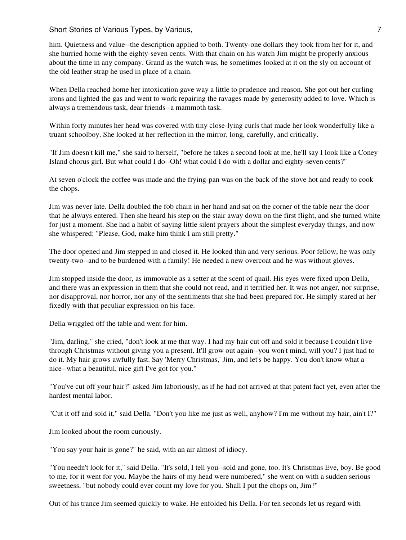Short Stories of Various Types, by Various, 7 and 7 and 7 and 7 and 7 and 7 and 7 and 7 and 7 and 7 and 7 and 7

him. Quietness and value--the description applied to both. Twenty-one dollars they took from her for it, and she hurried home with the eighty-seven cents. With that chain on his watch Jim might be properly anxious about the time in any company. Grand as the watch was, he sometimes looked at it on the sly on account of the old leather strap he used in place of a chain.

When Della reached home her intoxication gave way a little to prudence and reason. She got out her curling irons and lighted the gas and went to work repairing the ravages made by generosity added to love. Which is always a tremendous task, dear friends--a mammoth task.

Within forty minutes her head was covered with tiny close-lying curls that made her look wonderfully like a truant schoolboy. She looked at her reflection in the mirror, long, carefully, and critically.

"If Jim doesn't kill me," she said to herself, "before he takes a second look at me, he'll say I look like a Coney Island chorus girl. But what could I do--Oh! what could I do with a dollar and eighty-seven cents?"

At seven o'clock the coffee was made and the frying-pan was on the back of the stove hot and ready to cook the chops.

Jim was never late. Della doubled the fob chain in her hand and sat on the corner of the table near the door that he always entered. Then she heard his step on the stair away down on the first flight, and she turned white for just a moment. She had a habit of saying little silent prayers about the simplest everyday things, and now she whispered: "Please, God, make him think I am still pretty."

The door opened and Jim stepped in and closed it. He looked thin and very serious. Poor fellow, he was only twenty-two--and to be burdened with a family! He needed a new overcoat and he was without gloves.

Jim stopped inside the door, as immovable as a setter at the scent of quail. His eyes were fixed upon Della, and there was an expression in them that she could not read, and it terrified her. It was not anger, nor surprise, nor disapproval, nor horror, nor any of the sentiments that she had been prepared for. He simply stared at her fixedly with that peculiar expression on his face.

Della wriggled off the table and went for him.

"Jim, darling," she cried, "don't look at me that way. I had my hair cut off and sold it because I couldn't live through Christmas without giving you a present. It'll grow out again--you won't mind, will you? I just had to do it. My hair grows awfully fast. Say 'Merry Christmas,' Jim, and let's be happy. You don't know what a nice--what a beautiful, nice gift I've got for you."

"You've cut off your hair?" asked Jim laboriously, as if he had not arrived at that patent fact yet, even after the hardest mental labor.

"Cut it off and sold it," said Della. "Don't you like me just as well, anyhow? I'm me without my hair, ain't I?"

Jim looked about the room curiously.

"You say your hair is gone?" he said, with an air almost of idiocy.

"You needn't look for it," said Della. "It's sold, I tell you--sold and gone, too. It's Christmas Eve, boy. Be good to me, for it went for you. Maybe the hairs of my head were numbered," she went on with a sudden serious sweetness, "but nobody could ever count my love for you. Shall I put the chops on, Jim?"

Out of his trance Jim seemed quickly to wake. He enfolded his Della. For ten seconds let us regard with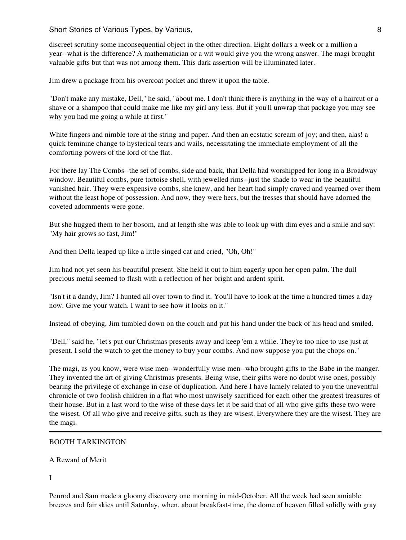discreet scrutiny some inconsequential object in the other direction. Eight dollars a week or a million a year--what is the difference? A mathematician or a wit would give you the wrong answer. The magi brought valuable gifts but that was not among them. This dark assertion will be illuminated later.

Jim drew a package from his overcoat pocket and threw it upon the table.

"Don't make any mistake, Dell," he said, "about me. I don't think there is anything in the way of a haircut or a shave or a shampoo that could make me like my girl any less. But if you'll unwrap that package you may see why you had me going a while at first."

White fingers and nimble tore at the string and paper. And then an ecstatic scream of joy; and then, alas! a quick feminine change to hysterical tears and wails, necessitating the immediate employment of all the comforting powers of the lord of the flat.

For there lay The Combs--the set of combs, side and back, that Della had worshipped for long in a Broadway window. Beautiful combs, pure tortoise shell, with jewelled rims--just the shade to wear in the beautiful vanished hair. They were expensive combs, she knew, and her heart had simply craved and yearned over them without the least hope of possession. And now, they were hers, but the tresses that should have adorned the coveted adornments were gone.

But she hugged them to her bosom, and at length she was able to look up with dim eyes and a smile and say: "My hair grows so fast, Jim!"

And then Della leaped up like a little singed cat and cried, "Oh, Oh!"

Jim had not yet seen his beautiful present. She held it out to him eagerly upon her open palm. The dull precious metal seemed to flash with a reflection of her bright and ardent spirit.

"Isn't it a dandy, Jim? I hunted all over town to find it. You'll have to look at the time a hundred times a day now. Give me your watch. I want to see how it looks on it."

Instead of obeying, Jim tumbled down on the couch and put his hand under the back of his head and smiled.

"Dell," said he, "let's put our Christmas presents away and keep 'em a while. They're too nice to use just at present. I sold the watch to get the money to buy your combs. And now suppose you put the chops on."

The magi, as you know, were wise men--wonderfully wise men--who brought gifts to the Babe in the manger. They invented the art of giving Christmas presents. Being wise, their gifts were no doubt wise ones, possibly bearing the privilege of exchange in case of duplication. And here I have lamely related to you the uneventful chronicle of two foolish children in a flat who most unwisely sacrificed for each other the greatest treasures of their house. But in a last word to the wise of these days let it be said that of all who give gifts these two were the wisest. Of all who give and receive gifts, such as they are wisest. Everywhere they are the wisest. They are the magi.

## BOOTH TARKINGTON

A Reward of Merit

I

Penrod and Sam made a gloomy discovery one morning in mid-October. All the week had seen amiable breezes and fair skies until Saturday, when, about breakfast-time, the dome of heaven filled solidly with gray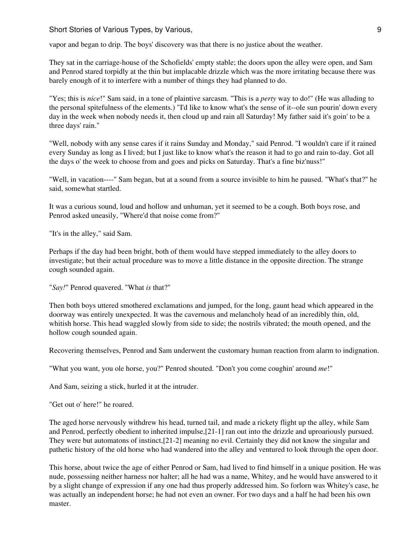Short Stories of Various Types, by Various, 9 and 2008 and 2008 and 2008 and 2008 and 2008 and 2008 and 2008 and 2008 and 2008 and 2008 and 2008 and 2008 and 2008 and 2008 and 2008 and 2008 and 2008 and 2008 and 2008 and 2

vapor and began to drip. The boys' discovery was that there is no justice about the weather.

They sat in the carriage-house of the Schofields' empty stable; the doors upon the alley were open, and Sam and Penrod stared torpidly at the thin but implacable drizzle which was the more irritating because there was barely enough of it to interfere with a number of things they had planned to do.

"Yes; this is *nice*!" Sam said, in a tone of plaintive sarcasm. "This is a *perty* way to do!" (He was alluding to the personal spitefulness of the elements.) "I'd like to know what's the sense of it--ole sun pourin' down every day in the week when nobody needs it, then cloud up and rain all Saturday! My father said it's goin' to be a three days' rain."

"Well, nobody with any sense cares if it rains Sunday and Monday," said Penrod. "I wouldn't care if it rained every Sunday as long as I lived; but I just like to know what's the reason it had to go and rain to-day. Got all the days o' the week to choose from and goes and picks on Saturday. That's a fine biz'nuss!"

"Well, in vacation----" Sam began, but at a sound from a source invisible to him he paused. "What's that?" he said, somewhat startled.

It was a curious sound, loud and hollow and unhuman, yet it seemed to be a cough. Both boys rose, and Penrod asked uneasily, "Where'd that noise come from?"

"It's in the alley," said Sam.

Perhaps if the day had been bright, both of them would have stepped immediately to the alley doors to investigate; but their actual procedure was to move a little distance in the opposite direction. The strange cough sounded again.

```
"Say!" Penrod quavered. "What is that?"
```
Then both boys uttered smothered exclamations and jumped, for the long, gaunt head which appeared in the doorway was entirely unexpected. It was the cavernous and melancholy head of an incredibly thin, old, whitish horse. This head waggled slowly from side to side; the nostrils vibrated; the mouth opened, and the hollow cough sounded again.

Recovering themselves, Penrod and Sam underwent the customary human reaction from alarm to indignation.

"What you want, you ole horse, you?" Penrod shouted. "Don't you come coughin' around *me*!"

And Sam, seizing a stick, hurled it at the intruder.

"Get out o' here!" he roared.

The aged horse nervously withdrew his head, turned tail, and made a rickety flight up the alley, while Sam and Penrod, perfectly obedient to inherited impulse,[21-1] ran out into the drizzle and uproariously pursued. They were but automatons of instinct,[21-2] meaning no evil. Certainly they did not know the singular and pathetic history of the old horse who had wandered into the alley and ventured to look through the open door.

This horse, about twice the age of either Penrod or Sam, had lived to find himself in a unique position. He was nude, possessing neither harness nor halter; all he had was a name, Whitey, and he would have answered to it by a slight change of expression if any one had thus properly addressed him. So forlorn was Whitey's case, he was actually an independent horse; he had not even an owner. For two days and a half he had been his own master.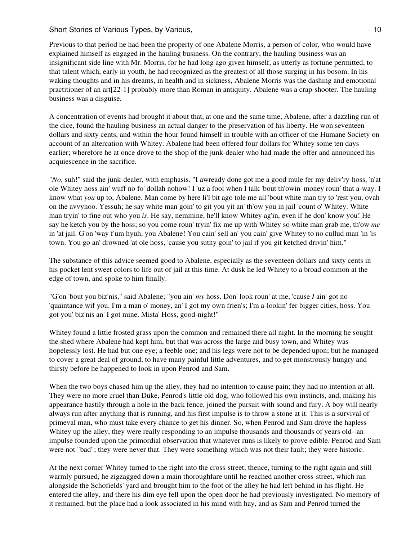## Short Stories of Various Types, by Various, 10 and 10 and 10 and 10 and 10 and 10 and 10 and 10 and 10 and 10 and 10 and 10 and 10 and 10 and 10 and 10 and 10 and 10 and 10 and 10 and 10 and 10 and 10 and 10 and 10 and 10

Previous to that period he had been the property of one Abalene Morris, a person of color, who would have explained himself as engaged in the hauling business. On the contrary, the hauling business was an insignificant side line with Mr. Morris, for he had long ago given himself, as utterly as fortune permitted, to that talent which, early in youth, he had recognized as the greatest of all those surging in his bosom. In his waking thoughts and in his dreams, in health and in sickness, Abalene Morris was the dashing and emotional practitioner of an art[22-1] probably more than Roman in antiquity. Abalene was a crap-shooter. The hauling business was a disguise.

A concentration of events had brought it about that, at one and the same time, Abalene, after a dazzling run of the dice, found the hauling business an actual danger to the preservation of his liberty. He won seventeen dollars and sixty cents, and within the hour found himself in trouble with an officer of the Humane Society on account of an altercation with Whitey. Abalene had been offered four dollars for Whitey some ten days earlier; wherefore he at once drove to the shop of the junk-dealer who had made the offer and announced his acquiescence in the sacrifice.

"*No*, suh!" said the junk-dealer, with emphasis. "I awready done got me a good mule fer my deliv'ry-hoss, 'n'at ole Whitey hoss ain' wuff no fo' dollah nohow! I 'uz a fool when I talk 'bout th'owin' money roun' that a-way. I know what *you* up to, Abalene. Man come by here li'l bit ago tole me all 'bout white man try to 'rest you, ovah on the avvynoo. Yessuh; he say white man goin' to git you yit an' th'ow you in jail 'count o' Whitey. White man tryin' to fine out who you *is*. He say, nemmine, he'll know Whitey ag'in, even if he don' know you! He say he ketch you by the hoss; so you come roun' tryin' fix me up with Whitey so white man grab me, th'ow *me* in 'at jail. G'on 'way f'um hyuh, you Abalene! You cain' sell an' you cain' give Whitey to no cullud man 'in 'is town. You go an' drowned 'at ole hoss, 'cause you sutny goin' to jail if you git ketched drivin' him."

The substance of this advice seemed good to Abalene, especially as the seventeen dollars and sixty cents in his pocket lent sweet colors to life out of jail at this time. At dusk he led Whitey to a broad common at the edge of town, and spoke to him finally.

"G'on 'bout you biz'nis," said Abalene; "you ain' *my* hoss. Don' look roun' at me, 'cause *I* ain' got no 'quaintance wif you. I'm a man o' money, an' I got my own frien's; I'm a-lookin' fer bigger cities, hoss. You got you' biz'nis an' I got mine. Mista' Hoss, good-night!"

Whitey found a little frosted grass upon the common and remained there all night. In the morning he sought the shed where Abalene had kept him, but that was across the large and busy town, and Whitey was hopelessly lost. He had but one eye; a feeble one; and his legs were not to be depended upon; but he managed to cover a great deal of ground, to have many painful little adventures, and to get monstrously hungry and thirsty before he happened to look in upon Penrod and Sam.

When the two boys chased him up the alley, they had no intention to cause pain; they had no intention at all. They were no more cruel than Duke, Penrod's little old dog, who followed his own instincts, and, making his appearance hastily through a hole in the back fence, joined the pursuit with sound and fury. A boy will nearly always run after anything that is running, and his first impulse is to throw a stone at it. This is a survival of primeval man, who must take every chance to get his dinner. So, when Penrod and Sam drove the hapless Whitey up the alley, they were really responding to an impulse thousands and thousands of years old--an impulse founded upon the primordial observation that whatever runs is likely to prove edible. Penrod and Sam were not "bad"; they were never that. They were something which was not their fault; they were historic.

At the next corner Whitey turned to the right into the cross-street; thence, turning to the right again and still warmly pursued, he zigzagged down a main thoroughfare until he reached another cross-street, which ran alongside the Schofields' yard and brought him to the foot of the alley he had left behind in his flight. He entered the alley, and there his dim eye fell upon the open door he had previously investigated. No memory of it remained, but the place had a look associated in his mind with hay, and as Sam and Penrod turned the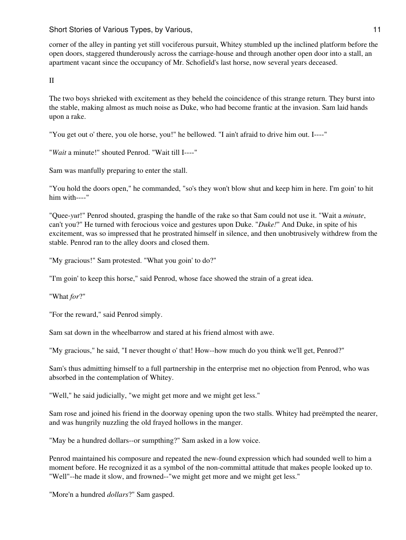Short Stories of Various Types, by Various, 11 and 200 and 200 and 200 and 200 and 200 and 200 and 200 and 200

corner of the alley in panting yet still vociferous pursuit, Whitey stumbled up the inclined platform before the open doors, staggered thunderously across the carriage-house and through another open door into a stall, an apartment vacant since the occupancy of Mr. Schofield's last horse, now several years deceased.

II

The two boys shrieked with excitement as they beheld the coincidence of this strange return. They burst into the stable, making almost as much noise as Duke, who had become frantic at the invasion. Sam laid hands upon a rake.

"You get out o' there, you ole horse, you!" he bellowed. "I ain't afraid to drive him out. I----"

"*Wait* a minute!" shouted Penrod. "Wait till I----"

Sam was manfully preparing to enter the stall.

"You hold the doors open," he commanded, "so's they won't blow shut and keep him in here. I'm goin' to hit him with----"

"Quee-*yut*!" Penrod shouted, grasping the handle of the rake so that Sam could not use it. "Wait a *minute*, can't you?" He turned with ferocious voice and gestures upon Duke. "*Duke!*" And Duke, in spite of his excitement, was so impressed that he prostrated himself in silence, and then unobtrusively withdrew from the stable. Penrod ran to the alley doors and closed them.

"My gracious!" Sam protested. "What you goin' to do?"

"I'm goin' to keep this horse," said Penrod, whose face showed the strain of a great idea.

"What *for*?"

"For the reward," said Penrod simply.

Sam sat down in the wheelbarrow and stared at his friend almost with awe.

"My gracious," he said, "I never thought o' that! How--how much do you think we'll get, Penrod?"

Sam's thus admitting himself to a full partnership in the enterprise met no objection from Penrod, who was absorbed in the contemplation of Whitey.

"Well," he said judicially, "we might get more and we might get less."

Sam rose and joined his friend in the doorway opening upon the two stalls. Whitey had preëmpted the nearer, and was hungrily nuzzling the old frayed hollows in the manger.

"May be a hundred dollars--or sumpthing?" Sam asked in a low voice.

Penrod maintained his composure and repeated the new-found expression which had sounded well to him a moment before. He recognized it as a symbol of the non-committal attitude that makes people looked up to. "Well"--he made it slow, and frowned--"we might get more and we might get less."

"More'n a hundred *dollars*?" Sam gasped.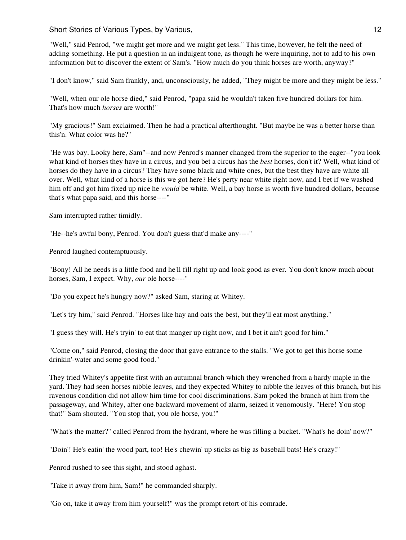"Well," said Penrod, "we might get more and we might get less." This time, however, he felt the need of adding something. He put a question in an indulgent tone, as though he were inquiring, not to add to his own information but to discover the extent of Sam's. "How much do you think horses are worth, anyway?"

"I don't know," said Sam frankly, and, unconsciously, he added, "They might be more and they might be less."

"Well, when our ole horse died," said Penrod, "papa said he wouldn't taken five hundred dollars for him. That's how much *horses* are worth!"

"My gracious!" Sam exclaimed. Then he had a practical afterthought. "But maybe he was a better horse than this'n. What color was he?"

"He was bay. Looky here, Sam"--and now Penrod's manner changed from the superior to the eager--"you look what kind of horses they have in a circus, and you bet a circus has the *best* horses, don't it? Well, what kind of horses do they have in a circus? They have some black and white ones, but the best they have are white all over. Well, what kind of a horse is this we got here? He's perty near white right now, and I bet if we washed him off and got him fixed up nice he *would* be white. Well, a bay horse is worth five hundred dollars, because that's what papa said, and this horse----"

Sam interrupted rather timidly.

"He--he's awful bony, Penrod. You don't guess that'd make any----"

Penrod laughed contemptuously.

"Bony! All he needs is a little food and he'll fill right up and look good as ever. You don't know much about horses, Sam, I expect. Why, *our* ole horse----"

"Do you expect he's hungry now?" asked Sam, staring at Whitey.

"Let's try him," said Penrod. "Horses like hay and oats the best, but they'll eat most anything."

"I guess they will. He's tryin' to eat that manger up right now, and I bet it ain't good for him."

"Come on," said Penrod, closing the door that gave entrance to the stalls. "We got to get this horse some drinkin'-water and some good food."

They tried Whitey's appetite first with an autumnal branch which they wrenched from a hardy maple in the yard. They had seen horses nibble leaves, and they expected Whitey to nibble the leaves of this branch, but his ravenous condition did not allow him time for cool discriminations. Sam poked the branch at him from the passageway, and Whitey, after one backward movement of alarm, seized it venomously. "Here! You stop that!" Sam shouted. "You stop that, you ole horse, you!"

"What's the matter?" called Penrod from the hydrant, where he was filling a bucket. "What's he doin' now?"

"Doin'! He's eatin' the wood part, too! He's chewin' up sticks as big as baseball bats! He's crazy!"

Penrod rushed to see this sight, and stood aghast.

"Take it away from him, Sam!" he commanded sharply.

"Go on, take it away from him yourself!" was the prompt retort of his comrade.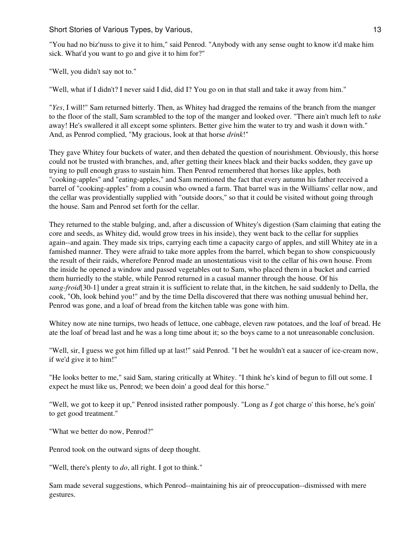"You had no biz'nuss to give it to him," said Penrod. "Anybody with any sense ought to know it'd make him sick. What'd you want to go and give it to him for?"

"Well, you didn't say not to."

"Well, what if I didn't? I never said I did, did I? You go on in that stall and take it away from him."

"*Yes*, I will!" Sam returned bitterly. Then, as Whitey had dragged the remains of the branch from the manger to the floor of the stall, Sam scrambled to the top of the manger and looked over. "There ain't much left to *take* away! He's swallered it all except some splinters. Better give him the water to try and wash it down with." And, as Penrod complied, "My gracious, look at that horse *drink*!"

They gave Whitey four buckets of water, and then debated the question of nourishment. Obviously, this horse could not be trusted with branches, and, after getting their knees black and their backs sodden, they gave up trying to pull enough grass to sustain him. Then Penrod remembered that horses like apples, both "cooking-apples" and "eating-apples," and Sam mentioned the fact that every autumn his father received a barrel of "cooking-apples" from a cousin who owned a farm. That barrel was in the Williams' cellar now, and the cellar was providentially supplied with "outside doors," so that it could be visited without going through the house. Sam and Penrod set forth for the cellar.

They returned to the stable bulging, and, after a discussion of Whitey's digestion (Sam claiming that eating the core and seeds, as Whitey did, would grow trees in his inside), they went back to the cellar for supplies again--and again. They made six trips, carrying each time a capacity cargo of apples, and still Whitey ate in a famished manner. They were afraid to take more apples from the barrel, which began to show conspicuously the result of their raids, wherefore Penrod made an unostentatious visit to the cellar of his own house. From the inside he opened a window and passed vegetables out to Sam, who placed them in a bucket and carried them hurriedly to the stable, while Penrod returned in a casual manner through the house. Of his *sang-froid*[30-1] under a great strain it is sufficient to relate that, in the kitchen, he said suddenly to Della, the cook, "Oh, look behind you!" and by the time Della discovered that there was nothing unusual behind her, Penrod was gone, and a loaf of bread from the kitchen table was gone with him.

Whitey now ate nine turnips, two heads of lettuce, one cabbage, eleven raw potatoes, and the loaf of bread. He ate the loaf of bread last and he was a long time about it; so the boys came to a not unreasonable conclusion.

"Well, sir, I guess we got him filled up at last!" said Penrod. "I bet he wouldn't eat a saucer of ice-cream now, if we'd give it to him!"

"He looks better to me," said Sam, staring critically at Whitey. "I think he's kind of begun to fill out some. I expect he must like us, Penrod; we been doin' a good deal for this horse."

"Well, we got to keep it up," Penrod insisted rather pompously. "Long as *I* got charge o' this horse, he's goin' to get good treatment."

"What we better do now, Penrod?"

Penrod took on the outward signs of deep thought.

"Well, there's plenty to *do*, all right. I got to think."

Sam made several suggestions, which Penrod--maintaining his air of preoccupation--dismissed with mere gestures.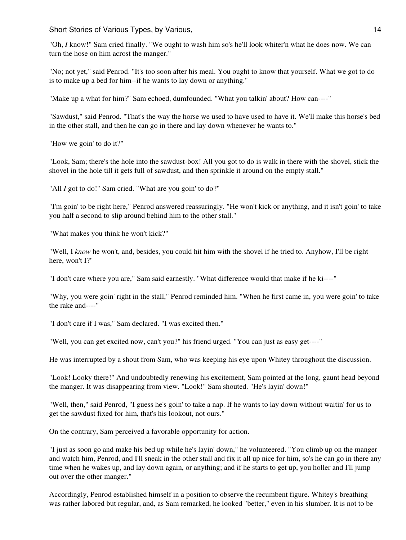"Oh, *I* know!" Sam cried finally. "We ought to wash him so's he'll look whiter'n what he does now. We can turn the hose on him acrost the manger."

"No; not yet," said Penrod. "It's too soon after his meal. You ought to know that yourself. What we got to do is to make up a bed for him--if he wants to lay down or anything."

"Make up a what for him?" Sam echoed, dumfounded. "What you talkin' about? How can----"

"Sawdust," said Penrod. "That's the way the horse we used to have used to have it. We'll make this horse's bed in the other stall, and then he can go in there and lay down whenever he wants to."

"How we goin' to do it?"

"Look, Sam; there's the hole into the sawdust-box! All you got to do is walk in there with the shovel, stick the shovel in the hole till it gets full of sawdust, and then sprinkle it around on the empty stall."

"All *I* got to do!" Sam cried. "What are you goin' to do?"

"I'm goin' to be right here," Penrod answered reassuringly. "He won't kick or anything, and it isn't goin' to take you half a second to slip around behind him to the other stall."

"What makes you think he won't kick?"

"Well, I *know* he won't, and, besides, you could hit him with the shovel if he tried to. Anyhow, I'll be right here, won't I?"

"I don't care where you are," Sam said earnestly. "What difference would that make if he ki----"

"Why, you were goin' right in the stall," Penrod reminded him. "When he first came in, you were goin' to take the rake and----"

"I don't care if I was," Sam declared. "I was excited then."

"Well, you can get excited now, can't you?" his friend urged. "You can just as easy get----"

He was interrupted by a shout from Sam, who was keeping his eye upon Whitey throughout the discussion.

"Look! Looky there!" And undoubtedly renewing his excitement, Sam pointed at the long, gaunt head beyond the manger. It was disappearing from view. "Look!" Sam shouted. "He's layin' down!"

"Well, then," said Penrod, "I guess he's goin' to take a nap. If he wants to lay down without waitin' for us to get the sawdust fixed for him, that's his lookout, not ours."

On the contrary, Sam perceived a favorable opportunity for action.

"I just as soon go and make his bed up while he's layin' down," he volunteered. "You climb up on the manger and watch him, Penrod, and I'll sneak in the other stall and fix it all up nice for him, so's he can go in there any time when he wakes up, and lay down again, or anything; and if he starts to get up, you holler and I'll jump out over the other manger."

Accordingly, Penrod established himself in a position to observe the recumbent figure. Whitey's breathing was rather labored but regular, and, as Sam remarked, he looked "better," even in his slumber. It is not to be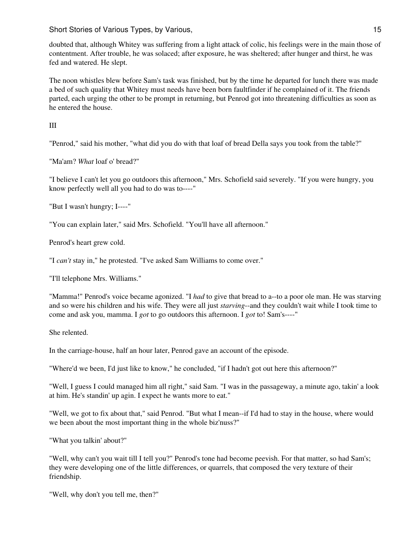doubted that, although Whitey was suffering from a light attack of colic, his feelings were in the main those of contentment. After trouble, he was solaced; after exposure, he was sheltered; after hunger and thirst, he was fed and watered. He slept.

The noon whistles blew before Sam's task was finished, but by the time he departed for lunch there was made a bed of such quality that Whitey must needs have been born faultfinder if he complained of it. The friends parted, each urging the other to be prompt in returning, but Penrod got into threatening difficulties as soon as he entered the house.

III

"Penrod," said his mother, "what did you do with that loaf of bread Della says you took from the table?"

"Ma'am? *What* loaf o' bread?"

"I believe I can't let you go outdoors this afternoon," Mrs. Schofield said severely. "If you were hungry, you know perfectly well all you had to do was to----"

"But I wasn't hungry; I----"

"You can explain later," said Mrs. Schofield. "You'll have all afternoon."

Penrod's heart grew cold.

"I *can't* stay in," he protested. "I've asked Sam Williams to come over."

"I'll telephone Mrs. Williams."

"Mamma!" Penrod's voice became agonized. "I *had* to give that bread to a--to a poor ole man. He was starving and so were his children and his wife. They were all just *starving*--and they couldn't wait while I took time to come and ask you, mamma. I *got* to go outdoors this afternoon. I *got* to! Sam's----"

She relented.

In the carriage-house, half an hour later, Penrod gave an account of the episode.

"Where'd we been, I'd just like to know," he concluded, "if I hadn't got out here this afternoon?"

"Well, I guess I could managed him all right," said Sam. "I was in the passageway, a minute ago, takin' a look at him. He's standin' up agin. I expect he wants more to eat."

"Well, we got to fix about that," said Penrod. "But what I mean--if I'd had to stay in the house, where would we been about the most important thing in the whole biz'nuss?"

"What you talkin' about?"

"Well, why can't you wait till I tell you?" Penrod's tone had become peevish. For that matter, so had Sam's; they were developing one of the little differences, or quarrels, that composed the very texture of their friendship.

"Well, why don't you tell me, then?"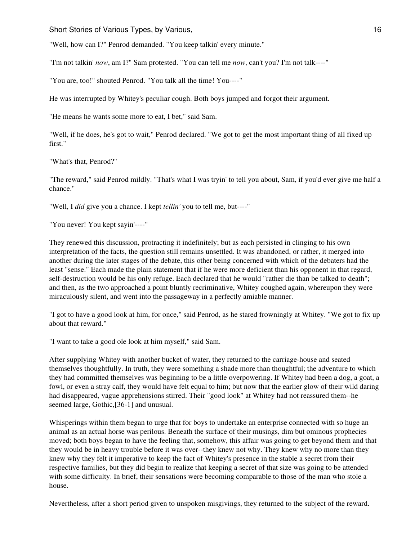"Well, how can I?" Penrod demanded. "You keep talkin' every minute."

"I'm not talkin' *now*, am I?" Sam protested. "You can tell me *now*, can't you? I'm not talk----"

"You are, too!" shouted Penrod. "You talk all the time! You----"

He was interrupted by Whitey's peculiar cough. Both boys jumped and forgot their argument.

"He means he wants some more to eat, I bet," said Sam.

"Well, if he does, he's got to wait," Penrod declared. "We got to get the most important thing of all fixed up first."

"What's that, Penrod?"

"The reward," said Penrod mildly. "That's what I was tryin' to tell you about, Sam, if you'd ever give me half a chance."

"Well, I *did* give you a chance. I kept *tellin'* you to tell me, but----"

"You never! You kept sayin'----"

They renewed this discussion, protracting it indefinitely; but as each persisted in clinging to his own interpretation of the facts, the question still remains unsettled. It was abandoned, or rather, it merged into another during the later stages of the debate, this other being concerned with which of the debaters had the least "sense." Each made the plain statement that if he were more deficient than his opponent in that regard, self-destruction would be his only refuge. Each declared that he would "rather die than be talked to death"; and then, as the two approached a point bluntly recriminative, Whitey coughed again, whereupon they were miraculously silent, and went into the passageway in a perfectly amiable manner.

"I got to have a good look at him, for once," said Penrod, as he stared frowningly at Whitey. "We got to fix up about that reward."

"I want to take a good ole look at him myself," said Sam.

After supplying Whitey with another bucket of water, they returned to the carriage-house and seated themselves thoughtfully. In truth, they were something a shade more than thoughtful; the adventure to which they had committed themselves was beginning to be a little overpowering. If Whitey had been a dog, a goat, a fowl, or even a stray calf, they would have felt equal to him; but now that the earlier glow of their wild daring had disappeared, vague apprehensions stirred. Their "good look" at Whitey had not reassured them--he seemed large, Gothic,[36-1] and unusual.

Whisperings within them began to urge that for boys to undertake an enterprise connected with so huge an animal as an actual horse was perilous. Beneath the surface of their musings, dim but ominous prophecies moved; both boys began to have the feeling that, somehow, this affair was going to get beyond them and that they would be in heavy trouble before it was over--they knew not why. They knew why no more than they knew why they felt it imperative to keep the fact of Whitey's presence in the stable a secret from their respective families, but they did begin to realize that keeping a secret of that size was going to be attended with some difficulty. In brief, their sensations were becoming comparable to those of the man who stole a house.

Nevertheless, after a short period given to unspoken misgivings, they returned to the subject of the reward.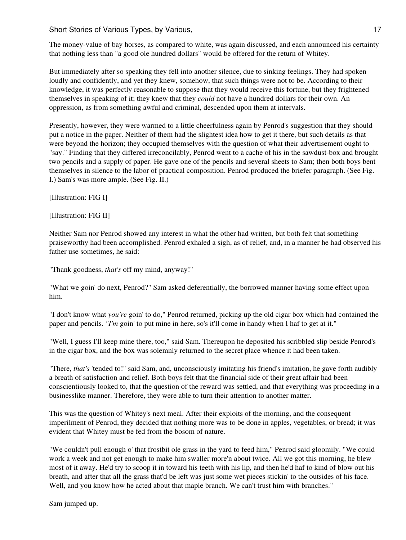Short Stories of Various Types, by Various, 17 and 17 and 17 and 17 and 17 and 17 and 17 and 17 and 17 and 17 and 17 and 17 and 17 and 17 and 17 and 17 and 17 and 17 and 17 and 17 and 17 and 17 and 17 and 17 and 17 and 17

The money-value of bay horses, as compared to white, was again discussed, and each announced his certainty that nothing less than "a good ole hundred dollars" would be offered for the return of Whitey.

But immediately after so speaking they fell into another silence, due to sinking feelings. They had spoken loudly and confidently, and yet they knew, somehow, that such things were not to be. According to their knowledge, it was perfectly reasonable to suppose that they would receive this fortune, but they frightened themselves in speaking of it; they knew that they *could* not have a hundred dollars for their own. An oppression, as from something awful and criminal, descended upon them at intervals.

Presently, however, they were warmed to a little cheerfulness again by Penrod's suggestion that they should put a notice in the paper. Neither of them had the slightest idea how to get it there, but such details as that were beyond the horizon; they occupied themselves with the question of what their advertisement ought to "say." Finding that they differed irreconcilably, Penrod went to a cache of his in the sawdust-box and brought two pencils and a supply of paper. He gave one of the pencils and several sheets to Sam; then both boys bent themselves in silence to the labor of practical composition. Penrod produced the briefer paragraph. (See Fig. I.) Sam's was more ample. (See Fig. II.)

[Illustration: FIG I]

[Illustration: FIG II]

Neither Sam nor Penrod showed any interest in what the other had written, but both felt that something praiseworthy had been accomplished. Penrod exhaled a sigh, as of relief, and, in a manner he had observed his father use sometimes, he said:

"Thank goodness, *that's* off my mind, anyway!"

"What we goin' do next, Penrod?" Sam asked deferentially, the borrowed manner having some effect upon him.

"I don't know what *you're* goin' to do," Penrod returned, picking up the old cigar box which had contained the paper and pencils. *"I'm* goin' to put mine in here, so's it'll come in handy when I haf to get at it."

"Well, I guess I'll keep mine there, too," said Sam. Thereupon he deposited his scribbled slip beside Penrod's in the cigar box, and the box was solemnly returned to the secret place whence it had been taken.

"There, *that's* 'tended to!" said Sam, and, unconsciously imitating his friend's imitation, he gave forth audibly a breath of satisfaction and relief. Both boys felt that the financial side of their great affair had been conscientiously looked to, that the question of the reward was settled, and that everything was proceeding in a businesslike manner. Therefore, they were able to turn their attention to another matter.

This was the question of Whitey's next meal. After their exploits of the morning, and the consequent imperilment of Penrod, they decided that nothing more was to be done in apples, vegetables, or bread; it was evident that Whitey must be fed from the bosom of nature.

"We couldn't pull enough o' that frostbit ole grass in the yard to feed him," Penrod said gloomily. "We could work a week and not get enough to make him swaller more'n about twice. All we got this morning, he blew most of it away. He'd try to scoop it in toward his teeth with his lip, and then he'd haf to kind of blow out his breath, and after that all the grass that'd be left was just some wet pieces stickin' to the outsides of his face. Well, and you know how he acted about that maple branch. We can't trust him with branches."

Sam jumped up.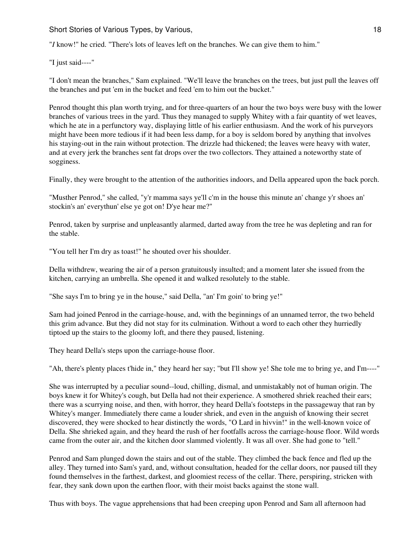"*I* know!" he cried. "There's lots of leaves left on the branches. We can give them to him."

"I just said----"

"I don't mean the branches," Sam explained. "We'll leave the branches on the trees, but just pull the leaves off the branches and put 'em in the bucket and feed 'em to him out the bucket."

Penrod thought this plan worth trying, and for three-quarters of an hour the two boys were busy with the lower branches of various trees in the yard. Thus they managed to supply Whitey with a fair quantity of wet leaves, which he ate in a perfunctory way, displaying little of his earlier enthusiasm. And the work of his purveyors might have been more tedious if it had been less damp, for a boy is seldom bored by anything that involves his staying-out in the rain without protection. The drizzle had thickened; the leaves were heavy with water, and at every jerk the branches sent fat drops over the two collectors. They attained a noteworthy state of sogginess.

Finally, they were brought to the attention of the authorities indoors, and Della appeared upon the back porch.

"Musther Penrod," she called, "y'r mamma says ye'll c'm in the house this minute an' change y'r shoes an' stockin's an' everythun' else ye got on! D'ye hear me?"

Penrod, taken by surprise and unpleasantly alarmed, darted away from the tree he was depleting and ran for the stable.

"You tell her I'm dry as toast!" he shouted over his shoulder.

Della withdrew, wearing the air of a person gratuitously insulted; and a moment later she issued from the kitchen, carrying an umbrella. She opened it and walked resolutely to the stable.

"She says I'm to bring ye in the house," said Della, "an' I'm goin' to bring ye!"

Sam had joined Penrod in the carriage-house, and, with the beginnings of an unnamed terror, the two beheld this grim advance. But they did not stay for its culmination. Without a word to each other they hurriedly tiptoed up the stairs to the gloomy loft, and there they paused, listening.

They heard Della's steps upon the carriage-house floor.

"Ah, there's plenty places t'hide in," they heard her say; "but I'll show ye! She tole me to bring ye, and I'm----"

She was interrupted by a peculiar sound--loud, chilling, dismal, and unmistakably not of human origin. The boys knew it for Whitey's cough, but Della had not their experience. A smothered shriek reached their ears; there was a scurrying noise, and then, with horror, they heard Della's footsteps in the passageway that ran by Whitey's manger. Immediately there came a louder shriek, and even in the anguish of knowing their secret discovered, they were shocked to hear distinctly the words, "O Lard in hivvin!" in the well-known voice of Della. She shrieked again, and they heard the rush of her footfalls across the carriage-house floor. Wild words came from the outer air, and the kitchen door slammed violently. It was all over. She had gone to "tell."

Penrod and Sam plunged down the stairs and out of the stable. They climbed the back fence and fled up the alley. They turned into Sam's yard, and, without consultation, headed for the cellar doors, nor paused till they found themselves in the farthest, darkest, and gloomiest recess of the cellar. There, perspiring, stricken with fear, they sank down upon the earthen floor, with their moist backs against the stone wall.

Thus with boys. The vague apprehensions that had been creeping upon Penrod and Sam all afternoon had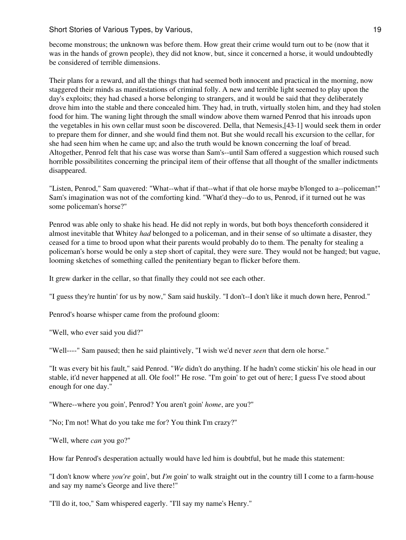become monstrous; the unknown was before them. How great their crime would turn out to be (now that it was in the hands of grown people), they did not know, but, since it concerned a horse, it would undoubtedly be considered of terrible dimensions.

Their plans for a reward, and all the things that had seemed both innocent and practical in the morning, now staggered their minds as manifestations of criminal folly. A new and terrible light seemed to play upon the day's exploits; they had chased a horse belonging to strangers, and it would be said that they deliberately drove him into the stable and there concealed him. They had, in truth, virtually stolen him, and they had stolen food for him. The waning light through the small window above them warned Penrod that his inroads upon the vegetables in his own cellar must soon be discovered. Della, that Nemesis,[43-1] would seek them in order to prepare them for dinner, and she would find them not. But she would recall his excursion to the cellar, for she had seen him when he came up; and also the truth would be known concerning the loaf of bread. Altogether, Penrod felt that his case was worse than Sam's--until Sam offered a suggestion which roused such horrible possibilitites concerning the principal item of their offense that all thought of the smaller indictments disappeared.

"Listen, Penrod," Sam quavered: "What--what if that--what if that ole horse maybe b'longed to a--policeman!" Sam's imagination was not of the comforting kind. "What'd they--do to us, Penrod, if it turned out he was some policeman's horse?"

Penrod was able only to shake his head. He did not reply in words, but both boys thenceforth considered it almost inevitable that Whitey *had* belonged to a policeman, and in their sense of so ultimate a disaster, they ceased for a time to brood upon what their parents would probably do to them. The penalty for stealing a policeman's horse would be only a step short of capital, they were sure. They would not be hanged; but vague, looming sketches of something called the penitentiary began to flicker before them.

It grew darker in the cellar, so that finally they could not see each other.

"I guess they're huntin' for us by now," Sam said huskily. "I don't--I don't like it much down here, Penrod."

Penrod's hoarse whisper came from the profound gloom:

"Well, who ever said you did?"

"Well----" Sam paused; then he said plaintively, "I wish we'd never *seen* that dern ole horse."

"It was every bit his fault," said Penrod. "*We* didn't do anything. If he hadn't come stickin' his ole head in our stable, it'd never happened at all. Ole fool!" He rose. "I'm goin' to get out of here; I guess I've stood about enough for one day."

"Where--where you goin', Penrod? You aren't goin' *home*, are you?"

"No; I'm not! What do you take me for? You think I'm crazy?"

"Well, where *can* you go?"

How far Penrod's desperation actually would have led him is doubtful, but he made this statement:

"I don't know where *you're* goin', but *I'm* goin' to walk straight out in the country till I come to a farm-house and say my name's George and live there!"

"I'll do it, too," Sam whispered eagerly. "I'll say my name's Henry."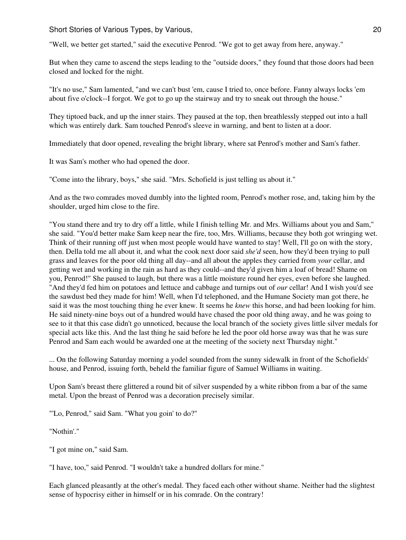Short Stories of Various Types, by Various, 20 and 20 and 20 and 20 and 20 and 20 and 20 and 20 and 20 and 20 and 20 and 20 and 20 and 20 and 20 and 20 and 20 and 20 and 20 and 20 and 20 and 20 and 20 and 20 and 20 and 20

"Well, we better get started," said the executive Penrod. "We got to get away from here, anyway."

But when they came to ascend the steps leading to the "outside doors," they found that those doors had been closed and locked for the night.

"It's no use," Sam lamented, "and we can't bust 'em, cause I tried to, once before. Fanny always locks 'em about five o'clock--I forgot. We got to go up the stairway and try to sneak out through the house."

They tiptoed back, and up the inner stairs. They paused at the top, then breathlessly stepped out into a hall which was entirely dark. Sam touched Penrod's sleeve in warning, and bent to listen at a door.

Immediately that door opened, revealing the bright library, where sat Penrod's mother and Sam's father.

It was Sam's mother who had opened the door.

"Come into the library, boys," she said. "Mrs. Schofield is just telling us about it."

And as the two comrades moved dumbly into the lighted room, Penrod's mother rose, and, taking him by the shoulder, urged him close to the fire.

"You stand there and try to dry off a little, while I finish telling Mr. and Mrs. Williams about you and Sam," she said. "You'd better make Sam keep near the fire, too, Mrs. Williams, because they both got wringing wet. Think of their running off just when most people would have wanted to stay! Well, I'll go on with the story, then. Della told me all about it, and what the cook next door said *she'd* seen, how they'd been trying to pull grass and leaves for the poor old thing all day--and all about the apples they carried from *your* cellar, and getting wet and working in the rain as hard as they could--and they'd given him a loaf of bread! Shame on you, Penrod!" She paused to laugh, but there was a little moisture round her eyes, even before she laughed. "And they'd fed him on potatoes and lettuce and cabbage and turnips out of *our* cellar! And I wish you'd see the sawdust bed they made for him! Well, when I'd telephoned, and the Humane Society man got there, he said it was the most touching thing he ever knew. It seems he *knew* this horse, and had been looking for him. He said ninety-nine boys out of a hundred would have chased the poor old thing away, and he was going to see to it that this case didn't go unnoticed, because the local branch of the society gives little silver medals for special acts like this. And the last thing he said before he led the poor old horse away was that he was sure Penrod and Sam each would be awarded one at the meeting of the society next Thursday night."

... On the following Saturday morning a yodel sounded from the sunny sidewalk in front of the Schofields' house, and Penrod, issuing forth, beheld the familiar figure of Samuel Williams in waiting.

Upon Sam's breast there glittered a round bit of silver suspended by a white ribbon from a bar of the same metal. Upon the breast of Penrod was a decoration precisely similar.

"'Lo, Penrod," said Sam. "What you goin' to do?"

"Nothin'."

"I got mine on," said Sam.

"I have, too," said Penrod. "I wouldn't take a hundred dollars for mine."

Each glanced pleasantly at the other's medal. They faced each other without shame. Neither had the slightest sense of hypocrisy either in himself or in his comrade. On the contrary!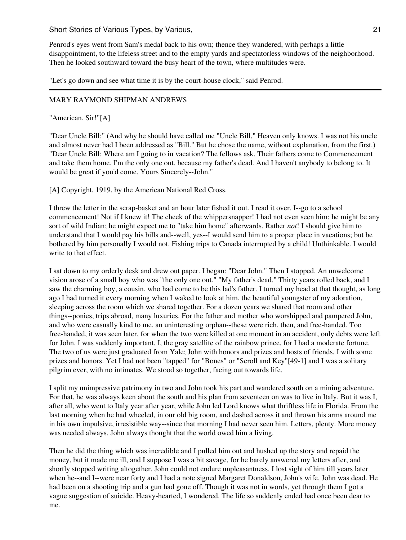Short Stories of Various Types, by Various, 21 and 21 and 21 and 21 and 21 and 21 and 21 and 21 and 21 and 21 and 21 and 21 and 22 and 22 and 22 and 22 and 22 and 22 and 22 and 22 and 22 and 22 and 22 and 22 and 22 and 22

Penrod's eyes went from Sam's medal back to his own; thence they wandered, with perhaps a little disappointment, to the lifeless street and to the empty yards and spectatorless windows of the neighborhood. Then he looked southward toward the busy heart of the town, where multitudes were.

"Let's go down and see what time it is by the court-house clock," said Penrod.

## MARY RAYMOND SHIPMAN ANDREWS

## "American, Sir!"[A]

"Dear Uncle Bill:" (And why he should have called me "Uncle Bill," Heaven only knows. I was not his uncle and almost never had I been addressed as "Bill." But he chose the name, without explanation, from the first.) "Dear Uncle Bill: Where am I going to in vacation? The fellows ask. Their fathers come to Commencement and take them home. I'm the only one out, because my father's dead. And I haven't anybody to belong to. It would be great if you'd come. Yours Sincerely--John."

[A] Copyright, 1919, by the American National Red Cross.

I threw the letter in the scrap-basket and an hour later fished it out. I read it over. I--go to a school commencement! Not if I knew it! The cheek of the whippersnapper! I had not even seen him; he might be any sort of wild Indian; he might expect me to "take him home" afterwards. Rather *not*! I should give him to understand that I would pay his bills and--well, yes--I would send him to a proper place in vacations; but be bothered by him personally I would not. Fishing trips to Canada interrupted by a child! Unthinkable. I would write to that effect.

I sat down to my orderly desk and drew out paper. I began: "Dear John." Then I stopped. An unwelcome vision arose of a small boy who was "the only one out." "My father's dead." Thirty years rolled back, and I saw the charming boy, a cousin, who had come to be this lad's father. I turned my head at that thought, as long ago I had turned it every morning when I waked to look at him, the beautiful youngster of my adoration, sleeping across the room which we shared together. For a dozen years we shared that room and other things--ponies, trips abroad, many luxuries. For the father and mother who worshipped and pampered John, and who were casually kind to me, an uninteresting orphan--these were rich, then, and free-handed. Too free-handed, it was seen later, for when the two were killed at one moment in an accident, only debts were left for John. I was suddenly important, I, the gray satellite of the rainbow prince, for I had a moderate fortune. The two of us were just graduated from Yale; John with honors and prizes and hosts of friends, I with some prizes and honors. Yet I had not been "tapped" for "Bones" or "Scroll and Key"[49-1] and I was a solitary pilgrim ever, with no intimates. We stood so together, facing out towards life.

I split my unimpressive patrimony in two and John took his part and wandered south on a mining adventure. For that, he was always keen about the south and his plan from seventeen on was to live in Italy. But it was I, after all, who went to Italy year after year, while John led Lord knows what thriftless life in Florida. From the last morning when he had wheeled, in our old big room, and dashed across it and thrown his arms around me in his own impulsive, irresistible way--since that morning I had never seen him. Letters, plenty. More money was needed always. John always thought that the world owed him a living.

Then he did the thing which was incredible and I pulled him out and hushed up the story and repaid the money, but it made me ill, and I suppose I was a bit savage, for he barely answered my letters after, and shortly stopped writing altogether. John could not endure unpleasantness. I lost sight of him till years later when he--and I--were near forty and I had a note signed Margaret Donaldson, John's wife. John was dead. He had been on a shooting trip and a gun had gone off. Though it was not in words, yet through them I got a vague suggestion of suicide. Heavy-hearted, I wondered. The life so suddenly ended had once been dear to me.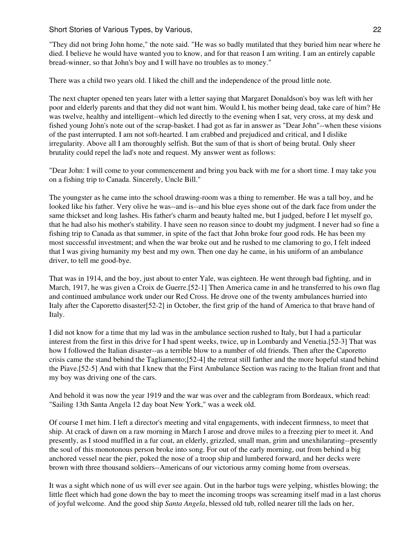"They did not bring John home," the note said. "He was so badly mutilated that they buried him near where he died. I believe he would have wanted you to know, and for that reason I am writing. I am an entirely capable bread-winner, so that John's boy and I will have no troubles as to money."

There was a child two years old. I liked the chill and the independence of the proud little note.

The next chapter opened ten years later with a letter saying that Margaret Donaldson's boy was left with her poor and elderly parents and that they did not want him. Would I, his mother being dead, take care of him? He was twelve, healthy and intelligent--which led directly to the evening when I sat, very cross, at my desk and fished young John's note out of the scrap-basket. I had got as far in answer as "Dear John"--when these visions of the past interrupted. I am not soft-hearted. I am crabbed and prejudiced and critical, and I dislike irregularity. Above all I am thoroughly selfish. But the sum of that is short of being brutal. Only sheer brutality could repel the lad's note and request. My answer went as follows:

"Dear John: I will come to your commencement and bring you back with me for a short time. I may take you on a fishing trip to Canada. Sincerely, Uncle Bill."

The youngster as he came into the school drawing-room was a thing to remember. He was a tall boy, and he looked like his father. Very olive he was--and is--and his blue eyes shone out of the dark face from under the same thickset and long lashes. His father's charm and beauty halted me, but I judged, before I let myself go, that he had also his mother's stability. I have seen no reason since to doubt my judgment. I never had so fine a fishing trip to Canada as that summer, in spite of the fact that John broke four good rods. He has been my most successful investment; and when the war broke out and he rushed to me clamoring to go, I felt indeed that I was giving humanity my best and my own. Then one day he came, in his uniform of an ambulance driver, to tell me good-bye.

That was in 1914, and the boy, just about to enter Yale, was eighteen. He went through bad fighting, and in March, 1917, he was given a Croix de Guerre.[52-1] Then America came in and he transferred to his own flag and continued ambulance work under our Red Cross. He drove one of the twenty ambulances hurried into Italy after the Caporetto disaster[52-2] in October, the first grip of the hand of America to that brave hand of Italy.

I did not know for a time that my lad was in the ambulance section rushed to Italy, but I had a particular interest from the first in this drive for I had spent weeks, twice, up in Lombardy and Venetia.[52-3] That was how I followed the Italian disaster--as a terrible blow to a number of old friends. Then after the Caporetto crisis came the stand behind the Tagliamento;[52-4] the retreat still farther and the more hopeful stand behind the Piave.[52-5] And with that I knew that the First Ambulance Section was racing to the Italian front and that my boy was driving one of the cars.

And behold it was now the year 1919 and the war was over and the cablegram from Bordeaux, which read: "Sailing 13th Santa Angela 12 day boat New York," was a week old.

Of course I met him. I left a director's meeting and vital engagements, with indecent firmness, to meet that ship. At crack of dawn on a raw morning in March I arose and drove miles to a freezing pier to meet it. And presently, as I stood muffled in a fur coat, an elderly, grizzled, small man, grim and unexhilarating--presently the soul of this monotonous person broke into song. For out of the early morning, out from behind a big anchored vessel near the pier, poked the nose of a troop ship and lumbered forward, and her decks were brown with three thousand soldiers--Americans of our victorious army coming home from overseas.

It was a sight which none of us will ever see again. Out in the harbor tugs were yelping, whistles blowing; the little fleet which had gone down the bay to meet the incoming troops was screaming itself mad in a last chorus of joyful welcome. And the good ship *Santa Angela*, blessed old tub, rolled nearer till the lads on her,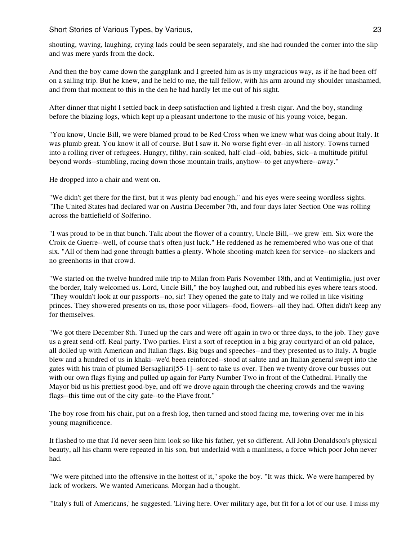Short Stories of Various Types, by Various, 23 and 23 and 23 and 23 and 23 and 23 and 23 and 23 and 23 and 23 and 23 and 23 and 23 and 23 and 23 and 23 and 23 and 23 and 23 and 23 and 23 and 22 and 22 and 22 and 22 and 22

shouting, waving, laughing, crying lads could be seen separately, and she had rounded the corner into the slip and was mere yards from the dock.

And then the boy came down the gangplank and I greeted him as is my ungracious way, as if he had been off on a sailing trip. But he knew, and he held to me, the tall fellow, with his arm around my shoulder unashamed, and from that moment to this in the den he had hardly let me out of his sight.

After dinner that night I settled back in deep satisfaction and lighted a fresh cigar. And the boy, standing before the blazing logs, which kept up a pleasant undertone to the music of his young voice, began.

"You know, Uncle Bill, we were blamed proud to be Red Cross when we knew what was doing about Italy. It was plumb great. You know it all of course. But I saw it. No worse fight ever--in all history. Towns turned into a rolling river of refugees. Hungry, filthy, rain-soaked, half-clad--old, babies, sick--a multitude pitiful beyond words--stumbling, racing down those mountain trails, anyhow--to get anywhere--away."

He dropped into a chair and went on.

"We didn't get there for the first, but it was plenty bad enough," and his eyes were seeing wordless sights. "The United States had declared war on Austria December 7th, and four days later Section One was rolling across the battlefield of Solferino.

"I was proud to be in that bunch. Talk about the flower of a country, Uncle Bill,--we grew 'em. Six wore the Croix de Guerre--well, of course that's often just luck." He reddened as he remembered who was one of that six. "All of them had gone through battles a-plenty. Whole shooting-match keen for service--no slackers and no greenhorns in that crowd.

"We started on the twelve hundred mile trip to Milan from Paris November 18th, and at Ventimiglia, just over the border, Italy welcomed us. Lord, Uncle Bill," the boy laughed out, and rubbed his eyes where tears stood. "They wouldn't look at our passports--no, sir! They opened the gate to Italy and we rolled in like visiting princes. They showered presents on us, those poor villagers--food, flowers--all they had. Often didn't keep any for themselves.

"We got there December 8th. Tuned up the cars and were off again in two or three days, to the job. They gave us a great send-off. Real party. Two parties. First a sort of reception in a big gray courtyard of an old palace, all dolled up with American and Italian flags. Big bugs and speeches--and they presented us to Italy. A bugle blew and a hundred of us in khaki--we'd been reinforced--stood at salute and an Italian general swept into the gates with his train of plumed Bersagliari[55-1]--sent to take us over. Then we twenty drove our busses out with our own flags flying and pulled up again for Party Number Two in front of the Cathedral. Finally the Mayor bid us his prettiest good-bye, and off we drove again through the cheering crowds and the waving flags--this time out of the city gate--to the Piave front."

The boy rose from his chair, put on a fresh log, then turned and stood facing me, towering over me in his young magnificence.

It flashed to me that I'd never seen him look so like his father, yet so different. All John Donaldson's physical beauty, all his charm were repeated in his son, but underlaid with a manliness, a force which poor John never had.

"We were pitched into the offensive in the hottest of it," spoke the boy. "It was thick. We were hampered by lack of workers. We wanted Americans. Morgan had a thought.

"'Italy's full of Americans,' he suggested. 'Living here. Over military age, but fit for a lot of our use. I miss my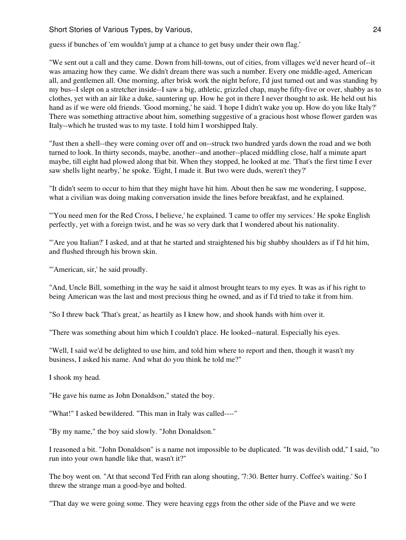guess if bunches of 'em wouldn't jump at a chance to get busy under their own flag.'

"We sent out a call and they came. Down from hill-towns, out of cities, from villages we'd never heard of--it was amazing how they came. We didn't dream there was such a number. Every one middle-aged, American all, and gentlemen all. One morning, after brisk work the night before, I'd just turned out and was standing by my bus--I slept on a stretcher inside--I saw a big, athletic, grizzled chap, maybe fifty-five or over, shabby as to clothes, yet with an air like a duke, sauntering up. How he got in there I never thought to ask. He held out his hand as if we were old friends. 'Good morning,' he said. 'I hope I didn't wake you up. How do you like Italy?' There was something attractive about him, something suggestive of a gracious host whose flower garden was Italy--which he trusted was to my taste. I told him I worshipped Italy.

"Just then a shell--they were coming over off and on--struck two hundred yards down the road and we both turned to look. In thirty seconds, maybe, another--and another--placed middling close, half a minute apart maybe, till eight had plowed along that bit. When they stopped, he looked at me. 'That's the first time I ever saw shells light nearby,' he spoke. 'Eight, I made it. But two were duds, weren't they?'

"It didn't seem to occur to him that they might have hit him. About then he saw me wondering, I suppose, what a civilian was doing making conversation inside the lines before breakfast, and he explained.

"'You need men for the Red Cross, I believe,' he explained. 'I came to offer my services.' He spoke English perfectly, yet with a foreign twist, and he was so very dark that I wondered about his nationality.

"'Are you Italian?' I asked, and at that he started and straightened his big shabby shoulders as if I'd hit him, and flushed through his brown skin.

"'American, sir,' he said proudly.

"And, Uncle Bill, something in the way he said it almost brought tears to my eyes. It was as if his right to being American was the last and most precious thing he owned, and as if I'd tried to take it from him.

"So I threw back 'That's great,' as heartily as I knew how, and shook hands with him over it.

"There was something about him which I couldn't place. He looked--natural. Especially his eyes.

"Well, I said we'd be delighted to use him, and told him where to report and then, though it wasn't my business, I asked his name. And what do you think he told me?"

I shook my head.

"He gave his name as John Donaldson," stated the boy.

"What!" I asked bewildered. "This man in Italy was called----"

"By my name," the boy said slowly. "John Donaldson."

I reasoned a bit. "John Donaldson" is a name not impossible to be duplicated. "It was devilish odd," I said, "to run into your own handle like that, wasn't it?"

The boy went on. "At that second Ted Frith ran along shouting, '7:30. Better hurry. Coffee's waiting.' So I threw the strange man a good-bye and bolted.

"That day we were going some. They were heaving eggs from the other side of the Piave and we were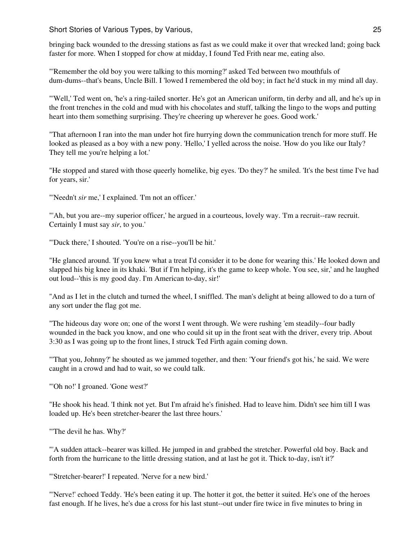bringing back wounded to the dressing stations as fast as we could make it over that wrecked land; going back faster for more. When I stopped for chow at midday, I found Ted Frith near me, eating also.

"'Remember the old boy you were talking to this morning?' asked Ted between two mouthfuls of dum-dums--that's beans, Uncle Bill. I 'lowed I remembered the old boy; in fact he'd stuck in my mind all day.

"'Well,' Ted went on, 'he's a ring-tailed snorter. He's got an American uniform, tin derby and all, and he's up in the front trenches in the cold and mud with his chocolates and stuff, talking the lingo to the wops and putting heart into them something surprising. They're cheering up wherever he goes. Good work.'

"That afternoon I ran into the man under hot fire hurrying down the communication trench for more stuff. He looked as pleased as a boy with a new pony. 'Hello,' I yelled across the noise. 'How do you like our Italy? They tell me you're helping a lot.'

"He stopped and stared with those queerly homelike, big eyes. 'Do they?' he smiled. 'It's the best time I've had for years, sir.'

"'Needn't *sir* me,' I explained. 'I'm not an officer.'

"'Ah, but you are--my superior officer,' he argued in a courteous, lovely way. 'I'm a recruit--raw recruit. Certainly I must say *sir*, to you.'

"'Duck there,' I shouted. 'You're on a rise--you'll be hit.'

"He glanced around. 'If you knew what a treat I'd consider it to be done for wearing this.' He looked down and slapped his big knee in its khaki. 'But if I'm helping, it's the game to keep whole. You see, sir,' and he laughed out loud--'this is my good day. I'm American to-day, sir!'

"And as I let in the clutch and turned the wheel, I sniffled. The man's delight at being allowed to do a turn of any sort under the flag got me.

"The hideous day wore on; one of the worst I went through. We were rushing 'em steadily--four badly wounded in the back you know, and one who could sit up in the front seat with the driver, every trip. About 3:30 as I was going up to the front lines, I struck Ted Firth again coming down.

"'That you, Johnny?' he shouted as we jammed together, and then: 'Your friend's got his,' he said. We were caught in a crowd and had to wait, so we could talk.

"'Oh no!' I groaned. 'Gone west?'

"He shook his head. 'I think not yet. But I'm afraid he's finished. Had to leave him. Didn't see him till I was loaded up. He's been stretcher-bearer the last three hours.'

"'The devil he has. Why?'

"'A sudden attack--bearer was killed. He jumped in and grabbed the stretcher. Powerful old boy. Back and forth from the hurricane to the little dressing station, and at last he got it. Thick to-day, isn't it?'

"'Stretcher-bearer!' I repeated. 'Nerve for a new bird.'

"'Nerve!' echoed Teddy. 'He's been eating it up. The hotter it got, the better it suited. He's one of the heroes fast enough. If he lives, he's due a cross for his last stunt--out under fire twice in five minutes to bring in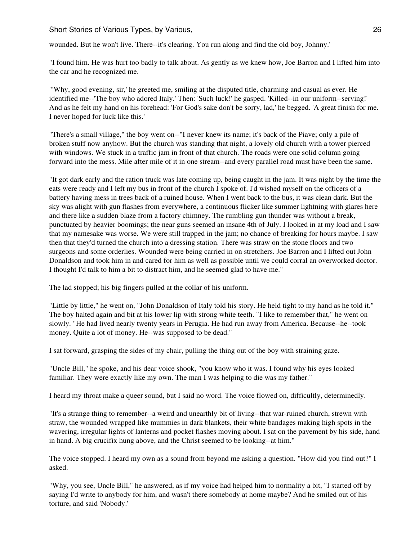Short Stories of Various Types, by Various, 26 and 20 and 20 and 20 and 20 and 20 and 20 and 20 and 20 and 20  $26$ 

wounded. But he won't live. There--it's clearing. You run along and find the old boy, Johnny.'

"I found him. He was hurt too badly to talk about. As gently as we knew how, Joe Barron and I lifted him into the car and he recognized me.

"'Why, good evening, sir,' he greeted me, smiling at the disputed title, charming and casual as ever. He identified me--'The boy who adored Italy.' Then: 'Such luck!' he gasped. 'Killed--in our uniform--serving!' And as he felt my hand on his forehead: 'For God's sake don't be sorry, lad,' he begged. 'A great finish for me. I never hoped for luck like this.'

"There's a small village," the boy went on--"I never knew its name; it's back of the Piave; only a pile of broken stuff now anyhow. But the church was standing that night, a lovely old church with a tower pierced with windows. We stuck in a traffic jam in front of that church. The roads were one solid column going forward into the mess. Mile after mile of it in one stream--and every parallel road must have been the same.

"It got dark early and the ration truck was late coming up, being caught in the jam. It was night by the time the eats were ready and I left my bus in front of the church I spoke of. I'd wished myself on the officers of a battery having mess in trees back of a ruined house. When I went back to the bus, it was clean dark. But the sky was alight with gun flashes from everywhere, a continuous flicker like summer lightning with glares here and there like a sudden blaze from a factory chimney. The rumbling gun thunder was without a break, punctuated by heavier boomings; the near guns seemed an insane 4th of July. I looked in at my load and I saw that my namesake was worse. We were still trapped in the jam; no chance of breaking for hours maybe. I saw then that they'd turned the church into a dressing station. There was straw on the stone floors and two surgeons and some orderlies. Wounded were being carried in on stretchers. Joe Barron and I lifted out John Donaldson and took him in and cared for him as well as possible until we could corral an overworked doctor. I thought I'd talk to him a bit to distract him, and he seemed glad to have me."

The lad stopped; his big fingers pulled at the collar of his uniform.

"Little by little," he went on, "John Donaldson of Italy told his story. He held tight to my hand as he told it." The boy halted again and bit at his lower lip with strong white teeth. "I like to remember that," he went on slowly. "He had lived nearly twenty years in Perugia. He had run away from America. Because--he--took money. Quite a lot of money. He--was supposed to be dead."

I sat forward, grasping the sides of my chair, pulling the thing out of the boy with straining gaze.

"Uncle Bill," he spoke, and his dear voice shook, "you know who it was. I found why his eyes looked familiar. They were exactly like my own. The man I was helping to die was my father."

I heard my throat make a queer sound, but I said no word. The voice flowed on, difficultly, determinedly.

"It's a strange thing to remember--a weird and unearthly bit of living--that war-ruined church, strewn with straw, the wounded wrapped like mummies in dark blankets, their white bandages making high spots in the wavering, irregular lights of lanterns and pocket flashes moving about. I sat on the pavement by his side, hand in hand. A big crucifix hung above, and the Christ seemed to be looking--at him."

The voice stopped. I heard my own as a sound from beyond me asking a question. "How did you find out?" I asked.

"Why, you see, Uncle Bill," he answered, as if my voice had helped him to normality a bit, "I started off by saying I'd write to anybody for him, and wasn't there somebody at home maybe? And he smiled out of his torture, and said 'Nobody.'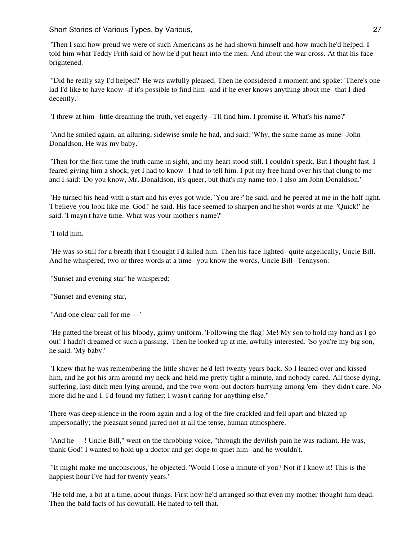Short Stories of Various Types, by Various, 27 and 27 and 27 and 27 and 27 and 27 and 27 and 27 and 27 and 27

"Then I said how proud we were of such Americans as he had shown himself and how much he'd helped. I told him what Teddy Frith said of how he'd put heart into the men. And about the war cross. At that his face brightened.

"'Did he really say I'd helped?' He was awfully pleased. Then he considered a moment and spoke: 'There's one lad I'd like to have know--if it's possible to find him--and if he ever knows anything about me--that I died decently.'

"I threw at him--little dreaming the truth, yet eagerly--'I'll find him. I promise it. What's his name?'

"And he smiled again, an alluring, sidewise smile he had, and said: 'Why, the same name as mine--John Donaldson. He was my baby.'

"Then for the first time the truth came in sight, and my heart stood still. I couldn't speak. But I thought fast. I feared giving him a shock, yet I had to know--I had to tell him. I put my free hand over his that clung to me and I said: 'Do you know, Mr. Donaldson, it's queer, but that's my name too. I also am John Donaldson.'

"He turned his head with a start and his eyes got wide. 'You are?' he said, and he peered at me in the half light. 'I believe you look like me. God!' he said. His face seemed to sharpen and he shot words at me. 'Quick!' he said. 'I mayn't have time. What was your mother's name?'

"I told him.

"He was so still for a breath that I thought I'd killed him. Then his face lighted--quite angelically, Uncle Bill. And he whispered, two or three words at a time--you know the words, Uncle Bill--Tennyson:

"'Sunset and evening star' he whispered:

"'Sunset and evening star,

"'And one clear call for me----'

"He patted the breast of his bloody, grimy uniform. 'Following the flag! Me! My son to hold my hand as I go out! I hadn't dreamed of such a passing.' Then he looked up at me, awfully interested. 'So you're my big son,' he said. 'My baby.'

"I knew that he was remembering the little shaver he'd left twenty years back. So I leaned over and kissed him, and he got his arm around my neck and held me pretty tight a minute, and nobody cared. All those dying, suffering, last-ditch men lying around, and the two worn-out doctors hurrying among 'em--they didn't care. No more did he and I. I'd found my father; I wasn't caring for anything else."

There was deep silence in the room again and a log of the fire crackled and fell apart and blazed up impersonally; the pleasant sound jarred not at all the tense, human atmosphere.

"And he----! Uncle Bill," went on the throbbing voice, "through the devilish pain he was radiant. He was, thank God! I wanted to hold up a doctor and get dope to quiet him--and he wouldn't.

"'It might make me unconscious,' he objected. 'Would I lose a minute of you? Not if I know it! This is the happiest hour I've had for twenty years.'

"He told me, a bit at a time, about things. First how he'd arranged so that even my mother thought him dead. Then the bald facts of his downfall. He hated to tell that.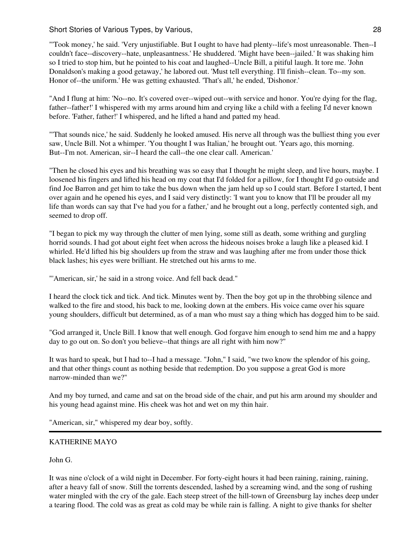"'Took money,' he said. 'Very unjustifiable. But I ought to have had plenty--life's most unreasonable. Then--I couldn't face--discovery--hate, unpleasantness.' He shuddered. 'Might have been--jailed.' It was shaking him so I tried to stop him, but he pointed to his coat and laughed--Uncle Bill, a pitiful laugh. It tore me. 'John Donaldson's making a good getaway,' he labored out. 'Must tell everything. I'll finish--clean. To--my son. Honor of--the uniform.' He was getting exhausted. 'That's all,' he ended, 'Dishonor.'

"And I flung at him: 'No--no. It's covered over--wiped out--with service and honor. You're dying for the flag, father--father!' I whispered with my arms around him and crying like a child with a feeling I'd never known before. 'Father, father!' I whispered, and he lifted a hand and patted my head.

"'That sounds nice,' he said. Suddenly he looked amused. His nerve all through was the bulliest thing you ever saw, Uncle Bill. Not a whimper. 'You thought I was Italian,' he brought out. 'Years ago, this morning. But--I'm not. American, sir--I heard the call--the one clear call. American.'

"Then he closed his eyes and his breathing was so easy that I thought he might sleep, and live hours, maybe. I loosened his fingers and lifted his head on my coat that I'd folded for a pillow, for I thought I'd go outside and find Joe Barron and get him to take the bus down when the jam held up so I could start. Before I started, I bent over again and he opened his eyes, and I said very distinctly: 'I want you to know that I'll be prouder all my life than words can say that I've had you for a father,' and he brought out a long, perfectly contented sigh, and seemed to drop off.

"I began to pick my way through the clutter of men lying, some still as death, some writhing and gurgling horrid sounds. I had got about eight feet when across the hideous noises broke a laugh like a pleased kid. I whirled. He'd lifted his big shoulders up from the straw and was laughing after me from under those thick black lashes; his eyes were brilliant. He stretched out his arms to me.

"'American, sir,' he said in a strong voice. And fell back dead."

I heard the clock tick and tick. And tick. Minutes went by. Then the boy got up in the throbbing silence and walked to the fire and stood, his back to me, looking down at the embers. His voice came over his square young shoulders, difficult but determined, as of a man who must say a thing which has dogged him to be said.

"God arranged it, Uncle Bill. I know that well enough. God forgave him enough to send him me and a happy day to go out on. So don't you believe--that things are all right with him now?"

It was hard to speak, but I had to--I had a message. "John," I said, "we two know the splendor of his going, and that other things count as nothing beside that redemption. Do you suppose a great God is more narrow-minded than we?"

And my boy turned, and came and sat on the broad side of the chair, and put his arm around my shoulder and his young head against mine. His cheek was hot and wet on my thin hair.

"American, sir," whispered my dear boy, softly.

## KATHERINE MAYO

John G.

It was nine o'clock of a wild night in December. For forty-eight hours it had been raining, raining, raining, after a heavy fall of snow. Still the torrents descended, lashed by a screaming wind, and the song of rushing water mingled with the cry of the gale. Each steep street of the hill-town of Greensburg lay inches deep under a tearing flood. The cold was as great as cold may be while rain is falling. A night to give thanks for shelter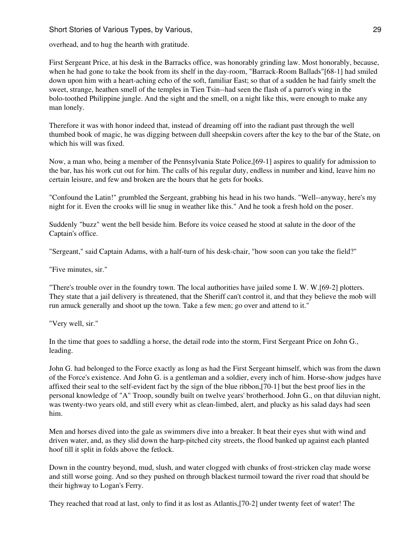## Short Stories of Various Types, by Various, 29 and 20 and 29 and 29 and 29 and 29 and 29 and 29 and 29 and 29 and 29 and 29 and 29 and 29 and 29 and 29 and 20 and 20 and 20 and 20 and 20 and 20 and 20 and 20 and 20 and 20

overhead, and to hug the hearth with gratitude.

First Sergeant Price, at his desk in the Barracks office, was honorably grinding law. Most honorably, because, when he had gone to take the book from its shelf in the day-room, "Barrack-Room Ballads"[68-1] had smiled down upon him with a heart-aching echo of the soft, familiar East; so that of a sudden he had fairly smelt the sweet, strange, heathen smell of the temples in Tien Tsin--had seen the flash of a parrot's wing in the bolo-toothed Philippine jungle. And the sight and the smell, on a night like this, were enough to make any man lonely.

Therefore it was with honor indeed that, instead of dreaming off into the radiant past through the well thumbed book of magic, he was digging between dull sheepskin covers after the key to the bar of the State, on which his will was fixed.

Now, a man who, being a member of the Pennsylvania State Police,[69-1] aspires to qualify for admission to the bar, has his work cut out for him. The calls of his regular duty, endless in number and kind, leave him no certain leisure, and few and broken are the hours that he gets for books.

"Confound the Latin!" grumbled the Sergeant, grabbing his head in his two hands. "Well--anyway, here's my night for it. Even the crooks will lie snug in weather like this." And he took a fresh hold on the poser.

Suddenly "buzz" went the bell beside him. Before its voice ceased he stood at salute in the door of the Captain's office.

"Sergeant," said Captain Adams, with a half-turn of his desk-chair, "how soon can you take the field?"

"Five minutes, sir."

"There's trouble over in the foundry town. The local authorities have jailed some I. W. W.[69-2] plotters. They state that a jail delivery is threatened, that the Sheriff can't control it, and that they believe the mob will run amuck generally and shoot up the town. Take a few men; go over and attend to it."

"Very well, sir."

In the time that goes to saddling a horse, the detail rode into the storm, First Sergeant Price on John G., leading.

John G. had belonged to the Force exactly as long as had the First Sergeant himself, which was from the dawn of the Force's existence. And John G. is a gentleman and a soldier, every inch of him. Horse-show judges have affixed their seal to the self-evident fact by the sign of the blue ribbon,[70-1] but the best proof lies in the personal knowledge of "A" Troop, soundly built on twelve years' brotherhood. John G., on that diluvian night, was twenty-two years old, and still every whit as clean-limbed, alert, and plucky as his salad days had seen him.

Men and horses dived into the gale as swimmers dive into a breaker. It beat their eyes shut with wind and driven water, and, as they slid down the harp-pitched city streets, the flood banked up against each planted hoof till it split in folds above the fetlock.

Down in the country beyond, mud, slush, and water clogged with chunks of frost-stricken clay made worse and still worse going. And so they pushed on through blackest turmoil toward the river road that should be their highway to Logan's Ferry.

They reached that road at last, only to find it as lost as Atlantis,[70-2] under twenty feet of water! The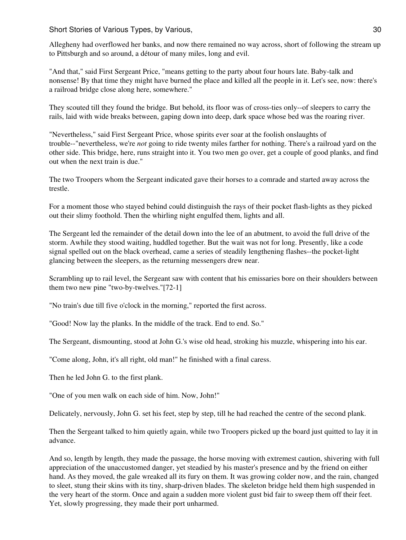Short Stories of Various Types, by Various, 30 and 30 and 30 and 30 and 30 and 30 and 30 and 30 and 30 and 30 and 30 and 30 and 30 and 30 and 30 and 30 and 30 and 30 and 30 and 30 and 30 and 30 and 30 and 30 and 30 and 30

Allegheny had overflowed her banks, and now there remained no way across, short of following the stream up to Pittsburgh and so around, a détour of many miles, long and evil.

"And that," said First Sergeant Price, "means getting to the party about four hours late. Baby-talk and nonsense! By that time they might have burned the place and killed all the people in it. Let's see, now: there's a railroad bridge close along here, somewhere."

They scouted till they found the bridge. But behold, its floor was of cross-ties only--of sleepers to carry the rails, laid with wide breaks between, gaping down into deep, dark space whose bed was the roaring river.

"Nevertheless," said First Sergeant Price, whose spirits ever soar at the foolish onslaughts of trouble--"nevertheless, we're *not* going to ride twenty miles farther for nothing. There's a railroad yard on the other side. This bridge, here, runs straight into it. You two men go over, get a couple of good planks, and find out when the next train is due."

The two Troopers whom the Sergeant indicated gave their horses to a comrade and started away across the trestle.

For a moment those who stayed behind could distinguish the rays of their pocket flash-lights as they picked out their slimy foothold. Then the whirling night engulfed them, lights and all.

The Sergeant led the remainder of the detail down into the lee of an abutment, to avoid the full drive of the storm. Awhile they stood waiting, huddled together. But the wait was not for long. Presently, like a code signal spelled out on the black overhead, came a series of steadily lengthening flashes--the pocket-light glancing between the sleepers, as the returning messengers drew near.

Scrambling up to rail level, the Sergeant saw with content that his emissaries bore on their shoulders between them two new pine "two-by-twelves."[72-1]

"No train's due till five o'clock in the morning," reported the first across.

"Good! Now lay the planks. In the middle of the track. End to end. So."

The Sergeant, dismounting, stood at John G.'s wise old head, stroking his muzzle, whispering into his ear.

"Come along, John, it's all right, old man!" he finished with a final caress.

Then he led John G. to the first plank.

"One of you men walk on each side of him. Now, John!"

Delicately, nervously, John G. set his feet, step by step, till he had reached the centre of the second plank.

Then the Sergeant talked to him quietly again, while two Troopers picked up the board just quitted to lay it in advance.

And so, length by length, they made the passage, the horse moving with extremest caution, shivering with full appreciation of the unaccustomed danger, yet steadied by his master's presence and by the friend on either hand. As they moved, the gale wreaked all its fury on them. It was growing colder now, and the rain, changed to sleet, stung their skins with its tiny, sharp-driven blades. The skeleton bridge held them high suspended in the very heart of the storm. Once and again a sudden more violent gust bid fair to sweep them off their feet. Yet, slowly progressing, they made their port unharmed.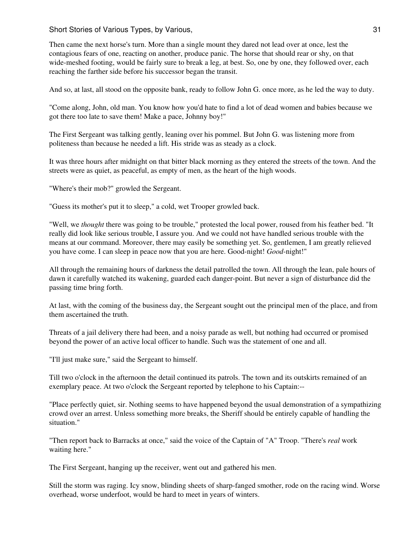Then came the next horse's turn. More than a single mount they dared not lead over at once, lest the contagious fears of one, reacting on another, produce panic. The horse that should rear or shy, on that wide-meshed footing, would be fairly sure to break a leg, at best. So, one by one, they followed over, each reaching the farther side before his successor began the transit.

And so, at last, all stood on the opposite bank, ready to follow John G. once more, as he led the way to duty.

"Come along, John, old man. You know how you'd hate to find a lot of dead women and babies because we got there too late to save them! Make a pace, Johnny boy!"

The First Sergeant was talking gently, leaning over his pommel. But John G. was listening more from politeness than because he needed a lift. His stride was as steady as a clock.

It was three hours after midnight on that bitter black morning as they entered the streets of the town. And the streets were as quiet, as peaceful, as empty of men, as the heart of the high woods.

"Where's their mob?" growled the Sergeant.

"Guess its mother's put it to sleep," a cold, wet Trooper growled back.

"Well, we *thought* there was going to be trouble," protested the local power, roused from his feather bed. "It really did look like serious trouble, I assure you. And we could not have handled serious trouble with the means at our command. Moreover, there may easily be something yet. So, gentlemen, I am greatly relieved you have come. I can sleep in peace now that you are here. Good-night! *Good*-night!"

All through the remaining hours of darkness the detail patrolled the town. All through the lean, pale hours of dawn it carefully watched its wakening, guarded each danger-point. But never a sign of disturbance did the passing time bring forth.

At last, with the coming of the business day, the Sergeant sought out the principal men of the place, and from them ascertained the truth.

Threats of a jail delivery there had been, and a noisy parade as well, but nothing had occurred or promised beyond the power of an active local officer to handle. Such was the statement of one and all.

"I'll just make sure," said the Sergeant to himself.

Till two o'clock in the afternoon the detail continued its patrols. The town and its outskirts remained of an exemplary peace. At two o'clock the Sergeant reported by telephone to his Captain:--

"Place perfectly quiet, sir. Nothing seems to have happened beyond the usual demonstration of a sympathizing crowd over an arrest. Unless something more breaks, the Sheriff should be entirely capable of handling the situation."

"Then report back to Barracks at once," said the voice of the Captain of "A" Troop. "There's *real* work waiting here."

The First Sergeant, hanging up the receiver, went out and gathered his men.

Still the storm was raging. Icy snow, blinding sheets of sharp-fanged smother, rode on the racing wind. Worse overhead, worse underfoot, would be hard to meet in years of winters.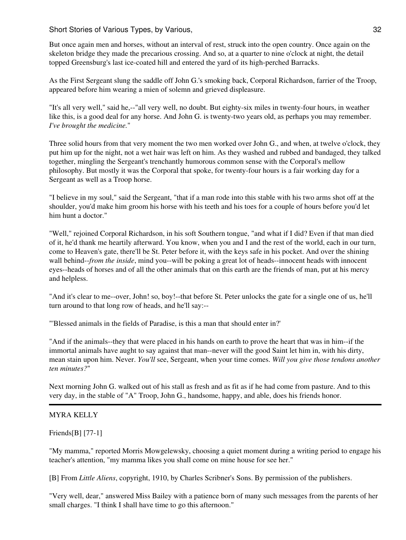But once again men and horses, without an interval of rest, struck into the open country. Once again on the skeleton bridge they made the precarious crossing. And so, at a quarter to nine o'clock at night, the detail topped Greensburg's last ice-coated hill and entered the yard of its high-perched Barracks.

As the First Sergeant slung the saddle off John G.'s smoking back, Corporal Richardson, farrier of the Troop, appeared before him wearing a mien of solemn and grieved displeasure.

"It's all very well," said he,--"all very well, no doubt. But eighty-six miles in twenty-four hours, in weather like this, is a good deal for any horse. And John G. is twenty-two years old, as perhaps you may remember. *I've brought the medicine.*"

Three solid hours from that very moment the two men worked over John G., and when, at twelve o'clock, they put him up for the night, not a wet hair was left on him. As they washed and rubbed and bandaged, they talked together, mingling the Sergeant's trenchantly humorous common sense with the Corporal's mellow philosophy. But mostly it was the Corporal that spoke, for twenty-four hours is a fair working day for a Sergeant as well as a Troop horse.

"I believe in my soul," said the Sergeant, "that if a man rode into this stable with his two arms shot off at the shoulder, you'd make him groom his horse with his teeth and his toes for a couple of hours before you'd let him hunt a doctor."

"Well," rejoined Corporal Richardson, in his soft Southern tongue, "and what if I did? Even if that man died of it, he'd thank me heartily afterward. You know, when you and I and the rest of the world, each in our turn, come to Heaven's gate, there'll be St. Peter before it, with the keys safe in his pocket. And over the shining wall behind--*from the inside*, mind you--will be poking a great lot of heads--innocent heads with innocent eyes--heads of horses and of all the other animals that on this earth are the friends of man, put at his mercy and helpless.

"And it's clear to me--over, John! so, boy!--that before St. Peter unlocks the gate for a single one of us, he'll turn around to that long row of heads, and he'll say:--

"'Blessed animals in the fields of Paradise, is this a man that should enter in?'

"And if the animals--they that were placed in his hands on earth to prove the heart that was in him--if the immortal animals have aught to say against that man--never will the good Saint let him in, with his dirty, mean stain upon him. Never. *You'll* see, Sergeant, when your time comes. *Will you give those tendons another ten minutes?*"

Next morning John G. walked out of his stall as fresh and as fit as if he had come from pasture. And to this very day, in the stable of "A" Troop, John G., handsome, happy, and able, does his friends honor.

## MYRA KELLY

Friends[B] [77-1]

"My mamma," reported Morris Mowgelewsky, choosing a quiet moment during a writing period to engage his teacher's attention, "my mamma likes you shall come on mine house for see her."

[B] From *Little Aliens*, copyright, 1910, by Charles Scribner's Sons. By permission of the publishers.

"Very well, dear," answered Miss Bailey with a patience born of many such messages from the parents of her small charges. "I think I shall have time to go this afternoon."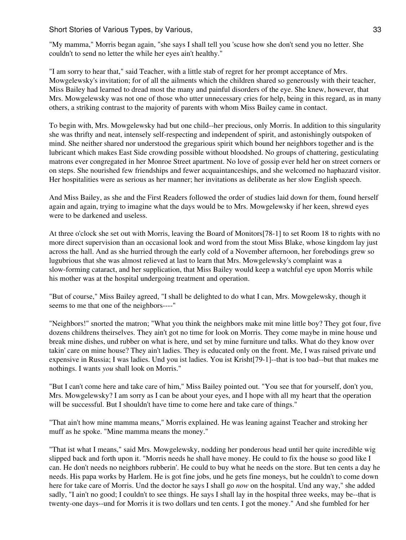Short Stories of Various Types, by Various, 33 Short Stories of Various, 33

"My mamma," Morris began again, "she says I shall tell you 'scuse how she don't send you no letter. She couldn't to send no letter the while her eyes ain't healthy."

"I am sorry to hear that," said Teacher, with a little stab of regret for her prompt acceptance of Mrs. Mowgelewsky's invitation; for of all the ailments which the children shared so generously with their teacher, Miss Bailey had learned to dread most the many and painful disorders of the eye. She knew, however, that Mrs. Mowgelewsky was not one of those who utter unnecessary cries for help, being in this regard, as in many others, a striking contrast to the majority of parents with whom Miss Bailey came in contact.

To begin with, Mrs. Mowgelewsky had but one child--her precious, only Morris. In addition to this singularity she was thrifty and neat, intensely self-respecting and independent of spirit, and astonishingly outspoken of mind. She neither shared nor understood the gregarious spirit which bound her neighbors together and is the lubricant which makes East Side crowding possible without bloodshed. No groups of chattering, gesticulating matrons ever congregated in her Monroe Street apartment. No love of gossip ever held her on street corners or on steps. She nourished few friendships and fewer acquaintanceships, and she welcomed no haphazard visitor. Her hospitalities were as serious as her manner; her invitations as deliberate as her slow English speech.

And Miss Bailey, as she and the First Readers followed the order of studies laid down for them, found herself again and again, trying to imagine what the days would be to Mrs. Mowgelewsky if her keen, shrewd eyes were to be darkened and useless.

At three o'clock she set out with Morris, leaving the Board of Monitors[78-1] to set Room 18 to rights with no more direct supervision than an occasional look and word from the stout Miss Blake, whose kingdom lay just across the hall. And as she hurried through the early cold of a November afternoon, her forebodings grew so lugubrious that she was almost relieved at last to learn that Mrs. Mowgelewsky's complaint was a slow-forming cataract, and her supplication, that Miss Bailey would keep a watchful eye upon Morris while his mother was at the hospital undergoing treatment and operation.

"But of course," Miss Bailey agreed, "I shall be delighted to do what I can, Mrs. Mowgelewsky, though it seems to me that one of the neighbors----"

"Neighbors!" snorted the matron; "What you think the neighbors make mit mine little boy? They got four, five dozens childrens theirselves. They ain't got no time for look on Morris. They come maybe in mine house und break mine dishes, und rubber on what is here, und set by mine furniture und talks. What do they know over takin' care on mine house? They ain't ladies. They is educated only on the front. Me, I was raised private und expensive in Russia; I was ladies. Und you ist ladies. You ist Krisht[79-1]--that is too bad--but that makes me nothings. I wants *you* shall look on Morris."

"But I can't come here and take care of him," Miss Bailey pointed out. "You see that for yourself, don't you, Mrs. Mowgelewsky? I am sorry as I can be about your eyes, and I hope with all my heart that the operation will be successful. But I shouldn't have time to come here and take care of things."

"That ain't how mine mamma means," Morris explained. He was leaning against Teacher and stroking her muff as he spoke. "Mine mamma means the money."

"That ist what I means," said Mrs. Mowgelewsky, nodding her ponderous head until her quite incredible wig slipped back and forth upon it. "Morris needs he shall have money. He could to fix the house so good like I can. He don't needs no neighbors rubberin'. He could to buy what he needs on the store. But ten cents a day he needs. His papa works by Harlem. He is got fine jobs, und he gets fine moneys, but he couldn't to come down here for take care of Morris. Und the doctor he says I shall go *now* on the hospital. Und any way," she added sadly, "I ain't no good; I couldn't to see things. He says I shall lay in the hospital three weeks, may be--that is twenty-one days--und for Morris it is two dollars und ten cents. I got the money." And she fumbled for her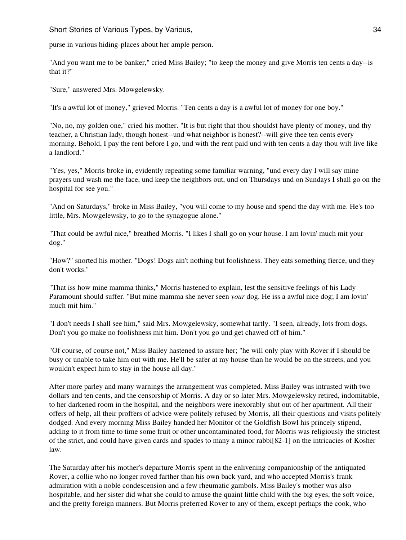purse in various hiding-places about her ample person.

"And you want me to be banker," cried Miss Bailey; "to keep the money and give Morris ten cents a day--is that it?"

"Sure," answered Mrs. Mowgelewsky.

"It's a awful lot of money," grieved Morris. "Ten cents a day is a awful lot of money for one boy."

"No, no, my golden one," cried his mother. "It is but right that thou shouldst have plenty of money, und thy teacher, a Christian lady, though honest--und what neighbor is honest?--will give thee ten cents every morning. Behold, I pay the rent before I go, und with the rent paid und with ten cents a day thou wilt live like a landlord."

"Yes, yes," Morris broke in, evidently repeating some familiar warning, "und every day I will say mine prayers und wash me the face, und keep the neighbors out, und on Thursdays und on Sundays I shall go on the hospital for see you."

"And on Saturdays," broke in Miss Bailey, "you will come to my house and spend the day with me. He's too little, Mrs. Mowgelewsky, to go to the synagogue alone."

"That could be awful nice," breathed Morris. "I likes I shall go on your house. I am lovin' much mit your dog."

"How?" snorted his mother. "Dogs! Dogs ain't nothing but foolishness. They eats something fierce, und they don't works."

"That iss how mine mamma thinks," Morris hastened to explain, lest the sensitive feelings of his Lady Paramount should suffer. "But mine mamma she never seen *your* dog. He iss a awful nice dog; I am lovin' much mit him."

"I don't needs I shall see him," said Mrs. Mowgelewsky, somewhat tartly. "I seen, already, lots from dogs. Don't you go make no foolishness mit him. Don't you go und get chawed off of him."

"Of course, of course not," Miss Bailey hastened to assure her; "he will only play with Rover if I should be busy or unable to take him out with me. He'll be safer at my house than he would be on the streets, and you wouldn't expect him to stay in the house all day."

After more parley and many warnings the arrangement was completed. Miss Bailey was intrusted with two dollars and ten cents, and the censorship of Morris. A day or so later Mrs. Mowgelewsky retired, indomitable, to her darkened room in the hospital, and the neighbors were inexorably shut out of her apartment. All their offers of help, all their proffers of advice were politely refused by Morris, all their questions and visits politely dodged. And every morning Miss Bailey handed her Monitor of the Goldfish Bowl his princely stipend, adding to it from time to time some fruit or other uncontaminated food, for Morris was religiously the strictest of the strict, and could have given cards and spades to many a minor rabbi[82-1] on the intricacies of Kosher law.

The Saturday after his mother's departure Morris spent in the enlivening companionship of the antiquated Rover, a collie who no longer roved farther than his own back yard, and who accepted Morris's frank admiration with a noble condescension and a few rheumatic gambols. Miss Bailey's mother was also hospitable, and her sister did what she could to amuse the quaint little child with the big eyes, the soft voice, and the pretty foreign manners. But Morris preferred Rover to any of them, except perhaps the cook, who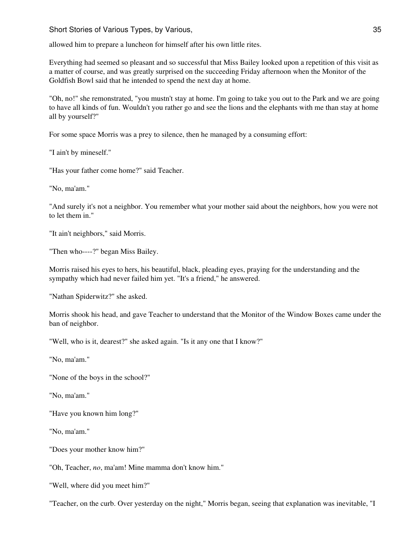allowed him to prepare a luncheon for himself after his own little rites.

Everything had seemed so pleasant and so successful that Miss Bailey looked upon a repetition of this visit as a matter of course, and was greatly surprised on the succeeding Friday afternoon when the Monitor of the Goldfish Bowl said that he intended to spend the next day at home.

"Oh, no!" she remonstrated, "you mustn't stay at home. I'm going to take you out to the Park and we are going to have all kinds of fun. Wouldn't you rather go and see the lions and the elephants with me than stay at home all by yourself?"

For some space Morris was a prey to silence, then he managed by a consuming effort:

"I ain't by mineself."

"Has your father come home?" said Teacher.

"No, ma'am."

"And surely it's not a neighbor. You remember what your mother said about the neighbors, how you were not to let them in."

"It ain't neighbors," said Morris.

"Then who----?" began Miss Bailey.

Morris raised his eyes to hers, his beautiful, black, pleading eyes, praying for the understanding and the sympathy which had never failed him yet. "It's a friend," he answered.

"Nathan Spiderwitz?" she asked.

Morris shook his head, and gave Teacher to understand that the Monitor of the Window Boxes came under the ban of neighbor.

"Well, who is it, dearest?" she asked again. "Is it any one that I know?"

"No, ma'am."

"None of the boys in the school?"

"No, ma'am."

"Have you known him long?"

"No, ma'am."

"Does your mother know him?"

"Oh, Teacher, *no*, ma'am! Mine mamma don't know him."

"Well, where did you meet him?"

"Teacher, on the curb. Over yesterday on the night," Morris began, seeing that explanation was inevitable, "I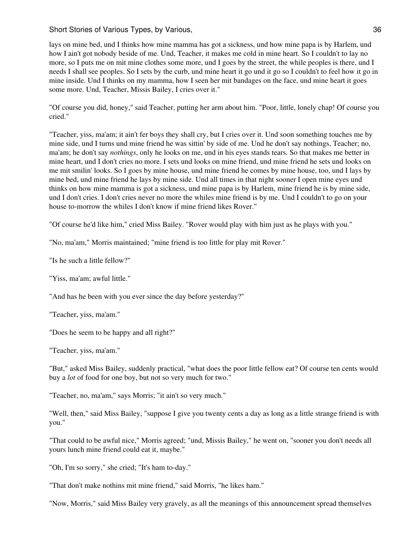lays on mine bed, und I thinks how mine mamma has got a sickness, und how mine papa is by Harlem, und how I ain't got nobody beside of me. Und, Teacher, it makes me cold in mine heart. So I couldn't to lay no more, so I puts me on mit mine clothes some more, und I goes by the street, the while peoples is there, und I needs I shall see peoples. So I sets by the curb, und mine heart it go und it go so I couldn't to feel how it go in mine inside. Und I thinks on my mamma, how I seen her mit bandages on the face, und mine heart it goes some more. Und, Teacher, Missis Bailey, I cries over it."

"Of course you did, honey," said Teacher, putting her arm about him. "Poor, little, lonely chap! Of course you cried."

"Teacher, yiss, ma'am; it ain't fer boys they shall cry, but I cries over it. Und soon something touches me by mine side, und I turns und mine friend he was sittin' by side of me. Und he don't say nothings, Teacher; no, ma'am; he don't say *nothings*, only he looks on me, und in his eyes stands tears. So that makes me better in mine heart, und I don't cries no more. I sets und looks on mine friend, und mine friend he sets und looks on me mit smilin' looks. So I goes by mine house, und mine friend he comes by mine house, too, und I lays by mine bed, und mine friend he lays by mine side. Und all times in that night sooner I open mine eyes und thinks on how mine mamma is got a sickness, und mine papa is by Harlem, mine friend he is by mine side, und I don't cries. I don't cries never no more the whiles mine friend is by me. Und I couldn't to go on your house to-morrow the whiles I don't know if mine friend likes Rover."

"Of course he'd like him," cried Miss Bailey. "Rover would play with him just as he plays with you."

"No, ma'am," Morris maintained; "mine friend is too little for play mit Rover."

"Is he such a little fellow?"

"Yiss, ma'am; awful little."

"And has he been with you ever since the day before yesterday?"

"Teacher, yiss, ma'am."

"Does he seem to be happy and all right?"

"Teacher, yiss, ma'am."

"But," asked Miss Bailey, suddenly practical, "what does the poor little fellow eat? Of course ten cents would buy a *lot* of food for one boy, but not so very much for two."

"Teacher, no, ma'am," says Morris; "it ain't so very much."

"Well, then," said Miss Bailey, "suppose I give you twenty cents a day as long as a little strange friend is with you."

"That could to be awful nice," Morris agreed; "und, Missis Bailey," he went on, "sooner you don't needs all yours lunch mine friend could eat it, maybe."

"Oh, I'm so sorry," she cried; "It's ham to-day."

"That don't make nothins mit mine friend," said Morris, "he likes ham."

"Now, Morris," said Miss Bailey very gravely, as all the meanings of this announcement spread themselves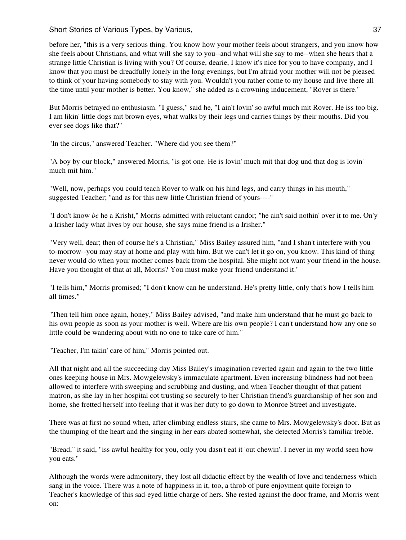before her, "this is a very serious thing. You know how your mother feels about strangers, and you know how she feels about Christians, and what will she say to you--and what will she say to me--when she hears that a strange little Christian is living with you? Of course, dearie, I know it's nice for you to have company, and I know that you must be dreadfully lonely in the long evenings, but I'm afraid your mother will not be pleased to think of your having somebody to stay with you. Wouldn't you rather come to my house and live there all the time until your mother is better. You know," she added as a crowning inducement, "Rover is there."

But Morris betrayed no enthusiasm. "I guess," said he, "I ain't lovin' so awful much mit Rover. He iss too big. I am likin' little dogs mit brown eyes, what walks by their legs und carries things by their mouths. Did you ever see dogs like that?"

"In the circus," answered Teacher. "Where did you see them?"

"A boy by our block," answered Morris, "is got one. He is lovin' much mit that dog und that dog is lovin' much mit him."

"Well, now, perhaps you could teach Rover to walk on his hind legs, and carry things in his mouth," suggested Teacher; "and as for this new little Christian friend of yours----"

"I don't know *be* he a Krisht," Morris admitted with reluctant candor; "he ain't said nothin' over it to me. On'y a Irisher lady what lives by our house, she says mine friend is a Irisher."

"Very well, dear; then of course he's a Christian," Miss Bailey assured him, "and I shan't interfere with you to-morrow--you may stay at home and play with him. But we can't let it go on, you know. This kind of thing never would do when your mother comes back from the hospital. She might not want your friend in the house. Have you thought of that at all, Morris? You must make your friend understand it."

"I tells him," Morris promised; "I don't know can he understand. He's pretty little, only that's how I tells him all times."

"Then tell him once again, honey," Miss Bailey advised, "and make him understand that he must go back to his own people as soon as your mother is well. Where are his own people? I can't understand how any one so little could be wandering about with no one to take care of him."

"Teacher, I'm takin' care of him," Morris pointed out.

All that night and all the succeeding day Miss Bailey's imagination reverted again and again to the two little ones keeping house in Mrs. Mowgelewsky's immaculate apartment. Even increasing blindness had not been allowed to interfere with sweeping and scrubbing and dusting, and when Teacher thought of that patient matron, as she lay in her hospital cot trusting so securely to her Christian friend's guardianship of her son and home, she fretted herself into feeling that it was her duty to go down to Monroe Street and investigate.

There was at first no sound when, after climbing endless stairs, she came to Mrs. Mowgelewsky's door. But as the thumping of the heart and the singing in her ears abated somewhat, she detected Morris's familiar treble.

"Bread," it said, "iss awful healthy for you, only you dasn't eat it 'out chewin'. I never in my world seen how you eats."

Although the words were admonitory, they lost all didactic effect by the wealth of love and tenderness which sang in the voice. There was a note of happiness in it, too, a throb of pure enjoyment quite foreign to Teacher's knowledge of this sad-eyed little charge of hers. She rested against the door frame, and Morris went on: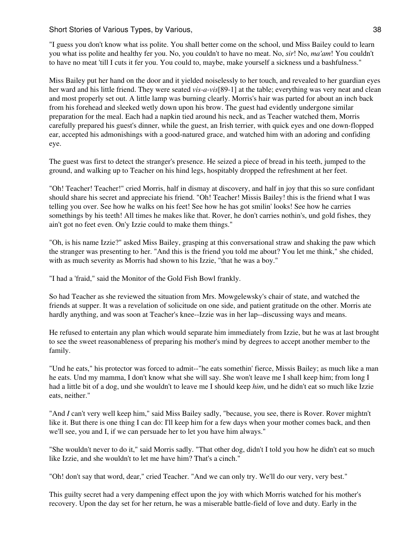"I guess you don't know what iss polite. You shall better come on the school, und Miss Bailey could to learn you what iss polite and healthy fer you. No, you couldn't to have no meat. No, *sir*! No, *ma'am*! You couldn't to have no meat 'till I cuts it fer you. You could to, maybe, make yourself a sickness und a bashfulness."

Miss Bailey put her hand on the door and it yielded noiselessly to her touch, and revealed to her guardian eyes her ward and his little friend. They were seated *vis-a-vis*[89-1] at the table; everything was very neat and clean and most properly set out. A little lamp was burning clearly. Morris's hair was parted for about an inch back from his forehead and sleeked wetly down upon his brow. The guest had evidently undergone similar preparation for the meal. Each had a napkin tied around his neck, and as Teacher watched them, Morris carefully prepared his guest's dinner, while the guest, an Irish terrier, with quick eyes and one down-flopped ear, accepted his admonishings with a good-natured grace, and watched him with an adoring and confiding eye.

The guest was first to detect the stranger's presence. He seized a piece of bread in his teeth, jumped to the ground, and walking up to Teacher on his hind legs, hospitably dropped the refreshment at her feet.

"Oh! Teacher! Teacher!" cried Morris, half in dismay at discovery, and half in joy that this so sure confidant should share his secret and appreciate his friend. "Oh! Teacher! Missis Bailey! this is the friend what I was telling you over. See how he walks on his feet! See how he has got smilin' looks! See how he carries somethings by his teeth! All times he makes like that. Rover, he don't carries nothin's, und gold fishes, they ain't got no feet even. On'y Izzie could to make them things."

"Oh, is his name Izzie?" asked Miss Bailey, grasping at this conversational straw and shaking the paw which the stranger was presenting to her. "And this is the friend you told me about? You let me think," she chided, with as much severity as Morris had shown to his Izzie, "that he was a boy."

"I had a 'fraid," said the Monitor of the Gold Fish Bowl frankly.

So had Teacher as she reviewed the situation from Mrs. Mowgelewsky's chair of state, and watched the friends at supper. It was a revelation of solicitude on one side, and patient gratitude on the other. Morris ate hardly anything, and was soon at Teacher's knee--Izzie was in her lap--discussing ways and means.

He refused to entertain any plan which would separate him immediately from Izzie, but he was at last brought to see the sweet reasonableness of preparing his mother's mind by degrees to accept another member to the family.

"Und he eats," his protector was forced to admit--"he eats somethin' fierce, Missis Bailey; as much like a man he eats. Und my mamma, I don't know what she will say. She won't leave me I shall keep him; from long I had a little bit of a dog, und she wouldn't to leave me I should keep *him*, und he didn't eat so much like Izzie eats, neither."

"And *I* can't very well keep him," said Miss Bailey sadly, "because, you see, there is Rover. Rover mightn't like it. But there is one thing I can do: I'll keep him for a few days when your mother comes back, and then we'll see, you and I, if we can persuade her to let you have him always."

"She wouldn't never to do it," said Morris sadly. "That other dog, didn't I told you how he didn't eat so much like Izzie, and she wouldn't to let me have him? That's a cinch."

"Oh! don't say that word, dear," cried Teacher. "And we can only try. We'll do our very, very best."

This guilty secret had a very dampening effect upon the joy with which Morris watched for his mother's recovery. Upon the day set for her return, he was a miserable battle-field of love and duty. Early in the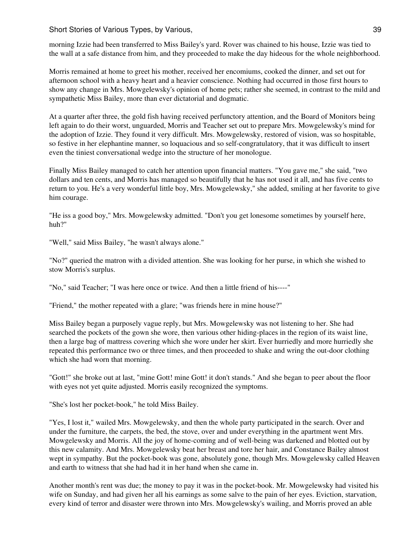Short Stories of Various Types, by Various, 39 and 39 and 39 and 39 and 39 and 39 and 39 and 39 and 39 and 39 and 39 and 39 and 39 and 39 and 39 and 39 and 39 and 39 and 39 and 39 and 39 and 39 and 39 and 39 and 39 and 39

morning Izzie had been transferred to Miss Bailey's yard. Rover was chained to his house, Izzie was tied to the wall at a safe distance from him, and they proceeded to make the day hideous for the whole neighborhood.

Morris remained at home to greet his mother, received her encomiums, cooked the dinner, and set out for afternoon school with a heavy heart and a heavier conscience. Nothing had occurred in those first hours to show any change in Mrs. Mowgelewsky's opinion of home pets; rather she seemed, in contrast to the mild and sympathetic Miss Bailey, more than ever dictatorial and dogmatic.

At a quarter after three, the gold fish having received perfunctory attention, and the Board of Monitors being left again to do their worst, unguarded, Morris and Teacher set out to prepare Mrs. Mowgelewsky's mind for the adoption of Izzie. They found it very difficult. Mrs. Mowgelewsky, restored of vision, was so hospitable, so festive in her elephantine manner, so loquacious and so self-congratulatory, that it was difficult to insert even the tiniest conversational wedge into the structure of her monologue.

Finally Miss Bailey managed to catch her attention upon financial matters. "You gave me," she said, "two dollars and ten cents, and Morris has managed so beautifully that he has not used it all, and has five cents to return to you. He's a very wonderful little boy, Mrs. Mowgelewsky," she added, smiling at her favorite to give him courage.

"He iss a good boy," Mrs. Mowgelewsky admitted. "Don't you get lonesome sometimes by yourself here, huh?"

"Well," said Miss Bailey, "he wasn't always alone."

"No?" queried the matron with a divided attention. She was looking for her purse, in which she wished to stow Morris's surplus.

"No," said Teacher; "I was here once or twice. And then a little friend of his----"

"Friend," the mother repeated with a glare; "was friends here in mine house?"

Miss Bailey began a purposely vague reply, but Mrs. Mowgelewsky was not listening to her. She had searched the pockets of the gown she wore, then various other hiding-places in the region of its waist line, then a large bag of mattress covering which she wore under her skirt. Ever hurriedly and more hurriedly she repeated this performance two or three times, and then proceeded to shake and wring the out-door clothing which she had worn that morning.

"Gott!" she broke out at last, "mine Gott! mine Gott! it don't stands." And she began to peer about the floor with eyes not yet quite adjusted. Morris easily recognized the symptoms.

"She's lost her pocket-book," he told Miss Bailey.

"Yes, I lost it," wailed Mrs. Mowgelewsky, and then the whole party participated in the search. Over and under the furniture, the carpets, the bed, the stove, over and under everything in the apartment went Mrs. Mowgelewsky and Morris. All the joy of home-coming and of well-being was darkened and blotted out by this new calamity. And Mrs. Mowgelewsky beat her breast and tore her hair, and Constance Bailey almost wept in sympathy. But the pocket-book was gone, absolutely gone, though Mrs. Mowgelewsky called Heaven and earth to witness that she had had it in her hand when she came in.

Another month's rent was due; the money to pay it was in the pocket-book. Mr. Mowgelewsky had visited his wife on Sunday, and had given her all his earnings as some salve to the pain of her eyes. Eviction, starvation, every kind of terror and disaster were thrown into Mrs. Mowgelewsky's wailing, and Morris proved an able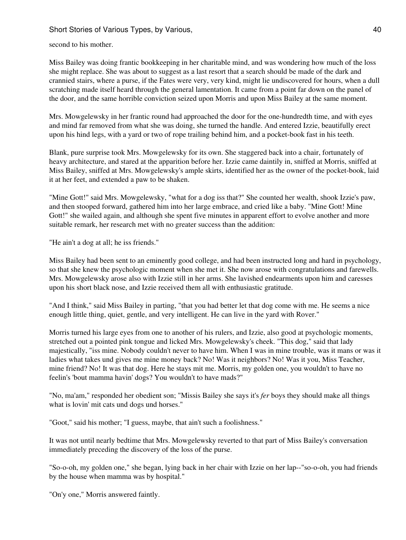second to his mother.

Miss Bailey was doing frantic bookkeeping in her charitable mind, and was wondering how much of the loss she might replace. She was about to suggest as a last resort that a search should be made of the dark and crannied stairs, where a purse, if the Fates were very, very kind, might lie undiscovered for hours, when a dull scratching made itself heard through the general lamentation. It came from a point far down on the panel of the door, and the same horrible conviction seized upon Morris and upon Miss Bailey at the same moment.

Mrs. Mowgelewsky in her frantic round had approached the door for the one-hundredth time, and with eyes and mind far removed from what she was doing, she turned the handle. And entered Izzie, beautifully erect upon his hind legs, with a yard or two of rope trailing behind him, and a pocket-book fast in his teeth.

Blank, pure surprise took Mrs. Mowgelewsky for its own. She staggered back into a chair, fortunately of heavy architecture, and stared at the apparition before her. Izzie came daintily in, sniffed at Morris, sniffed at Miss Bailey, sniffed at Mrs. Mowgelewsky's ample skirts, identified her as the owner of the pocket-book, laid it at her feet, and extended a paw to be shaken.

"Mine Gott!" said Mrs. Mowgelewsky, "what for a dog iss that?" She counted her wealth, shook Izzie's paw, and then stooped forward, gathered him into her large embrace, and cried like a baby. "Mine Gott! Mine Gott!" she wailed again, and although she spent five minutes in apparent effort to evolve another and more suitable remark, her research met with no greater success than the addition:

"He ain't a dog at all; he iss friends."

Miss Bailey had been sent to an eminently good college, and had been instructed long and hard in psychology, so that she knew the psychologic moment when she met it. She now arose with congratulations and farewells. Mrs. Mowgelewsky arose also with Izzie still in her arms. She lavished endearments upon him and caresses upon his short black nose, and Izzie received them all with enthusiastic gratitude.

"And I think," said Miss Bailey in parting, "that you had better let that dog come with me. He seems a nice enough little thing, quiet, gentle, and very intelligent. He can live in the yard with Rover."

Morris turned his large eyes from one to another of his rulers, and Izzie, also good at psychologic moments, stretched out a pointed pink tongue and licked Mrs. Mowgelewsky's cheek. "This dog," said that lady majestically, "iss mine. Nobody couldn't never to have him. When I was in mine trouble, was it mans or was it ladies what takes und gives me mine money back? No! Was it neighbors? No! Was it you, Miss Teacher, mine friend? No! It was that dog. Here he stays mit me. Morris, my golden one, you wouldn't to have no feelin's 'bout mamma havin' dogs? You wouldn't to have mads?"

"No, ma'am," responded her obedient son; "Missis Bailey she says it's *fer* boys they should make all things what is lovin' mit cats und dogs und horses."

"Goot," said his mother; "I guess, maybe, that ain't such a foolishness."

It was not until nearly bedtime that Mrs. Mowgelewsky reverted to that part of Miss Bailey's conversation immediately preceding the discovery of the loss of the purse.

"So-o-oh, my golden one," she began, lying back in her chair with Izzie on her lap--"so-o-oh, you had friends by the house when mamma was by hospital."

"On'y one," Morris answered faintly.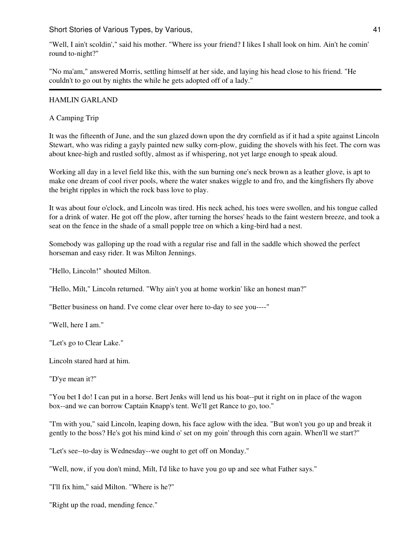"Well, I ain't scoldin'," said his mother. "Where iss your friend? I likes I shall look on him. Ain't he comin' round to-night?"

"No ma'am," answered Morris, settling himself at her side, and laying his head close to his friend. "He couldn't to go out by nights the while he gets adopted off of a lady."

### HAMLIN GARLAND

A Camping Trip

It was the fifteenth of June, and the sun glazed down upon the dry cornfield as if it had a spite against Lincoln Stewart, who was riding a gayly painted new sulky corn-plow, guiding the shovels with his feet. The corn was about knee-high and rustled softly, almost as if whispering, not yet large enough to speak aloud.

Working all day in a level field like this, with the sun burning one's neck brown as a leather glove, is apt to make one dream of cool river pools, where the water snakes wiggle to and fro, and the kingfishers fly above the bright ripples in which the rock bass love to play.

It was about four o'clock, and Lincoln was tired. His neck ached, his toes were swollen, and his tongue called for a drink of water. He got off the plow, after turning the horses' heads to the faint western breeze, and took a seat on the fence in the shade of a small popple tree on which a king-bird had a nest.

Somebody was galloping up the road with a regular rise and fall in the saddle which showed the perfect horseman and easy rider. It was Milton Jennings.

"Hello, Lincoln!" shouted Milton.

"Hello, Milt," Lincoln returned. "Why ain't you at home workin' like an honest man?"

"Better business on hand. I've come clear over here to-day to see you----"

"Well, here I am."

"Let's go to Clear Lake."

Lincoln stared hard at him.

"D'ye mean it?"

"You bet I do! I can put in a horse. Bert Jenks will lend us his boat--put it right on in place of the wagon box--and we can borrow Captain Knapp's tent. We'll get Rance to go, too."

"I'm with you," said Lincoln, leaping down, his face aglow with the idea. "But won't you go up and break it gently to the boss? He's got his mind kind o' set on my goin' through this corn again. When'll we start?"

"Let's see--to-day is Wednesday--we ought to get off on Monday."

"Well, now, if you don't mind, Milt, I'd like to have you go up and see what Father says."

"I'll fix him," said Milton. "Where is he?"

"Right up the road, mending fence."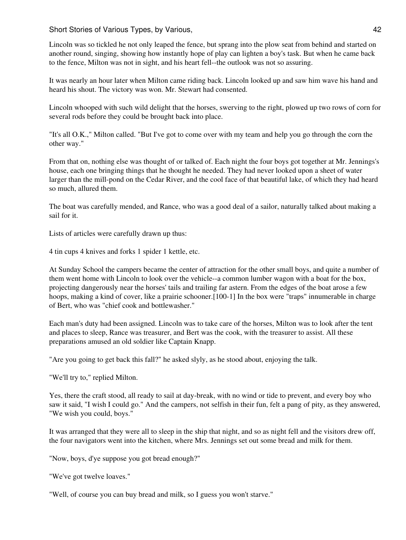Lincoln was so tickled he not only leaped the fence, but sprang into the plow seat from behind and started on another round, singing, showing how instantly hope of play can lighten a boy's task. But when he came back to the fence, Milton was not in sight, and his heart fell--the outlook was not so assuring.

It was nearly an hour later when Milton came riding back. Lincoln looked up and saw him wave his hand and heard his shout. The victory was won. Mr. Stewart had consented.

Lincoln whooped with such wild delight that the horses, swerving to the right, plowed up two rows of corn for several rods before they could be brought back into place.

"It's all O.K.," Milton called. "But I've got to come over with my team and help you go through the corn the other way."

From that on, nothing else was thought of or talked of. Each night the four boys got together at Mr. Jennings's house, each one bringing things that he thought he needed. They had never looked upon a sheet of water larger than the mill-pond on the Cedar River, and the cool face of that beautiful lake, of which they had heard so much, allured them.

The boat was carefully mended, and Rance, who was a good deal of a sailor, naturally talked about making a sail for it.

Lists of articles were carefully drawn up thus:

4 tin cups 4 knives and forks 1 spider 1 kettle, etc.

At Sunday School the campers became the center of attraction for the other small boys, and quite a number of them went home with Lincoln to look over the vehicle--a common lumber wagon with a boat for the box, projecting dangerously near the horses' tails and trailing far astern. From the edges of the boat arose a few hoops, making a kind of cover, like a prairie schooner.[100-1] In the box were "traps" innumerable in charge of Bert, who was "chief cook and bottlewasher."

Each man's duty had been assigned. Lincoln was to take care of the horses, Milton was to look after the tent and places to sleep, Rance was treasurer, and Bert was the cook, with the treasurer to assist. All these preparations amused an old soldier like Captain Knapp.

"Are you going to get back this fall?" he asked slyly, as he stood about, enjoying the talk.

"We'll try to," replied Milton.

Yes, there the craft stood, all ready to sail at day-break, with no wind or tide to prevent, and every boy who saw it said, "I wish I could go." And the campers, not selfish in their fun, felt a pang of pity, as they answered, "We wish you could, boys."

It was arranged that they were all to sleep in the ship that night, and so as night fell and the visitors drew off, the four navigators went into the kitchen, where Mrs. Jennings set out some bread and milk for them.

"Now, boys, d'ye suppose you got bread enough?"

"We've got twelve loaves."

"Well, of course you can buy bread and milk, so I guess you won't starve."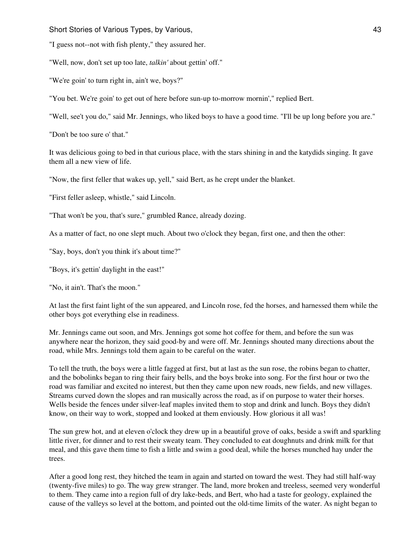"I guess not--not with fish plenty," they assured her.

"Well, now, don't set up too late, *talkin'* about gettin' off."

"We're goin' to turn right in, ain't we, boys?"

"You bet. We're goin' to get out of here before sun-up to-morrow mornin'," replied Bert.

"Well, see't you do," said Mr. Jennings, who liked boys to have a good time. "I'll be up long before you are."

"Don't be too sure o' that."

It was delicious going to bed in that curious place, with the stars shining in and the katydids singing. It gave them all a new view of life.

"Now, the first feller that wakes up, yell," said Bert, as he crept under the blanket.

"First feller asleep, whistle," said Lincoln.

"That won't be you, that's sure," grumbled Rance, already dozing.

As a matter of fact, no one slept much. About two o'clock they began, first one, and then the other:

"Say, boys, don't you think it's about time?"

"Boys, it's gettin' daylight in the east!"

"No, it ain't. That's the moon."

At last the first faint light of the sun appeared, and Lincoln rose, fed the horses, and harnessed them while the other boys got everything else in readiness.

Mr. Jennings came out soon, and Mrs. Jennings got some hot coffee for them, and before the sun was anywhere near the horizon, they said good-by and were off. Mr. Jennings shouted many directions about the road, while Mrs. Jennings told them again to be careful on the water.

To tell the truth, the boys were a little fagged at first, but at last as the sun rose, the robins began to chatter, and the bobolinks began to ring their fairy bells, and the boys broke into song. For the first hour or two the road was familiar and excited no interest, but then they came upon new roads, new fields, and new villages. Streams curved down the slopes and ran musically across the road, as if on purpose to water their horses. Wells beside the fences under silver-leaf maples invited them to stop and drink and lunch. Boys they didn't know, on their way to work, stopped and looked at them enviously. How glorious it all was!

The sun grew hot, and at eleven o'clock they drew up in a beautiful grove of oaks, beside a swift and sparkling little river, for dinner and to rest their sweaty team. They concluded to eat doughnuts and drink milk for that meal, and this gave them time to fish a little and swim a good deal, while the horses munched hay under the trees.

After a good long rest, they hitched the team in again and started on toward the west. They had still half-way (twenty-five miles) to go. The way grew stranger. The land, more broken and treeless, seemed very wonderful to them. They came into a region full of dry lake-beds, and Bert, who had a taste for geology, explained the cause of the valleys so level at the bottom, and pointed out the old-time limits of the water. As night began to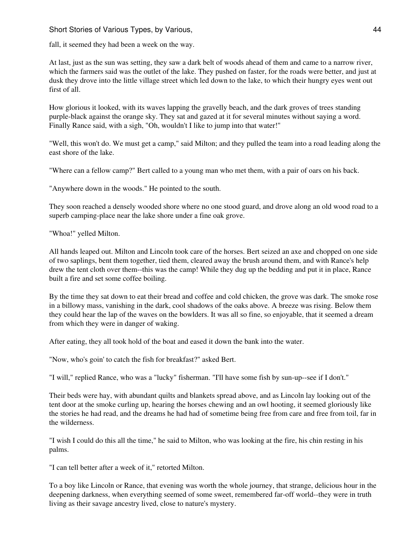### Short Stories of Various Types, by Various, **1998 Example 20 CONS 244 CONS 244**

fall, it seemed they had been a week on the way.

At last, just as the sun was setting, they saw a dark belt of woods ahead of them and came to a narrow river, which the farmers said was the outlet of the lake. They pushed on faster, for the roads were better, and just at dusk they drove into the little village street which led down to the lake, to which their hungry eyes went out first of all.

How glorious it looked, with its waves lapping the gravelly beach, and the dark groves of trees standing purple-black against the orange sky. They sat and gazed at it for several minutes without saying a word. Finally Rance said, with a sigh, "Oh, wouldn't I like to jump into that water!"

"Well, this won't do. We must get a camp," said Milton; and they pulled the team into a road leading along the east shore of the lake.

"Where can a fellow camp?" Bert called to a young man who met them, with a pair of oars on his back.

"Anywhere down in the woods." He pointed to the south.

They soon reached a densely wooded shore where no one stood guard, and drove along an old wood road to a superb camping-place near the lake shore under a fine oak grove.

"Whoa!" yelled Milton.

All hands leaped out. Milton and Lincoln took care of the horses. Bert seized an axe and chopped on one side of two saplings, bent them together, tied them, cleared away the brush around them, and with Rance's help drew the tent cloth over them--this was the camp! While they dug up the bedding and put it in place, Rance built a fire and set some coffee boiling.

By the time they sat down to eat their bread and coffee and cold chicken, the grove was dark. The smoke rose in a billowy mass, vanishing in the dark, cool shadows of the oaks above. A breeze was rising. Below them they could hear the lap of the waves on the bowlders. It was all so fine, so enjoyable, that it seemed a dream from which they were in danger of waking.

After eating, they all took hold of the boat and eased it down the bank into the water.

"Now, who's goin' to catch the fish for breakfast?" asked Bert.

"I will," replied Rance, who was a "lucky" fisherman. "I'll have some fish by sun-up--see if I don't."

Their beds were hay, with abundant quilts and blankets spread above, and as Lincoln lay looking out of the tent door at the smoke curling up, hearing the horses chewing and an owl hooting, it seemed gloriously like the stories he had read, and the dreams he had had of sometime being free from care and free from toil, far in the wilderness.

"I wish I could do this all the time," he said to Milton, who was looking at the fire, his chin resting in his palms.

"I can tell better after a week of it," retorted Milton.

To a boy like Lincoln or Rance, that evening was worth the whole journey, that strange, delicious hour in the deepening darkness, when everything seemed of some sweet, remembered far-off world--they were in truth living as their savage ancestry lived, close to nature's mystery.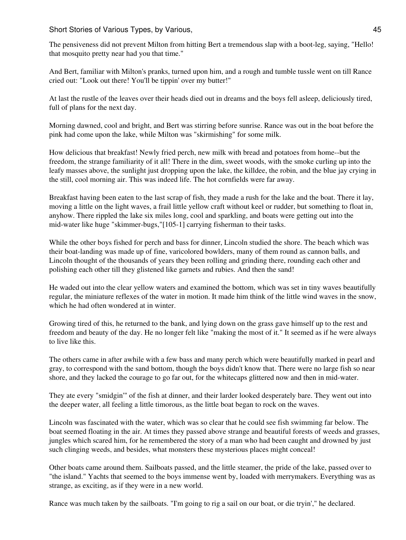The pensiveness did not prevent Milton from hitting Bert a tremendous slap with a boot-leg, saying, "Hello! that mosquito pretty near had you that time."

And Bert, familiar with Milton's pranks, turned upon him, and a rough and tumble tussle went on till Rance cried out: "Look out there! You'll be tippin' over my butter!"

At last the rustle of the leaves over their heads died out in dreams and the boys fell asleep, deliciously tired, full of plans for the next day.

Morning dawned, cool and bright, and Bert was stirring before sunrise. Rance was out in the boat before the pink had come upon the lake, while Milton was "skirmishing" for some milk.

How delicious that breakfast! Newly fried perch, new milk with bread and potatoes from home--but the freedom, the strange familiarity of it all! There in the dim, sweet woods, with the smoke curling up into the leafy masses above, the sunlight just dropping upon the lake, the killdee, the robin, and the blue jay crying in the still, cool morning air. This was indeed life. The hot cornfields were far away.

Breakfast having been eaten to the last scrap of fish, they made a rush for the lake and the boat. There it lay, moving a little on the light waves, a frail little yellow craft without keel or rudder, but something to float in, anyhow. There rippled the lake six miles long, cool and sparkling, and boats were getting out into the mid-water like huge "skimmer-bugs,"[105-1] carrying fisherman to their tasks.

While the other boys fished for perch and bass for dinner, Lincoln studied the shore. The beach which was their boat-landing was made up of fine, varicolored bowlders, many of them round as cannon balls, and Lincoln thought of the thousands of years they been rolling and grinding there, rounding each other and polishing each other till they glistened like garnets and rubies. And then the sand!

He waded out into the clear yellow waters and examined the bottom, which was set in tiny waves beautifully regular, the miniature reflexes of the water in motion. It made him think of the little wind waves in the snow, which he had often wondered at in winter.

Growing tired of this, he returned to the bank, and lying down on the grass gave himself up to the rest and freedom and beauty of the day. He no longer felt like "making the most of it." It seemed as if he were always to live like this.

The others came in after awhile with a few bass and many perch which were beautifully marked in pearl and gray, to correspond with the sand bottom, though the boys didn't know that. There were no large fish so near shore, and they lacked the courage to go far out, for the whitecaps glittered now and then in mid-water.

They ate every "smidgin'" of the fish at dinner, and their larder looked desperately bare. They went out into the deeper water, all feeling a little timorous, as the little boat began to rock on the waves.

Lincoln was fascinated with the water, which was so clear that he could see fish swimming far below. The boat seemed floating in the air. At times they passed above strange and beautiful forests of weeds and grasses, jungles which scared him, for he remembered the story of a man who had been caught and drowned by just such clinging weeds, and besides, what monsters these mysterious places might conceal!

Other boats came around them. Sailboats passed, and the little steamer, the pride of the lake, passed over to "the island." Yachts that seemed to the boys immense went by, loaded with merrymakers. Everything was as strange, as exciting, as if they were in a new world.

Rance was much taken by the sailboats. "I'm going to rig a sail on our boat, or die tryin'," he declared.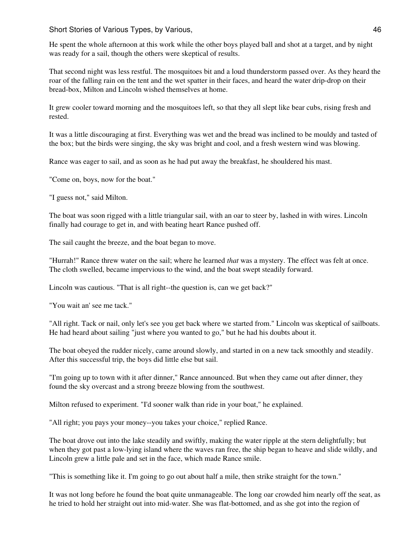He spent the whole afternoon at this work while the other boys played ball and shot at a target, and by night was ready for a sail, though the others were skeptical of results.

That second night was less restful. The mosquitoes bit and a loud thunderstorm passed over. As they heard the roar of the falling rain on the tent and the wet spatter in their faces, and heard the water drip-drop on their bread-box, Milton and Lincoln wished themselves at home.

It grew cooler toward morning and the mosquitoes left, so that they all slept like bear cubs, rising fresh and rested.

It was a little discouraging at first. Everything was wet and the bread was inclined to be mouldy and tasted of the box; but the birds were singing, the sky was bright and cool, and a fresh western wind was blowing.

Rance was eager to sail, and as soon as he had put away the breakfast, he shouldered his mast.

"Come on, boys, now for the boat."

"I guess not," said Milton.

The boat was soon rigged with a little triangular sail, with an oar to steer by, lashed in with wires. Lincoln finally had courage to get in, and with beating heart Rance pushed off.

The sail caught the breeze, and the boat began to move.

"Hurrah!" Rance threw water on the sail; where he learned *that* was a mystery. The effect was felt at once. The cloth swelled, became impervious to the wind, and the boat swept steadily forward.

Lincoln was cautious. "That is all right--the question is, can we get back?"

"You wait an' see me tack."

"All right. Tack or nail, only let's see you get back where we started from." Lincoln was skeptical of sailboats. He had heard about sailing "just where you wanted to go," but he had his doubts about it.

The boat obeyed the rudder nicely, came around slowly, and started in on a new tack smoothly and steadily. After this successful trip, the boys did little else but sail.

"I'm going up to town with it after dinner," Rance announced. But when they came out after dinner, they found the sky overcast and a strong breeze blowing from the southwest.

Milton refused to experiment. "I'd sooner walk than ride in your boat," he explained.

"All right; you pays your money--you takes your choice," replied Rance.

The boat drove out into the lake steadily and swiftly, making the water ripple at the stern delightfully; but when they got past a low-lying island where the waves ran free, the ship began to heave and slide wildly, and Lincoln grew a little pale and set in the face, which made Rance smile.

"This is something like it. I'm going to go out about half a mile, then strike straight for the town."

It was not long before he found the boat quite unmanageable. The long oar crowded him nearly off the seat, as he tried to hold her straight out into mid-water. She was flat-bottomed, and as she got into the region of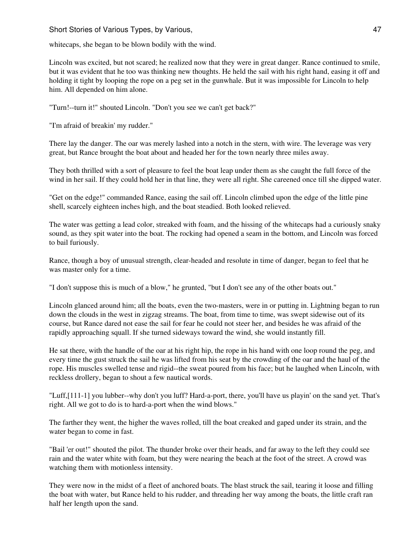whitecaps, she began to be blown bodily with the wind.

Lincoln was excited, but not scared; he realized now that they were in great danger. Rance continued to smile, but it was evident that he too was thinking new thoughts. He held the sail with his right hand, easing it off and holding it tight by looping the rope on a peg set in the gunwhale. But it was impossible for Lincoln to help him. All depended on him alone.

"Turn!--turn it!" shouted Lincoln. "Don't you see we can't get back?"

"I'm afraid of breakin' my rudder."

There lay the danger. The oar was merely lashed into a notch in the stern, with wire. The leverage was very great, but Rance brought the boat about and headed her for the town nearly three miles away.

They both thrilled with a sort of pleasure to feel the boat leap under them as she caught the full force of the wind in her sail. If they could hold her in that line, they were all right. She careened once till she dipped water.

"Get on the edge!" commanded Rance, easing the sail off. Lincoln climbed upon the edge of the little pine shell, scarcely eighteen inches high, and the boat steadied. Both looked relieved.

The water was getting a lead color, streaked with foam, and the hissing of the whitecaps had a curiously snaky sound, as they spit water into the boat. The rocking had opened a seam in the bottom, and Lincoln was forced to bail furiously.

Rance, though a boy of unusual strength, clear-headed and resolute in time of danger, began to feel that he was master only for a time.

"I don't suppose this is much of a blow," he grunted, "but I don't see any of the other boats out."

Lincoln glanced around him; all the boats, even the two-masters, were in or putting in. Lightning began to run down the clouds in the west in zigzag streams. The boat, from time to time, was swept sidewise out of its course, but Rance dared not ease the sail for fear he could not steer her, and besides he was afraid of the rapidly approaching squall. If she turned sideways toward the wind, she would instantly fill.

He sat there, with the handle of the oar at his right hip, the rope in his hand with one loop round the peg, and every time the gust struck the sail he was lifted from his seat by the crowding of the oar and the haul of the rope. His muscles swelled tense and rigid--the sweat poured from his face; but he laughed when Lincoln, with reckless drollery, began to shout a few nautical words.

"Luff,[111-1] you lubber--why don't you luff? Hard-a-port, there, you'll have us playin' on the sand yet. That's right. All we got to do is to hard-a-port when the wind blows."

The farther they went, the higher the waves rolled, till the boat creaked and gaped under its strain, and the water began to come in fast.

"Bail 'er out!" shouted the pilot. The thunder broke over their heads, and far away to the left they could see rain and the water white with foam, but they were nearing the beach at the foot of the street. A crowd was watching them with motionless intensity.

They were now in the midst of a fleet of anchored boats. The blast struck the sail, tearing it loose and filling the boat with water, but Rance held to his rudder, and threading her way among the boats, the little craft ran half her length upon the sand.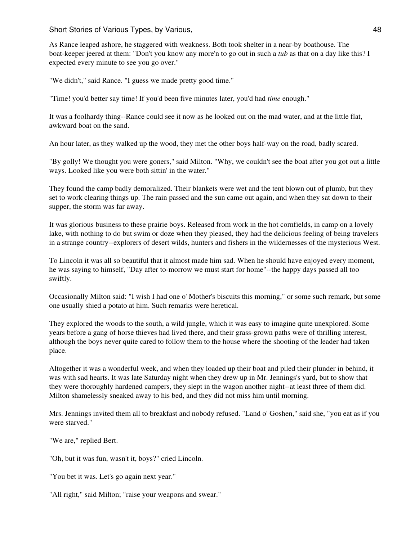As Rance leaped ashore, he staggered with weakness. Both took shelter in a near-by boathouse. The boat-keeper jeered at them: "Don't you know any more'n to go out in such a *tub* as that on a day like this? I expected every minute to see you go over."

"We didn't," said Rance. "I guess we made pretty good time."

"Time! you'd better say time! If you'd been five minutes later, you'd had *time* enough."

It was a foolhardy thing--Rance could see it now as he looked out on the mad water, and at the little flat, awkward boat on the sand.

An hour later, as they walked up the wood, they met the other boys half-way on the road, badly scared.

"By golly! We thought you were goners," said Milton. "Why, we couldn't see the boat after you got out a little ways. Looked like you were both sittin' in the water."

They found the camp badly demoralized. Their blankets were wet and the tent blown out of plumb, but they set to work clearing things up. The rain passed and the sun came out again, and when they sat down to their supper, the storm was far away.

It was glorious business to these prairie boys. Released from work in the hot cornfields, in camp on a lovely lake, with nothing to do but swim or doze when they pleased, they had the delicious feeling of being travelers in a strange country--explorers of desert wilds, hunters and fishers in the wildernesses of the mysterious West.

To Lincoln it was all so beautiful that it almost made him sad. When he should have enjoyed every moment, he was saying to himself, "Day after to-morrow we must start for home"--the happy days passed all too swiftly.

Occasionally Milton said: "I wish I had one o' Mother's biscuits this morning," or some such remark, but some one usually shied a potato at him. Such remarks were heretical.

They explored the woods to the south, a wild jungle, which it was easy to imagine quite unexplored. Some years before a gang of horse thieves had lived there, and their grass-grown paths were of thrilling interest, although the boys never quite cared to follow them to the house where the shooting of the leader had taken place.

Altogether it was a wonderful week, and when they loaded up their boat and piled their plunder in behind, it was with sad hearts. It was late Saturday night when they drew up in Mr. Jennings's yard, but to show that they were thoroughly hardened campers, they slept in the wagon another night--at least three of them did. Milton shamelessly sneaked away to his bed, and they did not miss him until morning.

Mrs. Jennings invited them all to breakfast and nobody refused. "Land o' Goshen," said she, "you eat as if you were starved."

"We are," replied Bert.

"Oh, but it was fun, wasn't it, boys?" cried Lincoln.

"You bet it was. Let's go again next year."

"All right," said Milton; "raise your weapons and swear."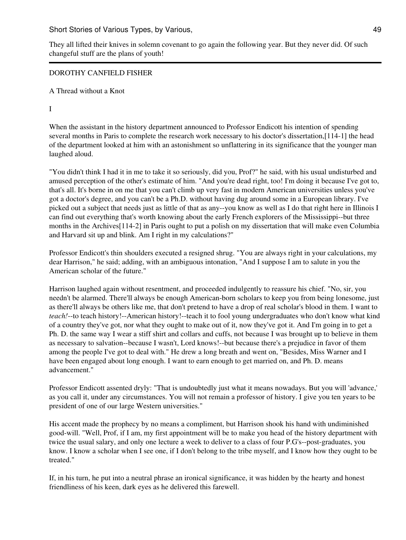They all lifted their knives in solemn covenant to go again the following year. But they never did. Of such changeful stuff are the plans of youth!

### DOROTHY CANFIELD FISHER

A Thread without a Knot

I

When the assistant in the history department announced to Professor Endicott his intention of spending several months in Paris to complete the research work necessary to his doctor's dissertation,[114-1] the head of the department looked at him with an astonishment so unflattering in its significance that the younger man laughed aloud.

"You didn't think I had it in me to take it so seriously, did you, Prof?" he said, with his usual undisturbed and amused perception of the other's estimate of him. "And you're dead right, too! I'm doing it because I've got to, that's all. It's borne in on me that you can't climb up very fast in modern American universities unless you've got a doctor's degree, and you can't be a Ph.D. without having dug around some in a European library. I've picked out a subject that needs just as little of that as any--you know as well as I do that right here in Illinois I can find out everything that's worth knowing about the early French explorers of the Mississippi--but three months in the Archives[114-2] in Paris ought to put a polish on my dissertation that will make even Columbia and Harvard sit up and blink. Am I right in my calculations?"

Professor Endicott's thin shoulders executed a resigned shrug. "You are always right in your calculations, my dear Harrison," he said; adding, with an ambiguous intonation, "And I suppose I am to salute in you the American scholar of the future."

Harrison laughed again without resentment, and proceeded indulgently to reassure his chief. "No, sir, you needn't be alarmed. There'll always be enough American-born scholars to keep you from being lonesome, just as there'll always be others like me, that don't pretend to have a drop of real scholar's blood in them. I want to *teach!*--to teach history!--American history!--teach it to fool young undergraduates who don't know what kind of a country they've got, nor what they ought to make out of it, now they've got it. And I'm going in to get a Ph. D. the same way I wear a stiff shirt and collars and cuffs, not because I was brought up to believe in them as necessary to salvation--because I wasn't, Lord knows!--but because there's a prejudice in favor of them among the people I've got to deal with." He drew a long breath and went on, "Besides, Miss Warner and I have been engaged about long enough. I want to earn enough to get married on, and Ph. D. means advancement."

Professor Endicott assented dryly: "That is undoubtedly just what it means nowadays. But you will 'advance,' as you call it, under any circumstances. You will not remain a professor of history. I give you ten years to be president of one of our large Western universities."

His accent made the prophecy by no means a compliment, but Harrison shook his hand with undiminished good-will. "Well, Prof, if I am, my first appointment will be to make you head of the history department with twice the usual salary, and only one lecture a week to deliver to a class of four P.G's--post-graduates, you know. I know a scholar when I see one, if I don't belong to the tribe myself, and I know how they ought to be treated."

If, in his turn, he put into a neutral phrase an ironical significance, it was hidden by the hearty and honest friendliness of his keen, dark eyes as he delivered this farewell.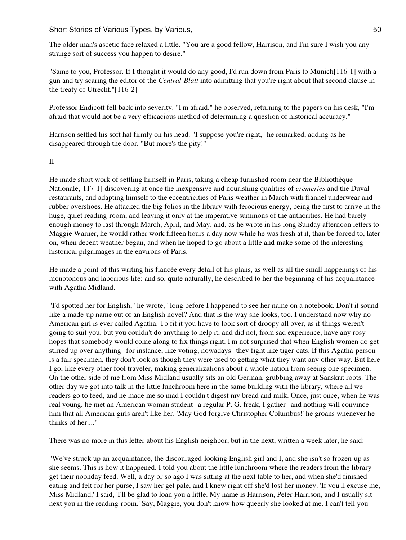The older man's ascetic face relaxed a little. "You are a good fellow, Harrison, and I'm sure I wish you any strange sort of success you happen to desire."

"Same to you, Professor. If I thought it would do any good, I'd run down from Paris to Munich[116-1] with a gun and try scaring the editor of the *Central-Blatt* into admitting that you're right about that second clause in the treaty of Utrecht."[116-2]

Professor Endicott fell back into severity. "I'm afraid," he observed, returning to the papers on his desk, "I'm afraid that would not be a very efficacious method of determining a question of historical accuracy."

Harrison settled his soft hat firmly on his head. "I suppose you're right," he remarked, adding as he disappeared through the door, "But more's the pity!"

#### II

He made short work of settling himself in Paris, taking a cheap furnished room near the Bibliothèque Nationale,[117-1] discovering at once the inexpensive and nourishing qualities of *crèmeries* and the Duval restaurants, and adapting himself to the eccentricities of Paris weather in March with flannel underwear and rubber overshoes. He attacked the big folios in the library with ferocious energy, being the first to arrive in the huge, quiet reading-room, and leaving it only at the imperative summons of the authorities. He had barely enough money to last through March, April, and May, and, as he wrote in his long Sunday afternoon letters to Maggie Warner, he would rather work fifteen hours a day now while he was fresh at it, than be forced to, later on, when decent weather began, and when he hoped to go about a little and make some of the interesting historical pilgrimages in the environs of Paris.

He made a point of this writing his fiancée every detail of his plans, as well as all the small happenings of his monotonous and laborious life; and so, quite naturally, he described to her the beginning of his acquaintance with Agatha Midland.

"I'd spotted her for English," he wrote, "long before I happened to see her name on a notebook. Don't it sound like a made-up name out of an English novel? And that is the way she looks, too. I understand now why no American girl is ever called Agatha. To fit it you have to look sort of droopy all over, as if things weren't going to suit you, but you couldn't do anything to help it, and did not, from sad experience, have any rosy hopes that somebody would come along to fix things right. I'm not surprised that when English women do get stirred up over anything--for instance, like voting, nowadays--they fight like tiger-cats. If this Agatha-person is a fair specimen, they don't look as though they were used to getting what they want any other way. But here I go, like every other fool traveler, making generalizations about a whole nation from seeing one specimen. On the other side of me from Miss Midland usually sits an old German, grubbing away at Sanskrit roots. The other day we got into talk in the little lunchroom here in the same building with the library, where all we readers go to feed, and he made me so mad I couldn't digest my bread and milk. Once, just once, when he was real young, he met an American woman student--a regular P. G. freak, I gather--and nothing will convince him that all American girls aren't like her. 'May God forgive Christopher Columbus!' he groans whenever he thinks of her...."

There was no more in this letter about his English neighbor, but in the next, written a week later, he said:

"We've struck up an acquaintance, the discouraged-looking English girl and I, and she isn't so frozen-up as she seems. This is how it happened. I told you about the little lunchroom where the readers from the library get their noonday feed. Well, a day or so ago I was sitting at the next table to her, and when she'd finished eating and felt for her purse, I saw her get pale, and I knew right off she'd lost her money. 'If you'll excuse me, Miss Midland,' I said, 'I'll be glad to loan you a little. My name is Harrison, Peter Harrison, and I usually sit next you in the reading-room.' Say, Maggie, you don't know how queerly she looked at me. I can't tell you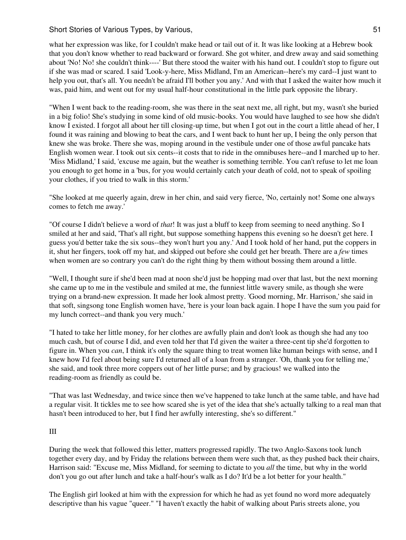what her expression was like, for I couldn't make head or tail out of it. It was like looking at a Hebrew book that you don't know whether to read backward or forward. She got whiter, and drew away and said something about 'No! No! she couldn't think----' But there stood the waiter with his hand out. I couldn't stop to figure out if she was mad or scared. I said 'Look-y-here, Miss Midland, I'm an American--here's my card--I just want to help you out, that's all. You needn't be afraid I'll bother you any.' And with that I asked the waiter how much it was, paid him, and went out for my usual half-hour constitutional in the little park opposite the library.

"When I went back to the reading-room, she was there in the seat next me, all right, but my, wasn't she buried in a big folio! She's studying in some kind of old music-books. You would have laughed to see how she didn't know I existed. I forgot all about her till closing-up time, but when I got out in the court a little ahead of her, I found it was raining and blowing to beat the cars, and I went back to hunt her up, I being the only person that knew she was broke. There she was, moping around in the vestibule under one of those awful pancake hats English women wear. I took out six cents--it costs that to ride in the omnibuses here--and I marched up to her. 'Miss Midland,' I said, 'excuse me again, but the weather is something terrible. You can't refuse to let me loan you enough to get home in a 'bus, for you would certainly catch your death of cold, not to speak of spoiling your clothes, if you tried to walk in this storm.'

"She looked at me queerly again, drew in her chin, and said very fierce, 'No, certainly not! Some one always comes to fetch me away.'

"Of course I didn't believe a word of *that*! It was just a bluff to keep from seeming to need anything. So I smiled at her and said, 'That's all right, but suppose something happens this evening so he doesn't get here. I guess you'd better take the six sous--they won't hurt you any.' And I took hold of her hand, put the coppers in it, shut her fingers, took off my hat, and skipped out before she could get her breath. There are a *few* times when women are so contrary you can't do the right thing by them without bossing them around a little.

"Well, I thought sure if she'd been mad at noon she'd just be hopping mad over that last, but the next morning she came up to me in the vestibule and smiled at me, the funniest little wavery smile, as though she were trying on a brand-new expression. It made her look almost pretty. 'Good morning, Mr. Harrison,' she said in that soft, singsong tone English women have, 'here is your loan back again. I hope I have the sum you paid for my lunch correct--and thank you very much.'

"I hated to take her little money, for her clothes are awfully plain and don't look as though she had any too much cash, but of course I did, and even told her that I'd given the waiter a three-cent tip she'd forgotten to figure in. When you *can*, I think it's only the square thing to treat women like human beings with sense, and I knew how I'd feel about being sure I'd returned all of a loan from a stranger. 'Oh, thank you for telling me,' she said, and took three more coppers out of her little purse; and by gracious! we walked into the reading-room as friendly as could be.

"That was last Wednesday, and twice since then we've happened to take lunch at the same table, and have had a regular visit. It tickles me to see how scared she is yet of the idea that she's actually talking to a real man that hasn't been introduced to her, but I find her awfully interesting, she's so different."

#### III

During the week that followed this letter, matters progressed rapidly. The two Anglo-Saxons took lunch together every day, and by Friday the relations between them were such that, as they pushed back their chairs, Harrison said: "Excuse me, Miss Midland, for seeming to dictate to you *all* the time, but why in the world don't you go out after lunch and take a half-hour's walk as I do? It'd be a lot better for your health."

The English girl looked at him with the expression for which he had as yet found no word more adequately descriptive than his vague "queer." "I haven't exactly the habit of walking about Paris streets alone, you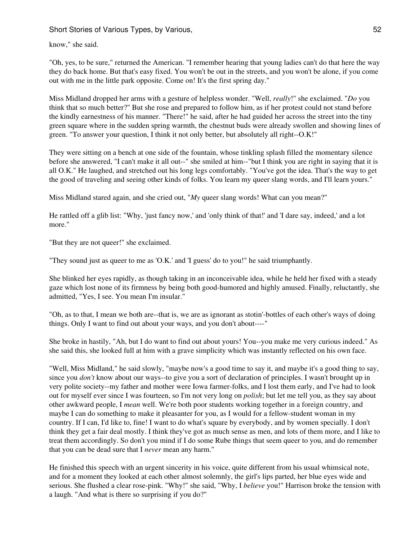know," she said.

"Oh, yes, to be sure," returned the American. "I remember hearing that young ladies can't do that here the way they do back home. But that's easy fixed. You won't be out in the streets, and you won't be alone, if you come out with me in the little park opposite. Come on! It's the first spring day."

Miss Midland dropped her arms with a gesture of helpless wonder. "Well, *really*!" she exclaimed. "*Do* you think that so much better?" But she rose and prepared to follow him, as if her protest could not stand before the kindly earnestness of his manner. "There!" he said, after he had guided her across the street into the tiny green square where in the sudden spring warmth, the chestnut buds were already swollen and showing lines of green. "To answer your question, I think it not only better, but absolutely all right--O.K!"

They were sitting on a bench at one side of the fountain, whose tinkling splash filled the momentary silence before she answered, "I can't make it all out--" she smiled at him--"but I think you are right in saying that it is all O.K." He laughed, and stretched out his long legs comfortably. "You've got the idea. That's the way to get the good of traveling and seeing other kinds of folks. You learn my queer slang words, and I'll learn yours."

Miss Midland stared again, and she cried out, "*My* queer slang words! What can you mean?"

He rattled off a glib list: "Why, 'just fancy now,' and 'only think of that!' and 'I dare say, indeed,' and a lot more."

"But they are not queer!" she exclaimed.

"They sound just as queer to me as 'O.K.' and 'I guess' do to you!" he said triumphantly.

She blinked her eyes rapidly, as though taking in an inconceivable idea, while he held her fixed with a steady gaze which lost none of its firmness by being both good-humored and highly amused. Finally, reluctantly, she admitted, "Yes, I see. You mean I'm insular."

"Oh, as to that, I mean we both are--that is, we are as ignorant as stotin'-bottles of each other's ways of doing things. Only I want to find out about your ways, and you don't about----"

She broke in hastily, "Ah, but I do want to find out about yours! You--you make me very curious indeed." As she said this, she looked full at him with a grave simplicity which was instantly reflected on his own face.

"Well, Miss Midland," he said slowly, "maybe now's a good time to say it, and maybe it's a good thing to say, since you *don't* know about our ways--to give you a sort of declaration of principles. I wasn't brought up in very polite society--my father and mother were Iowa farmer-folks, and I lost them early, and I've had to look out for myself ever since I was fourteen, so I'm not very long on *polish*; but let me tell you, as they say about other awkward people, I *mean* well. We're both poor students working together in a foreign country, and maybe I can do something to make it pleasanter for you, as I would for a fellow-student woman in my country. If I can, I'd like to, fine! I want to do what's square by everybody, and by women specially. I don't think they get a fair deal mostly. I think they've got as much sense as men, and lots of them more, and I like to treat them accordingly. So don't you mind if I do some Rube things that seem queer to you, and do remember that you can be dead sure that I *never* mean any harm."

He finished this speech with an urgent sincerity in his voice, quite different from his usual whimsical note, and for a moment they looked at each other almost solemnly, the girl's lips parted, her blue eyes wide and serious. She flushed a clear rose-pink. "Why!" she said, "Why, I *believe* you!" Harrison broke the tension with a laugh. "And what is there so surprising if you do?"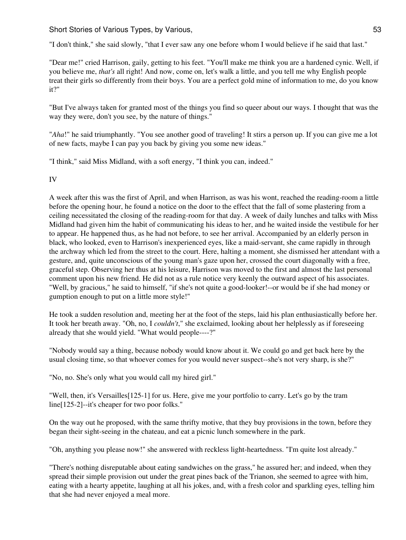"I don't think," she said slowly, "that I ever saw any one before whom I would believe if he said that last."

"Dear me!" cried Harrison, gaily, getting to his feet. "You'll make me think you are a hardened cynic. Well, if you believe me, *that's* all right! And now, come on, let's walk a little, and you tell me why English people treat their girls so differently from their boys. You are a perfect gold mine of information to me, do you know it?"

"But I've always taken for granted most of the things you find so queer about our ways. I thought that was the way they were, don't you see, by the nature of things."

"*Aha*!" he said triumphantly. "You see another good of traveling! It stirs a person up. If you can give me a lot of new facts, maybe I can pay you back by giving you some new ideas."

"I think," said Miss Midland, with a soft energy, "I think you can, indeed."

IV

A week after this was the first of April, and when Harrison, as was his wont, reached the reading-room a little before the opening hour, he found a notice on the door to the effect that the fall of some plastering from a ceiling necessitated the closing of the reading-room for that day. A week of daily lunches and talks with Miss Midland had given him the habit of communicating his ideas to her, and he waited inside the vestibule for her to appear. He happened thus, as he had not before, to see her arrival. Accompanied by an elderly person in black, who looked, even to Harrison's inexperienced eyes, like a maid-servant, she came rapidly in through the archway which led from the street to the court. Here, halting a moment, she dismissed her attendant with a gesture, and, quite unconscious of the young man's gaze upon her, crossed the court diagonally with a free, graceful step. Observing her thus at his leisure, Harrison was moved to the first and almost the last personal comment upon his new friend. He did not as a rule notice very keenly the outward aspect of his associates. "Well, by gracious," he said to himself, "if she's not quite a good-looker!--or would be if she had money or gumption enough to put on a little more style!"

He took a sudden resolution and, meeting her at the foot of the steps, laid his plan enthusiastically before her. It took her breath away. "Oh, no, I *couldn't*," she exclaimed, looking about her helplessly as if foreseeing already that she would yield. "What would people----?"

"Nobody would say a thing, because nobody would know about it. We could go and get back here by the usual closing time, so that whoever comes for you would never suspect--she's not very sharp, is she?"

"No, no. She's only what you would call my hired girl."

"Well, then, it's Versailles[125-1] for us. Here, give me your portfolio to carry. Let's go by the tram line[125-2]--it's cheaper for two poor folks."

On the way out he proposed, with the same thrifty motive, that they buy provisions in the town, before they began their sight-seeing in the chateau, and eat a picnic lunch somewhere in the park.

"Oh, anything you please now!" she answered with reckless light-heartedness. "I'm quite lost already."

"There's nothing disreputable about eating sandwiches on the grass," he assured her; and indeed, when they spread their simple provision out under the great pines back of the Trianon, she seemed to agree with him, eating with a hearty appetite, laughing at all his jokes, and, with a fresh color and sparkling eyes, telling him that she had never enjoyed a meal more.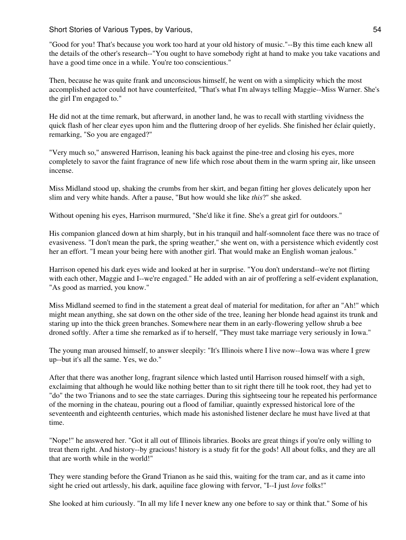"Good for you! That's because you work too hard at your old history of music."--By this time each knew all the details of the other's research--"You ought to have somebody right at hand to make you take vacations and have a good time once in a while. You're too conscientious."

Then, because he was quite frank and unconscious himself, he went on with a simplicity which the most accomplished actor could not have counterfeited, "That's what I'm always telling Maggie--Miss Warner. She's the girl I'm engaged to."

He did not at the time remark, but afterward, in another land, he was to recall with startling vividness the quick flash of her clear eyes upon him and the fluttering droop of her eyelids. She finished her éclair quietly, remarking, "So you are engaged?"

"Very much so," answered Harrison, leaning his back against the pine-tree and closing his eyes, more completely to savor the faint fragrance of new life which rose about them in the warm spring air, like unseen incense.

Miss Midland stood up, shaking the crumbs from her skirt, and began fitting her gloves delicately upon her slim and very white hands. After a pause, "But how would she like *this*?" she asked.

Without opening his eyes, Harrison murmured, "She'd like it fine. She's a great girl for outdoors."

His companion glanced down at him sharply, but in his tranquil and half-somnolent face there was no trace of evasiveness. "I don't mean the park, the spring weather," she went on, with a persistence which evidently cost her an effort. "I mean your being here with another girl. That would make an English woman jealous."

Harrison opened his dark eyes wide and looked at her in surprise. "You don't understand--we're not flirting with each other, Maggie and I--we're engaged." He added with an air of proffering a self-evident explanation, "As good as married, you know."

Miss Midland seemed to find in the statement a great deal of material for meditation, for after an "Ah!" which might mean anything, she sat down on the other side of the tree, leaning her blonde head against its trunk and staring up into the thick green branches. Somewhere near them in an early-flowering yellow shrub a bee droned softly. After a time she remarked as if to herself, "They must take marriage very seriously in Iowa."

The young man aroused himself, to answer sleepily: "It's Illinois where I live now--Iowa was where I grew up--but it's all the same. Yes, we do."

After that there was another long, fragrant silence which lasted until Harrison roused himself with a sigh, exclaiming that although he would like nothing better than to sit right there till he took root, they had yet to "do" the two Trianons and to see the state carriages. During this sightseeing tour he repeated his performance of the morning in the chateau, pouring out a flood of familiar, quaintly expressed historical lore of the seventeenth and eighteenth centuries, which made his astonished listener declare he must have lived at that time.

"Nope!" he answered her. "Got it all out of Illinois libraries. Books are great things if you're only willing to treat them right. And history--by gracious! history is a study fit for the gods! All about folks, and they are all that are worth while in the world!"

They were standing before the Grand Trianon as he said this, waiting for the tram car, and as it came into sight he cried out artlessly, his dark, aquiline face glowing with fervor, "I--I just *love* folks!"

She looked at him curiously. "In all my life I never knew any one before to say or think that." Some of his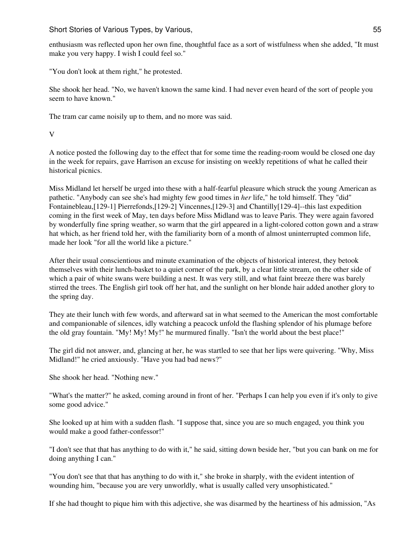enthusiasm was reflected upon her own fine, thoughtful face as a sort of wistfulness when she added, "It must make you very happy. I wish I could feel so."

"You don't look at them right," he protested.

She shook her head. "No, we haven't known the same kind. I had never even heard of the sort of people you seem to have known."

The tram car came noisily up to them, and no more was said.

V

A notice posted the following day to the effect that for some time the reading-room would be closed one day in the week for repairs, gave Harrison an excuse for insisting on weekly repetitions of what he called their historical picnics.

Miss Midland let herself be urged into these with a half-fearful pleasure which struck the young American as pathetic. "Anybody can see she's had mighty few good times in *her* life," he told himself. They "did" Fontainebleau,[129-1] Pierrefonds,[129-2] Vincennes,[129-3] and Chantilly[129-4]--this last expedition coming in the first week of May, ten days before Miss Midland was to leave Paris. They were again favored by wonderfully fine spring weather, so warm that the girl appeared in a light-colored cotton gown and a straw hat which, as her friend told her, with the familiarity born of a month of almost uninterrupted common life, made her look "for all the world like a picture."

After their usual conscientious and minute examination of the objects of historical interest, they betook themselves with their lunch-basket to a quiet corner of the park, by a clear little stream, on the other side of which a pair of white swans were building a nest. It was very still, and what faint breeze there was barely stirred the trees. The English girl took off her hat, and the sunlight on her blonde hair added another glory to the spring day.

They ate their lunch with few words, and afterward sat in what seemed to the American the most comfortable and companionable of silences, idly watching a peacock unfold the flashing splendor of his plumage before the old gray fountain. "My! My! My!" he murmured finally. "Isn't the world about the best place!"

The girl did not answer, and, glancing at her, he was startled to see that her lips were quivering. "Why, Miss Midland!" he cried anxiously. "Have you had bad news?"

She shook her head. "Nothing new."

"What's the matter?" he asked, coming around in front of her. "Perhaps I can help you even if it's only to give some good advice."

She looked up at him with a sudden flash. "I suppose that, since you are so much engaged, you think you would make a good father-confessor!"

"I don't see that that has anything to do with it," he said, sitting down beside her, "but you can bank on me for doing anything I can."

"You don't see that that has anything to do with it," she broke in sharply, with the evident intention of wounding him, "because you are very unworldly, what is usually called very unsophisticated."

If she had thought to pique him with this adjective, she was disarmed by the heartiness of his admission, "As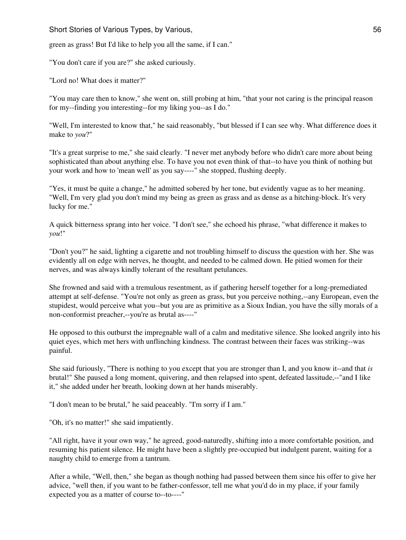green as grass! But I'd like to help you all the same, if I can."

"You don't care if you are?" she asked curiously.

"Lord no! What does it matter?"

"You may care then to know," she went on, still probing at him, "that your not caring is the principal reason for my--finding you interesting--for my liking you--as I do."

"Well, I'm interested to know that," he said reasonably, "but blessed if I can see why. What difference does it make to *you*?"

"It's a great surprise to me," she said clearly. "I never met anybody before who didn't care more about being sophisticated than about anything else. To have you not even think of that--to have you think of nothing but your work and how to 'mean well' as you say----" she stopped, flushing deeply.

"Yes, it must be quite a change," he admitted sobered by her tone, but evidently vague as to her meaning. "Well, I'm very glad you don't mind my being as green as grass and as dense as a hitching-block. It's very lucky for me."

A quick bitterness sprang into her voice. "I don't see," she echoed his phrase, "what difference it makes to *you*!"

"Don't you?" he said, lighting a cigarette and not troubling himself to discuss the question with her. She was evidently all on edge with nerves, he thought, and needed to be calmed down. He pitied women for their nerves, and was always kindly tolerant of the resultant petulances.

She frowned and said with a tremulous resentment, as if gathering herself together for a long-premediated attempt at self-defense. "You're not only as green as grass, but you perceive nothing,--any European, even the stupidest, would perceive what you--but you are as primitive as a Sioux Indian, you have the silly morals of a non-conformist preacher,--you're as brutal as----"

He opposed to this outburst the impregnable wall of a calm and meditative silence. She looked angrily into his quiet eyes, which met hers with unflinching kindness. The contrast between their faces was striking--was painful.

She said furiously, "There is nothing to you except that you are stronger than I, and you know it--and that *is* brutal!" She paused a long moment, quivering, and then relapsed into spent, defeated lassitude,--"and I like it," she added under her breath, looking down at her hands miserably.

"I don't mean to be brutal," he said peaceably. "I'm sorry if I am."

"Oh, it's no matter!" she said impatiently.

"All right, have it your own way," he agreed, good-naturedly, shifting into a more comfortable position, and resuming his patient silence. He might have been a slightly pre-occupied but indulgent parent, waiting for a naughty child to emerge from a tantrum.

After a while, "Well, then," she began as though nothing had passed between them since his offer to give her advice, "well then, if you want to be father-confessor, tell me what you'd do in my place, if your family expected you as a matter of course to--to----"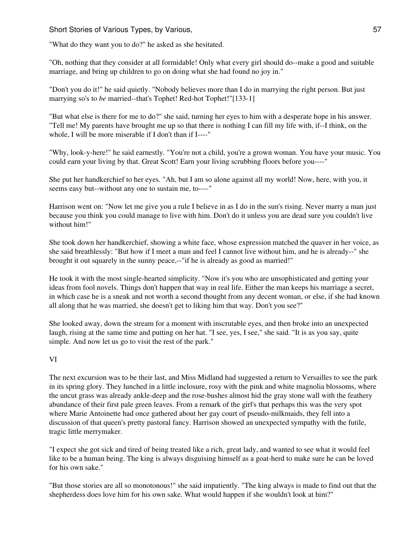"What do they want you to do?" he asked as she hesitated.

"Oh, nothing that they consider at all formidable! Only what every girl should do--make a good and suitable marriage, and bring up children to go on doing what she had found no joy in."

"Don't you do it!" he said quietly. "Nobody believes more than I do in marrying the right person. But just marrying so's to *be* married--that's Tophet! Red-hot Tophet!"[133-1]

"But what else is there for me to do?" she said, turning her eyes to him with a desperate hope in his answer. "Tell me! My parents have brought me up so that there is nothing I can fill my life with, if--I think, on the whole, I will be more miserable if I don't than if I----"

"Why, look-y-here!" he said earnestly. "You're not a child, you're a grown woman. You have your music. You could earn your living by that. Great Scott! Earn your living scrubbing floors before you----"

She put her handkerchief to her eyes. "Ah, but I am so alone against all my world! Now, here, with you, it seems easy but--without any one to sustain me, to----"

Harrison went on: "Now let me give you a rule I believe in as I do in the sun's rising. Never marry a man just because you think you could manage to live with him. Don't do it unless you are dead sure you couldn't live without him!"

She took down her handkerchief, showing a white face, whose expression matched the quaver in her voice, as she said breathlessly: "But how if I meet a man and feel I cannot live without him, and he is already--" she brought it out squarely in the sunny peace,--"if he is already as good as married!"

He took it with the most single-hearted simplicity. "Now it's you who are unsophisticated and getting your ideas from fool novels. Things don't happen that way in real life. Either the man keeps his marriage a secret, in which case he is a sneak and not worth a second thought from any decent woman, or else, if she had known all along that he was married, she doesn't get to liking him that way. Don't you see?"

She looked away, down the stream for a moment with inscrutable eyes, and then broke into an unexpected laugh, rising at the same time and putting on her hat. "I see, yes, I see," she said. "It is as you say, quite simple. And now let us go to visit the rest of the park."

# VI

The next excursion was to be their last, and Miss Midland had suggested a return to Versailles to see the park in its spring glory. They lunched in a little inclosure, rosy with the pink and white magnolia blossoms, where the uncut grass was already ankle-deep and the rose-bushes almost hid the gray stone wall with the feathery abundance of their first pale green leaves. From a remark of the girl's that perhaps this was the very spot where Marie Antoinette had once gathered about her gay court of pseudo-milkmaids, they fell into a discussion of that queen's pretty pastoral fancy. Harrison showed an unexpected sympathy with the futile, tragic little merrymaker.

"I expect she got sick and tired of being treated like a rich, great lady, and wanted to see what it would feel like to be a human being. The king is always disguising himself as a goat-herd to make sure he can be loved for his own sake."

"But those stories are all so monotonous!" she said impatiently. "The king always is made to find out that the shepherdess does love him for his own sake. What would happen if she wouldn't look at him?"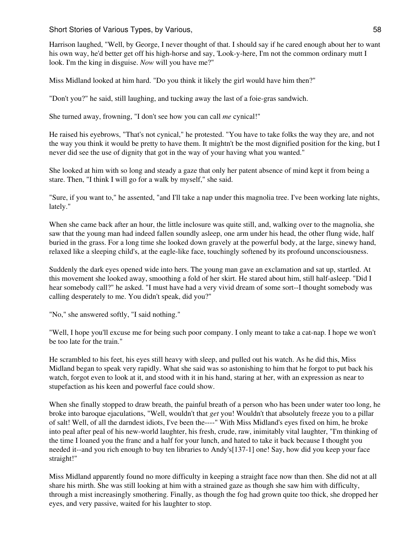Harrison laughed, "Well, by George, I never thought of that. I should say if he cared enough about her to want his own way, he'd better get off his high-horse and say, 'Look-y-here, I'm not the common ordinary mutt I look. I'm the king in disguise. *Now* will you have me?"

Miss Midland looked at him hard. "Do you think it likely the girl would have him then?"

"Don't you?" he said, still laughing, and tucking away the last of a foie-gras sandwich.

She turned away, frowning, "I don't see how you can call *me* cynical!"

He raised his eyebrows, "That's not cynical," he protested. "You have to take folks the way they are, and not the way you think it would be pretty to have them. It mightn't be the most dignified position for the king, but I never did see the use of dignity that got in the way of your having what you wanted."

She looked at him with so long and steady a gaze that only her patent absence of mind kept it from being a stare. Then, "I think I will go for a walk by myself," she said.

"Sure, if you want to," he assented, "and I'll take a nap under this magnolia tree. I've been working late nights, lately."

When she came back after an hour, the little inclosure was quite still, and, walking over to the magnolia, she saw that the young man had indeed fallen soundly asleep, one arm under his head, the other flung wide, half buried in the grass. For a long time she looked down gravely at the powerful body, at the large, sinewy hand, relaxed like a sleeping child's, at the eagle-like face, touchingly softened by its profound unconsciousness.

Suddenly the dark eyes opened wide into hers. The young man gave an exclamation and sat up, startled. At this movement she looked away, smoothing a fold of her skirt. He stared about him, still half-asleep. "Did I hear somebody call?" he asked. "I must have had a very vivid dream of some sort--I thought somebody was calling desperately to me. You didn't speak, did you?"

"No," she answered softly, "I said nothing."

"Well, I hope you'll excuse me for being such poor company. I only meant to take a cat-nap. I hope we won't be too late for the train."

He scrambled to his feet, his eyes still heavy with sleep, and pulled out his watch. As he did this, Miss Midland began to speak very rapidly. What she said was so astonishing to him that he forgot to put back his watch, forgot even to look at it, and stood with it in his hand, staring at her, with an expression as near to stupefaction as his keen and powerful face could show.

When she finally stopped to draw breath, the painful breath of a person who has been under water too long, he broke into baroque ejaculations, "Well, wouldn't that *get* you! Wouldn't that absolutely freeze you to a pillar of salt! Well, of all the darndest idiots, I've been the----" With Miss Midland's eyes fixed on him, he broke into peal after peal of his new-world laughter, his fresh, crude, raw, inimitably vital laughter, "I'm thinking of the time I loaned you the franc and a half for your lunch, and hated to take it back because I thought you needed it--and you rich enough to buy ten libraries to Andy's[137-1] one! Say, how did you keep your face straight!"

Miss Midland apparently found no more difficulty in keeping a straight face now than then. She did not at all share his mirth. She was still looking at him with a strained gaze as though she saw him with difficulty, through a mist increasingly smothering. Finally, as though the fog had grown quite too thick, she dropped her eyes, and very passive, waited for his laughter to stop.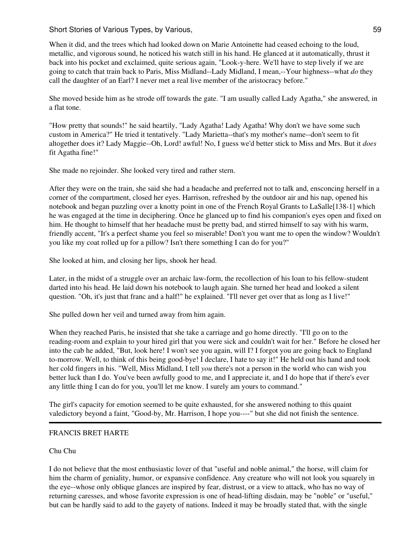Short Stories of Various Types, by Various, 59 and 59 and 59 and 59 and 59 and 59 and 59 and 59 and 59 and 59 and 59 and 59 and 59 and 59 and 59 and 59 and 59 and 59 and 59 and 59 and 59 and 59 and 59 and 59 and 59 and 59

When it did, and the trees which had looked down on Marie Antoinette had ceased echoing to the loud, metallic, and vigorous sound, he noticed his watch still in his hand. He glanced at it automatically, thrust it back into his pocket and exclaimed, quite serious again, "Look-y-here. We'll have to step lively if we are going to catch that train back to Paris, Miss Midland--Lady Midland, I mean,--Your highness--what *do* they call the daughter of an Earl? I never met a real live member of the aristocracy before."

She moved beside him as he strode off towards the gate. "I am usually called Lady Agatha," she answered, in a flat tone.

"How pretty that sounds!" he said heartily, "Lady Agatha! Lady Agatha! Why don't we have some such custom in America?" He tried it tentatively. "Lady Marietta--that's my mother's name--don't seem to fit altogether does it? Lady Maggie--Oh, Lord! awful! No, I guess we'd better stick to Miss and Mrs. But it *does* fit Agatha fine!"

She made no rejoinder. She looked very tired and rather stern.

After they were on the train, she said she had a headache and preferred not to talk and, ensconcing herself in a corner of the compartment, closed her eyes. Harrison, refreshed by the outdoor air and his nap, opened his notebook and began puzzling over a knotty point in one of the French Royal Grants to LaSalle[138-1] which he was engaged at the time in deciphering. Once he glanced up to find his companion's eyes open and fixed on him. He thought to himself that her headache must be pretty bad, and stirred himself to say with his warm, friendly accent, "It's a perfect shame you feel so miserable! Don't you want me to open the window? Wouldn't you like my coat rolled up for a pillow? Isn't there something I can do for you?"

She looked at him, and closing her lips, shook her head.

Later, in the midst of a struggle over an archaic law-form, the recollection of his loan to his fellow-student darted into his head. He laid down his notebook to laugh again. She turned her head and looked a silent question. "Oh, it's just that franc and a half!" he explained. "I'll never get over that as long as I live!"

She pulled down her veil and turned away from him again.

When they reached Paris, he insisted that she take a carriage and go home directly. "I'll go on to the reading-room and explain to your hired girl that you were sick and couldn't wait for her." Before he closed her into the cab he added, "But, look here! I won't see you again, will I? I forgot you are going back to England to-morrow. Well, to think of this being good-bye! I declare, I hate to say it!" He held out his hand and took her cold fingers in his. "Well, Miss Midland, I tell *you* there's not a person in the world who can wish you better luck than I do. You've been awfully good to me, and I appreciate it, and I do hope that if there's ever any little thing I can do for you, you'll let me know. I surely am yours to command."

The girl's capacity for emotion seemed to be quite exhausted, for she answered nothing to this quaint valedictory beyond a faint, "Good-by, Mr. Harrison, I hope you----" but she did not finish the sentence.

# FRANCIS BRET HARTE

# Chu Chu

I do not believe that the most enthusiastic lover of that "useful and noble animal," the horse, will claim for him the charm of geniality, humor, or expansive confidence. Any creature who will not look you squarely in the eye--whose only oblique glances are inspired by fear, distrust, or a view to attack, who has no way of returning caresses, and whose favorite expression is one of head-lifting disdain, may be "noble" or "useful," but can be hardly said to add to the gayety of nations. Indeed it may be broadly stated that, with the single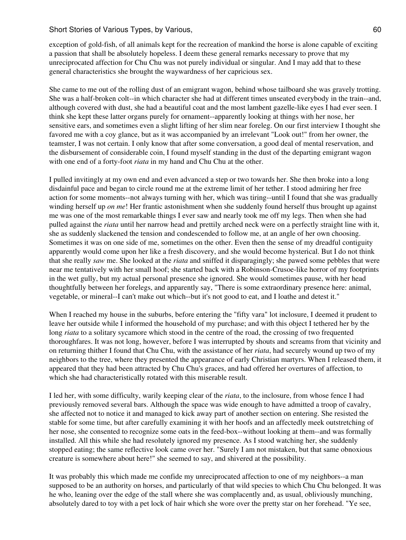exception of gold-fish, of all animals kept for the recreation of mankind the horse is alone capable of exciting a passion that shall be absolutely hopeless. I deem these general remarks necessary to prove that my unreciprocated affection for Chu Chu was not purely individual or singular. And I may add that to these general characteristics she brought the waywardness of her capricious sex.

She came to me out of the rolling dust of an emigrant wagon, behind whose tailboard she was gravely trotting. She was a half-broken colt--in which character she had at different times unseated everybody in the train--and, although covered with dust, she had a beautiful coat and the most lambent gazelle-like eyes I had ever seen. I think she kept these latter organs purely for ornament--apparently looking at things with her nose, her sensitive ears, and sometimes even a slight lifting of her slim near foreleg. On our first interview I thought she favored me with a coy glance, but as it was accompanied by an irrelevant "Look out!" from her owner, the teamster, I was not certain. I only know that after some conversation, a good deal of mental reservation, and the disbursement of considerable coin, I found myself standing in the dust of the departing emigrant wagon with one end of a forty-foot *riata* in my hand and Chu Chu at the other.

I pulled invitingly at my own end and even advanced a step or two towards her. She then broke into a long disdainful pace and began to circle round me at the extreme limit of her tether. I stood admiring her free action for some moments--not always turning with her, which was tiring--until I found that she was gradually winding herself up *on me*! Her frantic astonishment when she suddenly found herself thus brought up against me was one of the most remarkable things I ever saw and nearly took me off my legs. Then when she had pulled against the *riata* until her narrow head and prettily arched neck were on a perfectly straight line with it, she as suddenly slackened the tension and condescended to follow me, at an angle of her own choosing. Sometimes it was on one side of me, sometimes on the other. Even then the sense of my dreadful contiguity apparently would come upon her like a fresh discovery, and she would become hysterical. But I do not think that she really *saw* me. She looked at the *riata* and sniffed it disparagingly; she pawed some pebbles that were near me tentatively with her small hoof; she started back with a Robinson-Crusoe-like horror of my footprints in the wet gully, but my actual personal presence she ignored. She would sometimes pause, with her head thoughtfully between her forelegs, and apparently say, "There is some extraordinary presence here: animal, vegetable, or mineral--I can't make out which--but it's not good to eat, and I loathe and detest it."

When I reached my house in the suburbs, before entering the "fifty vara" lot inclosure, I deemed it prudent to leave her outside while I informed the household of my purchase; and with this object I tethered her by the long *riata* to a solitary sycamore which stood in the centre of the road, the crossing of two frequented thoroughfares. It was not long, however, before I was interrupted by shouts and screams from that vicinity and on returning thither I found that Chu Chu, with the assistance of her *riata*, had securely wound up two of my neighbors to the tree, where they presented the appearance of early Christian martyrs. When I released them, it appeared that they had been attracted by Chu Chu's graces, and had offered her overtures of affection, to which she had characteristically rotated with this miserable result.

I led her, with some difficulty, warily keeping clear of the *riata*, to the inclosure, from whose fence I had previously removed several bars. Although the space was wide enough to have admitted a troop of cavalry, she affected not to notice it and managed to kick away part of another section on entering. She resisted the stable for some time, but after carefully examining it with her hoofs and an affectedly meek outstretching of her nose, she consented to recognize some oats in the feed-box--without looking at them--and was formally installed. All this while she had resolutely ignored my presence. As I stood watching her, she suddenly stopped eating; the same reflective look came over her. "Surely I am not mistaken, but that same obnoxious creature is somewhere about here!" she seemed to say, and shivered at the possibility.

It was probably this which made me confide my unreciprocated affection to one of my neighbors--a man supposed to be an authority on horses, and particularly of that wild species to which Chu Chu belonged. It was he who, leaning over the edge of the stall where she was complacently and, as usual, obliviously munching, absolutely dared to toy with a pet lock of hair which she wore over the pretty star on her forehead. "Ye see,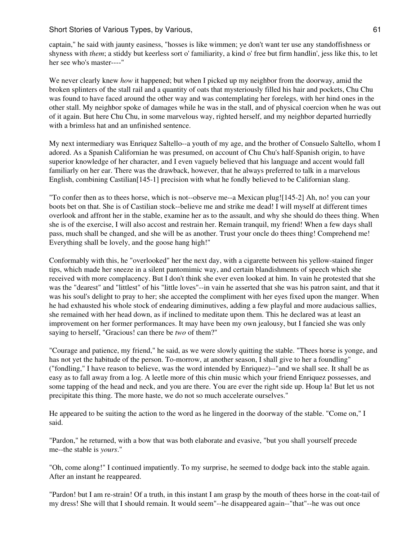captain," he said with jaunty easiness, "hosses is like wimmen; ye don't want ter use any standoffishness or shyness with *them*; a stiddy but keerless sort o' familiarity, a kind o' free but firm handlin', jess like this, to let her see who's master----"

We never clearly knew *how* it happened; but when I picked up my neighbor from the doorway, amid the broken splinters of the stall rail and a quantity of oats that mysteriously filled his hair and pockets, Chu Chu was found to have faced around the other way and was contemplating her forelegs, with her hind ones in the other stall. My neighbor spoke of damages while he was in the stall, and of physical coercion when he was out of it again. But here Chu Chu, in some marvelous way, righted herself, and my neighbor departed hurriedly with a brimless hat and an unfinished sentence.

My next intermediary was Enriquez Saltello--a youth of my age, and the brother of Consuelo Saltello, whom I adored. As a Spanish Californian he was presumed, on account of Chu Chu's half-Spanish origin, to have superior knowledge of her character, and I even vaguely believed that his language and accent would fall familiarly on her ear. There was the drawback, however, that he always preferred to talk in a marvelous English, combining Castilian<sup>[145-1]</sup> precision with what he fondly believed to be Californian slang.

"To confer then as to thees horse, which is not--observe me--a Mexican plug![145-2] Ah, no! you can your boots bet on that. She is of Castilian stock--believe me and strike me dead! I will myself at different times overlook and affront her in the stable, examine her as to the assault, and why she should do thees thing. When she is of the exercise, I will also accost and restrain her. Remain tranquil, my friend! When a few days shall pass, much shall be changed, and she will be as another. Trust your oncle do thees thing! Comprehend me! Everything shall be lovely, and the goose hang high!"

Conformably with this, he "overlooked" her the next day, with a cigarette between his yellow-stained finger tips, which made her sneeze in a silent pantomimic way, and certain blandishments of speech which she received with more complacency. But I don't think she ever even looked at him. In vain he protested that she was the "dearest" and "littlest" of his "little loves"--in vain he asserted that she was his patron saint, and that it was his soul's delight to pray to her; she accepted the compliment with her eyes fixed upon the manger. When he had exhausted his whole stock of endearing diminutives, adding a few playful and more audacious sallies, she remained with her head down, as if inclined to meditate upon them. This he declared was at least an improvement on her former performances. It may have been my own jealousy, but I fancied she was only saying to herself, "Gracious! can there be *two* of them?"

"Courage and patience, my friend," he said, as we were slowly quitting the stable. "Thees horse is yonge, and has not yet the habitude of the person. To-morrow, at another season, I shall give to her a foundling" ("fondling," I have reason to believe, was the word intended by Enriquez)--"and we shall see. It shall be as easy as to fall away from a log. A leetle more of this chin music which your friend Enriquez possesses, and some tapping of the head and neck, and you are there. You are ever the right side up. Houp la! But let us not precipitate this thing. The more haste, we do not so much accelerate ourselves."

He appeared to be suiting the action to the word as he lingered in the doorway of the stable. "Come on," I said.

"Pardon," he returned, with a bow that was both elaborate and evasive, "but you shall yourself precede me--the stable is *yours*."

"Oh, come along!" I continued impatiently. To my surprise, he seemed to dodge back into the stable again. After an instant he reappeared.

"Pardon! but I am re-strain! Of a truth, in this instant I am grasp by the mouth of thees horse in the coat-tail of my dress! She will that I should remain. It would seem"--he disappeared again--"that"--he was out once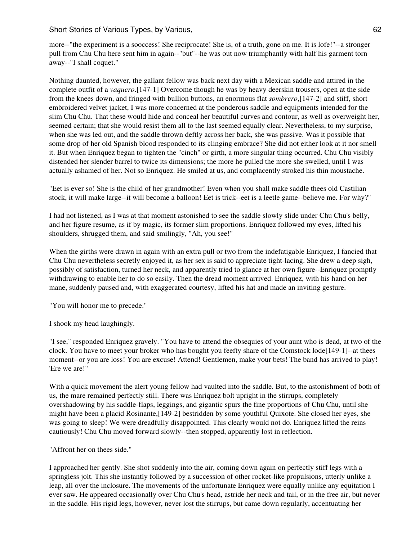more--"the experiment is a sooccess! She reciprocate! She is, of a truth, gone on me. It is lofe!"--a stronger pull from Chu Chu here sent him in again--"but"--he was out now triumphantly with half his garment torn away--"I shall coquet."

Nothing daunted, however, the gallant fellow was back next day with a Mexican saddle and attired in the complete outfit of a *vaquero*.[147-1] Overcome though he was by heavy deerskin trousers, open at the side from the knees down, and fringed with bullion buttons, an enormous flat *sombrero*,[147-2] and stiff, short embroidered velvet jacket, I was more concerned at the ponderous saddle and equipments intended for the slim Chu Chu. That these would hide and conceal her beautiful curves and contour, as well as overweight her, seemed certain; that she would resist them all to the last seemed equally clear. Nevertheless, to my surprise, when she was led out, and the saddle thrown deftly across her back, she was passive. Was it possible that some drop of her old Spanish blood responded to its clinging embrace? She did not either look at it nor smell it. But when Enriquez began to tighten the "cinch" or girth, a more singular thing occurred. Chu Chu visibly distended her slender barrel to twice its dimensions; the more he pulled the more she swelled, until I was actually ashamed of her. Not so Enriquez. He smiled at us, and complacently stroked his thin moustache.

"Eet is ever so! She is the child of her grandmother! Even when you shall make saddle thees old Castilian stock, it will make large--it will become a balloon! Eet is trick--eet is a leetle game--believe me. For why?"

I had not listened, as I was at that moment astonished to see the saddle slowly slide under Chu Chu's belly, and her figure resume, as if by magic, its former slim proportions. Enriquez followed my eyes, lifted his shoulders, shrugged them, and said smilingly, "Ah, you see!"

When the girths were drawn in again with an extra pull or two from the indefatigable Enriquez, I fancied that Chu Chu nevertheless secretly enjoyed it, as her sex is said to appreciate tight-lacing. She drew a deep sigh, possibly of satisfaction, turned her neck, and apparently tried to glance at her own figure--Enriquez promptly withdrawing to enable her to do so easily. Then the dread moment arrived. Enriquez, with his hand on her mane, suddenly paused and, with exaggerated courtesy, lifted his hat and made an inviting gesture.

"You will honor me to precede."

I shook my head laughingly.

"I see," responded Enriquez gravely. "You have to attend the obsequies of your aunt who is dead, at two of the clock. You have to meet your broker who has bought you feefty share of the Comstock lode[149-1]--at thees moment--or you are loss! You are excuse! Attend! Gentlemen, make your bets! The band has arrived to play! 'Ere we are!"

With a quick movement the alert young fellow had vaulted into the saddle. But, to the astonishment of both of us, the mare remained perfectly still. There was Enriquez bolt upright in the stirrups, completely overshadowing by his saddle-flaps, leggings, and gigantic spurs the fine proportions of Chu Chu, until she might have been a placid Rosinante,[149-2] bestridden by some youthful Quixote. She closed her eyes, she was going to sleep! We were dreadfully disappointed. This clearly would not do. Enriquez lifted the reins cautiously! Chu Chu moved forward slowly--then stopped, apparently lost in reflection.

"Affront her on thees side."

I approached her gently. She shot suddenly into the air, coming down again on perfectly stiff legs with a springless jolt. This she instantly followed by a succession of other rocket-like propulsions, utterly unlike a leap, all over the inclosure. The movements of the unfortunate Enriquez were equally unlike any equitation I ever saw. He appeared occasionally over Chu Chu's head, astride her neck and tail, or in the free air, but never in the saddle. His rigid legs, however, never lost the stirrups, but came down regularly, accentuating her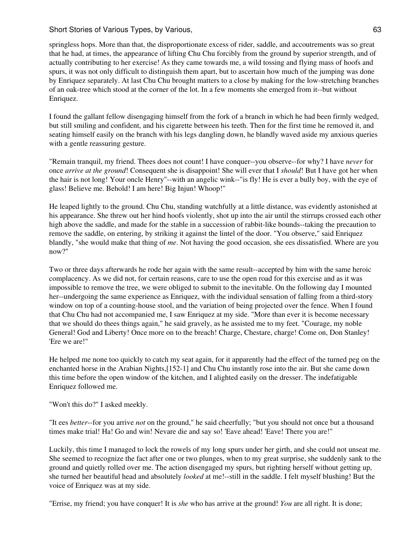springless hops. More than that, the disproportionate excess of rider, saddle, and accoutrements was so great that he had, at times, the appearance of lifting Chu Chu forcibly from the ground by superior strength, and of actually contributing to her exercise! As they came towards me, a wild tossing and flying mass of hoofs and spurs, it was not only difficult to distinguish them apart, but to ascertain how much of the jumping was done by Enriquez separately. At last Chu Chu brought matters to a close by making for the low-stretching branches of an oak-tree which stood at the corner of the lot. In a few moments she emerged from it--but without Enriquez.

I found the gallant fellow disengaging himself from the fork of a branch in which he had been firmly wedged, but still smiling and confident, and his cigarette between his teeth. Then for the first time he removed it, and seating himself easily on the branch with his legs dangling down, he blandly waved aside my anxious queries with a gentle reassuring gesture.

"Remain tranquil, my friend. Thees does not count! I have conquer--you observe--for why? I have *never* for once *arrive at the ground*! Consequent she is disappoint! She will ever that I *should*! But I have got her when the hair is not long! Your oncle Henry"--with an angelic wink--"is fly! He is ever a bully boy, with the eye of glass! Believe me. Behold! I am here! Big Injun! Whoop!"

He leaped lightly to the ground. Chu Chu, standing watchfully at a little distance, was evidently astonished at his appearance. She threw out her hind hoofs violently, shot up into the air until the stirrups crossed each other high above the saddle, and made for the stable in a succession of rabbit-like bounds--taking the precaution to remove the saddle, on entering, by striking it against the lintel of the door. "You observe," said Enriquez blandly, "she would make that thing of *me*. Not having the good occasion, she ees dissatisfied. Where are you now?"

Two or three days afterwards he rode her again with the same result--accepted by him with the same heroic complacency. As we did not, for certain reasons, care to use the open road for this exercise and as it was impossible to remove the tree, we were obliged to submit to the inevitable. On the following day I mounted her--undergoing the same experience as Enriquez, with the individual sensation of falling from a third-story window on top of a counting-house stool, and the variation of being projected over the fence. When I found that Chu Chu had not accompanied me, I saw Enriquez at my side. "More than ever it is become necessary that we should do thees things again," he said gravely, as he assisted me to my feet. "Courage, my noble General! God and Liberty! Once more on to the breach! Charge, Chestare, charge! Come on, Don Stanley! 'Ere we are!"

He helped me none too quickly to catch my seat again, for it apparently had the effect of the turned peg on the enchanted horse in the Arabian Nights,[152-1] and Chu Chu instantly rose into the air. But she came down this time before the open window of the kitchen, and I alighted easily on the dresser. The indefatigable Enriquez followed me.

"Won't this do?" I asked meekly.

"It ees *better*--for you arrive *not* on the ground," he said cheerfully; "but you should not once but a thousand times make trial! Ha! Go and win! Nevare die and say so! 'Eave ahead! 'Eave! There you are!"

Luckily, this time I managed to lock the rowels of my long spurs under her girth, and she could not unseat me. She seemed to recognize the fact after one or two plunges, when to my great surprise, she suddenly sank to the ground and quietly rolled over me. The action disengaged my spurs, but righting herself without getting up, she turned her beautiful head and absolutely *looked* at me!--still in the saddle. I felt myself blushing! But the voice of Enriquez was at my side.

"Errise, my friend; you have conquer! It is *she* who has arrive at the ground! *You* are all right. It is done;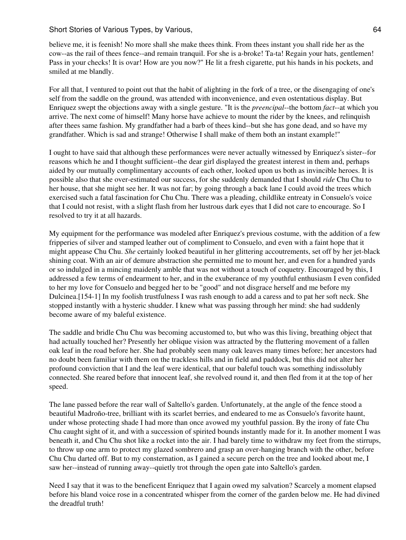believe me, it is feenish! No more shall she make thees think. From thees instant you shall ride her as the cow--as the rail of thees fence--and remain tranquil. For she is a-broke! Ta-ta! Regain your hats, gentlemen! Pass in your checks! It is ovar! How are you now?" He lit a fresh cigarette, put his hands in his pockets, and smiled at me blandly.

For all that, I ventured to point out that the habit of alighting in the fork of a tree, or the disengaging of one's self from the saddle on the ground, was attended with inconvenience, and even ostentatious display. But Enriquez swept the objections away with a single gesture. "It is the *preencipal*--the bottom *fact*--at which you arrive. The next come of himself! Many horse have achieve to mount the rider by the knees, and relinquish after thees same fashion. My grandfather had a barb of thees kind--but she has gone dead, and so have my grandfather. Which is sad and strange! Otherwise I shall make of them both an instant example!"

I ought to have said that although these performances were never actually witnessed by Enriquez's sister--for reasons which he and I thought sufficient--the dear girl displayed the greatest interest in them and, perhaps aided by our mutually complimentary accounts of each other, looked upon us both as invincible heroes. It is possible also that she over-estimated our success, for she suddenly demanded that I should *ride* Chu Chu to her house, that she might see her. It was not far; by going through a back lane I could avoid the trees which exercised such a fatal fascination for Chu Chu. There was a pleading, childlike entreaty in Consuelo's voice that I could not resist, with a slight flash from her lustrous dark eyes that I did not care to encourage. So I resolved to try it at all hazards.

My equipment for the performance was modeled after Enriquez's previous costume, with the addition of a few fripperies of silver and stamped leather out of compliment to Consuelo, and even with a faint hope that it might appease Chu Chu. *She* certainly looked beautiful in her glittering accoutrements, set off by her jet-black shining coat. With an air of demure abstraction she permitted me to mount her, and even for a hundred yards or so indulged in a mincing maidenly amble that was not without a touch of coquetry. Encouraged by this, I addressed a few terms of endearment to her, and in the exuberance of my youthful enthusiasm I even confided to her my love for Consuelo and begged her to be "good" and not disgrace herself and me before my Dulcinea.[154-1] In my foolish trustfulness I was rash enough to add a caress and to pat her soft neck. She stopped instantly with a hysteric shudder. I knew what was passing through her mind: she had suddenly become aware of my baleful existence.

The saddle and bridle Chu Chu was becoming accustomed to, but who was this living, breathing object that had actually touched her? Presently her oblique vision was attracted by the fluttering movement of a fallen oak leaf in the road before her. She had probably seen many oak leaves many times before; her ancestors had no doubt been familiar with them on the trackless hills and in field and paddock, but this did not alter her profound conviction that I and the leaf were identical, that our baleful touch was something indissolubly connected. She reared before that innocent leaf, she revolved round it, and then fled from it at the top of her speed.

The lane passed before the rear wall of Saltello's garden. Unfortunately, at the angle of the fence stood a beautiful Madroño-tree, brilliant with its scarlet berries, and endeared to me as Consuelo's favorite haunt, under whose protecting shade I had more than once avowed my youthful passion. By the irony of fate Chu Chu caught sight of it, and with a succession of spirited bounds instantly made for it. In another moment I was beneath it, and Chu Chu shot like a rocket into the air. I had barely time to withdraw my feet from the stirrups, to throw up one arm to protect my glazed sombrero and grasp an over-hanging branch with the other, before Chu Chu darted off. But to my consternation, as I gained a secure perch on the tree and looked about me, I saw her--instead of running away--quietly trot through the open gate into Saltello's garden.

Need I say that it was to the beneficent Enriquez that I again owed my salvation? Scarcely a moment elapsed before his bland voice rose in a concentrated whisper from the corner of the garden below me. He had divined the dreadful truth!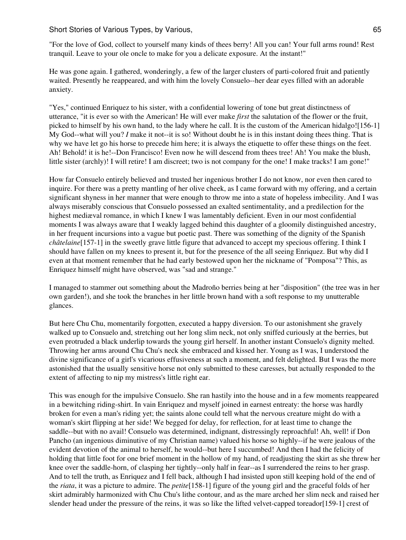"For the love of God, collect to yourself many kinds of thees berry! All you can! Your full arms round! Rest tranquil. Leave to your ole oncle to make for you a delicate exposure. At the instant!"

He was gone again. I gathered, wonderingly, a few of the larger clusters of parti-colored fruit and patiently waited. Presently he reappeared, and with him the lovely Consuelo--her dear eyes filled with an adorable anxiety.

"Yes," continued Enriquez to his sister, with a confidential lowering of tone but great distinctness of utterance, "it is ever so with the American! He will ever make *first* the salutation of the flower or the fruit, picked to himself by his own hand, to the lady where he call. It is the custom of the American hidalgo![156-1] My God--what will you? *I* make it not--it is so! Without doubt he is in this instant doing thees thing. That is why we have let go his horse to precede him here; it is always the etiquette to offer these things on the feet. Ah! Behold! it is he!--Don Francisco! Even now he will descend from thees tree! Ah! You make the blush, little sister (archly)! I will retire! I am discreet; two is not company for the one! I make tracks! I am gone!"

How far Consuelo entirely believed and trusted her ingenious brother I do not know, nor even then cared to inquire. For there was a pretty mantling of her olive cheek, as I came forward with my offering, and a certain significant shyness in her manner that were enough to throw me into a state of hopeless imbecility. And I was always miserably conscious that Consuelo possessed an exalted sentimentality, and a predilection for the highest mediæval romance, in which I knew I was lamentably deficient. Even in our most confidential moments I was always aware that I weakly lagged behind this daughter of a gloomily distinguished ancestry, in her frequent incursions into a vague but poetic past. There was something of the dignity of the Spanish *châtelaine*[157-1] in the sweetly grave little figure that advanced to accept my specious offering. I think I should have fallen on my knees to present it, but for the presence of the all seeing Enriquez. But why did I even at that moment remember that he had early bestowed upon her the nickname of "Pomposa"? This, as Enriquez himself might have observed, was "sad and strange."

I managed to stammer out something about the Madroño berries being at her "disposition" (the tree was in her own garden!), and she took the branches in her little brown hand with a soft response to my unutterable glances.

But here Chu Chu, momentarily forgotten, executed a happy diversion. To our astonishment she gravely walked up to Consuelo and, stretching out her long slim neck, not only sniffed curiously at the berries, but even protruded a black underlip towards the young girl herself. In another instant Consuelo's dignity melted. Throwing her arms around Chu Chu's neck she embraced and kissed her. Young as I was, I understood the divine significance of a girl's vicarious effusiveness at such a moment, and felt delighted. But I was the more astonished that the usually sensitive horse not only submitted to these caresses, but actually responded to the extent of affecting to nip my mistress's little right ear.

This was enough for the impulsive Consuelo. She ran hastily into the house and in a few moments reappeared in a bewitching riding-shirt. In vain Enriquez and myself joined in earnest entreaty: the horse was hardly broken for even a man's riding yet; the saints alone could tell what the nervous creature might do with a woman's skirt flipping at her side! We begged for delay, for reflection, for at least time to change the saddle--but with no avail! Consuelo was determined, indignant, distressingly reproachful! Ah, well! if Don Pancho (an ingenious diminutive of my Christian name) valued his horse so highly--if he were jealous of the evident devotion of the animal to herself, he would--but here I succumbed! And then I had the felicity of holding that little foot for one brief moment in the hollow of my hand, of readjusting the skirt as she threw her knee over the saddle-horn, of clasping her tightly--only half in fear--as I surrendered the reins to her grasp. And to tell the truth, as Enriquez and I fell back, although I had insisted upon still keeping hold of the end of the *riata*, it was a picture to admire. The *petite*[158-1] figure of the young girl and the graceful folds of her skirt admirably harmonized with Chu Chu's lithe contour, and as the mare arched her slim neck and raised her slender head under the pressure of the reins, it was so like the lifted velvet-capped toreador[159-1] crest of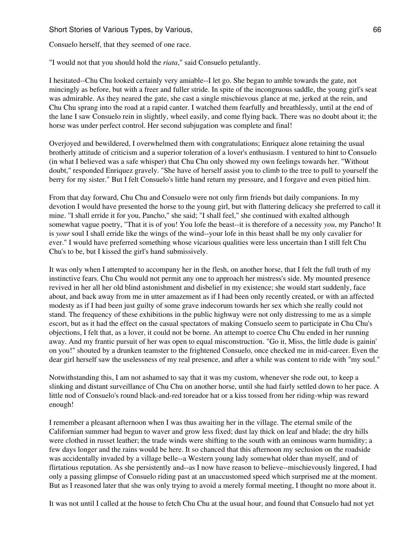Consuelo herself, that they seemed of one race.

"I would not that you should hold the *riata*," said Consuelo petulantly.

I hesitated--Chu Chu looked certainly very amiable--I let go. She began to amble towards the gate, not mincingly as before, but with a freer and fuller stride. In spite of the incongruous saddle, the young girl's seat was admirable. As they neared the gate, she cast a single mischievous glance at me, jerked at the rein, and Chu Chu sprang into the road at a rapid canter. I watched them fearfully and breathlessly, until at the end of the lane I saw Consuelo rein in slightly, wheel easily, and come flying back. There was no doubt about it; the horse was under perfect control. Her second subjugation was complete and final!

Overjoyed and bewildered, I overwhelmed them with congratulations; Enriquez alone retaining the usual brotherly attitude of criticism and a superior toleration of a lover's enthusiasm. I ventured to hint to Consuelo (in what I believed was a safe whisper) that Chu Chu only showed my own feelings towards her. "Without doubt," responded Enriquez gravely. "She have of herself assist you to climb to the tree to pull to yourself the berry for my sister." But I felt Consuelo's little hand return my pressure, and I forgave and even pitied him.

From that day forward, Chu Chu and Consuelo were not only firm friends but daily companions. In my devotion I would have presented the horse to the young girl, but with flattering delicacy she preferred to call it mine. "I shall erride it for you, Pancho," she said; "I shall feel," she continued with exalted although somewhat vague poetry, "That it is of you! You lofe the beast--it is therefore of a necessity *you*, my Pancho! It is *your* soul I shall erride like the wings of the wind--your lofe in this beast shall be my only cavalier for ever." I would have preferred something whose vicarious qualities were less uncertain than I still felt Chu Chu's to be, but I kissed the girl's hand submissively.

It was only when I attempted to accompany her in the flesh, on another horse, that I felt the full truth of my instinctive fears. Chu Chu would not permit any one to approach her mistress's side. My mounted presence revived in her all her old blind astonishment and disbelief in my existence; she would start suddenly, face about, and back away from me in utter amazement as if I had been only recently created, or with an affected modesty as if I had been just guilty of some grave indecorum towards her sex which she really could not stand. The frequency of these exhibitions in the public highway were not only distressing to me as a simple escort, but as it had the effect on the casual spectators of making Consuelo seem to participate in Chu Chu's objections, I felt that, as a lover, it could not be borne. An attempt to coerce Chu Chu ended in her running away. And my frantic pursuit of her was open to equal misconstruction. "Go it, Miss, the little dude is gainin' on you!" shouted by a drunken teamster to the frightened Consuelo, once checked me in mid-career. Even the dear girl herself saw the uselessness of my real presence, and after a while was content to ride with "my soul."

Notwithstanding this, I am not ashamed to say that it was my custom, whenever she rode out, to keep a slinking and distant surveillance of Chu Chu on another horse, until she had fairly settled down to her pace. A little nod of Consuelo's round black-and-red toreador hat or a kiss tossed from her riding-whip was reward enough!

I remember a pleasant afternoon when I was thus awaiting her in the village. The eternal smile of the Californian summer had begun to waver and grow less fixed; dust lay thick on leaf and blade; the dry hills were clothed in russet leather; the trade winds were shifting to the south with an ominous warm humidity; a few days longer and the rains would be here. It so chanced that this afternoon my seclusion on the roadside was accidentally invaded by a village belle--a Western young lady somewhat older than myself, and of flirtatious reputation. As she persistently and--as I now have reason to believe--mischievously lingered, I had only a passing glimpse of Consuelo riding past at an unaccustomed speed which surprised me at the moment. But as I reasoned later that she was only trying to avoid a merely formal meeting, I thought no more about it.

It was not until I called at the house to fetch Chu Chu at the usual hour, and found that Consuelo had not yet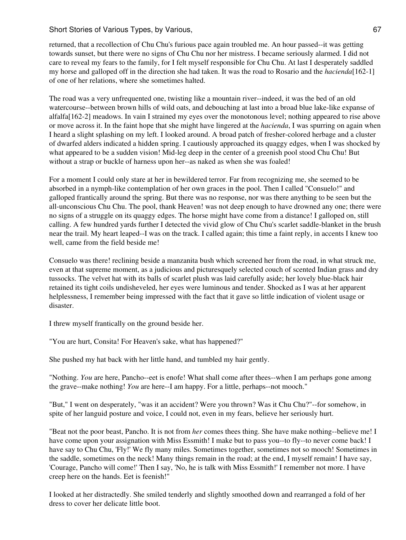returned, that a recollection of Chu Chu's furious pace again troubled me. An hour passed--it was getting towards sunset, but there were no signs of Chu Chu nor her mistress. I became seriously alarmed. I did not care to reveal my fears to the family, for I felt myself responsible for Chu Chu. At last I desperately saddled my horse and galloped off in the direction she had taken. It was the road to Rosario and the *hacienda*[162-1] of one of her relations, where she sometimes halted.

The road was a very unfrequented one, twisting like a mountain river--indeed, it was the bed of an old watercourse--between brown hills of wild oats, and debouching at last into a broad blue lake-like expanse of alfalfa[162-2] meadows. In vain I strained my eyes over the monotonous level; nothing appeared to rise above or move across it. In the faint hope that she might have lingered at the *hacienda*, I was spurring on again when I heard a slight splashing on my left. I looked around. A broad patch of fresher-colored herbage and a cluster of dwarfed alders indicated a hidden spring. I cautiously approached its quaggy edges, when I was shocked by what appeared to be a sudden vision! Mid-leg deep in the center of a greenish pool stood Chu Chu! But without a strap or buckle of harness upon her--as naked as when she was foaled!

For a moment I could only stare at her in bewildered terror. Far from recognizing me, she seemed to be absorbed in a nymph-like contemplation of her own graces in the pool. Then I called "Consuelo!" and galloped frantically around the spring. But there was no response, nor was there anything to be seen but the all-unconscious Chu Chu. The pool, thank Heaven! was not deep enough to have drowned any one; there were no signs of a struggle on its quaggy edges. The horse might have come from a distance! I galloped on, still calling. A few hundred yards further I detected the vivid glow of Chu Chu's scarlet saddle-blanket in the brush near the trail. My heart leaped--I was on the track. I called again; this time a faint reply, in accents I knew too well, came from the field beside me!

Consuelo was there! reclining beside a manzanita bush which screened her from the road, in what struck me, even at that supreme moment, as a judicious and picturesquely selected couch of scented Indian grass and dry tussocks. The velvet hat with its balls of scarlet plush was laid carefully aside; her lovely blue-black hair retained its tight coils undisheveled, her eyes were luminous and tender. Shocked as I was at her apparent helplessness, I remember being impressed with the fact that it gave so little indication of violent usage or disaster.

I threw myself frantically on the ground beside her.

"You are hurt, Consita! For Heaven's sake, what has happened?"

She pushed my hat back with her little hand, and tumbled my hair gently.

"Nothing. *You* are here, Pancho--eet is enofe! What shall come after thees--when I am perhaps gone among the grave--make nothing! *You* are here--I am happy. For a little, perhaps--not mooch."

"But," I went on desperately, "was it an accident? Were you thrown? Was it Chu Chu?"--for somehow, in spite of her languid posture and voice, I could not, even in my fears, believe her seriously hurt.

"Beat not the poor beast, Pancho. It is not from *her* comes thees thing. She have make nothing--believe me! I have come upon your assignation with Miss Essmith! I make but to pass you--to fly--to never come back! I have say to Chu Chu, 'Fly!' We fly many miles. Sometimes together, sometimes not so mooch! Sometimes in the saddle, sometimes on the neck! Many things remain in the road; at the end, I myself remain! I have say, 'Courage, Pancho will come!' Then I say, 'No, he is talk with Miss Essmith!' I remember not more. I have creep here on the hands. Eet is feenish!"

I looked at her distractedly. She smiled tenderly and slightly smoothed down and rearranged a fold of her dress to cover her delicate little boot.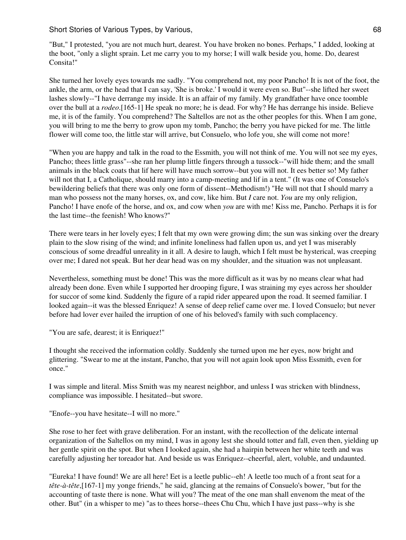"But," I protested, "you are not much hurt, dearest. You have broken no bones. Perhaps," I added, looking at the boot, "only a slight sprain. Let me carry you to my horse; I will walk beside you, home. Do, dearest Consita!"

She turned her lovely eyes towards me sadly. "You comprehend not, my poor Pancho! It is not of the foot, the ankle, the arm, or the head that I can say, 'She is broke.' I would it were even so. But"--she lifted her sweet lashes slowly--"I have derrange my inside. It is an affair of my family. My grandfather have once toomble over the bull at a *rodeo*.[165-1] He speak no more; he is dead. For why? He has derrange his inside. Believe me, it is of the family. You comprehend? The Saltellos are not as the other peoples for this. When I am gone, you will bring to me the berry to grow upon my tomb, Pancho; the berry you have picked for me. The little flower will come too, the little star will arrive, but Consuelo, who lofe you, she will come not more!

"When you are happy and talk in the road to the Essmith, you will not think of me. You will not see my eyes, Pancho; thees little grass"--she ran her plump little fingers through a tussock--"will hide them; and the small animals in the black coats that lif here will have much sorrow--but you will not. It ees better so! My father will not that I, a Catholique, should marry into a camp-meeting and lif in a tent." (It was one of Consuelo's bewildering beliefs that there was only one form of dissent--Methodism!) "He will not that I should marry a man who possess not the many horses, ox, and cow, like him. But *I* care not. *You* are my only religion, Pancho! I have enofe of the horse, and ox, and cow when *you* are with me! Kiss me, Pancho. Perhaps it is for the last time--the feenish! Who knows?"

There were tears in her lovely eyes; I felt that my own were growing dim; the sun was sinking over the dreary plain to the slow rising of the wind; and infinite loneliness had fallen upon us, and yet I was miserably conscious of some dreadful unreality in it all. A desire to laugh, which I felt must be hysterical, was creeping over me; I dared not speak. But her dear head was on my shoulder, and the situation was not unpleasant.

Nevertheless, something must be done! This was the more difficult as it was by no means clear what had already been done. Even while I supported her drooping figure, I was straining my eyes across her shoulder for succor of some kind. Suddenly the figure of a rapid rider appeared upon the road. It seemed familiar. I looked again--it was the blessed Enriquez! A sense of deep relief came over me. I loved Consuelo; but never before had lover ever hailed the irruption of one of his beloved's family with such complacency.

"You are safe, dearest; it is Enriquez!"

I thought she received the information coldly. Suddenly she turned upon me her eyes, now bright and glittering. "Swear to me at the instant, Pancho, that you will not again look upon Miss Essmith, even for once."

I was simple and literal. Miss Smith was my nearest neighbor, and unless I was stricken with blindness, compliance was impossible. I hesitated--but swore.

"Enofe--you have hesitate--I will no more."

She rose to her feet with grave deliberation. For an instant, with the recollection of the delicate internal organization of the Saltellos on my mind, I was in agony lest she should totter and fall, even then, yielding up her gentle spirit on the spot. But when I looked again, she had a hairpin between her white teeth and was carefully adjusting her toreador hat. And beside us was Enriquez--cheerful, alert, voluble, and undaunted.

"Eureka! I have found! We are all here! Eet is a leetle public--eh! A leetle too much of a front seat for a *tête-à-tête*,[167-1] my yonge friends," he said, glancing at the remains of Consuelo's bower, "but for the accounting of taste there is none. What will you? The meat of the one man shall envenom the meat of the other. But" (in a whisper to me) "as to thees horse--thees Chu Chu, which I have just pass--why is she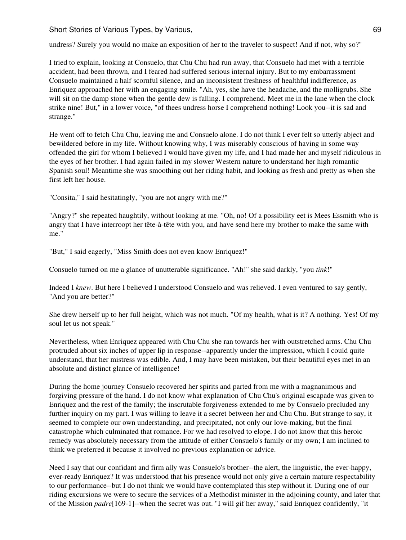Short Stories of Various Types, by Various, 69 and 1992 and 1993 and 1993 and 1993 and 1993 and 1993 and 1993  $\pm 69$ 

undress? Surely you would no make an exposition of her to the traveler to suspect! And if not, why so?"

I tried to explain, looking at Consuelo, that Chu Chu had run away, that Consuelo had met with a terrible accident, had been thrown, and I feared had suffered serious internal injury. But to my embarrassment Consuelo maintained a half scornful silence, and an inconsistent freshness of healthful indifference, as Enriquez approached her with an engaging smile. "Ah, yes, she have the headache, and the molligrubs. She will sit on the damp stone when the gentle dew is falling. I comprehend. Meet me in the lane when the clock strike nine! But," in a lower voice, "of thees undress horse I comprehend nothing! Look you--it is sad and strange."

He went off to fetch Chu Chu, leaving me and Consuelo alone. I do not think I ever felt so utterly abject and bewildered before in my life. Without knowing why, I was miserably conscious of having in some way offended the girl for whom I believed I would have given my life, and I had made her and myself ridiculous in the eyes of her brother. I had again failed in my slower Western nature to understand her high romantic Spanish soul! Meantime she was smoothing out her riding habit, and looking as fresh and pretty as when she first left her house.

"Consita," I said hesitatingly, "you are not angry with me?"

"Angry?" she repeated haughtily, without looking at me. "Oh, no! Of a possibility eet is Mees Essmith who is angry that I have interroopt her tête-à-tête with you, and have send here my brother to make the same with me."

"But," I said eagerly, "Miss Smith does not even know Enriquez!"

Consuelo turned on me a glance of unutterable significance. "Ah!" she said darkly, "you *tink*!"

Indeed I *knew*. But here I believed I understood Consuelo and was relieved. I even ventured to say gently, "And you are better?"

She drew herself up to her full height, which was not much. "Of my health, what is it? A nothing. Yes! Of my soul let us not speak."

Nevertheless, when Enriquez appeared with Chu Chu she ran towards her with outstretched arms. Chu Chu protruded about six inches of upper lip in response--apparently under the impression, which I could quite understand, that her mistress was edible. And, I may have been mistaken, but their beautiful eyes met in an absolute and distinct glance of intelligence!

During the home journey Consuelo recovered her spirits and parted from me with a magnanimous and forgiving pressure of the hand. I do not know what explanation of Chu Chu's original escapade was given to Enriquez and the rest of the family; the inscrutable forgiveness extended to me by Consuelo precluded any further inquiry on my part. I was willing to leave it a secret between her and Chu Chu. But strange to say, it seemed to complete our own understanding, and precipitated, not only our love-making, but the final catastrophe which culminated that romance. For we had resolved to elope. I do not know that this heroic remedy was absolutely necessary from the attitude of either Consuelo's family or my own; I am inclined to think we preferred it because it involved no previous explanation or advice.

Need I say that our confidant and firm ally was Consuelo's brother--the alert, the linguistic, the ever-happy, ever-ready Enriquez? It was understood that his presence would not only give a certain mature respectability to our performance--but I do not think we would have contemplated this step without it. During one of our riding excursions we were to secure the services of a Methodist minister in the adjoining county, and later that of the Mission *padre*[169-1]--when the secret was out. "I will gif her away," said Enriquez confidently, "it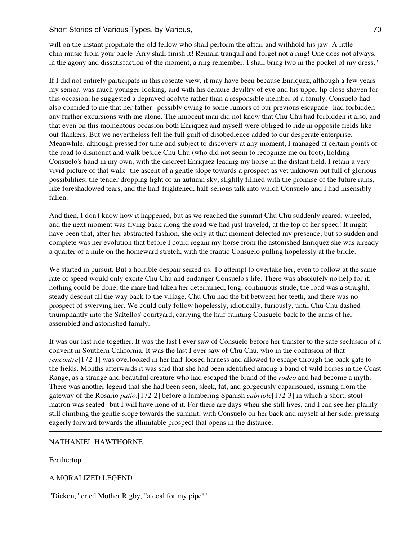will on the instant propitiate the old fellow who shall perform the affair and withhold his jaw. A little chin-music from your oncle 'Arry shall finish it! Remain tranquil and forget not a ring! One does not always, in the agony and dissatisfaction of the moment, a ring remember. I shall bring two in the pocket of my dress."

If I did not entirely participate in this roseate view, it may have been because Enriquez, although a few years my senior, was much younger-looking, and with his demure deviltry of eye and his upper lip close shaven for this occasion, he suggested a depraved acolyte rather than a responsible member of a family. Consuelo had also confided to me that her father--possibly owing to some rumors of our previous escapade--had forbidden any further excursions with me alone. The innocent man did not know that Chu Chu had forbidden it also, and that even on this momentous occasion both Enriquez and myself were obliged to ride in opposite fields like out-flankers. But we nevertheless felt the full guilt of disobedience added to our desperate enterprise. Meanwhile, although pressed for time and subject to discovery at any moment, I managed at certain points of the road to dismount and walk beside Chu Chu (who did not seem to recognize me on foot), holding Consuelo's hand in my own, with the discreet Enriquez leading my horse in the distant field. I retain a very vivid picture of that walk--the ascent of a gentle slope towards a prospect as yet unknown but full of glorious possibilities; the tender dropping light of an autumn sky, slightly filmed with the promise of the future rains, like foreshadowed tears, and the half-frightened, half-serious talk into which Consuelo and I had insensibly fallen.

And then, I don't know how it happened, but as we reached the summit Chu Chu suddenly reared, wheeled, and the next moment was flying back along the road we had just traveled, at the top of her speed! It might have been that, after her abstracted fashion, she only at that moment detected my presence; but so sudden and complete was her evolution that before I could regain my horse from the astonished Enriquez she was already a quarter of a mile on the homeward stretch, with the frantic Consuelo pulling hopelessly at the bridle.

We started in pursuit. But a horrible despair seized us. To attempt to overtake her, even to follow at the same rate of speed would only excite Chu Chu and endanger Consuelo's life. There was absolutely no help for it, nothing could be done; the mare had taken her determined, long, continuous stride, the road was a straight, steady descent all the way back to the village, Chu Chu had the bit between her teeth, and there was no prospect of swerving her. We could only follow hopelessly, idiotically, furiously, until Chu Chu dashed triumphantly into the Saltellos' courtyard, carrying the half-fainting Consuelo back to the arms of her assembled and astonished family.

It was our last ride together. It was the last I ever saw of Consuelo before her transfer to the safe seclusion of a convent in Southern California. It was the last I ever saw of Chu Chu, who in the confusion of that *rencontre*[172-1] was overlooked in her half-loosed harness and allowed to escape through the back gate to the fields. Months afterwards it was said that she had been identified among a band of wild horses in the Coast Range, as a strange and beautiful creature who had escaped the brand of the *rodeo* and had become a myth. There was another legend that she had been seen, sleek, fat, and gorgeously caparisoned, issuing from the gateway of the Rosario *patio*,[172-2] before a lumbering Spanish *cabriolé*[172-3] in which a short, stout matron was seated--but I will have none of it. For there are days when she still lives, and I can see her plainly still climbing the gentle slope towards the summit, with Consuelo on her back and myself at her side, pressing eagerly forward towards the illimitable prospect that opens in the distance.

#### NATHANIEL HAWTHORNE

Feathertop

A MORALIZED LEGEND

"Dickon," cried Mother Rigby, "a coal for my pipe!"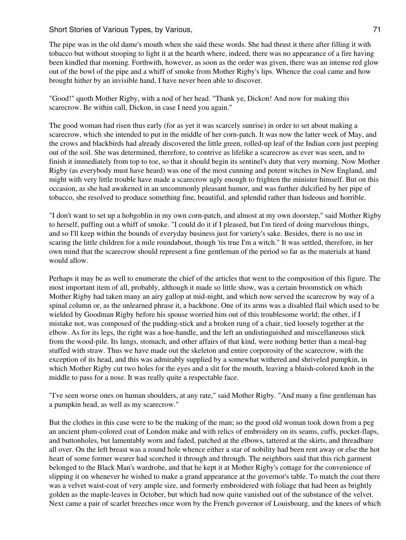The pipe was in the old dame's mouth when she said these words. She had thrust it there after filling it with tobacco but without stooping to light it at the hearth where, indeed, there was no appearance of a fire having been kindled that morning. Forthwith, however, as soon as the order was given, there was an intense red glow out of the bowl of the pipe and a whiff of smoke from Mother Rigby's lips. Whence the coal came and how brought hither by an invisible hand, I have never been able to discover.

"Good!" quoth Mother Rigby, with a nod of her head. "Thank ye, Dickon! And now for making this scarecrow. Be within call, Dickon, in case I need you again."

The good woman had risen thus early (for as yet it was scarcely sunrise) in order to set about making a scarecrow, which she intended to put in the middle of her corn-patch. It was now the latter week of May, and the crows and blackbirds had already discovered the little green, rolled-up leaf of the Indian corn just peeping out of the soil. She was determined, therefore, to contrive as lifelike a scarecrow as ever was seen, and to finish it immediately from top to toe, so that it should begin its sentinel's duty that very morning. Now Mother Rigby (as everybody must have heard) was one of the most cunning and potent witches in New England, and might with very little trouble have made a scarecrow ugly enough to frighten the minister himself. But on this occasion, as she had awakened in an uncommonly pleasant humor, and was further dulcified by her pipe of tobacco, she resolved to produce something fine, beautiful, and splendid rather than hideous and horrible.

"I don't want to set up a hobgoblin in my own corn-patch, and almost at my own doorstep," said Mother Rigby to herself, puffing out a whiff of smoke. "I could do it if I pleased, but I'm tired of doing marvelous things, and so I'll keep within the bounds of everyday business just for variety's sake. Besides, there is no use in scaring the little children for a mile roundabout, though 'tis true I'm a witch." It was settled, therefore, in her own mind that the scarecrow should represent a fine gentleman of the period so far as the materials at hand would allow.

Perhaps it may be as well to enumerate the chief of the articles that went to the composition of this figure. The most important item of all, probably, although it made so little show, was a certain broomstick on which Mother Rigby had taken many an airy gallop at mid-night, and which now served the scarecrow by way of a spinal column or, as the unlearned phrase it, a backbone. One of its arms was a disabled flail which used to be wielded by Goodman Rigby before his spouse worried him out of this troublesome world; the other, if I mistake not, was composed of the pudding-stick and a broken rung of a chair, tied loosely together at the elbow. As for its legs, the right was a hoe-handle, and the left an undistinguished and miscellaneous stick from the wood-pile. Its lungs, stomach, and other affairs of that kind, were nothing better than a meal-bag stuffed with straw. Thus we have made out the skeleton and entire corporosity of the scarecrow, with the exception of its head, and this was admirably supplied by a somewhat withered and shriveled pumpkin, in which Mother Rigby cut two holes for the eyes and a slit for the mouth, leaving a bluish-colored knob in the middle to pass for a nose. It was really quite a respectable face.

"I've seen worse ones on human shoulders, at any rate," said Mother Rigby. "And many a fine gentleman has a pumpkin head, as well as my scarecrow."

But the clothes in this case were to be the making of the man; so the good old woman took down from a peg an ancient plum-colored coat of London make and with relics of embroidery on its seams, cuffs, pocket-flaps, and buttonholes, but lamentably worn and faded, patched at the elbows, tattered at the skirts, and threadbare all over. On the left breast was a round hole whence either a star of nobility had been rent away or else the hot heart of some former wearer had scorched it through and through. The neighbors said that this rich garment belonged to the Black Man's wardrobe, and that he kept it at Mother Rigby's cottage for the convenience of slipping it on whenever he wished to make a grand appearance at the governor's table. To match the coat there was a velvet waist-coat of very ample size, and formerly embroidered with foliage that had been as brightly golden as the maple-leaves in October, but which had now quite vanished out of the substance of the velvet. Next came a pair of scarlet breeches once worn by the French governor of Louisbourg, and the knees of which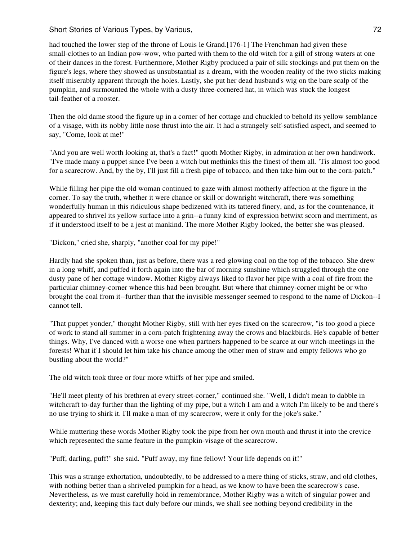had touched the lower step of the throne of Louis le Grand.[176-1] The Frenchman had given these small-clothes to an Indian pow-wow, who parted with them to the old witch for a gill of strong waters at one of their dances in the forest. Furthermore, Mother Rigby produced a pair of silk stockings and put them on the figure's legs, where they showed as unsubstantial as a dream, with the wooden reality of the two sticks making itself miserably apparent through the holes. Lastly, she put her dead husband's wig on the bare scalp of the pumpkin, and surmounted the whole with a dusty three-cornered hat, in which was stuck the longest tail-feather of a rooster.

Then the old dame stood the figure up in a corner of her cottage and chuckled to behold its yellow semblance of a visage, with its nobby little nose thrust into the air. It had a strangely self-satisfied aspect, and seemed to say, "Come, look at me!"

"And you are well worth looking at, that's a fact!" quoth Mother Rigby, in admiration at her own handiwork. "I've made many a puppet since I've been a witch but methinks this the finest of them all. 'Tis almost too good for a scarecrow. And, by the by, I'll just fill a fresh pipe of tobacco, and then take him out to the corn-patch."

While filling her pipe the old woman continued to gaze with almost motherly affection at the figure in the corner. To say the truth, whether it were chance or skill or downright witchcraft, there was something wonderfully human in this ridiculous shape bedizened with its tattered finery, and, as for the countenance, it appeared to shrivel its yellow surface into a grin--a funny kind of expression betwixt scorn and merriment, as if it understood itself to be a jest at mankind. The more Mother Rigby looked, the better she was pleased.

"Dickon," cried she, sharply, "another coal for my pipe!"

Hardly had she spoken than, just as before, there was a red-glowing coal on the top of the tobacco. She drew in a long whiff, and puffed it forth again into the bar of morning sunshine which struggled through the one dusty pane of her cottage window. Mother Rigby always liked to flavor her pipe with a coal of fire from the particular chimney-corner whence this had been brought. But where that chimney-corner might be or who brought the coal from it--further than that the invisible messenger seemed to respond to the name of Dickon--I cannot tell.

"That puppet yonder," thought Mother Rigby, still with her eyes fixed on the scarecrow, "is too good a piece of work to stand all summer in a corn-patch frightening away the crows and blackbirds. He's capable of better things. Why, I've danced with a worse one when partners happened to be scarce at our witch-meetings in the forests! What if I should let him take his chance among the other men of straw and empty fellows who go bustling about the world?"

The old witch took three or four more whiffs of her pipe and smiled.

"He'll meet plenty of his brethren at every street-corner," continued she. "Well, I didn't mean to dabble in witchcraft to-day further than the lighting of my pipe, but a witch I am and a witch I'm likely to be and there's no use trying to shirk it. I'll make a man of my scarecrow, were it only for the joke's sake."

While muttering these words Mother Rigby took the pipe from her own mouth and thrust it into the crevice which represented the same feature in the pumpkin-visage of the scarecrow.

"Puff, darling, puff!" she said. "Puff away, my fine fellow! Your life depends on it!"

This was a strange exhortation, undoubtedly, to be addressed to a mere thing of sticks, straw, and old clothes, with nothing better than a shriveled pumpkin for a head, as we know to have been the scarecrow's case. Nevertheless, as we must carefully hold in remembrance, Mother Rigby was a witch of singular power and dexterity; and, keeping this fact duly before our minds, we shall see nothing beyond credibility in the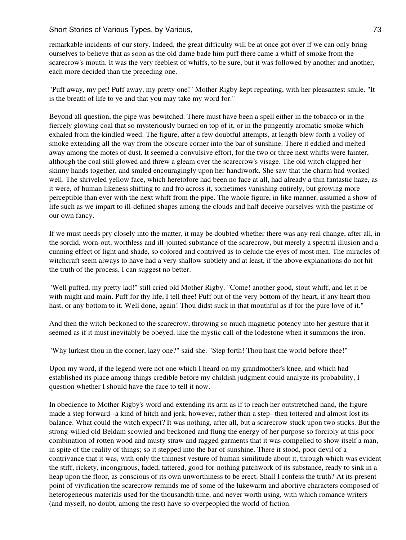remarkable incidents of our story. Indeed, the great difficulty will be at once got over if we can only bring ourselves to believe that as soon as the old dame bade him puff there came a whiff of smoke from the scarecrow's mouth. It was the very feeblest of whiffs, to be sure, but it was followed by another and another, each more decided than the preceding one.

"Puff away, my pet! Puff away, my pretty one!" Mother Rigby kept repeating, with her pleasantest smile. "It is the breath of life to ye and that you may take my word for."

Beyond all question, the pipe was bewitched. There must have been a spell either in the tobacco or in the fiercely glowing coal that so mysteriously burned on top of it, or in the pungently aromatic smoke which exhaled from the kindled weed. The figure, after a few doubtful attempts, at length blew forth a volley of smoke extending all the way from the obscure corner into the bar of sunshine. There it eddied and melted away among the motes of dust. It seemed a convulsive effort, for the two or three next whiffs were fainter, although the coal still glowed and threw a gleam over the scarecrow's visage. The old witch clapped her skinny hands together, and smiled encouragingly upon her handiwork. She saw that the charm had worked well. The shriveled yellow face, which heretofore had been no face at all, had already a thin fantastic haze, as it were, of human likeness shifting to and fro across it, sometimes vanishing entirely, but growing more perceptible than ever with the next whiff from the pipe. The whole figure, in like manner, assumed a show of life such as we impart to ill-defined shapes among the clouds and half deceive ourselves with the pastime of our own fancy.

If we must needs pry closely into the matter, it may be doubted whether there was any real change, after all, in the sordid, worn-out, worthless and ill-jointed substance of the scarecrow, but merely a spectral illusion and a cunning effect of light and shade, so colored and contrived as to delude the eyes of most men. The miracles of witchcraft seem always to have had a very shallow subtlety and at least, if the above explanations do not hit the truth of the process, I can suggest no better.

"Well puffed, my pretty lad!" still cried old Mother Rigby. "Come! another good, stout whiff, and let it be with might and main. Puff for thy life, I tell thee! Puff out of the very bottom of thy heart, if any heart thou hast, or any bottom to it. Well done, again! Thou didst suck in that mouthful as if for the pure love of it."

And then the witch beckoned to the scarecrow, throwing so much magnetic potency into her gesture that it seemed as if it must inevitably be obeyed, like the mystic call of the lodestone when it summons the iron.

"Why lurkest thou in the corner, lazy one?" said she. "Step forth! Thou hast the world before thee!"

Upon my word, if the legend were not one which I heard on my grandmother's knee, and which had established its place among things credible before my childish judgment could analyze its probability, I question whether I should have the face to tell it now.

In obedience to Mother Rigby's word and extending its arm as if to reach her outstretched hand, the figure made a step forward--a kind of hitch and jerk, however, rather than a step--then tottered and almost lost its balance. What could the witch expect? It was nothing, after all, but a scarecrow stuck upon two sticks. But the strong-willed old Beldam scowled and beckoned and flung the energy of her purpose so forcibly at this poor combination of rotten wood and musty straw and ragged garments that it was compelled to show itself a man, in spite of the reality of things; so it stepped into the bar of sunshine. There it stood, poor devil of a contrivance that it was, with only the thinnest vesture of human similitude about it, through which was evident the stiff, rickety, incongruous, faded, tattered, good-for-nothing patchwork of its substance, ready to sink in a heap upon the floor, as conscious of its own unworthiness to be erect. Shall I confess the truth? At its present point of vivification the scarecrow reminds me of some of the lukewarm and abortive characters composed of heterogeneous materials used for the thousandth time, and never worth using, with which romance writers (and myself, no doubt, among the rest) have so overpeopled the world of fiction.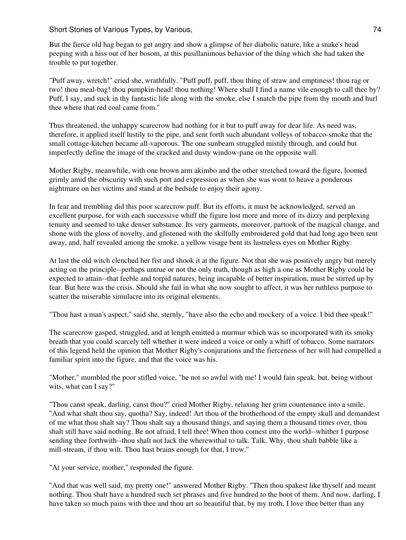But the fierce old hag began to get angry and show a glimpse of her diabolic nature, like a snake's head peeping with a hiss out of her bosom, at this pusillanimous behavior of the thing which she had taken the trouble to put together.

"Puff away, wretch!" cried she, wrathfully. "Puff puff, puff, thou thing of straw and emptiness! thou rag or two! thou meal-bag! thou pumpkin-head! thou nothing! Where shall I find a name vile enough to call thee by? Puff, I say, and suck in thy fantastic life along with the smoke, else I snatch the pipe from thy mouth and hurl thee where that red coal came from."

Thus threatened, the unhappy scarecrow had nothing for it but to puff away for dear life. As need was, therefore, it applied itself lustily to the pipe, and sent forth such abundant volleys of tobacco-smoke that the small cottage-kitchen became all-vaporous. The one sunbeam struggled mistily through, and could but imperfectly define the image of the cracked and dusty window-pane on the opposite wall.

Mother Rigby, meanwhile, with one brown arm akimbo and the other stretched toward the figure, loomed grimly amid the obscurity with such port and expression as when she was wont to heave a ponderous nightmare on her victims and stand at the bedside to enjoy their agony.

In fear and trembling did this poor scarecrow puff. But its efforts, it must be acknowledged, served an excellent purpose, for with each successive whiff the figure lost more and more of its dizzy and perplexing tenuity and seemed to take denser substance. Its very garments, moreover, partook of the magical change, and shone with the gloss of novelty, and glistened with the skilfully embroidered gold that had long ago been rent away, and, half revealed among the smoke, a yellow visage bent its lustreless eyes on Mother Rigby.

At last the old witch clenched her fist and shook it at the figure. Not that she was positively angry but merely acting on the principle--perhaps untrue or not the only truth, though as high a one as Mother Rigby could be expected to attain--that feeble and torpid natures, being incapable of better inspiration, must be stirred up by fear. But here was the crisis. Should she fail in what she now sought to affect, it was her ruthless purpose to scatter the miserable simulacre into its original elements.

"Thou hast a man's aspect," said she, sternly, "have also the echo and mockery of a voice. I bid thee speak!"

The scarecrow gasped, struggled, and at length emitted a murmur which was so incorporated with its smoky breath that you could scarcely tell whether it were indeed a voice or only a whiff of tobacco. Some narrators of this legend held the opinion that Mother Rigby's conjurations and the fierceness of her will had compelled a familiar spirit into the figure, and that the voice was his.

"Mother," mumbled the poor stifled voice, "be not so awful with me! I would fain speak, but, being without wits, what can I say?"

"Thou canst speak, darling, canst thou?" cried Mother Rigby, relaxing her grim countenance into a smile. "And what shalt thou say, quotha? Say, indeed! Art thou of the brotherhood of the empty skull and demandest of me what thou shalt say? Thou shalt say a thousand things, and saying them a thousand times over, thou shalt still have said nothing. Be not afraid, I tell thee! When thou comest into the world--whither I purpose sending thee forthwith--thou shalt not lack the wherewithal to talk. Talk. Why, thou shalt babble like a mill-stream, if thou wilt. Thou hast brains enough for that, I trow."

"At your service, mother," responded the figure.

"And that was well said, my pretty one!" answered Mother Rigby. "Then thou spakest like thyself and meant nothing. Thou shalt have a hundred such set phrases and five hundred to the boot of them. And now, darling, I have taken so much pains with thee and thou art so beautiful that, by my troth, I love thee better than any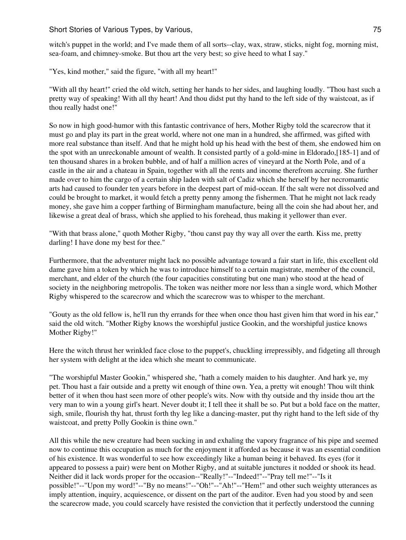witch's puppet in the world; and I've made them of all sorts--clay, wax, straw, sticks, night fog, morning mist, sea-foam, and chimney-smoke. But thou art the very best; so give heed to what I say."

"Yes, kind mother," said the figure, "with all my heart!"

"With all thy heart!" cried the old witch, setting her hands to her sides, and laughing loudly. "Thou hast such a pretty way of speaking! With all thy heart! And thou didst put thy hand to the left side of thy waistcoat, as if thou really hadst one!"

So now in high good-humor with this fantastic contrivance of hers, Mother Rigby told the scarecrow that it must go and play its part in the great world, where not one man in a hundred, she affirmed, was gifted with more real substance than itself. And that he might hold up his head with the best of them, she endowed him on the spot with an unreckonable amount of wealth. It consisted partly of a gold-mine in Eldorado,[185-1] and of ten thousand shares in a broken bubble, and of half a million acres of vineyard at the North Pole, and of a castle in the air and a chateau in Spain, together with all the rents and income therefrom accruing. She further made over to him the cargo of a certain ship laden with salt of Cadiz which she herself by her necromantic arts had caused to founder ten years before in the deepest part of mid-ocean. If the salt were not dissolved and could be brought to market, it would fetch a pretty penny among the fishermen. That he might not lack ready money, she gave him a copper farthing of Birmingham manufacture, being all the coin she had about her, and likewise a great deal of brass, which she applied to his forehead, thus making it yellower than ever.

"With that brass alone," quoth Mother Rigby, "thou canst pay thy way all over the earth. Kiss me, pretty darling! I have done my best for thee."

Furthermore, that the adventurer might lack no possible advantage toward a fair start in life, this excellent old dame gave him a token by which he was to introduce himself to a certain magistrate, member of the council, merchant, and elder of the church (the four capacities constituting but one man) who stood at the head of society in the neighboring metropolis. The token was neither more nor less than a single word, which Mother Rigby whispered to the scarecrow and which the scarecrow was to whisper to the merchant.

"Gouty as the old fellow is, he'll run thy errands for thee when once thou hast given him that word in his ear," said the old witch. "Mother Rigby knows the worshipful justice Gookin, and the worshipful justice knows Mother Rigby!"

Here the witch thrust her wrinkled face close to the puppet's, chuckling irrepressibly, and fidgeting all through her system with delight at the idea which she meant to communicate.

"The worshipful Master Gookin," whispered she, "hath a comely maiden to his daughter. And hark ye, my pet. Thou hast a fair outside and a pretty wit enough of thine own. Yea, a pretty wit enough! Thou wilt think better of it when thou hast seen more of other people's wits. Now with thy outside and thy inside thou art the very man to win a young girl's heart. Never doubt it; I tell thee it shall be so. Put but a bold face on the matter, sigh, smile, flourish thy hat, thrust forth thy leg like a dancing-master, put thy right hand to the left side of thy waistcoat, and pretty Polly Gookin is thine own."

All this while the new creature had been sucking in and exhaling the vapory fragrance of his pipe and seemed now to continue this occupation as much for the enjoyment it afforded as because it was an essential condition of his existence. It was wonderful to see how exceedingly like a human being it behaved. Its eyes (for it appeared to possess a pair) were bent on Mother Rigby, and at suitable junctures it nodded or shook its head. Neither did it lack words proper for the occasion--"Really!"--"Indeed!"--"Pray tell me!"--"Is it possible!"--"Upon my word!"--"By no means!"--"Oh!"--"Ah!"--"Hem!" and other such weighty utterances as imply attention, inquiry, acquiescence, or dissent on the part of the auditor. Even had you stood by and seen the scarecrow made, you could scarcely have resisted the conviction that it perfectly understood the cunning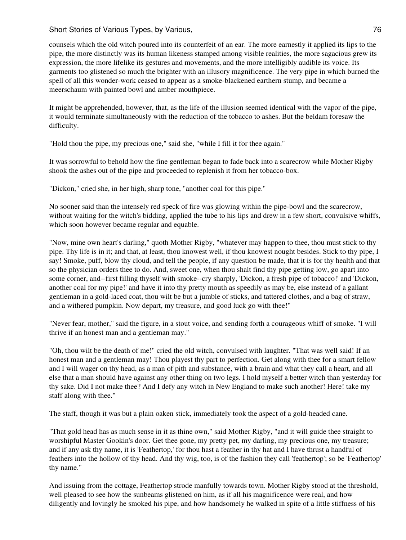counsels which the old witch poured into its counterfeit of an ear. The more earnestly it applied its lips to the pipe, the more distinctly was its human likeness stamped among visible realities, the more sagacious grew its expression, the more lifelike its gestures and movements, and the more intelligibly audible its voice. Its garments too glistened so much the brighter with an illusory magnificence. The very pipe in which burned the spell of all this wonder-work ceased to appear as a smoke-blackened earthern stump, and became a meerschaum with painted bowl and amber mouthpiece.

It might be apprehended, however, that, as the life of the illusion seemed identical with the vapor of the pipe, it would terminate simultaneously with the reduction of the tobacco to ashes. But the beldam foresaw the difficulty.

"Hold thou the pipe, my precious one," said she, "while I fill it for thee again."

It was sorrowful to behold how the fine gentleman began to fade back into a scarecrow while Mother Rigby shook the ashes out of the pipe and proceeded to replenish it from her tobacco-box.

"Dickon," cried she, in her high, sharp tone, "another coal for this pipe."

No sooner said than the intensely red speck of fire was glowing within the pipe-bowl and the scarecrow, without waiting for the witch's bidding, applied the tube to his lips and drew in a few short, convulsive whiffs, which soon however became regular and equable.

"Now, mine own heart's darling," quoth Mother Rigby, "whatever may happen to thee, thou must stick to thy pipe. Thy life is in it; and that, at least, thou knowest well, if thou knowest nought besides. Stick to thy pipe, I say! Smoke, puff, blow thy cloud, and tell the people, if any question be made, that it is for thy health and that so the physician orders thee to do. And, sweet one, when thou shalt find thy pipe getting low, go apart into some corner, and--first filling thyself with smoke--cry sharply, 'Dickon, a fresh pipe of tobacco!' and 'Dickon, another coal for my pipe!' and have it into thy pretty mouth as speedily as may be, else instead of a gallant gentleman in a gold-laced coat, thou wilt be but a jumble of sticks, and tattered clothes, and a bag of straw, and a withered pumpkin. Now depart, my treasure, and good luck go with thee!"

"Never fear, mother," said the figure, in a stout voice, and sending forth a courageous whiff of smoke. "I will thrive if an honest man and a gentleman may."

"Oh, thou wilt be the death of me!" cried the old witch, convulsed with laughter. "That was well said! If an honest man and a gentleman may! Thou playest thy part to perfection. Get along with thee for a smart fellow and I will wager on thy head, as a man of pith and substance, with a brain and what they call a heart, and all else that a man should have against any other thing on two legs. I hold myself a better witch than yesterday for thy sake. Did I not make thee? And I defy any witch in New England to make such another! Here! take my staff along with thee."

The staff, though it was but a plain oaken stick, immediately took the aspect of a gold-headed cane.

"That gold head has as much sense in it as thine own," said Mother Rigby, "and it will guide thee straight to worshipful Master Gookin's door. Get thee gone, my pretty pet, my darling, my precious one, my treasure; and if any ask thy name, it is 'Feathertop,' for thou hast a feather in thy hat and I have thrust a handful of feathers into the hollow of thy head. And thy wig, too, is of the fashion they call 'feathertop'; so be 'Feathertop' thy name."

And issuing from the cottage, Feathertop strode manfully towards town. Mother Rigby stood at the threshold, well pleased to see how the sunbeams glistened on him, as if all his magnificence were real, and how diligently and lovingly he smoked his pipe, and how handsomely he walked in spite of a little stiffness of his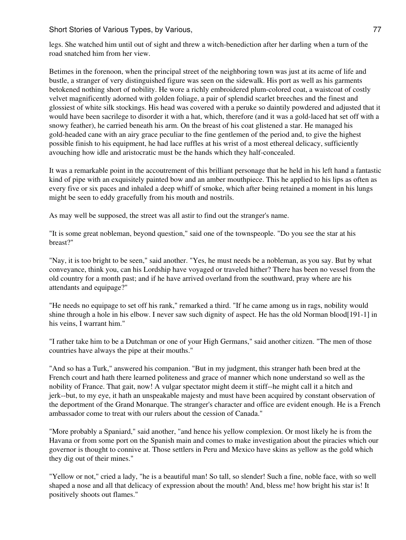Short Stories of Various Types, by Various, 77 and 77 and 77 and 77 and 77 and 77 and 77 and 77 and 77 and 77

legs. She watched him until out of sight and threw a witch-benediction after her darling when a turn of the road snatched him from her view.

Betimes in the forenoon, when the principal street of the neighboring town was just at its acme of life and bustle, a stranger of very distinguished figure was seen on the sidewalk. His port as well as his garments betokened nothing short of nobility. He wore a richly embroidered plum-colored coat, a waistcoat of costly velvet magnificently adorned with golden foliage, a pair of splendid scarlet breeches and the finest and glossiest of white silk stockings. His head was covered with a peruke so daintily powdered and adjusted that it would have been sacrilege to disorder it with a hat, which, therefore (and it was a gold-laced hat set off with a snowy feather), he carried beneath his arm. On the breast of his coat glistened a star. He managed his gold-headed cane with an airy grace peculiar to the fine gentlemen of the period and, to give the highest possible finish to his equipment, he had lace ruffles at his wrist of a most ethereal delicacy, sufficiently avouching how idle and aristocratic must be the hands which they half-concealed.

It was a remarkable point in the accoutrement of this brilliant personage that he held in his left hand a fantastic kind of pipe with an exquisitely painted bow and an amber mouthpiece. This he applied to his lips as often as every five or six paces and inhaled a deep whiff of smoke, which after being retained a moment in his lungs might be seen to eddy gracefully from his mouth and nostrils.

As may well be supposed, the street was all astir to find out the stranger's name.

"It is some great nobleman, beyond question," said one of the townspeople. "Do you see the star at his breast?"

"Nay, it is too bright to be seen," said another. "Yes, he must needs be a nobleman, as you say. But by what conveyance, think you, can his Lordship have voyaged or traveled hither? There has been no vessel from the old country for a month past; and if he have arrived overland from the southward, pray where are his attendants and equipage?"

"He needs no equipage to set off his rank," remarked a third. "If he came among us in rags, nobility would shine through a hole in his elbow. I never saw such dignity of aspect. He has the old Norman blood[191-1] in his veins, I warrant him."

"I rather take him to be a Dutchman or one of your High Germans," said another citizen. "The men of those countries have always the pipe at their mouths."

"And so has a Turk," answered his companion. "But in my judgment, this stranger hath been bred at the French court and hath there learned politeness and grace of manner which none understand so well as the nobility of France. That gait, now! A vulgar spectator might deem it stiff--he might call it a hitch and jerk--but, to my eye, it hath an unspeakable majesty and must have been acquired by constant observation of the deportment of the Grand Monarque. The stranger's character and office are evident enough. He is a French ambassador come to treat with our rulers about the cession of Canada."

"More probably a Spaniard," said another, "and hence his yellow complexion. Or most likely he is from the Havana or from some port on the Spanish main and comes to make investigation about the piracies which our governor is thought to connive at. Those settlers in Peru and Mexico have skins as yellow as the gold which they dig out of their mines."

"Yellow or not," cried a lady, "he is a beautiful man! So tall, so slender! Such a fine, noble face, with so well shaped a nose and all that delicacy of expression about the mouth! And, bless me! how bright his star is! It positively shoots out flames."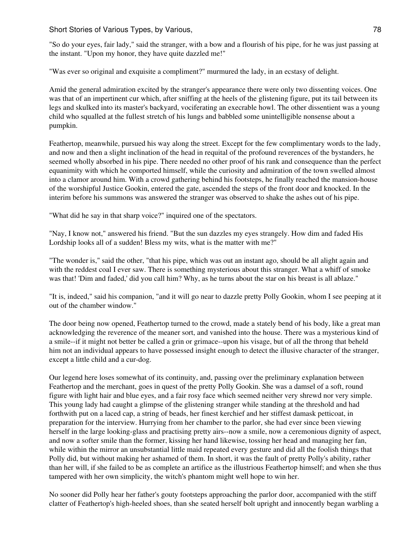"So do your eyes, fair lady," said the stranger, with a bow and a flourish of his pipe, for he was just passing at the instant. "Upon my honor, they have quite dazzled me!"

"Was ever so original and exquisite a compliment?" murmured the lady, in an ecstasy of delight.

Amid the general admiration excited by the stranger's appearance there were only two dissenting voices. One was that of an impertinent cur which, after sniffing at the heels of the glistening figure, put its tail between its legs and skulked into its master's backyard, vociferating an execrable howl. The other dissentient was a young child who squalled at the fullest stretch of his lungs and babbled some unintelligible nonsense about a pumpkin.

Feathertop, meanwhile, pursued his way along the street. Except for the few complimentary words to the lady, and now and then a slight inclination of the head in requital of the profound reverences of the bystanders, he seemed wholly absorbed in his pipe. There needed no other proof of his rank and consequence than the perfect equanimity with which he comported himself, while the curiosity and admiration of the town swelled almost into a clamor around him. With a crowd gathering behind his footsteps, he finally reached the mansion-house of the worshipful Justice Gookin, entered the gate, ascended the steps of the front door and knocked. In the interim before his summons was answered the stranger was observed to shake the ashes out of his pipe.

"What did he say in that sharp voice?" inquired one of the spectators.

"Nay, I know not," answered his friend. "But the sun dazzles my eyes strangely. How dim and faded His Lordship looks all of a sudden! Bless my wits, what is the matter with me?"

"The wonder is," said the other, "that his pipe, which was out an instant ago, should be all alight again and with the reddest coal I ever saw. There is something mysterious about this stranger. What a whiff of smoke was that! 'Dim and faded,' did you call him? Why, as he turns about the star on his breast is all ablaze."

"It is, indeed," said his companion, "and it will go near to dazzle pretty Polly Gookin, whom I see peeping at it out of the chamber window."

The door being now opened, Feathertop turned to the crowd, made a stately bend of his body, like a great man acknowledging the reverence of the meaner sort, and vanished into the house. There was a mysterious kind of a smile--if it might not better be called a grin or grimace--upon his visage, but of all the throng that beheld him not an individual appears to have possessed insight enough to detect the illusive character of the stranger, except a little child and a cur-dog.

Our legend here loses somewhat of its continuity, and, passing over the preliminary explanation between Feathertop and the merchant, goes in quest of the pretty Polly Gookin. She was a damsel of a soft, round figure with light hair and blue eyes, and a fair rosy face which seemed neither very shrewd nor very simple. This young lady had caught a glimpse of the glistening stranger while standing at the threshold and had forthwith put on a laced cap, a string of beads, her finest kerchief and her stiffest damask petticoat, in preparation for the interview. Hurrying from her chamber to the parlor, she had ever since been viewing herself in the large looking-glass and practising pretty airs--now a smile, now a ceremonious dignity of aspect, and now a softer smile than the former, kissing her hand likewise, tossing her head and managing her fan, while within the mirror an unsubstantial little maid repeated every gesture and did all the foolish things that Polly did, but without making her ashamed of them. In short, it was the fault of pretty Polly's ability, rather than her will, if she failed to be as complete an artifice as the illustrious Feathertop himself; and when she thus tampered with her own simplicity, the witch's phantom might well hope to win her.

No sooner did Polly hear her father's gouty footsteps approaching the parlor door, accompanied with the stiff clatter of Feathertop's high-heeled shoes, than she seated herself bolt upright and innocently began warbling a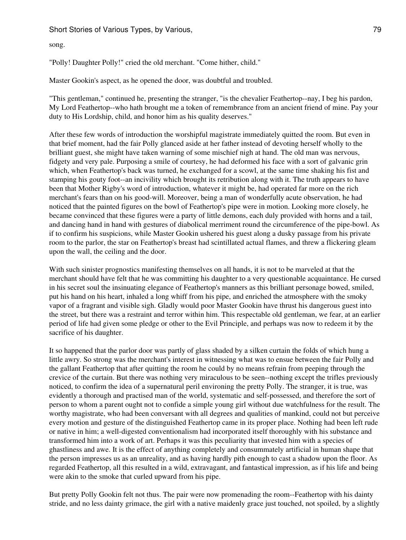song.

"Polly! Daughter Polly!" cried the old merchant. "Come hither, child."

Master Gookin's aspect, as he opened the door, was doubtful and troubled.

"This gentleman," continued he, presenting the stranger, "is the chevalier Feathertop--nay, I beg his pardon, My Lord Feathertop--who hath brought me a token of remembrance from an ancient friend of mine. Pay your duty to His Lordship, child, and honor him as his quality deserves."

After these few words of introduction the worshipful magistrate immediately quitted the room. But even in that brief moment, had the fair Polly glanced aside at her father instead of devoting herself wholly to the brilliant guest, she might have taken warning of some mischief nigh at hand. The old man was nervous, fidgety and very pale. Purposing a smile of courtesy, he had deformed his face with a sort of galvanic grin which, when Feathertop's back was turned, he exchanged for a scowl, at the same time shaking his fist and stamping his gouty foot--an incivility which brought its retribution along with it. The truth appears to have been that Mother Rigby's word of introduction, whatever it might be, had operated far more on the rich merchant's fears than on his good-will. Moreover, being a man of wonderfully acute observation, he had noticed that the painted figures on the bowl of Feathertop's pipe were in motion. Looking more closely, he became convinced that these figures were a party of little demons, each duly provided with horns and a tail, and dancing hand in hand with gestures of diabolical merriment round the circumference of the pipe-bowl. As if to confirm his suspicions, while Master Gookin ushered his guest along a dusky passage from his private room to the parlor, the star on Feathertop's breast had scintillated actual flames, and threw a flickering gleam upon the wall, the ceiling and the door.

With such sinister prognostics manifesting themselves on all hands, it is not to be marveled at that the merchant should have felt that he was committing his daughter to a very questionable acquaintance. He cursed in his secret soul the insinuating elegance of Feathertop's manners as this brilliant personage bowed, smiled, put his hand on his heart, inhaled a long whiff from his pipe, and enriched the atmosphere with the smoky vapor of a fragrant and visible sigh. Gladly would poor Master Gookin have thrust his dangerous guest into the street, but there was a restraint and terror within him. This respectable old gentleman, we fear, at an earlier period of life had given some pledge or other to the Evil Principle, and perhaps was now to redeem it by the sacrifice of his daughter.

It so happened that the parlor door was partly of glass shaded by a silken curtain the folds of which hung a little awry. So strong was the merchant's interest in witnessing what was to ensue between the fair Polly and the gallant Feathertop that after quitting the room he could by no means refrain from peeping through the crevice of the curtain. But there was nothing very miraculous to be seen--nothing except the trifles previously noticed, to confirm the idea of a supernatural peril environing the pretty Polly. The stranger, it is true, was evidently a thorough and practised man of the world, systematic and self-possessed, and therefore the sort of person to whom a parent ought not to confide a simple young girl without due watchfulness for the result. The worthy magistrate, who had been conversant with all degrees and qualities of mankind, could not but perceive every motion and gesture of the distinguished Feathertop came in its proper place. Nothing had been left rude or native in him; a well-digested conventionalism had incorporated itself thoroughly with his substance and transformed him into a work of art. Perhaps it was this peculiarity that invested him with a species of ghastliness and awe. It is the effect of anything completely and consummately artificial in human shape that the person impresses us as an unreality, and as having hardly pith enough to cast a shadow upon the floor. As regarded Feathertop, all this resulted in a wild, extravagant, and fantastical impression, as if his life and being were akin to the smoke that curled upward from his pipe.

But pretty Polly Gookin felt not thus. The pair were now promenading the room--Feathertop with his dainty stride, and no less dainty grimace, the girl with a native maidenly grace just touched, not spoiled, by a slightly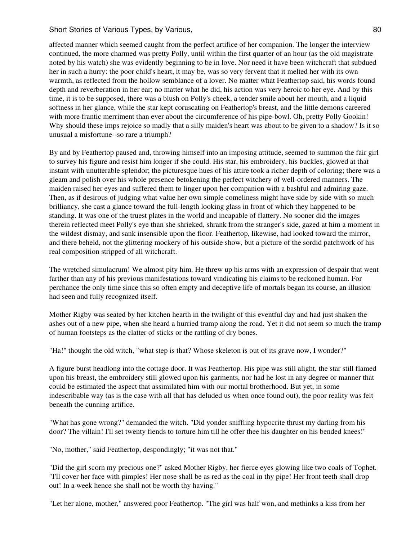## Short Stories of Various Types, by Various, 80 and 80 and 80 and 80 and 80 and 80 and 80 and 80 and 80 and 80 and 80 and 80 and 80 and 80 and 80 and 80 and 80 and 80 and 80 and 80 and 80 and 80 and 80 and 80 and 80 and 80

affected manner which seemed caught from the perfect artifice of her companion. The longer the interview continued, the more charmed was pretty Polly, until within the first quarter of an hour (as the old magistrate noted by his watch) she was evidently beginning to be in love. Nor need it have been witchcraft that subdued her in such a hurry: the poor child's heart, it may be, was so very fervent that it melted her with its own warmth, as reflected from the hollow semblance of a lover. No matter what Feathertop said, his words found depth and reverberation in her ear; no matter what he did, his action was very heroic to her eye. And by this time, it is to be supposed, there was a blush on Polly's cheek, a tender smile about her mouth, and a liquid softness in her glance, while the star kept coruscating on Feathertop's breast, and the little demons careered with more frantic merriment than ever about the circumference of his pipe-bowl. Oh, pretty Polly Gookin! Why should these imps rejoice so madly that a silly maiden's heart was about to be given to a shadow? Is it so unusual a misfortune--so rare a triumph?

By and by Feathertop paused and, throwing himself into an imposing attitude, seemed to summon the fair girl to survey his figure and resist him longer if she could. His star, his embroidery, his buckles, glowed at that instant with unutterable splendor; the picturesque hues of his attire took a richer depth of coloring; there was a gleam and polish over his whole presence betokening the perfect witchery of well-ordered manners. The maiden raised her eyes and suffered them to linger upon her companion with a bashful and admiring gaze. Then, as if desirous of judging what value her own simple comeliness might have side by side with so much brilliancy, she cast a glance toward the full-length looking glass in front of which they happened to be standing. It was one of the truest plates in the world and incapable of flattery. No sooner did the images therein reflected meet Polly's eye than she shrieked, shrank from the stranger's side, gazed at him a moment in the wildest dismay, and sank insensible upon the floor. Feathertop, likewise, had looked toward the mirror, and there beheld, not the glittering mockery of his outside show, but a picture of the sordid patchwork of his real composition stripped of all witchcraft.

The wretched simulacrum! We almost pity him. He threw up his arms with an expression of despair that went farther than any of his previous manifestations toward vindicating his claims to be reckoned human. For perchance the only time since this so often empty and deceptive life of mortals began its course, an illusion had seen and fully recognized itself.

Mother Rigby was seated by her kitchen hearth in the twilight of this eventful day and had just shaken the ashes out of a new pipe, when she heard a hurried tramp along the road. Yet it did not seem so much the tramp of human footsteps as the clatter of sticks or the rattling of dry bones.

"Ha!" thought the old witch, "what step is that? Whose skeleton is out of its grave now, I wonder?"

A figure burst headlong into the cottage door. It was Feathertop. His pipe was still alight, the star still flamed upon his breast, the embroidery still glowed upon his garments, nor had he lost in any degree or manner that could be estimated the aspect that assimilated him with our mortal brotherhood. But yet, in some indescribable way (as is the case with all that has deluded us when once found out), the poor reality was felt beneath the cunning artifice.

"What has gone wrong?" demanded the witch. "Did yonder sniffling hypocrite thrust my darling from his door? The villain! I'll set twenty fiends to torture him till he offer thee his daughter on his bended knees!"

"No, mother," said Feathertop, despondingly; "it was not that."

"Did the girl scorn my precious one?" asked Mother Rigby, her fierce eyes glowing like two coals of Tophet. "I'll cover her face with pimples! Her nose shall be as red as the coal in thy pipe! Her front teeth shall drop out! In a week hence she shall not be worth thy having."

"Let her alone, mother," answered poor Feathertop. "The girl was half won, and methinks a kiss from her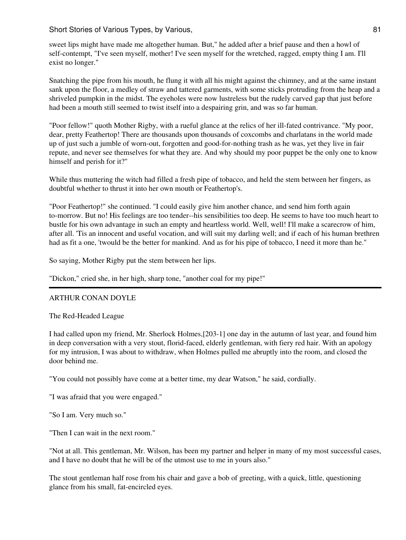sweet lips might have made me altogether human. But," he added after a brief pause and then a howl of self-contempt, "I've seen myself, mother! I've seen myself for the wretched, ragged, empty thing I am. I'll exist no longer."

Snatching the pipe from his mouth, he flung it with all his might against the chimney, and at the same instant sank upon the floor, a medley of straw and tattered garments, with some sticks protruding from the heap and a shriveled pumpkin in the midst. The eyeholes were now lustreless but the rudely carved gap that just before had been a mouth still seemed to twist itself into a despairing grin, and was so far human.

"Poor fellow!" quoth Mother Rigby, with a rueful glance at the relics of her ill-fated contrivance. "My poor, dear, pretty Feathertop! There are thousands upon thousands of coxcombs and charlatans in the world made up of just such a jumble of worn-out, forgotten and good-for-nothing trash as he was, yet they live in fair repute, and never see themselves for what they are. And why should my poor puppet be the only one to know himself and perish for it?"

While thus muttering the witch had filled a fresh pipe of tobacco, and held the stem between her fingers, as doubtful whether to thrust it into her own mouth or Feathertop's.

"Poor Feathertop!" she continued. "I could easily give him another chance, and send him forth again to-morrow. But no! His feelings are too tender--his sensibilities too deep. He seems to have too much heart to bustle for his own advantage in such an empty and heartless world. Well, well! I'll make a scarecrow of him, after all. 'Tis an innocent and useful vocation, and will suit my darling well; and if each of his human brethren had as fit a one, 'twould be the better for mankind. And as for his pipe of tobacco, I need it more than he."

So saying, Mother Rigby put the stem between her lips.

"Dickon," cried she, in her high, sharp tone, "another coal for my pipe!"

### ARTHUR CONAN DOYLE

The Red-Headed League

I had called upon my friend, Mr. Sherlock Holmes,[203-1] one day in the autumn of last year, and found him in deep conversation with a very stout, florid-faced, elderly gentleman, with fiery red hair. With an apology for my intrusion, I was about to withdraw, when Holmes pulled me abruptly into the room, and closed the door behind me.

"You could not possibly have come at a better time, my dear Watson," he said, cordially.

"I was afraid that you were engaged."

"So I am. Very much so."

"Then I can wait in the next room."

"Not at all. This gentleman, Mr. Wilson, has been my partner and helper in many of my most successful cases, and I have no doubt that he will be of the utmost use to me in yours also."

The stout gentleman half rose from his chair and gave a bob of greeting, with a quick, little, questioning glance from his small, fat-encircled eyes.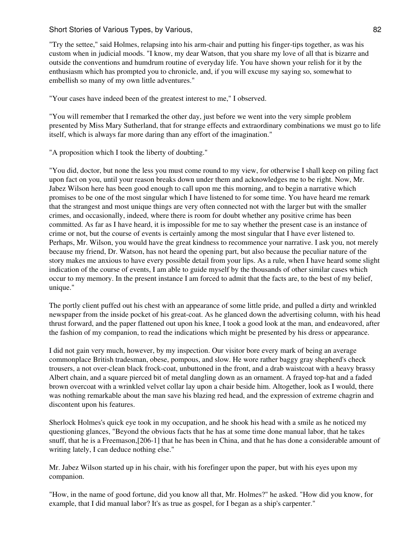"Try the settee," said Holmes, relapsing into his arm-chair and putting his finger-tips together, as was his custom when in judicial moods. "I know, my dear Watson, that you share my love of all that is bizarre and outside the conventions and humdrum routine of everyday life. You have shown your relish for it by the enthusiasm which has prompted you to chronicle, and, if you will excuse my saying so, somewhat to embellish so many of my own little adventures."

"Your cases have indeed been of the greatest interest to me," I observed.

"You will remember that I remarked the other day, just before we went into the very simple problem presented by Miss Mary Sutherland, that for strange effects and extraordinary combinations we must go to life itself, which is always far more daring than any effort of the imagination."

"A proposition which I took the liberty of doubting."

"You did, doctor, but none the less you must come round to my view, for otherwise I shall keep on piling fact upon fact on you, until your reason breaks down under them and acknowledges me to be right. Now, Mr. Jabez Wilson here has been good enough to call upon me this morning, and to begin a narrative which promises to be one of the most singular which I have listened to for some time. You have heard me remark that the strangest and most unique things are very often connected not with the larger but with the smaller crimes, and occasionally, indeed, where there is room for doubt whether any positive crime has been committed. As far as I have heard, it is impossible for me to say whether the present case is an instance of crime or not, but the course of events is certainly among the most singular that I have ever listened to. Perhaps, Mr. Wilson, you would have the great kindness to recommence your narrative. I ask you, not merely because my friend, Dr. Watson, has not heard the opening part, but also because the peculiar nature of the story makes me anxious to have every possible detail from your lips. As a rule, when I have heard some slight indication of the course of events, I am able to guide myself by the thousands of other similar cases which occur to my memory. In the present instance I am forced to admit that the facts are, to the best of my belief, unique."

The portly client puffed out his chest with an appearance of some little pride, and pulled a dirty and wrinkled newspaper from the inside pocket of his great-coat. As he glanced down the advertising column, with his head thrust forward, and the paper flattened out upon his knee, I took a good look at the man, and endeavored, after the fashion of my companion, to read the indications which might be presented by his dress or appearance.

I did not gain very much, however, by my inspection. Our visitor bore every mark of being an average commonplace British tradesman, obese, pompous, and slow. He wore rather baggy gray shepherd's check trousers, a not over-clean black frock-coat, unbuttoned in the front, and a drab waistcoat with a heavy brassy Albert chain, and a square pierced bit of metal dangling down as an ornament. A frayed top-hat and a faded brown overcoat with a wrinkled velvet collar lay upon a chair beside him. Altogether, look as I would, there was nothing remarkable about the man save his blazing red head, and the expression of extreme chagrin and discontent upon his features.

Sherlock Holmes's quick eye took in my occupation, and he shook his head with a smile as he noticed my questioning glances, "Beyond the obvious facts that he has at some time done manual labor, that he takes snuff, that he is a Freemason,[206-1] that he has been in China, and that he has done a considerable amount of writing lately, I can deduce nothing else."

Mr. Jabez Wilson started up in his chair, with his forefinger upon the paper, but with his eyes upon my companion.

"How, in the name of good fortune, did you know all that, Mr. Holmes?" he asked. "How did you know, for example, that I did manual labor? It's as true as gospel, for I began as a ship's carpenter."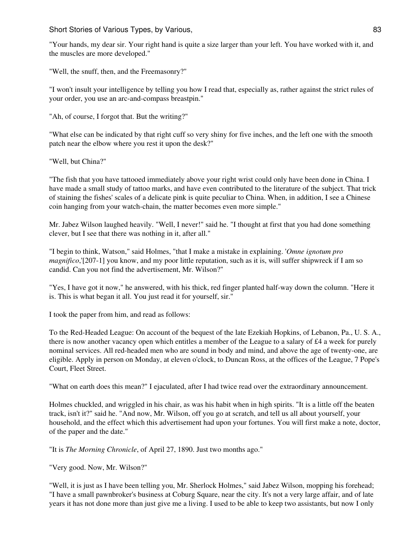"Your hands, my dear sir. Your right hand is quite a size larger than your left. You have worked with it, and the muscles are more developed."

"Well, the snuff, then, and the Freemasonry?"

"I won't insult your intelligence by telling you how I read that, especially as, rather against the strict rules of your order, you use an arc-and-compass breastpin."

"Ah, of course, I forgot that. But the writing?"

"What else can be indicated by that right cuff so very shiny for five inches, and the left one with the smooth patch near the elbow where you rest it upon the desk?"

"Well, but China?"

"The fish that you have tattooed immediately above your right wrist could only have been done in China. I have made a small study of tattoo marks, and have even contributed to the literature of the subject. That trick of staining the fishes' scales of a delicate pink is quite peculiar to China. When, in addition, I see a Chinese coin hanging from your watch-chain, the matter becomes even more simple."

Mr. Jabez Wilson laughed heavily. "Well, I never!" said he. "I thought at first that you had done something clever, but I see that there was nothing in it, after all."

"I begin to think, Watson," said Holmes, "that I make a mistake in explaining. '*Omne ignotum pro magnifico*,'[207-1] you know, and my poor little reputation, such as it is, will suffer shipwreck if I am so candid. Can you not find the advertisement, Mr. Wilson?"

"Yes, I have got it now," he answered, with his thick, red finger planted half-way down the column. "Here it is. This is what began it all. You just read it for yourself, sir."

I took the paper from him, and read as follows:

To the Red-Headed League: On account of the bequest of the late Ezekiah Hopkins, of Lebanon, Pa., U. S. A., there is now another vacancy open which entitles a member of the League to a salary of £4 a week for purely nominal services. All red-headed men who are sound in body and mind, and above the age of twenty-one, are eligible. Apply in person on Monday, at eleven o'clock, to Duncan Ross, at the offices of the League, 7 Pope's Court, Fleet Street.

"What on earth does this mean?" I ejaculated, after I had twice read over the extraordinary announcement.

Holmes chuckled, and wriggled in his chair, as was his habit when in high spirits. "It is a little off the beaten track, isn't it?" said he. "And now, Mr. Wilson, off you go at scratch, and tell us all about yourself, your household, and the effect which this advertisement had upon your fortunes. You will first make a note, doctor, of the paper and the date."

"It is *The Morning Chronicle*, of April 27, 1890. Just two months ago."

"Very good. Now, Mr. Wilson?"

"Well, it is just as I have been telling you, Mr. Sherlock Holmes," said Jabez Wilson, mopping his forehead; "I have a small pawnbroker's business at Coburg Square, near the city. It's not a very large affair, and of late years it has not done more than just give me a living. I used to be able to keep two assistants, but now I only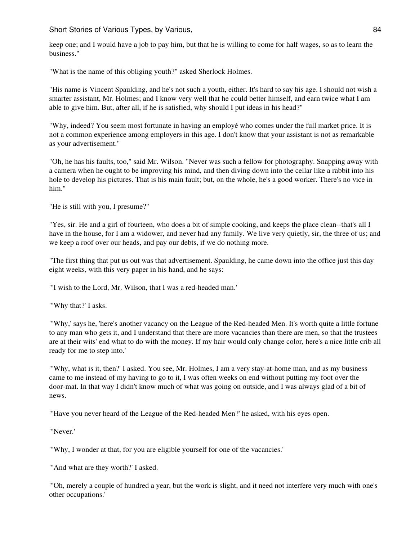keep one; and I would have a job to pay him, but that he is willing to come for half wages, so as to learn the business."

"What is the name of this obliging youth?" asked Sherlock Holmes.

"His name is Vincent Spaulding, and he's not such a youth, either. It's hard to say his age. I should not wish a smarter assistant, Mr. Holmes; and I know very well that he could better himself, and earn twice what I am able to give him. But, after all, if he is satisfied, why should I put ideas in his head?"

"Why, indeed? You seem most fortunate in having an employé who comes under the full market price. It is not a common experience among employers in this age. I don't know that your assistant is not as remarkable as your advertisement."

"Oh, he has his faults, too," said Mr. Wilson. "Never was such a fellow for photography. Snapping away with a camera when he ought to be improving his mind, and then diving down into the cellar like a rabbit into his hole to develop his pictures. That is his main fault; but, on the whole, he's a good worker. There's no vice in him."

"He is still with you, I presume?"

"Yes, sir. He and a girl of fourteen, who does a bit of simple cooking, and keeps the place clean--that's all I have in the house, for I am a widower, and never had any family. We live very quietly, sir, the three of us; and we keep a roof over our heads, and pay our debts, if we do nothing more.

"The first thing that put us out was that advertisement. Spaulding, he came down into the office just this day eight weeks, with this very paper in his hand, and he says:

"'I wish to the Lord, Mr. Wilson, that I was a red-headed man.'

"'Why that?' I asks.

"'Why,' says he, 'here's another vacancy on the League of the Red-headed Men. It's worth quite a little fortune to any man who gets it, and I understand that there are more vacancies than there are men, so that the trustees are at their wits' end what to do with the money. If my hair would only change color, here's a nice little crib all ready for me to step into.'

"'Why, what is it, then?' I asked. You see, Mr. Holmes, I am a very stay-at-home man, and as my business came to me instead of my having to go to it, I was often weeks on end without putting my foot over the door-mat. In that way I didn't know much of what was going on outside, and I was always glad of a bit of news.

"'Have you never heard of the League of the Red-headed Men?' he asked, with his eyes open.

"'Never.'

"'Why, I wonder at that, for you are eligible yourself for one of the vacancies.'

"'And what are they worth?' I asked.

"'Oh, merely a couple of hundred a year, but the work is slight, and it need not interfere very much with one's other occupations.'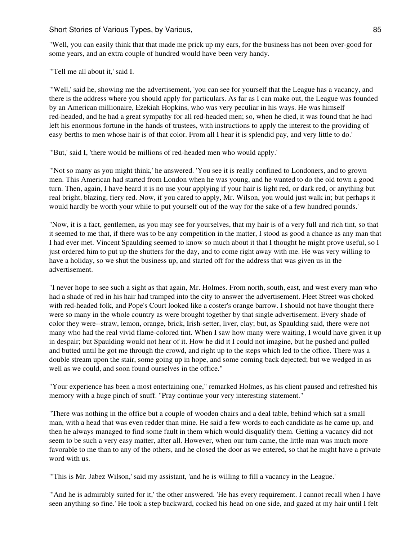"Well, you can easily think that that made me prick up my ears, for the business has not been over-good for some years, and an extra couple of hundred would have been very handy.

"'Tell me all about it,' said I.

"'Well,' said he, showing me the advertisement, 'you can see for yourself that the League has a vacancy, and there is the address where you should apply for particulars. As far as I can make out, the League was founded by an American millionaire, Ezekiah Hopkins, who was very peculiar in his ways. He was himself red-headed, and he had a great sympathy for all red-headed men; so, when he died, it was found that he had left his enormous fortune in the hands of trustees, with instructions to apply the interest to the providing of easy berths to men whose hair is of that color. From all I hear it is splendid pay, and very little to do.'

"'But,' said I, 'there would be millions of red-headed men who would apply.'

"'Not so many as you might think,' he answered. 'You see it is really confined to Londoners, and to grown men. This American had started from London when he was young, and he wanted to do the old town a good turn. Then, again, I have heard it is no use your applying if your hair is light red, or dark red, or anything but real bright, blazing, fiery red. Now, if you cared to apply, Mr. Wilson, you would just walk in; but perhaps it would hardly be worth your while to put yourself out of the way for the sake of a few hundred pounds.'

"Now, it is a fact, gentlemen, as you may see for yourselves, that my hair is of a very full and rich tint, so that it seemed to me that, if there was to be any competition in the matter, I stood as good a chance as any man that I had ever met. Vincent Spaulding seemed to know so much about it that I thought he might prove useful, so I just ordered him to put up the shutters for the day, and to come right away with me. He was very willing to have a holiday, so we shut the business up, and started off for the address that was given us in the advertisement.

"I never hope to see such a sight as that again, Mr. Holmes. From north, south, east, and west every man who had a shade of red in his hair had tramped into the city to answer the advertisement. Fleet Street was choked with red-headed folk, and Pope's Court looked like a coster's orange barrow. I should not have thought there were so many in the whole country as were brought together by that single advertisement. Every shade of color they were--straw, lemon, orange, brick, Irish-setter, liver, clay; but, as Spaulding said, there were not many who had the real vivid flame-colored tint. When I saw how many were waiting, I would have given it up in despair; but Spaulding would not hear of it. How he did it I could not imagine, but he pushed and pulled and butted until he got me through the crowd, and right up to the steps which led to the office. There was a double stream upon the stair, some going up in hope, and some coming back dejected; but we wedged in as well as we could, and soon found ourselves in the office."

"Your experience has been a most entertaining one," remarked Holmes, as his client paused and refreshed his memory with a huge pinch of snuff. "Pray continue your very interesting statement."

"There was nothing in the office but a couple of wooden chairs and a deal table, behind which sat a small man, with a head that was even redder than mine. He said a few words to each candidate as he came up, and then he always managed to find some fault in them which would disqualify them. Getting a vacancy did not seem to be such a very easy matter, after all. However, when our turn came, the little man was much more favorable to me than to any of the others, and he closed the door as we entered, so that he might have a private word with us.

"'This is Mr. Jabez Wilson,' said my assistant, 'and he is willing to fill a vacancy in the League.'

"'And he is admirably suited for it,' the other answered. 'He has every requirement. I cannot recall when I have seen anything so fine.' He took a step backward, cocked his head on one side, and gazed at my hair until I felt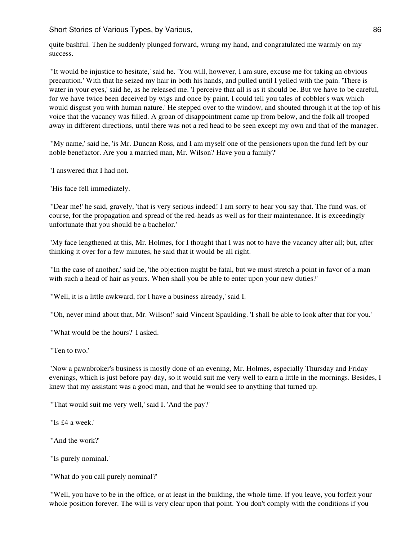quite bashful. Then he suddenly plunged forward, wrung my hand, and congratulated me warmly on my success.

"'It would be injustice to hesitate,' said he. 'You will, however, I am sure, excuse me for taking an obvious precaution.' With that he seized my hair in both his hands, and pulled until I yelled with the pain. 'There is water in your eyes,' said he, as he released me. 'I perceive that all is as it should be. But we have to be careful, for we have twice been deceived by wigs and once by paint. I could tell you tales of cobbler's wax which would disgust you with human nature.' He stepped over to the window, and shouted through it at the top of his voice that the vacancy was filled. A groan of disappointment came up from below, and the folk all trooped away in different directions, until there was not a red head to be seen except my own and that of the manager.

"'My name,' said he, 'is Mr. Duncan Ross, and I am myself one of the pensioners upon the fund left by our noble benefactor. Are you a married man, Mr. Wilson? Have you a family?'

"I answered that I had not.

"His face fell immediately.

"'Dear me!' he said, gravely, 'that is very serious indeed! I am sorry to hear you say that. The fund was, of course, for the propagation and spread of the red-heads as well as for their maintenance. It is exceedingly unfortunate that you should be a bachelor.'

"My face lengthened at this, Mr. Holmes, for I thought that I was not to have the vacancy after all; but, after thinking it over for a few minutes, he said that it would be all right.

"'In the case of another,' said he, 'the objection might be fatal, but we must stretch a point in favor of a man with such a head of hair as yours. When shall you be able to enter upon your new duties?'

"'Well, it is a little awkward, for I have a business already,' said I.

"'Oh, never mind about that, Mr. Wilson!' said Vincent Spaulding. 'I shall be able to look after that for you.'

"'What would be the hours?' I asked.

"'Ten to two.'

"Now a pawnbroker's business is mostly done of an evening, Mr. Holmes, especially Thursday and Friday evenings, which is just before pay-day, so it would suit me very well to earn a little in the mornings. Besides, I knew that my assistant was a good man, and that he would see to anything that turned up.

"'That would suit me very well,' said I. 'And the pay?'

"'Is £4 a week.'

"'And the work?'

"'Is purely nominal.'

"'What do you call purely nominal?'

"'Well, you have to be in the office, or at least in the building, the whole time. If you leave, you forfeit your whole position forever. The will is very clear upon that point. You don't comply with the conditions if you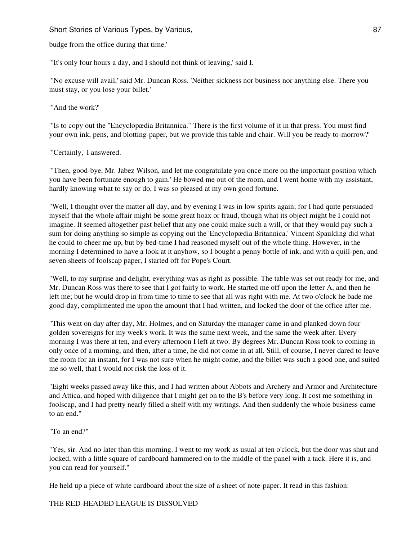budge from the office during that time.'

"'It's only four hours a day, and I should not think of leaving,' said I.

"'No excuse will avail,' said Mr. Duncan Ross. 'Neither sickness nor business nor anything else. There you must stay, or you lose your billet.'

"'And the work?"

"'Is to copy out the "Encyclopædia Britannica." There is the first volume of it in that press. You must find your own ink, pens, and blotting-paper, but we provide this table and chair. Will you be ready to-morrow?'

"'Certainly,' I answered.

"'Then, good-bye, Mr. Jabez Wilson, and let me congratulate you once more on the important position which you have been fortunate enough to gain.' He bowed me out of the room, and I went home with my assistant, hardly knowing what to say or do, I was so pleased at my own good fortune.

"Well, I thought over the matter all day, and by evening I was in low spirits again; for I had quite persuaded myself that the whole affair might be some great hoax or fraud, though what its object might be I could not imagine. It seemed altogether past belief that any one could make such a will, or that they would pay such a sum for doing anything so simple as copying out the 'Encyclopædia Britannica.' Vincent Spaulding did what he could to cheer me up, but by bed-time I had reasoned myself out of the whole thing. However, in the morning I determined to have a look at it anyhow, so I bought a penny bottle of ink, and with a quill-pen, and seven sheets of foolscap paper, I started off for Pope's Court.

"Well, to my surprise and delight, everything was as right as possible. The table was set out ready for me, and Mr. Duncan Ross was there to see that I got fairly to work. He started me off upon the letter A, and then he left me; but he would drop in from time to time to see that all was right with me. At two o'clock he bade me good-day, complimented me upon the amount that I had written, and locked the door of the office after me.

"This went on day after day, Mr. Holmes, and on Saturday the manager came in and planked down four golden sovereigns for my week's work. It was the same next week, and the same the week after. Every morning I was there at ten, and every afternoon I left at two. By degrees Mr. Duncan Ross took to coming in only once of a morning, and then, after a time, he did not come in at all. Still, of course, I never dared to leave the room for an instant, for I was not sure when he might come, and the billet was such a good one, and suited me so well, that I would not risk the loss of it.

"Eight weeks passed away like this, and I had written about Abbots and Archery and Armor and Architecture and Attica, and hoped with diligence that I might get on to the B's before very long. It cost me something in foolscap, and I had pretty nearly filled a shelf with my writings. And then suddenly the whole business came to an end."

"To an end?"

"Yes, sir. And no later than this morning. I went to my work as usual at ten o'clock, but the door was shut and locked, with a little square of cardboard hammered on to the middle of the panel with a tack. Here it is, and you can read for yourself."

He held up a piece of white cardboard about the size of a sheet of note-paper. It read in this fashion:

THE RED-HEADED LEAGUE IS DISSOLVED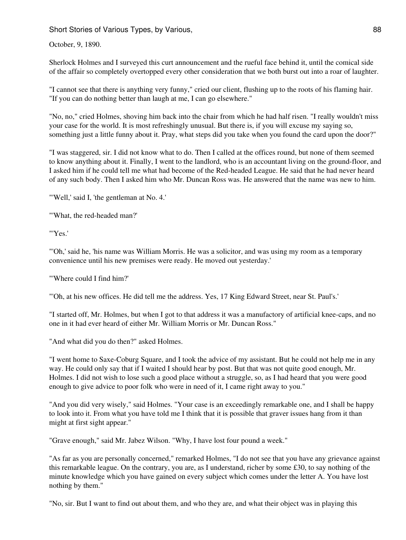October, 9, 1890.

Sherlock Holmes and I surveyed this curt announcement and the rueful face behind it, until the comical side of the affair so completely overtopped every other consideration that we both burst out into a roar of laughter.

"I cannot see that there is anything very funny," cried our client, flushing up to the roots of his flaming hair. "If you can do nothing better than laugh at me, I can go elsewhere."

"No, no," cried Holmes, shoving him back into the chair from which he had half risen. "I really wouldn't miss your case for the world. It is most refreshingly unusual. But there is, if you will excuse my saying so, something just a little funny about it. Pray, what steps did you take when you found the card upon the door?"

"I was staggered, sir. I did not know what to do. Then I called at the offices round, but none of them seemed to know anything about it. Finally, I went to the landlord, who is an accountant living on the ground-floor, and I asked him if he could tell me what had become of the Red-headed League. He said that he had never heard of any such body. Then I asked him who Mr. Duncan Ross was. He answered that the name was new to him.

"'Well,' said I, 'the gentleman at No. 4.'

"'What, the red-headed man?'

"'Yes.'

"'Oh,' said he, 'his name was William Morris. He was a solicitor, and was using my room as a temporary convenience until his new premises were ready. He moved out yesterday.'

"'Where could I find him?'

"'Oh, at his new offices. He did tell me the address. Yes, 17 King Edward Street, near St. Paul's.'

"I started off, Mr. Holmes, but when I got to that address it was a manufactory of artificial knee-caps, and no one in it had ever heard of either Mr. William Morris or Mr. Duncan Ross."

"And what did you do then?" asked Holmes.

"I went home to Saxe-Coburg Square, and I took the advice of my assistant. But he could not help me in any way. He could only say that if I waited I should hear by post. But that was not quite good enough, Mr. Holmes. I did not wish to lose such a good place without a struggle, so, as I had heard that you were good enough to give advice to poor folk who were in need of it, I came right away to you."

"And you did very wisely," said Holmes. "Your case is an exceedingly remarkable one, and I shall be happy to look into it. From what you have told me I think that it is possible that graver issues hang from it than might at first sight appear."

"Grave enough," said Mr. Jabez Wilson. "Why, I have lost four pound a week."

"As far as you are personally concerned," remarked Holmes, "I do not see that you have any grievance against this remarkable league. On the contrary, you are, as I understand, richer by some £30, to say nothing of the minute knowledge which you have gained on every subject which comes under the letter A. You have lost nothing by them."

"No, sir. But I want to find out about them, and who they are, and what their object was in playing this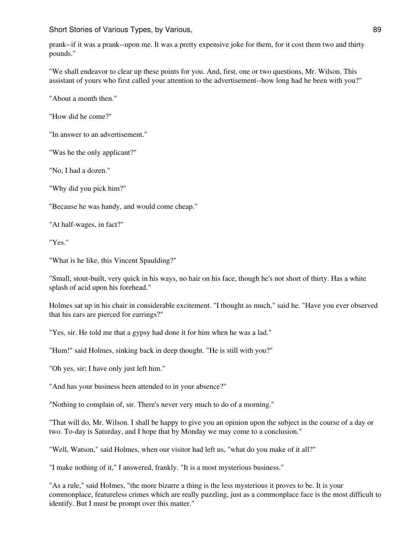prank--if it was a prank--upon me. It was a pretty expensive joke for them, for it cost them two and thirty pounds."

"We shall endeavor to clear up these points for you. And, first, one or two questions, Mr. Wilson. This assistant of yours who first called your attention to the advertisement--how long had he been with you?"

"About a month then."

"How did he come?"

"In answer to an advertisement."

"Was he the only applicant?"

"No, I had a dozen."

"Why did you pick him?"

"Because he was handy, and would come cheap."

"At half-wages, in fact?"

"Yes."

"What is he like, this Vincent Spaulding?"

"Small, stout-built, very quick in his ways, no hair on his face, though he's not short of thirty. Has a white splash of acid upon his forehead."

Holmes sat up in his chair in considerable excitement. "I thought as much," said he. "Have you ever observed that his ears are pierced for earrings?"

"Yes, sir. He told me that a gypsy had done it for him when he was a lad."

"Hum!" said Holmes, sinking back in deep thought. "He is still with you?"

"Oh yes, sir; I have only just left him."

"And has your business been attended to in your absence?"

"Nothing to complain of, sir. There's never very much to do of a morning."

"That will do, Mr. Wilson. I shall be happy to give you an opinion upon the subject in the course of a day or two. To-day is Saturday, and I hope that by Monday we may come to a conclusion."

"Well, Watson," said Holmes, when our visitor had left us, "what do you make of it all?"

"I make nothing of it," I answered, frankly. "It is a most mysterious business."

"As a rule," said Holmes, "the more bizarre a thing is the less mysterious it proves to be. It is your commonplace, featureless crimes which are really puzzling, just as a commonplace face is the most difficult to identify. But I must be prompt over this matter."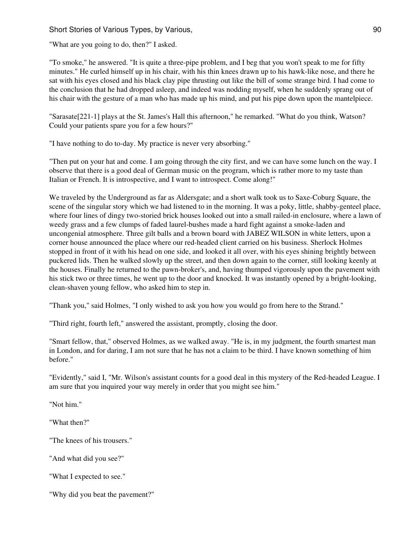"What are you going to do, then?" I asked.

"To smoke," he answered. "It is quite a three-pipe problem, and I beg that you won't speak to me for fifty minutes." He curled himself up in his chair, with his thin knees drawn up to his hawk-like nose, and there he sat with his eyes closed and his black clay pipe thrusting out like the bill of some strange bird. I had come to the conclusion that he had dropped asleep, and indeed was nodding myself, when he suddenly sprang out of his chair with the gesture of a man who has made up his mind, and put his pipe down upon the mantelpiece.

"Sarasate[221-1] plays at the St. James's Hall this afternoon," he remarked. "What do you think, Watson? Could your patients spare you for a few hours?"

"I have nothing to do to-day. My practice is never very absorbing."

"Then put on your hat and come. I am going through the city first, and we can have some lunch on the way. I observe that there is a good deal of German music on the program, which is rather more to my taste than Italian or French. It is introspective, and I want to introspect. Come along!"

We traveled by the Underground as far as Aldersgate; and a short walk took us to Saxe-Coburg Square, the scene of the singular story which we had listened to in the morning. It was a poky, little, shabby-genteel place, where four lines of dingy two-storied brick houses looked out into a small railed-in enclosure, where a lawn of weedy grass and a few clumps of faded laurel-bushes made a hard fight against a smoke-laden and uncongenial atmosphere. Three gilt balls and a brown board with JABEZ WILSON in white letters, upon a corner house announced the place where our red-headed client carried on his business. Sherlock Holmes stopped in front of it with his head on one side, and looked it all over, with his eyes shining brightly between puckered lids. Then he walked slowly up the street, and then down again to the corner, still looking keenly at the houses. Finally he returned to the pawn-broker's, and, having thumped vigorously upon the pavement with his stick two or three times, he went up to the door and knocked. It was instantly opened by a bright-looking, clean-shaven young fellow, who asked him to step in.

"Thank you," said Holmes, "I only wished to ask you how you would go from here to the Strand."

"Third right, fourth left," answered the assistant, promptly, closing the door.

"Smart fellow, that," observed Holmes, as we walked away. "He is, in my judgment, the fourth smartest man in London, and for daring, I am not sure that he has not a claim to be third. I have known something of him before."

"Evidently," said I, "Mr. Wilson's assistant counts for a good deal in this mystery of the Red-headed League. I am sure that you inquired your way merely in order that you might see him."

"Not him."

"What then?"

"The knees of his trousers."

"And what did you see?"

"What I expected to see."

"Why did you beat the pavement?"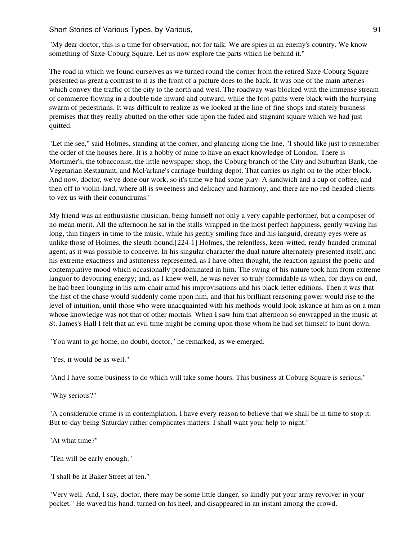"My dear doctor, this is a time for observation, not for talk. We are spies in an enemy's country. We know something of Saxe-Coburg Square. Let us now explore the parts which lie behind it."

The road in which we found ourselves as we turned round the corner from the retired Saxe-Coburg Square presented as great a contrast to it as the front of a picture does to the back. It was one of the main arteries which convey the traffic of the city to the north and west. The roadway was blocked with the immense stream of commerce flowing in a double tide inward and outward, while the foot-paths were black with the hurrying swarm of pedestrians. It was difficult to realize as we looked at the line of fine shops and stately business premises that they really abutted on the other side upon the faded and stagnant square which we had just quitted.

"Let me see," said Holmes, standing at the corner, and glancing along the line, "I should like just to remember the order of the houses here. It is a hobby of mine to have an exact knowledge of London. There is Mortimer's, the tobacconist, the little newspaper shop, the Coburg branch of the City and Suburban Bank, the Vegetarian Restaurant, and McFarlane's carriage-building depot. That carries us right on to the other block. And now, doctor, we've done our work, so it's time we had some play. A sandwich and a cup of coffee, and then off to violin-land, where all is sweetness and delicacy and harmony, and there are no red-headed clients to vex us with their conundrums."

My friend was an enthusiastic musician, being himself not only a very capable performer, but a composer of no mean merit. All the afternoon he sat in the stalls wrapped in the most perfect happiness, gently waving his long, thin fingers in time to the music, while his gently smiling face and his languid, dreamy eyes were as unlike those of Holmes, the sleuth-hound,[224-1] Holmes, the relentless, keen-witted, ready-handed criminal agent, as it was possible to conceive. In his singular character the dual nature alternately presented itself, and his extreme exactness and astuteness represented, as I have often thought, the reaction against the poetic and contemplative mood which occasionally predominated in him. The swing of his nature took him from extreme languor to devouring energy; and, as I knew well, he was never so truly formidable as when, for days on end, he had been lounging in his arm-chair amid his improvisations and his black-letter editions. Then it was that the lust of the chase would suddenly come upon him, and that his brilliant reasoning power would rise to the level of intuition, until those who were unacquainted with his methods would look askance at him as on a man whose knowledge was not that of other mortals. When I saw him that afternoon so enwrapped in the music at St. James's Hall I felt that an evil time might be coming upon those whom he had set himself to hunt down.

"You want to go home, no doubt, doctor," he remarked, as we emerged.

"Yes, it would be as well."

"And I have some business to do which will take some hours. This business at Coburg Square is serious."

"Why serious?"

"A considerable crime is in contemplation. I have every reason to believe that we shall be in time to stop it. But to-day being Saturday rather complicates matters. I shall want your help to-night."

"At what time?"

"Ten will be early enough."

"I shall be at Baker Street at ten."

"Very well. And, I say, doctor, there may be some little danger, so kindly put your army revolver in your pocket." He waved his hand, turned on his heel, and disappeared in an instant among the crowd.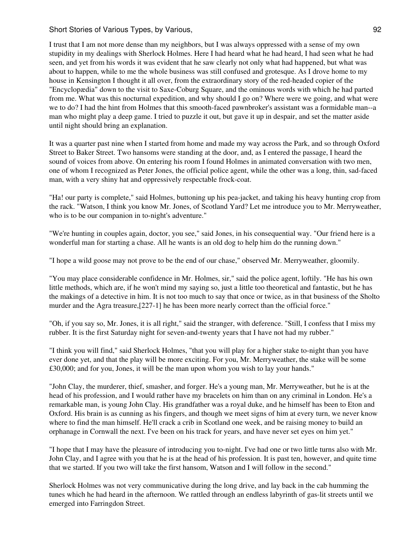I trust that I am not more dense than my neighbors, but I was always oppressed with a sense of my own stupidity in my dealings with Sherlock Holmes. Here I had heard what he had heard, I had seen what he had seen, and yet from his words it was evident that he saw clearly not only what had happened, but what was about to happen, while to me the whole business was still confused and grotesque. As I drove home to my house in Kensington I thought it all over, from the extraordinary story of the red-headed copier of the "Encyclopædia" down to the visit to Saxe-Coburg Square, and the ominous words with which he had parted from me. What was this nocturnal expedition, and why should I go on? Where were we going, and what were we to do? I had the hint from Holmes that this smooth-faced pawnbroker's assistant was a formidable man--a man who might play a deep game. I tried to puzzle it out, but gave it up in despair, and set the matter aside until night should bring an explanation.

It was a quarter past nine when I started from home and made my way across the Park, and so through Oxford Street to Baker Street. Two hansoms were standing at the door, and, as I entered the passage, I heard the sound of voices from above. On entering his room I found Holmes in animated conversation with two men, one of whom I recognized as Peter Jones, the official police agent, while the other was a long, thin, sad-faced man, with a very shiny hat and oppressively respectable frock-coat.

"Ha! our party is complete," said Holmes, buttoning up his pea-jacket, and taking his heavy hunting crop from the rack. "Watson, I think you know Mr. Jones, of Scotland Yard? Let me introduce you to Mr. Merryweather, who is to be our companion in to-night's adventure."

"We're hunting in couples again, doctor, you see," said Jones, in his consequential way. "Our friend here is a wonderful man for starting a chase. All he wants is an old dog to help him do the running down."

"I hope a wild goose may not prove to be the end of our chase," observed Mr. Merryweather, gloomily.

"You may place considerable confidence in Mr. Holmes, sir," said the police agent, loftily. "He has his own little methods, which are, if he won't mind my saying so, just a little too theoretical and fantastic, but he has the makings of a detective in him. It is not too much to say that once or twice, as in that business of the Sholto murder and the Agra treasure,[227-1] he has been more nearly correct than the official force."

"Oh, if you say so, Mr. Jones, it is all right," said the stranger, with deference. "Still, I confess that I miss my rubber. It is the first Saturday night for seven-and-twenty years that I have not had my rubber."

"I think you will find," said Sherlock Holmes, "that you will play for a higher stake to-night than you have ever done yet, and that the play will be more exciting. For you, Mr. Merryweather, the stake will be some £30,000; and for you, Jones, it will be the man upon whom you wish to lay your hands."

"John Clay, the murderer, thief, smasher, and forger. He's a young man, Mr. Merryweather, but he is at the head of his profession, and I would rather have my bracelets on him than on any criminal in London. He's a remarkable man, is young John Clay. His grandfather was a royal duke, and he himself has been to Eton and Oxford. His brain is as cunning as his fingers, and though we meet signs of him at every turn, we never know where to find the man himself. He'll crack a crib in Scotland one week, and be raising money to build an orphanage in Cornwall the next. I've been on his track for years, and have never set eyes on him yet."

"I hope that I may have the pleasure of introducing you to-night. I've had one or two little turns also with Mr. John Clay, and I agree with you that he is at the head of his profession. It is past ten, however, and quite time that we started. If you two will take the first hansom, Watson and I will follow in the second."

Sherlock Holmes was not very communicative during the long drive, and lay back in the cab humming the tunes which he had heard in the afternoon. We rattled through an endless labyrinth of gas-lit streets until we emerged into Farringdon Street.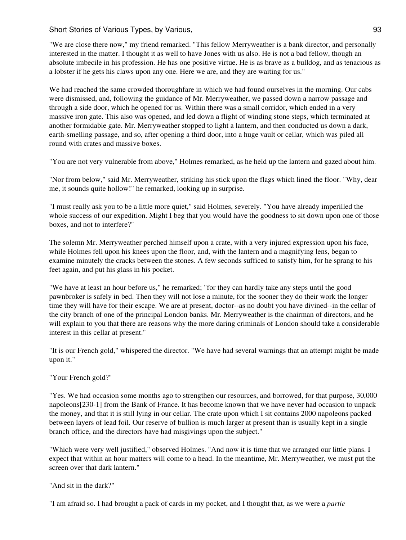"We are close there now," my friend remarked. "This fellow Merryweather is a bank director, and personally interested in the matter. I thought it as well to have Jones with us also. He is not a bad fellow, though an absolute imbecile in his profession. He has one positive virtue. He is as brave as a bulldog, and as tenacious as a lobster if he gets his claws upon any one. Here we are, and they are waiting for us."

We had reached the same crowded thoroughfare in which we had found ourselves in the morning. Our cabs were dismissed, and, following the guidance of Mr. Merryweather, we passed down a narrow passage and through a side door, which he opened for us. Within there was a small corridor, which ended in a very massive iron gate. This also was opened, and led down a flight of winding stone steps, which terminated at another formidable gate. Mr. Merryweather stopped to light a lantern, and then conducted us down a dark, earth-smelling passage, and so, after opening a third door, into a huge vault or cellar, which was piled all round with crates and massive boxes.

"You are not very vulnerable from above," Holmes remarked, as he held up the lantern and gazed about him.

"Nor from below," said Mr. Merryweather, striking his stick upon the flags which lined the floor. "Why, dear me, it sounds quite hollow!" he remarked, looking up in surprise.

"I must really ask you to be a little more quiet," said Holmes, severely. "You have already imperilled the whole success of our expedition. Might I beg that you would have the goodness to sit down upon one of those boxes, and not to interfere?"

The solemn Mr. Merryweather perched himself upon a crate, with a very injured expression upon his face, while Holmes fell upon his knees upon the floor, and, with the lantern and a magnifying lens, began to examine minutely the cracks between the stones. A few seconds sufficed to satisfy him, for he sprang to his feet again, and put his glass in his pocket.

"We have at least an hour before us," he remarked; "for they can hardly take any steps until the good pawnbroker is safely in bed. Then they will not lose a minute, for the sooner they do their work the longer time they will have for their escape. We are at present, doctor--as no doubt you have divined--in the cellar of the city branch of one of the principal London banks. Mr. Merryweather is the chairman of directors, and he will explain to you that there are reasons why the more daring criminals of London should take a considerable interest in this cellar at present."

"It is our French gold," whispered the director. "We have had several warnings that an attempt might be made upon it."

"Your French gold?"

"Yes. We had occasion some months ago to strengthen our resources, and borrowed, for that purpose, 30,000 napoleons[230-1] from the Bank of France. It has become known that we have never had occasion to unpack the money, and that it is still lying in our cellar. The crate upon which I sit contains 2000 napoleons packed between layers of lead foil. Our reserve of bullion is much larger at present than is usually kept in a single branch office, and the directors have had misgivings upon the subject."

"Which were very well justified," observed Holmes. "And now it is time that we arranged our little plans. I expect that within an hour matters will come to a head. In the meantime, Mr. Merryweather, we must put the screen over that dark lantern."

"And sit in the dark?"

"I am afraid so. I had brought a pack of cards in my pocket, and I thought that, as we were a *partie*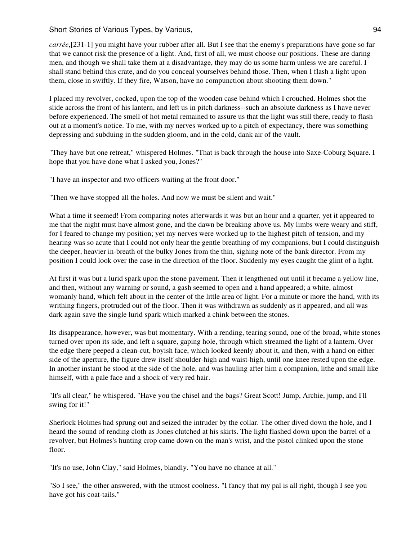*carrée*,[231-1] you might have your rubber after all. But I see that the enemy's preparations have gone so far that we cannot risk the presence of a light. And, first of all, we must choose our positions. These are daring men, and though we shall take them at a disadvantage, they may do us some harm unless we are careful. I shall stand behind this crate, and do you conceal yourselves behind those. Then, when I flash a light upon them, close in swiftly. If they fire, Watson, have no compunction about shooting them down."

I placed my revolver, cocked, upon the top of the wooden case behind which I crouched. Holmes shot the slide across the front of his lantern, and left us in pitch darkness--such an absolute darkness as I have never before experienced. The smell of hot metal remained to assure us that the light was still there, ready to flash out at a moment's notice. To me, with my nerves worked up to a pitch of expectancy, there was something depressing and subduing in the sudden gloom, and in the cold, dank air of the vault.

"They have but one retreat," whispered Holmes. "That is back through the house into Saxe-Coburg Square. I hope that you have done what I asked you, Jones?"

"I have an inspector and two officers waiting at the front door."

"Then we have stopped all the holes. And now we must be silent and wait."

What a time it seemed! From comparing notes afterwards it was but an hour and a quarter, yet it appeared to me that the night must have almost gone, and the dawn be breaking above us. My limbs were weary and stiff, for I feared to change my position; yet my nerves were worked up to the highest pitch of tension, and my hearing was so acute that I could not only hear the gentle breathing of my companions, but I could distinguish the deeper, heavier in-breath of the bulky Jones from the thin, sighing note of the bank director. From my position I could look over the case in the direction of the floor. Suddenly my eyes caught the glint of a light.

At first it was but a lurid spark upon the stone pavement. Then it lengthened out until it became a yellow line, and then, without any warning or sound, a gash seemed to open and a hand appeared; a white, almost womanly hand, which felt about in the center of the little area of light. For a minute or more the hand, with its writhing fingers, protruded out of the floor. Then it was withdrawn as suddenly as it appeared, and all was dark again save the single lurid spark which marked a chink between the stones.

Its disappearance, however, was but momentary. With a rending, tearing sound, one of the broad, white stones turned over upon its side, and left a square, gaping hole, through which streamed the light of a lantern. Over the edge there peeped a clean-cut, boyish face, which looked keenly about it, and then, with a hand on either side of the aperture, the figure drew itself shoulder-high and waist-high, until one knee rested upon the edge. In another instant he stood at the side of the hole, and was hauling after him a companion, lithe and small like himself, with a pale face and a shock of very red hair.

"It's all clear," he whispered. "Have you the chisel and the bags? Great Scott! Jump, Archie, jump, and I'll swing for it!"

Sherlock Holmes had sprung out and seized the intruder by the collar. The other dived down the hole, and I heard the sound of rending cloth as Jones clutched at his skirts. The light flashed down upon the barrel of a revolver, but Holmes's hunting crop came down on the man's wrist, and the pistol clinked upon the stone floor.

"It's no use, John Clay," said Holmes, blandly. "You have no chance at all."

"So I see," the other answered, with the utmost coolness. "I fancy that my pal is all right, though I see you have got his coat-tails."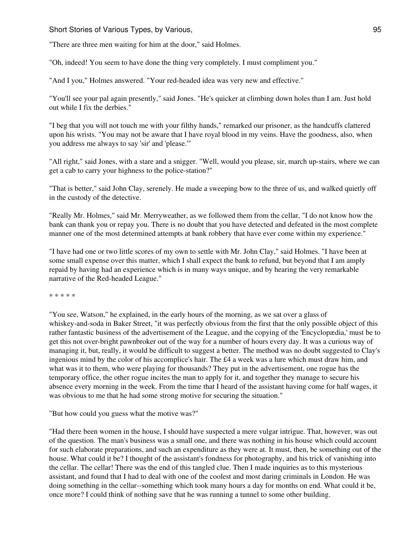Short Stories of Various Types, by Various, 1998. The Short Stories of Various of Stories and 195

"There are three men waiting for him at the door," said Holmes.

"Oh, indeed! You seem to have done the thing very completely. I must compliment you."

"And I you," Holmes answered. "Your red-headed idea was very new and effective."

"You'll see your pal again presently," said Jones. "He's quicker at climbing down holes than I am. Just hold out while I fix the derbies."

"I beg that you will not touch me with your filthy hands," remarked our prisoner, as the handcuffs clattered upon his wrists. "You may not be aware that I have royal blood in my veins. Have the goodness, also, when you address me always to say 'sir' and 'please.'"

"All right," said Jones, with a stare and a snigger. "Well, would you please, sir, march up-stairs, where we can get a cab to carry your highness to the police-station?"

"That is better," said John Clay, serenely. He made a sweeping bow to the three of us, and walked quietly off in the custody of the detective.

"Really Mr. Holmes," said Mr. Merryweather, as we followed them from the cellar, "I do not know how the bank can thank you or repay you. There is no doubt that you have detected and defeated in the most complete manner one of the most determined attempts at bank robbery that have ever come within my experience."

"I have had one or two little scores of my own to settle with Mr. John Clay," said Holmes. "I have been at some small expense over this matter, which I shall expect the bank to refund, but beyond that I am amply repaid by having had an experience which is in many ways unique, and by hearing the very remarkable narrative of the Red-headed League."

\* \* \* \* \*

"You see, Watson," he explained, in the early hours of the morning, as we sat over a glass of whiskey-and-soda in Baker Street, "it was perfectly obvious from the first that the only possible object of this rather fantastic business of the advertisement of the League, and the copying of the 'Encyclopædia,' must be to get this not over-bright pawnbroker out of the way for a number of hours every day. It was a curious way of managing it, but, really, it would be difficult to suggest a better. The method was no doubt suggested to Clay's ingenious mind by the color of his accomplice's hair. The £4 a week was a lure which must draw him, and what was it to them, who were playing for thousands? They put in the advertisement, one rogue has the temporary office, the other rogue incites the man to apply for it, and together they manage to secure his absence every morning in the week. From the time that I heard of the assistant having come for half wages, it was obvious to me that he had some strong motive for securing the situation."

"But how could you guess what the motive was?"

"Had there been women in the house, I should have suspected a mere vulgar intrigue. That, however, was out of the question. The man's business was a small one, and there was nothing in his house which could account for such elaborate preparations, and such an expenditure as they were at. It must, then, be something out of the house. What could it be? I thought of the assistant's fondness for photography, and his trick of vanishing into the cellar. The cellar! There was the end of this tangled clue. Then I made inquiries as to this mysterious assistant, and found that I had to deal with one of the coolest and most daring criminals in London. He was doing something in the cellar--something which took many hours a day for months on end. What could it be, once more? I could think of nothing save that he was running a tunnel to some other building.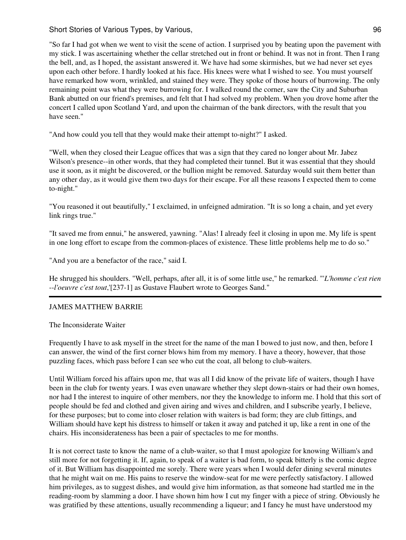Short Stories of Various Types, by Various, 1988, 1988, 1988, 1988, 1988, 1988, 1988, 1988, 1988, 1988, 1988, 1

"So far I had got when we went to visit the scene of action. I surprised you by beating upon the pavement with my stick. I was ascertaining whether the cellar stretched out in front or behind. It was not in front. Then I rang the bell, and, as I hoped, the assistant answered it. We have had some skirmishes, but we had never set eyes upon each other before. I hardly looked at his face. His knees were what I wished to see. You must yourself have remarked how worn, wrinkled, and stained they were. They spoke of those hours of burrowing. The only remaining point was what they were burrowing for. I walked round the corner, saw the City and Suburban Bank abutted on our friend's premises, and felt that I had solved my problem. When you drove home after the concert I called upon Scotland Yard, and upon the chairman of the bank directors, with the result that you have seen."

"And how could you tell that they would make their attempt to-night?" I asked.

"Well, when they closed their League offices that was a sign that they cared no longer about Mr. Jabez Wilson's presence--in other words, that they had completed their tunnel. But it was essential that they should use it soon, as it might be discovered, or the bullion might be removed. Saturday would suit them better than any other day, as it would give them two days for their escape. For all these reasons I expected them to come to-night."

"You reasoned it out beautifully," I exclaimed, in unfeigned admiration. "It is so long a chain, and yet every link rings true."

"It saved me from ennui," he answered, yawning. "Alas! I already feel it closing in upon me. My life is spent in one long effort to escape from the common-places of existence. These little problems help me to do so."

"And you are a benefactor of the race," said I.

He shrugged his shoulders. "Well, perhaps, after all, it is of some little use," he remarked. "'*L'homme c'est rien* --*l'oeuvre c'est tout*,'[237-1] as Gustave Flaubert wrote to Georges Sand."

# JAMES MATTHEW BARRIE

The Inconsiderate Waiter

Frequently I have to ask myself in the street for the name of the man I bowed to just now, and then, before I can answer, the wind of the first corner blows him from my memory. I have a theory, however, that those puzzling faces, which pass before I can see who cut the coat, all belong to club-waiters.

Until William forced his affairs upon me, that was all I did know of the private life of waiters, though I have been in the club for twenty years. I was even unaware whether they slept down-stairs or had their own homes, nor had I the interest to inquire of other members, nor they the knowledge to inform me. I hold that this sort of people should be fed and clothed and given airing and wives and children, and I subscribe yearly, I believe, for these purposes; but to come into closer relation with waiters is bad form; they are club fittings, and William should have kept his distress to himself or taken it away and patched it up, like a rent in one of the chairs. His inconsiderateness has been a pair of spectacles to me for months.

It is not correct taste to know the name of a club-waiter, so that I must apologize for knowing William's and still more for not forgetting it. If, again, to speak of a waiter is bad form, to speak bitterly is the comic degree of it. But William has disappointed me sorely. There were years when I would defer dining several minutes that he might wait on me. His pains to reserve the window-seat for me were perfectly satisfactory. I allowed him privileges, as to suggest dishes, and would give him information, as that someone had startled me in the reading-room by slamming a door. I have shown him how I cut my finger with a piece of string. Obviously he was gratified by these attentions, usually recommending a liqueur; and I fancy he must have understood my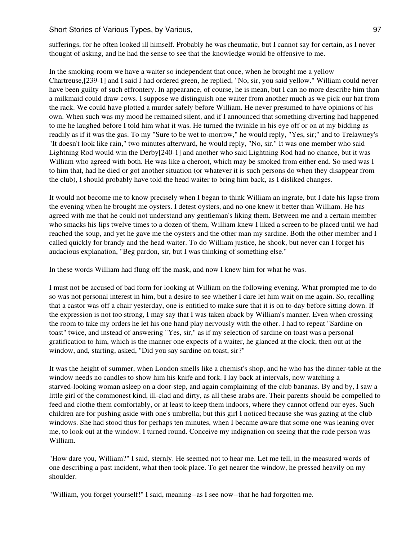sufferings, for he often looked ill himself. Probably he was rheumatic, but I cannot say for certain, as I never thought of asking, and he had the sense to see that the knowledge would be offensive to me.

In the smoking-room we have a waiter so independent that once, when he brought me a yellow Chartreuse,[239-1] and I said I had ordered green, he replied, "No, sir, you said yellow." William could never have been guilty of such effrontery. In appearance, of course, he is mean, but I can no more describe him than a milkmaid could draw cows. I suppose we distinguish one waiter from another much as we pick our hat from the rack. We could have plotted a murder safely before William. He never presumed to have opinions of his own. When such was my mood he remained silent, and if I announced that something diverting had happened to me he laughed before I told him what it was. He turned the twinkle in his eye off or on at my bidding as readily as if it was the gas. To my "Sure to be wet to-morrow," he would reply, "Yes, sir;" and to Trelawney's "It doesn't look like rain," two minutes afterward, he would reply, "No, sir." It was one member who said Lightning Rod would win the Derby[240-1] and another who said Lightning Rod had no chance, but it was William who agreed with both. He was like a cheroot, which may be smoked from either end. So used was I to him that, had he died or got another situation (or whatever it is such persons do when they disappear from the club), I should probably have told the head waiter to bring him back, as I disliked changes.

It would not become me to know precisely when I began to think William an ingrate, but I date his lapse from the evening when he brought me oysters. I detest oysters, and no one knew it better than William. He has agreed with me that he could not understand any gentleman's liking them. Between me and a certain member who smacks his lips twelve times to a dozen of them, William knew I liked a screen to be placed until we had reached the soup, and yet he gave me the oysters and the other man my sardine. Both the other member and I called quickly for brandy and the head waiter. To do William justice, he shook, but never can I forget his audacious explanation, "Beg pardon, sir, but I was thinking of something else."

In these words William had flung off the mask, and now I knew him for what he was.

I must not be accused of bad form for looking at William on the following evening. What prompted me to do so was not personal interest in him, but a desire to see whether I dare let him wait on me again. So, recalling that a castor was off a chair yesterday, one is entitled to make sure that it is on to-day before sitting down. If the expression is not too strong, I may say that I was taken aback by William's manner. Even when crossing the room to take my orders he let his one hand play nervously with the other. I had to repeat "Sardine on toast" twice, and instead of answering "Yes, sir," as if my selection of sardine on toast was a personal gratification to him, which is the manner one expects of a waiter, he glanced at the clock, then out at the window, and, starting, asked, "Did you say sardine on toast, sir?"

It was the height of summer, when London smells like a chemist's shop, and he who has the dinner-table at the window needs no candles to show him his knife and fork. I lay back at intervals, now watching a starved-looking woman asleep on a door-step, and again complaining of the club bananas. By and by, I saw a little girl of the commonest kind, ill-clad and dirty, as all these arabs are. Their parents should be compelled to feed and clothe them comfortably, or at least to keep them indoors, where they cannot offend our eyes. Such children are for pushing aside with one's umbrella; but this girl I noticed because she was gazing at the club windows. She had stood thus for perhaps ten minutes, when I became aware that some one was leaning over me, to look out at the window. I turned round. Conceive my indignation on seeing that the rude person was William.

"How dare you, William?" I said, sternly. He seemed not to hear me. Let me tell, in the measured words of one describing a past incident, what then took place. To get nearer the window, he pressed heavily on my shoulder.

"William, you forget yourself!" I said, meaning--as I see now--that he had forgotten me.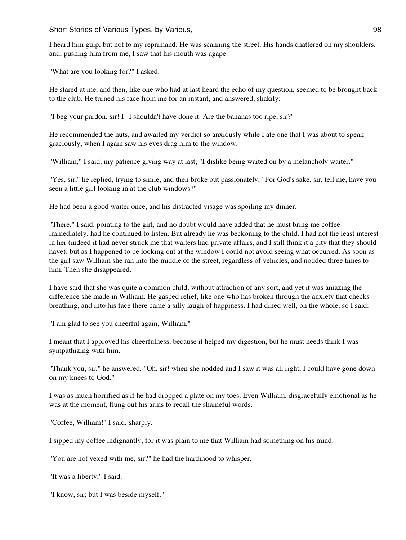I heard him gulp, but not to my reprimand. He was scanning the street. His hands chattered on my shoulders, and, pushing him from me, I saw that his mouth was agape.

"What are you looking for?" I asked.

He stared at me, and then, like one who had at last heard the echo of my question, seemed to be brought back to the club. He turned his face from me for an instant, and answered, shakily:

"I beg your pardon, sir! I--I shouldn't have done it. Are the bananas too ripe, sir?"

He recommended the nuts, and awaited my verdict so anxiously while I ate one that I was about to speak graciously, when I again saw his eyes drag him to the window.

"William," I said, my patience giving way at last; "I dislike being waited on by a melancholy waiter."

"Yes, sir," he replied, trying to smile, and then broke out passionately, "For God's sake, sir, tell me, have you seen a little girl looking in at the club windows?"

He had been a good waiter once, and his distracted visage was spoiling my dinner.

"There," I said, pointing to the girl, and no doubt would have added that he must bring me coffee immediately, had he continued to listen. But already he was beckoning to the child. I had not the least interest in her (indeed it had never struck me that waiters had private affairs, and I still think it a pity that they should have); but as I happened to be looking out at the window I could not avoid seeing what occurred. As soon as the girl saw William she ran into the middle of the street, regardless of vehicles, and nodded three times to him. Then she disappeared.

I have said that she was quite a common child, without attraction of any sort, and yet it was amazing the difference she made in William. He gasped relief, like one who has broken through the anxiety that checks breathing, and into his face there came a silly laugh of happiness. I had dined well, on the whole, so I said:

"I am glad to see you cheerful again, William."

I meant that I approved his cheerfulness, because it helped my digestion, but he must needs think I was sympathizing with him.

"Thank you, sir," he answered. "Oh, sir! when she nodded and I saw it was all right, I could have gone down on my knees to God."

I was as much horrified as if he had dropped a plate on my toes. Even William, disgracefully emotional as he was at the moment, flung out his arms to recall the shameful words.

"Coffee, William!" I said, sharply.

I sipped my coffee indignantly, for it was plain to me that William had something on his mind.

"You are not vexed with me, sir?" he had the hardihood to whisper.

"It was a liberty," I said.

"I know, sir; but I was beside myself."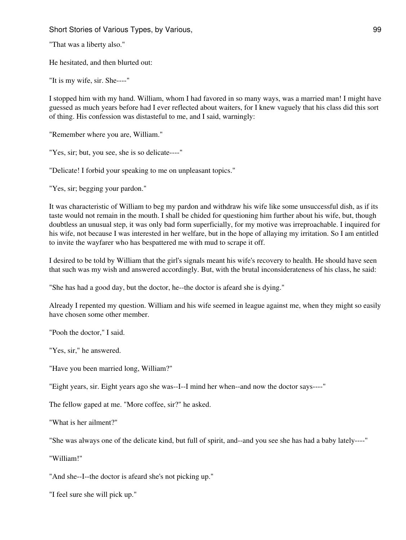"That was a liberty also."

He hesitated, and then blurted out:

"It is my wife, sir. She----"

I stopped him with my hand. William, whom I had favored in so many ways, was a married man! I might have guessed as much years before had I ever reflected about waiters, for I knew vaguely that his class did this sort of thing. His confession was distasteful to me, and I said, warningly:

"Remember where you are, William."

"Yes, sir; but, you see, she is so delicate----"

"Delicate! I forbid your speaking to me on unpleasant topics."

"Yes, sir; begging your pardon."

It was characteristic of William to beg my pardon and withdraw his wife like some unsuccessful dish, as if its taste would not remain in the mouth. I shall be chided for questioning him further about his wife, but, though doubtless an unusual step, it was only bad form superficially, for my motive was irreproachable. I inquired for his wife, not because I was interested in her welfare, but in the hope of allaying my irritation. So I am entitled to invite the wayfarer who has bespattered me with mud to scrape it off.

I desired to be told by William that the girl's signals meant his wife's recovery to health. He should have seen that such was my wish and answered accordingly. But, with the brutal inconsiderateness of his class, he said:

"She has had a good day, but the doctor, he--the doctor is afeard she is dying."

Already I repented my question. William and his wife seemed in league against me, when they might so easily have chosen some other member.

"Pooh the doctor," I said.

"Yes, sir," he answered.

"Have you been married long, William?"

"Eight years, sir. Eight years ago she was--I--I mind her when--and now the doctor says----"

The fellow gaped at me. "More coffee, sir?" he asked.

"What is her ailment?"

"She was always one of the delicate kind, but full of spirit, and--and you see she has had a baby lately----"

"William!"

"And she--I--the doctor is afeard she's not picking up."

"I feel sure she will pick up."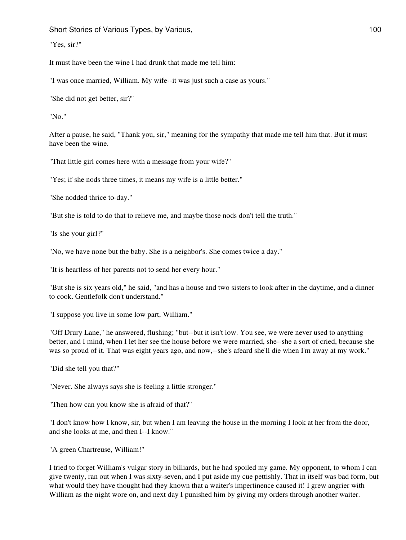Short Stories of Various Types, by Various, 100 and 100 and 100 and 100 and 100 and 100 and 100 and 100 and 100

"Yes, sir?"

It must have been the wine I had drunk that made me tell him:

"I was once married, William. My wife--it was just such a case as yours."

"She did not get better, sir?"

"No."

After a pause, he said, "Thank you, sir," meaning for the sympathy that made me tell him that. But it must have been the wine.

"That little girl comes here with a message from your wife?"

"Yes; if she nods three times, it means my wife is a little better."

"She nodded thrice to-day."

"But she is told to do that to relieve me, and maybe those nods don't tell the truth."

"Is she your girl?"

"No, we have none but the baby. She is a neighbor's. She comes twice a day."

"It is heartless of her parents not to send her every hour."

"But she is six years old," he said, "and has a house and two sisters to look after in the daytime, and a dinner to cook. Gentlefolk don't understand."

"I suppose you live in some low part, William."

"Off Drury Lane," he answered, flushing; "but--but it isn't low. You see, we were never used to anything better, and I mind, when I let her see the house before we were married, she--she a sort of cried, because she was so proud of it. That was eight years ago, and now,--she's afeard she'll die when I'm away at my work."

"Did she tell you that?"

"Never. She always says she is feeling a little stronger."

"Then how can you know she is afraid of that?"

"I don't know how I know, sir, but when I am leaving the house in the morning I look at her from the door, and she looks at me, and then I--I know."

"A green Chartreuse, William!"

I tried to forget William's vulgar story in billiards, but he had spoiled my game. My opponent, to whom I can give twenty, ran out when I was sixty-seven, and I put aside my cue pettishly. That in itself was bad form, but what would they have thought had they known that a waiter's impertinence caused it! I grew angrier with William as the night wore on, and next day I punished him by giving my orders through another waiter.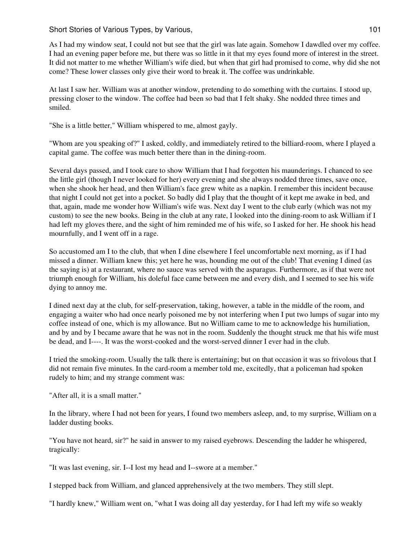As I had my window seat, I could not but see that the girl was late again. Somehow I dawdled over my coffee. I had an evening paper before me, but there was so little in it that my eyes found more of interest in the street. It did not matter to me whether William's wife died, but when that girl had promised to come, why did she not come? These lower classes only give their word to break it. The coffee was undrinkable.

At last I saw her. William was at another window, pretending to do something with the curtains. I stood up, pressing closer to the window. The coffee had been so bad that I felt shaky. She nodded three times and smiled.

"She is a little better," William whispered to me, almost gayly.

"Whom are you speaking of?" I asked, coldly, and immediately retired to the billiard-room, where I played a capital game. The coffee was much better there than in the dining-room.

Several days passed, and I took care to show William that I had forgotten his maunderings. I chanced to see the little girl (though I never looked for her) every evening and she always nodded three times, save once, when she shook her head, and then William's face grew white as a napkin. I remember this incident because that night I could not get into a pocket. So badly did I play that the thought of it kept me awake in bed, and that, again, made me wonder how William's wife was. Next day I went to the club early (which was not my custom) to see the new books. Being in the club at any rate, I looked into the dining-room to ask William if I had left my gloves there, and the sight of him reminded me of his wife, so I asked for her. He shook his head mournfully, and I went off in a rage.

So accustomed am I to the club, that when I dine elsewhere I feel uncomfortable next morning, as if I had missed a dinner. William knew this; yet here he was, hounding me out of the club! That evening I dined (as the saying is) at a restaurant, where no sauce was served with the asparagus. Furthermore, as if that were not triumph enough for William, his doleful face came between me and every dish, and I seemed to see his wife dying to annoy me.

I dined next day at the club, for self-preservation, taking, however, a table in the middle of the room, and engaging a waiter who had once nearly poisoned me by not interfering when I put two lumps of sugar into my coffee instead of one, which is my allowance. But no William came to me to acknowledge his humiliation, and by and by I became aware that he was not in the room. Suddenly the thought struck me that his wife must be dead, and I----. It was the worst-cooked and the worst-served dinner I ever had in the club.

I tried the smoking-room. Usually the talk there is entertaining; but on that occasion it was so frivolous that I did not remain five minutes. In the card-room a member told me, excitedly, that a policeman had spoken rudely to him; and my strange comment was:

"After all, it is a small matter."

In the library, where I had not been for years, I found two members asleep, and, to my surprise, William on a ladder dusting books.

"You have not heard, sir?" he said in answer to my raised eyebrows. Descending the ladder he whispered, tragically:

"It was last evening, sir. I--I lost my head and I--swore at a member."

I stepped back from William, and glanced apprehensively at the two members. They still slept.

"I hardly knew," William went on, "what I was doing all day yesterday, for I had left my wife so weakly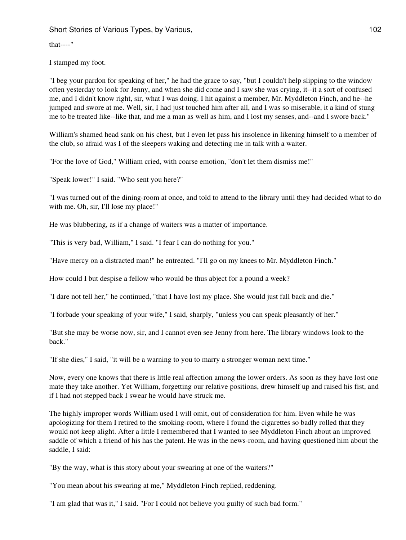that----"

I stamped my foot.

"I beg your pardon for speaking of her," he had the grace to say, "but I couldn't help slipping to the window often yesterday to look for Jenny, and when she did come and I saw she was crying, it--it a sort of confused me, and I didn't know right, sir, what I was doing. I hit against a member, Mr. Myddleton Finch, and he--he jumped and swore at me. Well, sir, I had just touched him after all, and I was so miserable, it a kind of stung me to be treated like--like that, and me a man as well as him, and I lost my senses, and--and I swore back."

William's shamed head sank on his chest, but I even let pass his insolence in likening himself to a member of the club, so afraid was I of the sleepers waking and detecting me in talk with a waiter.

"For the love of God," William cried, with coarse emotion, "don't let them dismiss me!"

"Speak lower!" I said. "Who sent you here?"

"I was turned out of the dining-room at once, and told to attend to the library until they had decided what to do with me. Oh, sir, I'll lose my place!"

He was blubbering, as if a change of waiters was a matter of importance.

"This is very bad, William," I said. "I fear I can do nothing for you."

"Have mercy on a distracted man!" he entreated. "I'll go on my knees to Mr. Myddleton Finch."

How could I but despise a fellow who would be thus abject for a pound a week?

"I dare not tell her," he continued, "that I have lost my place. She would just fall back and die."

"I forbade your speaking of your wife," I said, sharply, "unless you can speak pleasantly of her."

"But she may be worse now, sir, and I cannot even see Jenny from here. The library windows look to the back."

"If she dies," I said, "it will be a warning to you to marry a stronger woman next time."

Now, every one knows that there is little real affection among the lower orders. As soon as they have lost one mate they take another. Yet William, forgetting our relative positions, drew himself up and raised his fist, and if I had not stepped back I swear he would have struck me.

The highly improper words William used I will omit, out of consideration for him. Even while he was apologizing for them I retired to the smoking-room, where I found the cigarettes so badly rolled that they would not keep alight. After a little I remembered that I wanted to see Myddleton Finch about an improved saddle of which a friend of his has the patent. He was in the news-room, and having questioned him about the saddle, I said:

"By the way, what is this story about your swearing at one of the waiters?"

"You mean about his swearing at me," Myddleton Finch replied, reddening.

"I am glad that was it," I said. "For I could not believe you guilty of such bad form."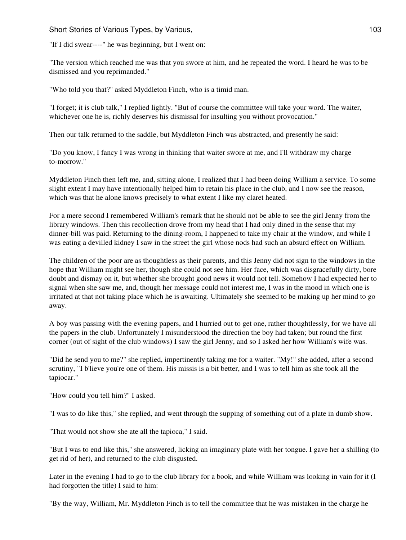"If I did swear----" he was beginning, but I went on:

"The version which reached me was that you swore at him, and he repeated the word. I heard he was to be dismissed and you reprimanded."

"Who told you that?" asked Myddleton Finch, who is a timid man.

"I forget; it is club talk," I replied lightly. "But of course the committee will take your word. The waiter, whichever one he is, richly deserves his dismissal for insulting you without provocation."

Then our talk returned to the saddle, but Myddleton Finch was abstracted, and presently he said:

"Do you know, I fancy I was wrong in thinking that waiter swore at me, and I'll withdraw my charge to-morrow."

Myddleton Finch then left me, and, sitting alone, I realized that I had been doing William a service. To some slight extent I may have intentionally helped him to retain his place in the club, and I now see the reason, which was that he alone knows precisely to what extent I like my claret heated.

For a mere second I remembered William's remark that he should not be able to see the girl Jenny from the library windows. Then this recollection drove from my head that I had only dined in the sense that my dinner-bill was paid. Returning to the dining-room, I happened to take my chair at the window, and while I was eating a devilled kidney I saw in the street the girl whose nods had such an absurd effect on William.

The children of the poor are as thoughtless as their parents, and this Jenny did not sign to the windows in the hope that William might see her, though she could not see him. Her face, which was disgracefully dirty, bore doubt and dismay on it, but whether she brought good news it would not tell. Somehow I had expected her to signal when she saw me, and, though her message could not interest me, I was in the mood in which one is irritated at that not taking place which he is awaiting. Ultimately she seemed to be making up her mind to go away.

A boy was passing with the evening papers, and I hurried out to get one, rather thoughtlessly, for we have all the papers in the club. Unfortunately I misunderstood the direction the boy had taken; but round the first corner (out of sight of the club windows) I saw the girl Jenny, and so I asked her how William's wife was.

"Did he send you to me?" she replied, impertinently taking me for a waiter. "My!" she added, after a second scrutiny, "I b'lieve you're one of them. His missis is a bit better, and I was to tell him as she took all the tapiocar."

"How could you tell him?" I asked.

"I was to do like this," she replied, and went through the supping of something out of a plate in dumb show.

"That would not show she ate all the tapioca," I said.

"But I was to end like this," she answered, licking an imaginary plate with her tongue. I gave her a shilling (to get rid of her), and returned to the club disgusted.

Later in the evening I had to go to the club library for a book, and while William was looking in vain for it (I had forgotten the title) I said to him:

"By the way, William, Mr. Myddleton Finch is to tell the committee that he was mistaken in the charge he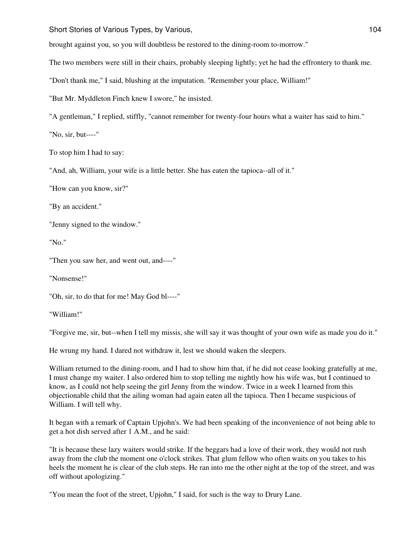brought against you, so you will doubtless be restored to the dining-room to-morrow."

The two members were still in their chairs, probably sleeping lightly; yet he had the effrontery to thank me.

"Don't thank me," I said, blushing at the imputation. "Remember your place, William!"

"But Mr. Myddleton Finch knew I swore," he insisted.

"A gentleman," I replied, stiffly, "cannot remember for twenty-four hours what a waiter has said to him."

"No, sir, but----"

To stop him I had to say:

"And, ah, William, your wife is a little better. She has eaten the tapioca--all of it."

"How can you know, sir?"

"By an accident."

"Jenny signed to the window."

"No."

"Then you saw her, and went out, and----"

"Nonsense!"

"Oh, sir, to do that for me! May God bl----"

"William!"

"Forgive me, sir, but--when I tell my missis, she will say it was thought of your own wife as made you do it."

He wrung my hand. I dared not withdraw it, lest we should waken the sleepers.

William returned to the dining-room, and I had to show him that, if he did not cease looking gratefully at me, I must change my waiter. I also ordered him to stop telling me nightly how his wife was, but I continued to know, as I could not help seeing the girl Jenny from the window. Twice in a week I learned from this objectionable child that the ailing woman had again eaten all the tapioca. Then I became suspicious of William. I will tell why.

It began with a remark of Captain Upjohn's. We had been speaking of the inconvenience of not being able to get a hot dish served after 1 A.M., and he said:

"It is because these lazy waiters would strike. If the beggars had a love of their work, they would not rush away from the club the moment one o'clock strikes. That glum fellow who often waits on you takes to his heels the moment he is clear of the club steps. He ran into me the other night at the top of the street, and was off without apologizing."

"You mean the foot of the street, Upjohn," I said, for such is the way to Drury Lane.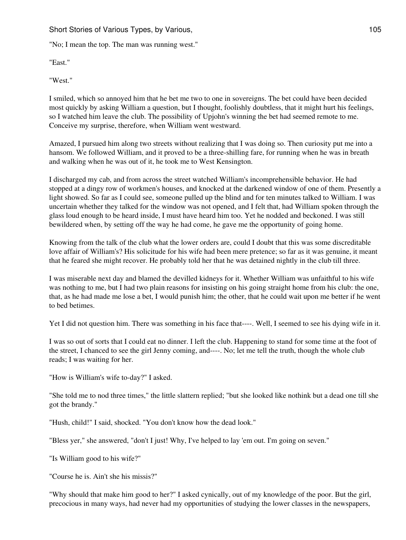"No; I mean the top. The man was running west."

"East."

"West."

I smiled, which so annoyed him that he bet me two to one in sovereigns. The bet could have been decided most quickly by asking William a question, but I thought, foolishly doubtless, that it might hurt his feelings, so I watched him leave the club. The possibility of Upjohn's winning the bet had seemed remote to me. Conceive my surprise, therefore, when William went westward.

Amazed, I pursued him along two streets without realizing that I was doing so. Then curiosity put me into a hansom. We followed William, and it proved to be a three-shilling fare, for running when he was in breath and walking when he was out of it, he took me to West Kensington.

I discharged my cab, and from across the street watched William's incomprehensible behavior. He had stopped at a dingy row of workmen's houses, and knocked at the darkened window of one of them. Presently a light showed. So far as I could see, someone pulled up the blind and for ten minutes talked to William. I was uncertain whether they talked for the window was not opened, and I felt that, had William spoken through the glass loud enough to be heard inside, I must have heard him too. Yet he nodded and beckoned. I was still bewildered when, by setting off the way he had come, he gave me the opportunity of going home.

Knowing from the talk of the club what the lower orders are, could I doubt that this was some discreditable love affair of William's? His solicitude for his wife had been mere pretence; so far as it was genuine, it meant that he feared she might recover. He probably told her that he was detained nightly in the club till three.

I was miserable next day and blamed the devilled kidneys for it. Whether William was unfaithful to his wife was nothing to me, but I had two plain reasons for insisting on his going straight home from his club: the one, that, as he had made me lose a bet, I would punish him; the other, that he could wait upon me better if he went to bed betimes.

Yet I did not question him. There was something in his face that----. Well, I seemed to see his dying wife in it.

I was so out of sorts that I could eat no dinner. I left the club. Happening to stand for some time at the foot of the street, I chanced to see the girl Jenny coming, and----. No; let me tell the truth, though the whole club reads; I was waiting for her.

"How is William's wife to-day?" I asked.

"She told me to nod three times," the little slattern replied; "but she looked like nothink but a dead one till she got the brandy."

"Hush, child!" I said, shocked. "You don't know how the dead look."

"Bless yer," she answered, "don't I just! Why, I've helped to lay 'em out. I'm going on seven."

"Is William good to his wife?"

"Course he is. Ain't she his missis?"

"Why should that make him good to her?" I asked cynically, out of my knowledge of the poor. But the girl, precocious in many ways, had never had my opportunities of studying the lower classes in the newspapers,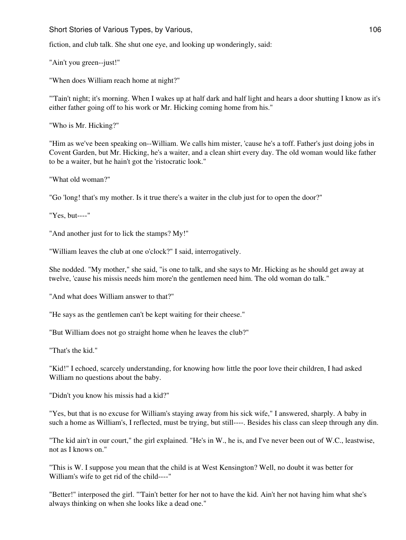fiction, and club talk. She shut one eye, and looking up wonderingly, said:

"Ain't you green--just!"

"When does William reach home at night?"

"'Tain't night; it's morning. When I wakes up at half dark and half light and hears a door shutting I know as it's either father going off to his work or Mr. Hicking coming home from his."

"Who is Mr. Hicking?"

"Him as we've been speaking on--William. We calls him mister, 'cause he's a toff. Father's just doing jobs in Covent Garden, but Mr. Hicking, he's a waiter, and a clean shirt every day. The old woman would like father to be a waiter, but he hain't got the 'ristocratic look."

"What old woman?"

"Go 'long! that's my mother. Is it true there's a waiter in the club just for to open the door?"

"Yes, but----"

"And another just for to lick the stamps? My!"

"William leaves the club at one o'clock?" I said, interrogatively.

She nodded. "My mother," she said, "is one to talk, and she says to Mr. Hicking as he should get away at twelve, 'cause his missis needs him more'n the gentlemen need him. The old woman do talk."

"And what does William answer to that?"

"He says as the gentlemen can't be kept waiting for their cheese."

"But William does not go straight home when he leaves the club?"

"That's the kid."

"Kid!" I echoed, scarcely understanding, for knowing how little the poor love their children, I had asked William no questions about the baby.

"Didn't you know his missis had a kid?"

"Yes, but that is no excuse for William's staying away from his sick wife," I answered, sharply. A baby in such a home as William's, I reflected, must be trying, but still----. Besides his class can sleep through any din.

"The kid ain't in our court," the girl explained. "He's in W., he is, and I've never been out of W.C., leastwise, not as I knows on."

"This is W. I suppose you mean that the child is at West Kensington? Well, no doubt it was better for William's wife to get rid of the child----"

"Better!" interposed the girl. "'Tain't better for her not to have the kid. Ain't her not having him what she's always thinking on when she looks like a dead one."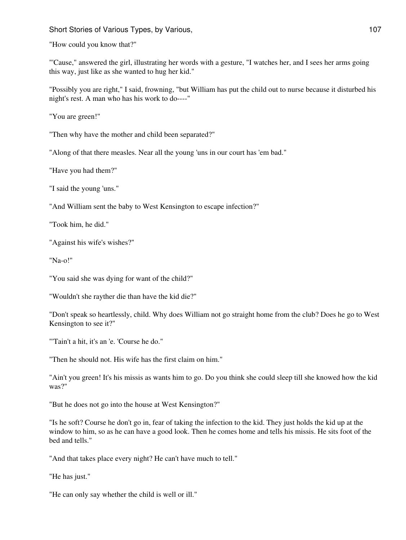"How could you know that?"

"'Cause," answered the girl, illustrating her words with a gesture, "I watches her, and I sees her arms going this way, just like as she wanted to hug her kid."

"Possibly you are right," I said, frowning, "but William has put the child out to nurse because it disturbed his night's rest. A man who has his work to do----"

"You are green!"

"Then why have the mother and child been separated?"

"Along of that there measles. Near all the young 'uns in our court has 'em bad."

"Have you had them?"

"I said the young 'uns."

"And William sent the baby to West Kensington to escape infection?"

"Took him, he did."

"Against his wife's wishes?"

"Na-o!"

"You said she was dying for want of the child?"

"Wouldn't she rayther die than have the kid die?"

"Don't speak so heartlessly, child. Why does William not go straight home from the club? Does he go to West Kensington to see it?"

"'Tain't a hit, it's an 'e. 'Course he do."

"Then he should not. His wife has the first claim on him."

"Ain't you green! It's his missis as wants him to go. Do you think she could sleep till she knowed how the kid was?"

"But he does not go into the house at West Kensington?"

"Is he soft? Course he don't go in, fear of taking the infection to the kid. They just holds the kid up at the window to him, so as he can have a good look. Then he comes home and tells his missis. He sits foot of the bed and tells."

"And that takes place every night? He can't have much to tell."

"He has just."

"He can only say whether the child is well or ill."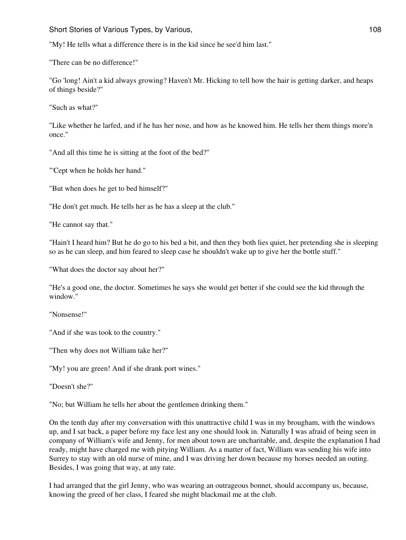"My! He tells what a difference there is in the kid since he see'd him last."

"There can be no difference!"

"Go 'long! Ain't a kid always growing? Haven't Mr. Hicking to tell how the hair is getting darker, and heaps of things beside?"

"Such as what?"

"Like whether he larfed, and if he has her nose, and how as he knowed him. He tells her them things more'n once."

"And all this time he is sitting at the foot of the bed?"

"'Cept when he holds her hand."

"But when does he get to bed himself?"

"He don't get much. He tells her as he has a sleep at the club."

"He cannot say that."

"Hain't I heard him? But he do go to his bed a bit, and then they both lies quiet, her pretending she is sleeping so as he can sleep, and him feared to sleep case he shouldn't wake up to give her the bottle stuff."

"What does the doctor say about her?"

"He's a good one, the doctor. Sometimes he says she would get better if she could see the kid through the window."

"Nonsense!"

"And if she was took to the country."

"Then why does not William take her?"

"My! you are green! And if she drank port wines."

"Doesn't she?"

"No; but William he tells her about the gentlemen drinking them."

On the tenth day after my conversation with this unattractive child I was in my brougham, with the windows up, and I sat back, a paper before my face lest any one should look in. Naturally I was afraid of being seen in company of William's wife and Jenny, for men about town are uncharitable, and, despite the explanation I had ready, might have charged me with pitying William. As a matter of fact, William was sending his wife into Surrey to stay with an old nurse of mine, and I was driving her down because my horses needed an outing. Besides, I was going that way, at any rate.

I had arranged that the girl Jenny, who was wearing an outrageous bonnet, should accompany us, because, knowing the greed of her class, I feared she might blackmail me at the club.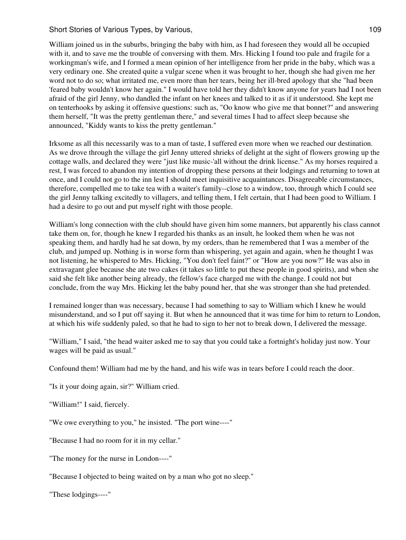William joined us in the suburbs, bringing the baby with him, as I had foreseen they would all be occupied with it, and to save me the trouble of conversing with them. Mrs. Hicking I found too pale and fragile for a workingman's wife, and I formed a mean opinion of her intelligence from her pride in the baby, which was a very ordinary one. She created quite a vulgar scene when it was brought to her, though she had given me her word not to do so; what irritated me, even more than her tears, being her ill-bred apology that she "had been 'feared baby wouldn't know her again." I would have told her they didn't know anyone for years had I not been afraid of the girl Jenny, who dandled the infant on her knees and talked to it as if it understood. She kept me on tenterhooks by asking it offensive questions: such as, "Oo know who give me that bonnet?" and answering them herself, "It was the pretty gentleman there," and several times I had to affect sleep because she announced, "Kiddy wants to kiss the pretty gentleman."

Irksome as all this necessarily was to a man of taste, I suffered even more when we reached our destination. As we drove through the village the girl Jenny uttered shrieks of delight at the sight of flowers growing up the cottage walls, and declared they were "just like music-'all without the drink license." As my horses required a rest, I was forced to abandon my intention of dropping these persons at their lodgings and returning to town at once, and I could not go to the inn lest I should meet inquisitive acquaintances. Disagreeable circumstances, therefore, compelled me to take tea with a waiter's family--close to a window, too, through which I could see the girl Jenny talking excitedly to villagers, and telling them, I felt certain, that I had been good to William. I had a desire to go out and put myself right with those people.

William's long connection with the club should have given him some manners, but apparently his class cannot take them on, for, though he knew I regarded his thanks as an insult, he looked them when he was not speaking them, and hardly had he sat down, by my orders, than he remembered that I was a member of the club, and jumped up. Nothing is in worse form than whispering, yet again and again, when he thought I was not listening, he whispered to Mrs. Hicking, "You don't feel faint?" or "How are you now?" He was also in extravagant glee because she ate two cakes (it takes so little to put these people in good spirits), and when she said she felt like another being already, the fellow's face charged me with the change. I could not but conclude, from the way Mrs. Hicking let the baby pound her, that she was stronger than she had pretended.

I remained longer than was necessary, because I had something to say to William which I knew he would misunderstand, and so I put off saying it. But when he announced that it was time for him to return to London, at which his wife suddenly paled, so that he had to sign to her not to break down, I delivered the message.

"William," I said, "the head waiter asked me to say that you could take a fortnight's holiday just now. Your wages will be paid as usual."

Confound them! William had me by the hand, and his wife was in tears before I could reach the door.

"Is it your doing again, sir?" William cried.

"William!" I said, fiercely.

"We owe everything to you," he insisted. "The port wine----"

"Because I had no room for it in my cellar."

"The money for the nurse in London----"

"Because I objected to being waited on by a man who got no sleep."

"These lodgings----"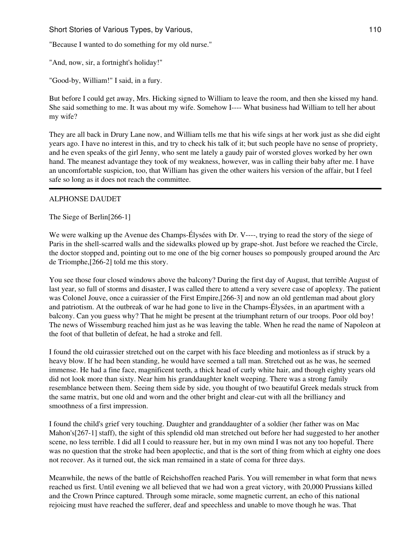"Because I wanted to do something for my old nurse."

"And, now, sir, a fortnight's holiday!"

"Good-by, William!" I said, in a fury.

But before I could get away, Mrs. Hicking signed to William to leave the room, and then she kissed my hand. She said something to me. It was about my wife. Somehow I---- What business had William to tell her about my wife?

They are all back in Drury Lane now, and William tells me that his wife sings at her work just as she did eight years ago. I have no interest in this, and try to check his talk of it; but such people have no sense of propriety, and he even speaks of the girl Jenny, who sent me lately a gaudy pair of worsted gloves worked by her own hand. The meanest advantage they took of my weakness, however, was in calling their baby after me. I have an uncomfortable suspicion, too, that William has given the other waiters his version of the affair, but I feel safe so long as it does not reach the committee.

## ALPHONSE DAUDET

The Siege of Berlin[266-1]

We were walking up the Avenue des Champs-Élysées with Dr. V----, trying to read the story of the siege of Paris in the shell-scarred walls and the sidewalks plowed up by grape-shot. Just before we reached the Circle, the doctor stopped and, pointing out to me one of the big corner houses so pompously grouped around the Arc de Triomphe,[266-2] told me this story.

You see those four closed windows above the balcony? During the first day of August, that terrible August of last year, so full of storms and disaster, I was called there to attend a very severe case of apoplexy. The patient was Colonel Jouve, once a cuirassier of the First Empire,[266-3] and now an old gentleman mad about glory and patriotism. At the outbreak of war he had gone to live in the Champs-Élysées, in an apartment with a balcony. Can you guess why? That he might be present at the triumphant return of our troops. Poor old boy! The news of Wissemburg reached him just as he was leaving the table. When he read the name of Napoleon at the foot of that bulletin of defeat, he had a stroke and fell.

I found the old cuirassier stretched out on the carpet with his face bleeding and motionless as if struck by a heavy blow. If he had been standing, he would have seemed a tall man. Stretched out as he was, he seemed immense. He had a fine face, magnificent teeth, a thick head of curly white hair, and though eighty years old did not look more than sixty. Near him his granddaughter knelt weeping. There was a strong family resemblance between them. Seeing them side by side, you thought of two beautiful Greek medals struck from the same matrix, but one old and worn and the other bright and clear-cut with all the brilliancy and smoothness of a first impression.

I found the child's grief very touching. Daughter and granddaughter of a soldier (her father was on Mac Mahon's[267-1] staff), the sight of this splendid old man stretched out before her had suggested to her another scene, no less terrible. I did all I could to reassure her, but in my own mind I was not any too hopeful. There was no question that the stroke had been apoplectic, and that is the sort of thing from which at eighty one does not recover. As it turned out, the sick man remained in a state of coma for three days.

Meanwhile, the news of the battle of Reichshoffen reached Paris. You will remember in what form that news reached us first. Until evening we all believed that we had won a great victory, with 20,000 Prussians killed and the Crown Prince captured. Through some miracle, some magnetic current, an echo of this national rejoicing must have reached the sufferer, deaf and speechless and unable to move though he was. That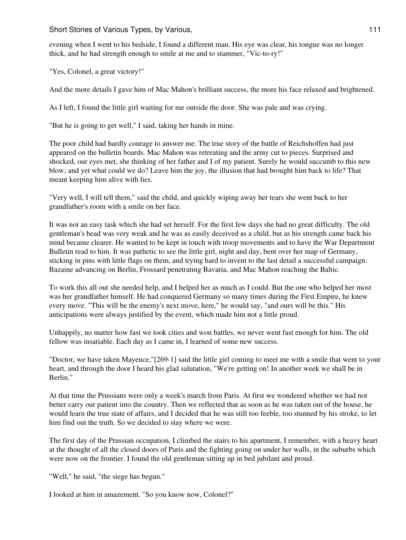evening when I went to his bedside, I found a different man. His eye was clear, his tongue was no longer thick, and he had strength enough to smile at me and to stammer, "Vic-to-ry!"

"Yes, Colonel, a great victory!"

And the more details I gave him of Mac Mahon's brilliant success, the more his face relaxed and brightened.

As I left, I found the little girl waiting for me outside the door. She was pale and was crying.

"But he is going to get well," I said, taking her hands in mine.

The poor child had hardly courage to answer me. The true story of the battle of Reichshoffen had just appeared on the bulletin boards. Mac Mahon was retreating and the army cut to pieces. Surprised and shocked, our eyes met, she thinking of her father and I of my patient. Surely he would succumb to this new blow; and yet what could we do? Leave him the joy, the illusion that had brought him back to life? That meant keeping him alive with lies.

"Very well, I will tell them," said the child, and quickly wiping away her tears she went back to her grandfather's room with a smile on her face.

It was not an easy task which she had set herself. For the first few days she had no great difficulty. The old gentleman's head was very weak and he was as easily deceived as a child, but as his strength came back his mind became clearer. He wanted to be kept in touch with troop movements and to have the War Department Bulletin read to him. It was pathetic to see the little girl, night and day, bent over her map of Germany, sticking in pins with little flags on them, and trying hard to invent to the last detail a successful campaign: Bazaine advancing on Berlin, Frossard penetrating Bavaria, and Mac Mahon reaching the Baltic.

To work this all out she needed help, and I helped her as much as I could. But the one who helped her most was her grandfather himself. He had conquered Germany so many times during the First Empire, he knew every move. "This will be the enemy's next move, here," he would say, "and ours will be this." His anticipations were always justified by the event, which made him not a little proud.

Unhappily, no matter how fast we took cities and won battles, we never went fast enough for him. The old fellow was insatiable. Each day as I came in, I learned of some new success.

"Doctor, we have taken Mayence,"[269-1] said the little girl coming to meet me with a smile that went to your heart, and through the door I heard his glad salutation, "We're getting on! In another week we shall be in Berlin."

At that time the Prussians were only a week's march from Paris. At first we wondered whether we had not better carry our patient into the country. Then we reflected that as soon as he was taken out of the house, he would learn the true state of affairs, and I decided that he was still too feeble, too stunned by his stroke, to let him find out the truth. So we decided to stay where we were.

The first day of the Prussian occupation, I climbed the stairs to his apartment, I remember, with a heavy heart at the thought of all the closed doors of Paris and the fighting going on under her walls, in the suburbs which were now on the frontier. I found the old gentleman sitting up in bed jubilant and proud.

"Well," he said, "the siege has begun."

I looked at him in amazement. "So you know now, Colonel?"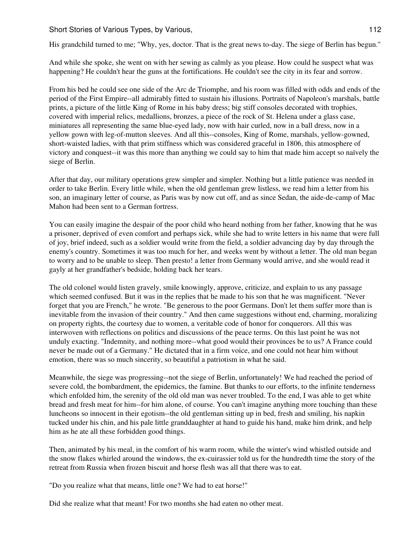His grandchild turned to me; "Why, yes, doctor. That is the great news to-day. The siege of Berlin has begun."

And while she spoke, she went on with her sewing as calmly as you please. How could he suspect what was happening? He couldn't hear the guns at the fortifications. He couldn't see the city in its fear and sorrow.

From his bed he could see one side of the Arc de Triomphe, and his room was filled with odds and ends of the period of the First Empire--all admirably fitted to sustain his illusions. Portraits of Napoleon's marshals, battle prints, a picture of the little King of Rome in his baby dress; big stiff consoles decorated with trophies, covered with imperial relics, medallions, bronzes, a piece of the rock of St. Helena under a glass case, miniatures all representing the same blue-eyed lady, now with hair curled, now in a ball dress, now in a yellow gown with leg-of-mutton sleeves. And all this--consoles, King of Rome, marshals, yellow-gowned, short-waisted ladies, with that prim stiffness which was considered graceful in 1806, this atmosphere of victory and conquest--it was this more than anything we could say to him that made him accept so naïvely the siege of Berlin.

After that day, our military operations grew simpler and simpler. Nothing but a little patience was needed in order to take Berlin. Every little while, when the old gentleman grew listless, we read him a letter from his son, an imaginary letter of course, as Paris was by now cut off, and as since Sedan, the aide-de-camp of Mac Mahon had been sent to a German fortress.

You can easily imagine the despair of the poor child who heard nothing from her father, knowing that he was a prisoner, deprived of even comfort and perhaps sick, while she had to write letters in his name that were full of joy, brief indeed, such as a soldier would write from the field, a soldier advancing day by day through the enemy's country. Sometimes it was too much for her, and weeks went by without a letter. The old man began to worry and to be unable to sleep. Then presto! a letter from Germany would arrive, and she would read it gayly at her grandfather's bedside, holding back her tears.

The old colonel would listen gravely, smile knowingly, approve, criticize, and explain to us any passage which seemed confused. But it was in the replies that he made to his son that he was magnificent. "Never forget that you are French," he wrote. "Be generous to the poor Germans. Don't let them suffer more than is inevitable from the invasion of their country." And then came suggestions without end, charming, moralizing on property rights, the courtesy due to women, a veritable code of honor for conquerors. All this was interwoven with reflections on politics and discussions of the peace terms. On this last point he was not unduly exacting. "Indemnity, and nothing more--what good would their provinces be to us? A France could never be made out of a Germany." He dictated that in a firm voice, and one could not hear him without emotion, there was so much sincerity, so beautiful a patriotism in what he said.

Meanwhile, the siege was progressing--not the siege of Berlin, unfortunately! We had reached the period of severe cold, the bombardment, the epidemics, the famine. But thanks to our efforts, to the infinite tenderness which enfolded him, the serenity of the old old man was never troubled. To the end, I was able to get white bread and fresh meat for him--for him alone, of course. You can't imagine anything more touching than these luncheons so innocent in their egotism--the old gentleman sitting up in bed, fresh and smiling, his napkin tucked under his chin, and his pale little granddaughter at hand to guide his hand, make him drink, and help him as he ate all these forbidden good things.

Then, animated by his meal, in the comfort of his warm room, while the winter's wind whistled outside and the snow flakes whirled around the windows, the ex-cuirassier told us for the hundredth time the story of the retreat from Russia when frozen biscuit and horse flesh was all that there was to eat.

"Do you realize what that means, little one? We had to eat horse!"

Did she realize what that meant! For two months she had eaten no other meat.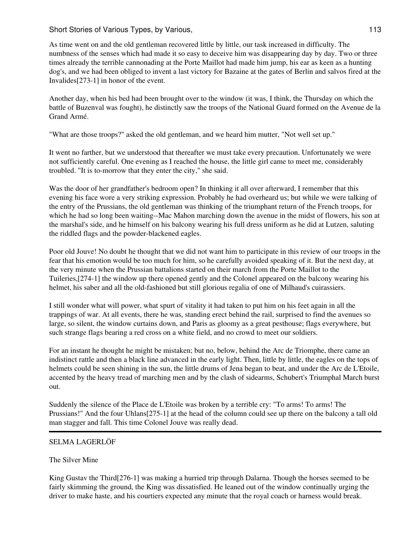As time went on and the old gentleman recovered little by little, our task increased in difficulty. The numbness of the senses which had made it so easy to deceive him was disappearing day by day. Two or three times already the terrible cannonading at the Porte Maillot had made him jump, his ear as keen as a hunting dog's, and we had been obliged to invent a last victory for Bazaine at the gates of Berlin and salvos fired at the Invalides[273-1] in honor of the event.

Another day, when his bed had been brought over to the window (it was, I think, the Thursday on which the battle of Buzenval was fought), he distinctly saw the troops of the National Guard formed on the Avenue de la Grand Armé.

"What are those troops?" asked the old gentleman, and we heard him mutter, "Not well set up."

It went no farther, but we understood that thereafter we must take every precaution. Unfortunately we were not sufficiently careful. One evening as I reached the house, the little girl came to meet me, considerably troubled. "It is to-morrow that they enter the city," she said.

Was the door of her grandfather's bedroom open? In thinking it all over afterward, I remember that this evening his face wore a very striking expression. Probably he had overheard us; but while we were talking of the entry of the Prussians, the old gentleman was thinking of the triumphant return of the French troops, for which he had so long been waiting--Mac Mahon marching down the avenue in the midst of flowers, his son at the marshal's side, and he himself on his balcony wearing his full dress uniform as he did at Lutzen, saluting the riddled flags and the powder-blackened eagles.

Poor old Jouve! No doubt he thought that we did not want him to participate in this review of our troops in the fear that his emotion would be too much for him, so he carefully avoided speaking of it. But the next day, at the very minute when the Prussian battalions started on their march from the Porte Maillot to the Tuileries,[274-1] the window up there opened gently and the Colonel appeared on the balcony wearing his helmet, his saber and all the old-fashioned but still glorious regalia of one of Milhaud's cuirassiers.

I still wonder what will power, what spurt of vitality it had taken to put him on his feet again in all the trappings of war. At all events, there he was, standing erect behind the rail, surprised to find the avenues so large, so silent, the window curtains down, and Paris as gloomy as a great pesthouse; flags everywhere, but such strange flags bearing a red cross on a white field, and no crowd to meet our soldiers.

For an instant he thought he might be mistaken; but no, below, behind the Arc de Triomphe, there came an indistinct rattle and then a black line advanced in the early light. Then, little by little, the eagles on the tops of helmets could be seen shining in the sun, the little drums of Jena began to beat, and under the Arc de L'Etoile, accented by the heavy tread of marching men and by the clash of sidearms, Schubert's Triumphal March burst out.

Suddenly the silence of the Place de L'Etoile was broken by a terrible cry: "To arms! To arms! The Prussians!" And the four Uhlans[275-1] at the head of the column could see up there on the balcony a tall old man stagger and fall. This time Colonel Jouve was really dead.

#### SELMA LAGERLÖF

# The Silver Mine

King Gustav the Third[276-1] was making a hurried trip through Dalarna. Though the horses seemed to be fairly skimming the ground, the King was dissatisfied. He leaned out of the window continually urging the driver to make haste, and his courtiers expected any minute that the royal coach or harness would break.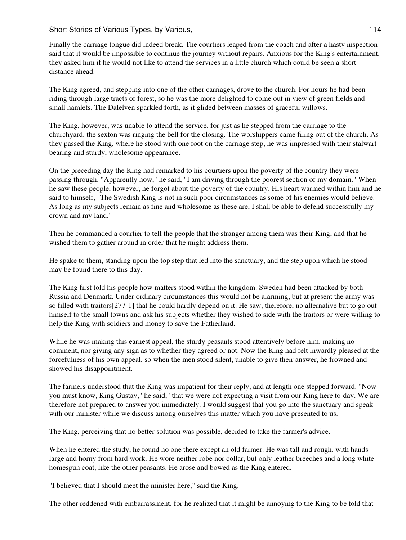Finally the carriage tongue did indeed break. The courtiers leaped from the coach and after a hasty inspection said that it would be impossible to continue the journey without repairs. Anxious for the King's entertainment, they asked him if he would not like to attend the services in a little church which could be seen a short distance ahead.

The King agreed, and stepping into one of the other carriages, drove to the church. For hours he had been riding through large tracts of forest, so he was the more delighted to come out in view of green fields and small hamlets. The Dalelven sparkled forth, as it glided between masses of graceful willows.

The King, however, was unable to attend the service, for just as he stepped from the carriage to the churchyard, the sexton was ringing the bell for the closing. The worshippers came filing out of the church. As they passed the King, where he stood with one foot on the carriage step, he was impressed with their stalwart bearing and sturdy, wholesome appearance.

On the preceding day the King had remarked to his courtiers upon the poverty of the country they were passing through. "Apparently now," he said, "I am driving through the poorest section of my domain." When he saw these people, however, he forgot about the poverty of the country. His heart warmed within him and he said to himself, "The Swedish King is not in such poor circumstances as some of his enemies would believe. As long as my subjects remain as fine and wholesome as these are, I shall be able to defend successfully my crown and my land."

Then he commanded a courtier to tell the people that the stranger among them was their King, and that he wished them to gather around in order that he might address them.

He spake to them, standing upon the top step that led into the sanctuary, and the step upon which he stood may be found there to this day.

The King first told his people how matters stood within the kingdom. Sweden had been attacked by both Russia and Denmark. Under ordinary circumstances this would not be alarming, but at present the army was so filled with traitors[277-1] that he could hardly depend on it. He saw, therefore, no alternative but to go out himself to the small towns and ask his subjects whether they wished to side with the traitors or were willing to help the King with soldiers and money to save the Fatherland.

While he was making this earnest appeal, the sturdy peasants stood attentively before him, making no comment, nor giving any sign as to whether they agreed or not. Now the King had felt inwardly pleased at the forcefulness of his own appeal, so when the men stood silent, unable to give their answer, he frowned and showed his disappointment.

The farmers understood that the King was impatient for their reply, and at length one stepped forward. "Now you must know, King Gustav," he said, "that we were not expecting a visit from our King here to-day. We are therefore not prepared to answer you immediately. I would suggest that you go into the sanctuary and speak with our minister while we discuss among ourselves this matter which you have presented to us."

The King, perceiving that no better solution was possible, decided to take the farmer's advice.

When he entered the study, he found no one there except an old farmer. He was tall and rough, with hands large and horny from hard work. He wore neither robe nor collar, but only leather breeches and a long white homespun coat, like the other peasants. He arose and bowed as the King entered.

"I believed that I should meet the minister here," said the King.

The other reddened with embarrassment, for he realized that it might be annoying to the King to be told that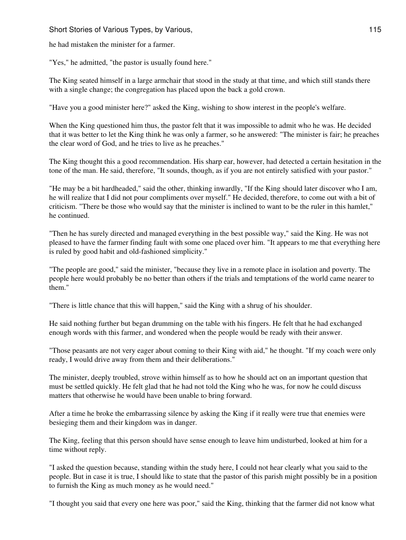he had mistaken the minister for a farmer.

"Yes," he admitted, "the pastor is usually found here."

The King seated himself in a large armchair that stood in the study at that time, and which still stands there with a single change; the congregation has placed upon the back a gold crown.

"Have you a good minister here?" asked the King, wishing to show interest in the people's welfare.

When the King questioned him thus, the pastor felt that it was impossible to admit who he was. He decided that it was better to let the King think he was only a farmer, so he answered: "The minister is fair; he preaches the clear word of God, and he tries to live as he preaches."

The King thought this a good recommendation. His sharp ear, however, had detected a certain hesitation in the tone of the man. He said, therefore, "It sounds, though, as if you are not entirely satisfied with your pastor."

"He may be a bit hardheaded," said the other, thinking inwardly, "If the King should later discover who I am, he will realize that I did not pour compliments over myself." He decided, therefore, to come out with a bit of criticism. "There be those who would say that the minister is inclined to want to be the ruler in this hamlet," he continued.

"Then he has surely directed and managed everything in the best possible way," said the King. He was not pleased to have the farmer finding fault with some one placed over him. "It appears to me that everything here is ruled by good habit and old-fashioned simplicity."

"The people are good," said the minister, "because they live in a remote place in isolation and poverty. The people here would probably be no better than others if the trials and temptations of the world came nearer to them."

"There is little chance that this will happen," said the King with a shrug of his shoulder.

He said nothing further but began drumming on the table with his fingers. He felt that he had exchanged enough words with this farmer, and wondered when the people would be ready with their answer.

"Those peasants are not very eager about coming to their King with aid," he thought. "If my coach were only ready, I would drive away from them and their deliberations."

The minister, deeply troubled, strove within himself as to how he should act on an important question that must be settled quickly. He felt glad that he had not told the King who he was, for now he could discuss matters that otherwise he would have been unable to bring forward.

After a time he broke the embarrassing silence by asking the King if it really were true that enemies were besieging them and their kingdom was in danger.

The King, feeling that this person should have sense enough to leave him undisturbed, looked at him for a time without reply.

"I asked the question because, standing within the study here, I could not hear clearly what you said to the people. But in case it is true, I should like to state that the pastor of this parish might possibly be in a position to furnish the King as much money as he would need."

"I thought you said that every one here was poor," said the King, thinking that the farmer did not know what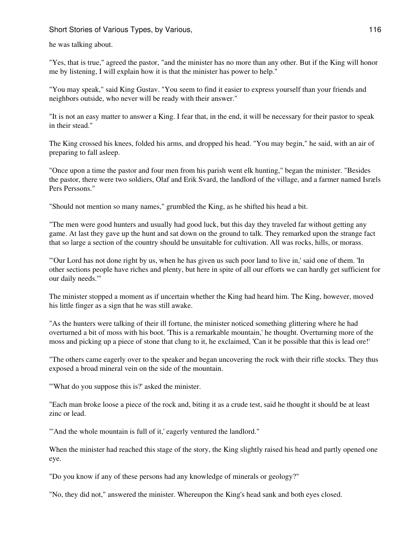he was talking about.

"Yes, that is true," agreed the pastor, "and the minister has no more than any other. But if the King will honor me by listening, I will explain how it is that the minister has power to help."

"You may speak," said King Gustav. "You seem to find it easier to express yourself than your friends and neighbors outside, who never will be ready with their answer."

"It is not an easy matter to answer a King. I fear that, in the end, it will be necessary for their pastor to speak in their stead."

The King crossed his knees, folded his arms, and dropped his head. "You may begin," he said, with an air of preparing to fall asleep.

"Once upon a time the pastor and four men from his parish went elk hunting," began the minister. "Besides the pastor, there were two soldiers, Olaf and Erik Svard, the landlord of the village, and a farmer named Isræls Pers Perssons."

"Should not mention so many names," grumbled the King, as he shifted his head a bit.

"The men were good hunters and usually had good luck, but this day they traveled far without getting any game. At last they gave up the hunt and sat down on the ground to talk. They remarked upon the strange fact that so large a section of the country should be unsuitable for cultivation. All was rocks, hills, or morass.

"'Our Lord has not done right by us, when he has given us such poor land to live in,' said one of them. 'In other sections people have riches and plenty, but here in spite of all our efforts we can hardly get sufficient for our daily needs.'"

The minister stopped a moment as if uncertain whether the King had heard him. The King, however, moved his little finger as a sign that he was still awake.

"As the hunters were talking of their ill fortune, the minister noticed something glittering where he had overturned a bit of moss with his boot. 'This is a remarkable mountain,' he thought. Overturning more of the moss and picking up a piece of stone that clung to it, he exclaimed, 'Can it be possible that this is lead ore!'

"The others came eagerly over to the speaker and began uncovering the rock with their rifle stocks. They thus exposed a broad mineral vein on the side of the mountain.

"'What do you suppose this is?' asked the minister.

"Each man broke loose a piece of the rock and, biting it as a crude test, said he thought it should be at least zinc or lead.

"'And the whole mountain is full of it,' eagerly ventured the landlord."

When the minister had reached this stage of the story, the King slightly raised his head and partly opened one eye.

"Do you know if any of these persons had any knowledge of minerals or geology?"

"No, they did not," answered the minister. Whereupon the King's head sank and both eyes closed.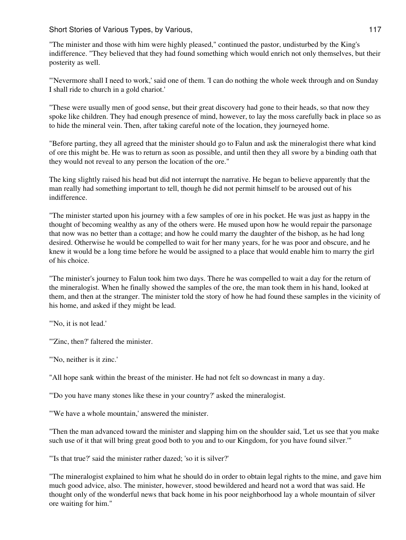"The minister and those with him were highly pleased," continued the pastor, undisturbed by the King's indifference. "They believed that they had found something which would enrich not only themselves, but their posterity as well.

"'Nevermore shall I need to work,' said one of them. 'I can do nothing the whole week through and on Sunday I shall ride to church in a gold chariot.'

"These were usually men of good sense, but their great discovery had gone to their heads, so that now they spoke like children. They had enough presence of mind, however, to lay the moss carefully back in place so as to hide the mineral vein. Then, after taking careful note of the location, they journeyed home.

"Before parting, they all agreed that the minister should go to Falun and ask the mineralogist there what kind of ore this might be. He was to return as soon as possible, and until then they all swore by a binding oath that they would not reveal to any person the location of the ore."

The king slightly raised his head but did not interrupt the narrative. He began to believe apparently that the man really had something important to tell, though he did not permit himself to be aroused out of his indifference.

"The minister started upon his journey with a few samples of ore in his pocket. He was just as happy in the thought of becoming wealthy as any of the others were. He mused upon how he would repair the parsonage that now was no better than a cottage; and how he could marry the daughter of the bishop, as he had long desired. Otherwise he would be compelled to wait for her many years, for he was poor and obscure, and he knew it would be a long time before he would be assigned to a place that would enable him to marry the girl of his choice.

"The minister's journey to Falun took him two days. There he was compelled to wait a day for the return of the mineralogist. When he finally showed the samples of the ore, the man took them in his hand, looked at them, and then at the stranger. The minister told the story of how he had found these samples in the vicinity of his home, and asked if they might be lead.

"'No, it is not lead.'

"'Zinc, then?' faltered the minister.

"'No, neither is it zinc.'

"All hope sank within the breast of the minister. He had not felt so downcast in many a day.

"'Do you have many stones like these in your country?' asked the mineralogist.

"'We have a whole mountain,' answered the minister.

"Then the man advanced toward the minister and slapping him on the shoulder said, 'Let us see that you make such use of it that will bring great good both to you and to our Kingdom, for you have found silver.'"

"'Is that true?' said the minister rather dazed; 'so it is silver?'

"The mineralogist explained to him what he should do in order to obtain legal rights to the mine, and gave him much good advice, also. The minister, however, stood bewildered and heard not a word that was said. He thought only of the wonderful news that back home in his poor neighborhood lay a whole mountain of silver ore waiting for him."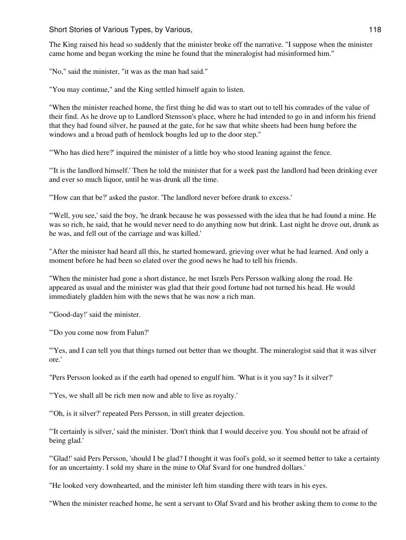The King raised his head so suddenly that the minister broke off the narrative. "I suppose when the minister came home and began working the mine he found that the mineralogist had misinformed him."

"No," said the minister, "it was as the man had said."

"You may continue," and the King settled himself again to listen.

"When the minister reached home, the first thing he did was to start out to tell his comrades of the value of their find. As he drove up to Landlord Stensson's place, where he had intended to go in and inform his friend that they had found silver, he paused at the gate, for he saw that white sheets had been hung before the windows and a broad path of hemlock boughs led up to the door step."

"'Who has died here?' inquired the minister of a little boy who stood leaning against the fence.

"'It is the landlord himself.' Then he told the minister that for a week past the landlord had been drinking ever and ever so much liquor, until he was drunk all the time.

"'How can that be?' asked the pastor. 'The landlord never before drank to excess.'

"'Well, you see,' said the boy, 'he drank because he was possessed with the idea that he had found a mine. He was so rich, he said, that he would never need to do anything now but drink. Last night he drove out, drunk as he was, and fell out of the carriage and was killed.'

"After the minister had heard all this, he started homeward, grieving over what he had learned. And only a moment before he had been so elated over the good news he had to tell his friends.

"When the minister had gone a short distance, he met Isræls Pers Persson walking along the road. He appeared as usual and the minister was glad that their good fortune had not turned his head. He would immediately gladden him with the news that he was now a rich man.

"'Good-day!' said the minister.

"'Do you come now from Falun?'

"'Yes, and I can tell you that things turned out better than we thought. The mineralogist said that it was silver ore.'

"Pers Persson looked as if the earth had opened to engulf him. 'What is it you say? Is it silver?'

"'Yes, we shall all be rich men now and able to live as royalty.'

"'Oh, is it silver?' repeated Pers Persson, in still greater dejection.

"'It certainly is silver,' said the minister. 'Don't think that I would deceive you. You should not be afraid of being glad.'

"'Glad!' said Pers Persson, 'should I be glad? I thought it was fool's gold, so it seemed better to take a certainty for an uncertainty. I sold my share in the mine to Olaf Svard for one hundred dollars.'

"He looked very downhearted, and the minister left him standing there with tears in his eyes.

"When the minister reached home, he sent a servant to Olaf Svard and his brother asking them to come to the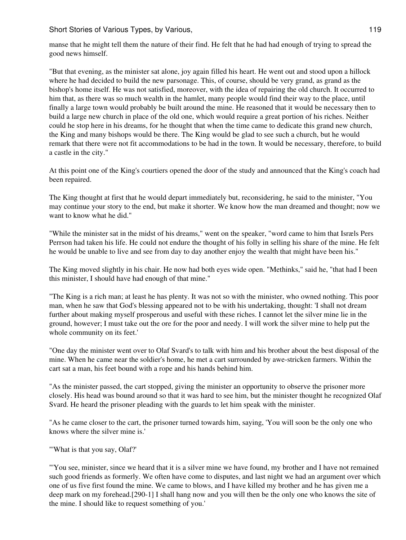manse that he might tell them the nature of their find. He felt that he had had enough of trying to spread the good news himself.

"But that evening, as the minister sat alone, joy again filled his heart. He went out and stood upon a hillock where he had decided to build the new parsonage. This, of course, should be very grand, as grand as the bishop's home itself. He was not satisfied, moreover, with the idea of repairing the old church. It occurred to him that, as there was so much wealth in the hamlet, many people would find their way to the place, until finally a large town would probably be built around the mine. He reasoned that it would be necessary then to build a large new church in place of the old one, which would require a great portion of his riches. Neither could he stop here in his dreams, for he thought that when the time came to dedicate this grand new church, the King and many bishops would be there. The King would be glad to see such a church, but he would remark that there were not fit accommodations to be had in the town. It would be necessary, therefore, to build a castle in the city."

At this point one of the King's courtiers opened the door of the study and announced that the King's coach had been repaired.

The King thought at first that he would depart immediately but, reconsidering, he said to the minister, "You may continue your story to the end, but make it shorter. We know how the man dreamed and thought; now we want to know what he did."

"While the minister sat in the midst of his dreams," went on the speaker, "word came to him that Isræls Pers Perrson had taken his life. He could not endure the thought of his folly in selling his share of the mine. He felt he would be unable to live and see from day to day another enjoy the wealth that might have been his."

The King moved slightly in his chair. He now had both eyes wide open. "Methinks," said he, "that had I been this minister, I should have had enough of that mine."

"The King is a rich man; at least he has plenty. It was not so with the minister, who owned nothing. This poor man, when he saw that God's blessing appeared not to be with his undertaking, thought: 'I shall not dream further about making myself prosperous and useful with these riches. I cannot let the silver mine lie in the ground, however; I must take out the ore for the poor and needy. I will work the silver mine to help put the whole community on its feet.'

"One day the minister went over to Olaf Svard's to talk with him and his brother about the best disposal of the mine. When he came near the soldier's home, he met a cart surrounded by awe-stricken farmers. Within the cart sat a man, his feet bound with a rope and his hands behind him.

"As the minister passed, the cart stopped, giving the minister an opportunity to observe the prisoner more closely. His head was bound around so that it was hard to see him, but the minister thought he recognized Olaf Svard. He heard the prisoner pleading with the guards to let him speak with the minister.

"As he came closer to the cart, the prisoner turned towards him, saying, 'You will soon be the only one who knows where the silver mine is.'

"'What is that you say, Olaf?'

"'You see, minister, since we heard that it is a silver mine we have found, my brother and I have not remained such good friends as formerly. We often have come to disputes, and last night we had an argument over which one of us five first found the mine. We came to blows, and I have killed my brother and he has given me a deep mark on my forehead.[290-1] I shall hang now and you will then be the only one who knows the site of the mine. I should like to request something of you.'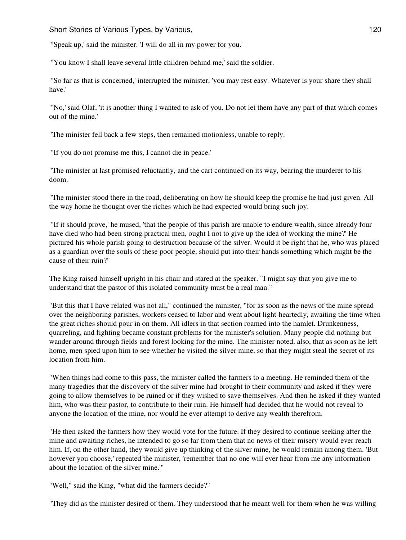Short Stories of Various Types, by Various, 1988, 1988, 1988, 1988, 1988, 120, 120, 120, 120, 120, 120, 120, 1

"'Speak up,' said the minister. 'I will do all in my power for you.'

"'You know I shall leave several little children behind me,' said the soldier.

"'So far as that is concerned,' interrupted the minister, 'you may rest easy. Whatever is your share they shall have.'

"'No,' said Olaf, 'it is another thing I wanted to ask of you. Do not let them have any part of that which comes out of the mine.'

"The minister fell back a few steps, then remained motionless, unable to reply.

"'If you do not promise me this, I cannot die in peace.'

"The minister at last promised reluctantly, and the cart continued on its way, bearing the murderer to his doom.

"The minister stood there in the road, deliberating on how he should keep the promise he had just given. All the way home he thought over the riches which he had expected would bring such joy.

"'If it should prove,' he mused, 'that the people of this parish are unable to endure wealth, since already four have died who had been strong practical men, ought I not to give up the idea of working the mine?' He pictured his whole parish going to destruction because of the silver. Would it be right that he, who was placed as a guardian over the souls of these poor people, should put into their hands something which might be the cause of their ruin?"

The King raised himself upright in his chair and stared at the speaker. "I might say that you give me to understand that the pastor of this isolated community must be a real man."

"But this that I have related was not all," continued the minister, "for as soon as the news of the mine spread over the neighboring parishes, workers ceased to labor and went about light-heartedly, awaiting the time when the great riches should pour in on them. All idlers in that section roamed into the hamlet. Drunkenness, quarreling, and fighting became constant problems for the minister's solution. Many people did nothing but wander around through fields and forest looking for the mine. The minister noted, also, that as soon as he left home, men spied upon him to see whether he visited the silver mine, so that they might steal the secret of its location from him.

"When things had come to this pass, the minister called the farmers to a meeting. He reminded them of the many tragedies that the discovery of the silver mine had brought to their community and asked if they were going to allow themselves to be ruined or if they wished to save themselves. And then he asked if they wanted him, who was their pastor, to contribute to their ruin. He himself had decided that he would not reveal to anyone the location of the mine, nor would he ever attempt to derive any wealth therefrom.

"He then asked the farmers how they would vote for the future. If they desired to continue seeking after the mine and awaiting riches, he intended to go so far from them that no news of their misery would ever reach him. If, on the other hand, they would give up thinking of the silver mine, he would remain among them. 'But however you choose,' repeated the minister, 'remember that no one will ever hear from me any information about the location of the silver mine.'"

"Well," said the King, "what did the farmers decide?"

"They did as the minister desired of them. They understood that he meant well for them when he was willing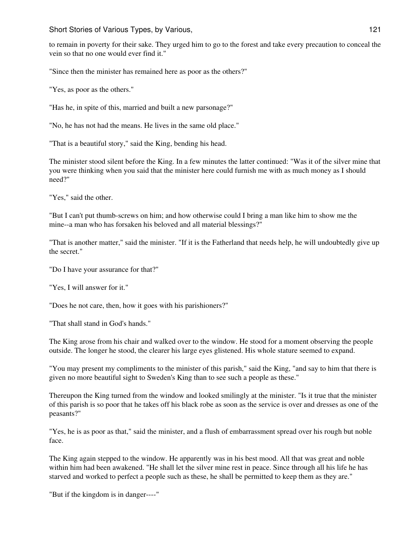to remain in poverty for their sake. They urged him to go to the forest and take every precaution to conceal the vein so that no one would ever find it."

"Since then the minister has remained here as poor as the others?"

"Yes, as poor as the others."

"Has he, in spite of this, married and built a new parsonage?"

"No, he has not had the means. He lives in the same old place."

"That is a beautiful story," said the King, bending his head.

The minister stood silent before the King. In a few minutes the latter continued: "Was it of the silver mine that you were thinking when you said that the minister here could furnish me with as much money as I should need?"

"Yes," said the other.

"But I can't put thumb-screws on him; and how otherwise could I bring a man like him to show me the mine--a man who has forsaken his beloved and all material blessings?"

"That is another matter," said the minister. "If it is the Fatherland that needs help, he will undoubtedly give up the secret."

"Do I have your assurance for that?"

"Yes, I will answer for it."

"Does he not care, then, how it goes with his parishioners?"

"That shall stand in God's hands."

The King arose from his chair and walked over to the window. He stood for a moment observing the people outside. The longer he stood, the clearer his large eyes glistened. His whole stature seemed to expand.

"You may present my compliments to the minister of this parish," said the King, "and say to him that there is given no more beautiful sight to Sweden's King than to see such a people as these."

Thereupon the King turned from the window and looked smilingly at the minister. "Is it true that the minister of this parish is so poor that he takes off his black robe as soon as the service is over and dresses as one of the peasants?"

"Yes, he is as poor as that," said the minister, and a flush of embarrassment spread over his rough but noble face.

The King again stepped to the window. He apparently was in his best mood. All that was great and noble within him had been awakened. "He shall let the silver mine rest in peace. Since through all his life he has starved and worked to perfect a people such as these, he shall be permitted to keep them as they are."

"But if the kingdom is in danger----"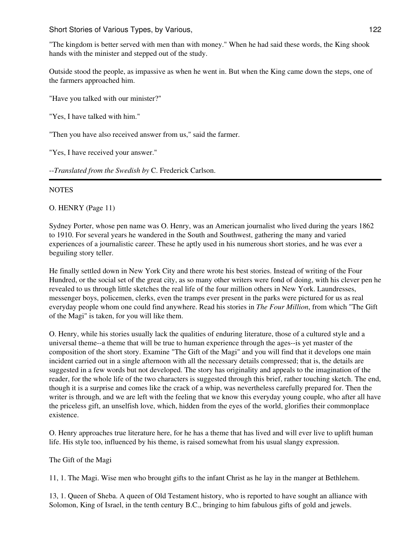"The kingdom is better served with men than with money." When he had said these words, the King shook hands with the minister and stepped out of the study.

Outside stood the people, as impassive as when he went in. But when the King came down the steps, one of the farmers approached him.

"Have you talked with our minister?"

"Yes, I have talked with him."

"Then you have also received answer from us," said the farmer.

"Yes, I have received your answer."

--*Translated from the Swedish by* C. Frederick Carlson.

# **NOTES**

O. HENRY (Page 11)

Sydney Porter, whose pen name was O. Henry, was an American journalist who lived during the years 1862 to 1910. For several years he wandered in the South and Southwest, gathering the many and varied experiences of a journalistic career. These he aptly used in his numerous short stories, and he was ever a beguiling story teller.

He finally settled down in New York City and there wrote his best stories. Instead of writing of the Four Hundred, or the social set of the great city, as so many other writers were fond of doing, with his clever pen he revealed to us through little sketches the real life of the four million others in New York. Laundresses, messenger boys, policemen, clerks, even the tramps ever present in the parks were pictured for us as real everyday people whom one could find anywhere. Read his stories in *The Four Million*, from which "The Gift of the Magi" is taken, for you will like them.

O. Henry, while his stories usually lack the qualities of enduring literature, those of a cultured style and a universal theme--a theme that will be true to human experience through the ages--is yet master of the composition of the short story. Examine "The Gift of the Magi" and you will find that it develops one main incident carried out in a single afternoon with all the necessary details compressed; that is, the details are suggested in a few words but not developed. The story has originality and appeals to the imagination of the reader, for the whole life of the two characters is suggested through this brief, rather touching sketch. The end, though it is a surprise and comes like the crack of a whip, was nevertheless carefully prepared for. Then the writer is through, and we are left with the feeling that we know this everyday young couple, who after all have the priceless gift, an unselfish love, which, hidden from the eyes of the world, glorifies their commonplace existence.

O. Henry approaches true literature here, for he has a theme that has lived and will ever live to uplift human life. His style too, influenced by his theme, is raised somewhat from his usual slangy expression.

The Gift of the Magi

11, 1. The Magi. Wise men who brought gifts to the infant Christ as he lay in the manger at Bethlehem.

13, 1. Queen of Sheba. A queen of Old Testament history, who is reported to have sought an alliance with Solomon, King of Israel, in the tenth century B.C., bringing to him fabulous gifts of gold and jewels.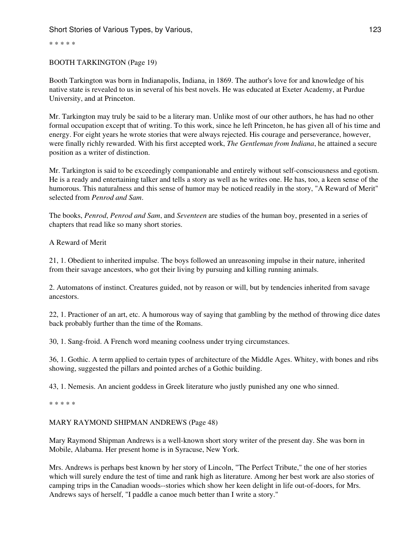\* \* \* \* \*

## BOOTH TARKINGTON (Page 19)

Booth Tarkington was born in Indianapolis, Indiana, in 1869. The author's love for and knowledge of his native state is revealed to us in several of his best novels. He was educated at Exeter Academy, at Purdue University, and at Princeton.

Mr. Tarkington may truly be said to be a literary man. Unlike most of our other authors, he has had no other formal occupation except that of writing. To this work, since he left Princeton, he has given all of his time and energy. For eight years he wrote stories that were always rejected. His courage and perseverance, however, were finally richly rewarded. With his first accepted work, *The Gentleman from Indiana*, he attained a secure position as a writer of distinction.

Mr. Tarkington is said to be exceedingly companionable and entirely without self-consciousness and egotism. He is a ready and entertaining talker and tells a story as well as he writes one. He has, too, a keen sense of the humorous. This naturalness and this sense of humor may be noticed readily in the story, "A Reward of Merit" selected from *Penrod and Sam*.

The books, *Penrod*, *Penrod and Sam*, and *Seventeen* are studies of the human boy, presented in a series of chapters that read like so many short stories.

## A Reward of Merit

21, 1. Obedient to inherited impulse. The boys followed an unreasoning impulse in their nature, inherited from their savage ancestors, who got their living by pursuing and killing running animals.

2. Automatons of instinct. Creatures guided, not by reason or will, but by tendencies inherited from savage ancestors.

22, 1. Practioner of an art, etc. A humorous way of saying that gambling by the method of throwing dice dates back probably further than the time of the Romans.

30, 1. Sang-froid. A French word meaning coolness under trying circumstances.

36, 1. Gothic. A term applied to certain types of architecture of the Middle Ages. Whitey, with bones and ribs showing, suggested the pillars and pointed arches of a Gothic building.

43, 1. Nemesis. An ancient goddess in Greek literature who justly punished any one who sinned.

\* \* \* \* \*

# MARY RAYMOND SHIPMAN ANDREWS (Page 48)

Mary Raymond Shipman Andrews is a well-known short story writer of the present day. She was born in Mobile, Alabama. Her present home is in Syracuse, New York.

Mrs. Andrews is perhaps best known by her story of Lincoln, "The Perfect Tribute," the one of her stories which will surely endure the test of time and rank high as literature. Among her best work are also stories of camping trips in the Canadian woods--stories which show her keen delight in life out-of-doors, for Mrs. Andrews says of herself, "I paddle a canoe much better than I write a story."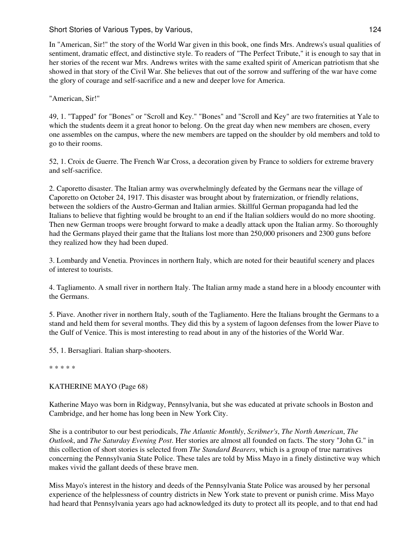In "American, Sir!" the story of the World War given in this book, one finds Mrs. Andrews's usual qualities of sentiment, dramatic effect, and distinctive style. To readers of "The Perfect Tribute," it is enough to say that in her stories of the recent war Mrs. Andrews writes with the same exalted spirit of American patriotism that she showed in that story of the Civil War. She believes that out of the sorrow and suffering of the war have come the glory of courage and self-sacrifice and a new and deeper love for America.

"American, Sir!"

49, 1. "Tapped" for "Bones" or "Scroll and Key." "Bones" and "Scroll and Key" are two fraternities at Yale to which the students deem it a great honor to belong. On the great day when new members are chosen, every one assembles on the campus, where the new members are tapped on the shoulder by old members and told to go to their rooms.

52, 1. Croix de Guerre. The French War Cross, a decoration given by France to soldiers for extreme bravery and self-sacrifice.

2. Caporetto disaster. The Italian army was overwhelmingly defeated by the Germans near the village of Caporetto on October 24, 1917. This disaster was brought about by fraternization, or friendly relations, between the soldiers of the Austro-German and Italian armies. Skillful German propaganda had led the Italians to believe that fighting would be brought to an end if the Italian soldiers would do no more shooting. Then new German troops were brought forward to make a deadly attack upon the Italian army. So thoroughly had the Germans played their game that the Italians lost more than 250,000 prisoners and 2300 guns before they realized how they had been duped.

3. Lombardy and Venetia. Provinces in northern Italy, which are noted for their beautiful scenery and places of interest to tourists.

4. Tagliamento. A small river in northern Italy. The Italian army made a stand here in a bloody encounter with the Germans.

5. Piave. Another river in northern Italy, south of the Tagliamento. Here the Italians brought the Germans to a stand and held them for several months. They did this by a system of lagoon defenses from the lower Piave to the Gulf of Venice. This is most interesting to read about in any of the histories of the World War.

55, 1. Bersagliari. Italian sharp-shooters.

\* \* \* \* \*

# KATHERINE MAYO (Page 68)

Katherine Mayo was born in Ridgway, Pennsylvania, but she was educated at private schools in Boston and Cambridge, and her home has long been in New York City.

She is a contributor to our best periodicals, *The Atlantic Monthly*, *Scribner's*, *The North American*, *The Outlook*, and *The Saturday Evening Post*. Her stories are almost all founded on facts. The story "John G." in this collection of short stories is selected from *The Standard Bearers*, which is a group of true narratives concerning the Pennsylvania State Police. These tales are told by Miss Mayo in a finely distinctive way which makes vivid the gallant deeds of these brave men.

Miss Mayo's interest in the history and deeds of the Pennsylvania State Police was aroused by her personal experience of the helplessness of country districts in New York state to prevent or punish crime. Miss Mayo had heard that Pennsylvania years ago had acknowledged its duty to protect all its people, and to that end had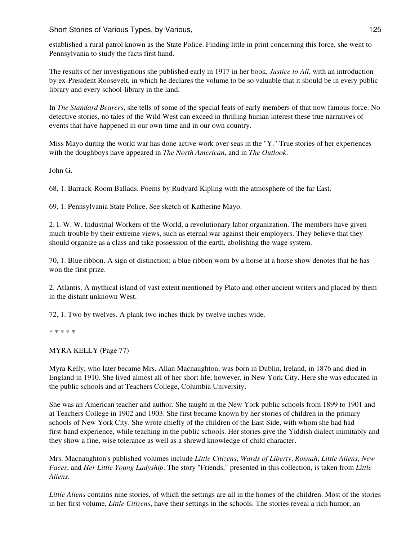established a rural patrol known as the State Police. Finding little in print concerning this force, she went to Pennsylvania to study the facts first hand.

The results of her investigations she published early in 1917 in her book, *Justice to All*, with an introduction by ex-President Roosevelt, in which he declares the volume to be so valuable that it should be in every public library and every school-library in the land.

In *The Standard Bearers*, she tells of some of the special feats of early members of that now famous force. No detective stories, no tales of the Wild West can exceed in thrilling human interest these true narratives of events that have happened in our own time and in our own country.

Miss Mayo during the world war has done active work over seas in the "Y." True stories of her experiences with the doughboys have appeared in *The North American*, and in *The Outlook*.

John G.

68, 1. Barrack-Room Ballads. Poems by Rudyard Kipling with the atmosphere of the far East.

69, 1. Pennsylvania State Police. See sketch of Katherine Mayo.

2. I. W. W. Industrial Workers of the World, a revolutionary labor organization. The members have given much trouble by their extreme views, such as eternal war against their employers. They believe that they should organize as a class and take possession of the earth, abolishing the wage system.

70, 1. Blue ribbon. A sign of distinction; a blue ribbon worn by a horse at a horse show denotes that he has won the first prize.

2. Atlantis. A mythical island of vast extent mentioned by Plato and other ancient writers and placed by them in the distant unknown West.

72, 1. Two by twelves. A plank two inches thick by twelve inches wide.

\* \* \* \* \*

MYRA KELLY (Page 77)

Myra Kelly, who later became Mrs. Allan Macnaughton, was born in Dublin, Ireland, in 1876 and died in England in 1910. She lived almost all of her short life, however, in New York City. Here she was educated in the public schools and at Teachers College, Columbia University.

She was an American teacher and author. She taught in the New York public schools from 1899 to 1901 and at Teachers College in 1902 and 1903. She first became known by her stories of children in the primary schools of New York City. She wrote chiefly of the children of the East Side, with whom she had had first-hand experience, while teaching in the public schools. Her stories give the Yiddish dialect inimitably and they show a fine, wise tolerance as well as a shrewd knowledge of child character.

Mrs. Macnaughton's published volumes include *Little Citizens*, *Wards of Liberty*, *Rosnah*, *Little Aliens*, *New Faces*, and *Her Little Young Ladyship*. The story "Friends," presented in this collection, is taken from *Little Aliens*.

*Little Aliens* contains nine stories, of which the settings are all in the homes of the children. Most of the stories in her first volume, *Little Citizens*, have their settings in the schools. The stories reveal a rich humor, an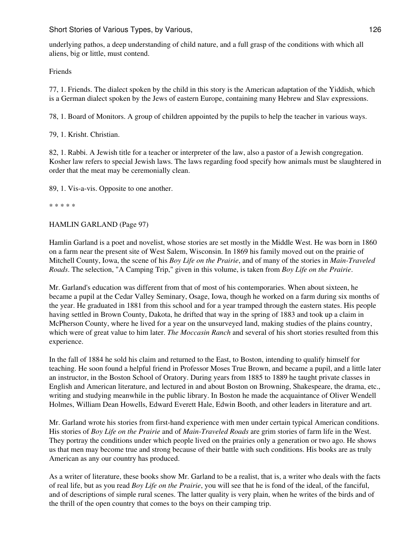underlying pathos, a deep understanding of child nature, and a full grasp of the conditions with which all aliens, big or little, must contend.

Friends

77, 1. Friends. The dialect spoken by the child in this story is the American adaptation of the Yiddish, which is a German dialect spoken by the Jews of eastern Europe, containing many Hebrew and Slav expressions.

78, 1. Board of Monitors. A group of children appointed by the pupils to help the teacher in various ways.

79, 1. Krisht. Christian.

82, 1. Rabbi. A Jewish title for a teacher or interpreter of the law, also a pastor of a Jewish congregation. Kosher law refers to special Jewish laws. The laws regarding food specify how animals must be slaughtered in order that the meat may be ceremonially clean.

89, 1. Vis-a-vis. Opposite to one another.

\* \* \* \* \*

#### HAMLIN GARLAND (Page 97)

Hamlin Garland is a poet and novelist, whose stories are set mostly in the Middle West. He was born in 1860 on a farm near the present site of West Salem, Wisconsin. In 1869 his family moved out on the prairie of Mitchell County, Iowa, the scene of his *Boy Life on the Prairie*, and of many of the stories in *Main-Traveled Roads*. The selection, "A Camping Trip," given in this volume, is taken from *Boy Life on the Prairie*.

Mr. Garland's education was different from that of most of his contemporaries. When about sixteen, he became a pupil at the Cedar Valley Seminary, Osage, Iowa, though he worked on a farm during six months of the year. He graduated in 1881 from this school and for a year tramped through the eastern states. His people having settled in Brown County, Dakota, he drifted that way in the spring of 1883 and took up a claim in McPherson County, where he lived for a year on the unsurveyed land, making studies of the plains country, which were of great value to him later. *The Moccasin Ranch* and several of his short stories resulted from this experience.

In the fall of 1884 he sold his claim and returned to the East, to Boston, intending to qualify himself for teaching. He soon found a helpful friend in Professor Moses True Brown, and became a pupil, and a little later an instructor, in the Boston School of Oratory. During years from 1885 to 1889 he taught private classes in English and American literature, and lectured in and about Boston on Browning, Shakespeare, the drama, etc., writing and studying meanwhile in the public library. In Boston he made the acquaintance of Oliver Wendell Holmes, William Dean Howells, Edward Everett Hale, Edwin Booth, and other leaders in literature and art.

Mr. Garland wrote his stories from first-hand experience with men under certain typical American conditions. His stories of *Boy Life on the Prairie* and of *Main-Traveled Roads* are grim stories of farm life in the West. They portray the conditions under which people lived on the prairies only a generation or two ago. He shows us that men may become true and strong because of their battle with such conditions. His books are as truly American as any our country has produced.

As a writer of literature, these books show Mr. Garland to be a realist, that is, a writer who deals with the facts of real life, but as you read *Boy Life on the Prairie*, you will see that he is fond of the ideal, of the fanciful, and of descriptions of simple rural scenes. The latter quality is very plain, when he writes of the birds and of the thrill of the open country that comes to the boys on their camping trip.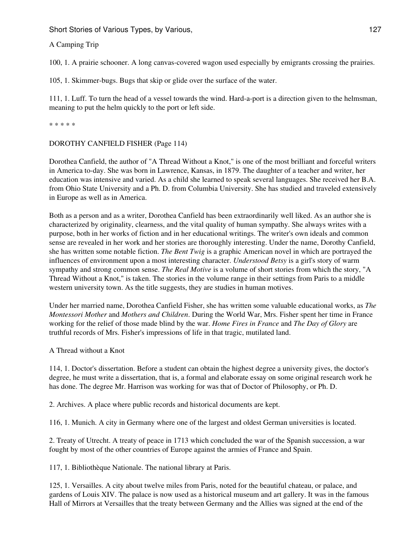A Camping Trip

100, 1. A prairie schooner. A long canvas-covered wagon used especially by emigrants crossing the prairies.

105, 1. Skimmer-bugs. Bugs that skip or glide over the surface of the water.

111, 1. Luff. To turn the head of a vessel towards the wind. Hard-a-port is a direction given to the helmsman, meaning to put the helm quickly to the port or left side.

\* \* \* \* \*

## DOROTHY CANFIELD FISHER (Page 114)

Dorothea Canfield, the author of "A Thread Without a Knot," is one of the most brilliant and forceful writers in America to-day. She was born in Lawrence, Kansas, in 1879. The daughter of a teacher and writer, her education was intensive and varied. As a child she learned to speak several languages. She received her B.A. from Ohio State University and a Ph. D. from Columbia University. She has studied and traveled extensively in Europe as well as in America.

Both as a person and as a writer, Dorothea Canfield has been extraordinarily well liked. As an author she is characterized by originality, clearness, and the vital quality of human sympathy. She always writes with a purpose, both in her works of fiction and in her educational writings. The writer's own ideals and common sense are revealed in her work and her stories are thoroughly interesting. Under the name, Dorothy Canfield, she has written some notable fiction. *The Bent Twig* is a graphic American novel in which are portrayed the influences of environment upon a most interesting character. *Understood Betsy* is a girl's story of warm sympathy and strong common sense. *The Real Motive* is a volume of short stories from which the story, "A Thread Without a Knot," is taken. The stories in the volume range in their settings from Paris to a middle western university town. As the title suggests, they are studies in human motives.

Under her married name, Dorothea Canfield Fisher, she has written some valuable educational works, as *The Montessori Mother* and *Mothers and Children*. During the World War, Mrs. Fisher spent her time in France working for the relief of those made blind by the war. *Home Fires in France* and *The Day of Glory* are truthful records of Mrs. Fisher's impressions of life in that tragic, mutilated land.

A Thread without a Knot

114, 1. Doctor's dissertation. Before a student can obtain the highest degree a university gives, the doctor's degree, he must write a dissertation, that is, a formal and elaborate essay on some original research work he has done. The degree Mr. Harrison was working for was that of Doctor of Philosophy, or Ph. D.

2. Archives. A place where public records and historical documents are kept.

116, 1. Munich. A city in Germany where one of the largest and oldest German universities is located.

2. Treaty of Utrecht. A treaty of peace in 1713 which concluded the war of the Spanish succession, a war fought by most of the other countries of Europe against the armies of France and Spain.

117, 1. Bibliothèque Nationale. The national library at Paris.

125, 1. Versailles. A city about twelve miles from Paris, noted for the beautiful chateau, or palace, and gardens of Louis XIV. The palace is now used as a historical museum and art gallery. It was in the famous Hall of Mirrors at Versailles that the treaty between Germany and the Allies was signed at the end of the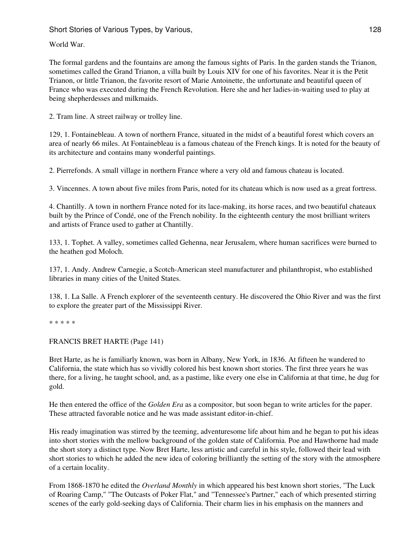World War.

The formal gardens and the fountains are among the famous sights of Paris. In the garden stands the Trianon, sometimes called the Grand Trianon, a villa built by Louis XIV for one of his favorites. Near it is the Petit Trianon, or little Trianon, the favorite resort of Marie Antoinette, the unfortunate and beautiful queen of France who was executed during the French Revolution. Here she and her ladies-in-waiting used to play at being shepherdesses and milkmaids.

2. Tram line. A street railway or trolley line.

129, 1. Fontainebleau. A town of northern France, situated in the midst of a beautiful forest which covers an area of nearly 66 miles. At Fontainebleau is a famous chateau of the French kings. It is noted for the beauty of its architecture and contains many wonderful paintings.

2. Pierrefonds. A small village in northern France where a very old and famous chateau is located.

3. Vincennes. A town about five miles from Paris, noted for its chateau which is now used as a great fortress.

4. Chantilly. A town in northern France noted for its lace-making, its horse races, and two beautiful chateaux built by the Prince of Condé, one of the French nobility. In the eighteenth century the most brilliant writers and artists of France used to gather at Chantilly.

133, 1. Tophet. A valley, sometimes called Gehenna, near Jerusalem, where human sacrifices were burned to the heathen god Moloch.

137, 1. Andy. Andrew Carnegie, a Scotch-American steel manufacturer and philanthropist, who established libraries in many cities of the United States.

138, 1. La Salle. A French explorer of the seventeenth century. He discovered the Ohio River and was the first to explore the greater part of the Mississippi River.

\* \* \* \* \*

FRANCIS BRET HARTE (Page 141)

Bret Harte, as he is familiarly known, was born in Albany, New York, in 1836. At fifteen he wandered to California, the state which has so vividly colored his best known short stories. The first three years he was there, for a living, he taught school, and, as a pastime, like every one else in California at that time, he dug for gold.

He then entered the office of the *Golden Era* as a compositor, but soon began to write articles for the paper. These attracted favorable notice and he was made assistant editor-in-chief.

His ready imagination was stirred by the teeming, adventuresome life about him and he began to put his ideas into short stories with the mellow background of the golden state of California. Poe and Hawthorne had made the short story a distinct type. Now Bret Harte, less artistic and careful in his style, followed their lead with short stories to which he added the new idea of coloring brilliantly the setting of the story with the atmosphere of a certain locality.

From 1868-1870 he edited the *Overland Monthly* in which appeared his best known short stories, "The Luck of Roaring Camp," "The Outcasts of Poker Flat," and "Tennessee's Partner," each of which presented stirring scenes of the early gold-seeking days of California. Their charm lies in his emphasis on the manners and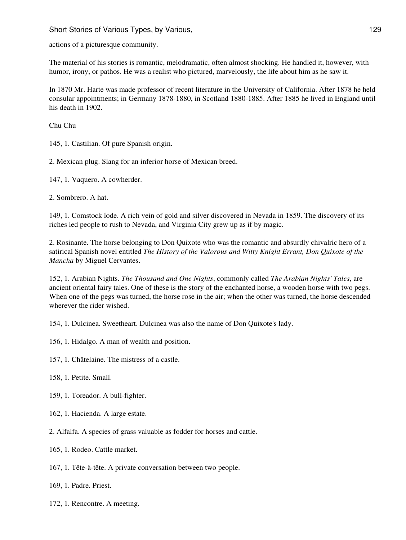actions of a picturesque community.

The material of his stories is romantic, melodramatic, often almost shocking. He handled it, however, with humor, irony, or pathos. He was a realist who pictured, marvelously, the life about him as he saw it.

In 1870 Mr. Harte was made professor of recent literature in the University of California. After 1878 he held consular appointments; in Germany 1878-1880, in Scotland 1880-1885. After 1885 he lived in England until his death in 1902.

Chu Chu

145, 1. Castilian. Of pure Spanish origin.

2. Mexican plug. Slang for an inferior horse of Mexican breed.

147, 1. Vaquero. A cowherder.

2. Sombrero. A hat.

149, 1. Comstock lode. A rich vein of gold and silver discovered in Nevada in 1859. The discovery of its riches led people to rush to Nevada, and Virginia City grew up as if by magic.

2. Rosinante. The horse belonging to Don Quixote who was the romantic and absurdly chivalric hero of a satirical Spanish novel entitled *The History of the Valorous and Witty Knight Errant, Don Quixote of the Mancha* by Miguel Cervantes.

152, 1. Arabian Nights. *The Thousand and One Nights*, commonly called *The Arabian Nights' Tales*, are ancient oriental fairy tales. One of these is the story of the enchanted horse, a wooden horse with two pegs. When one of the pegs was turned, the horse rose in the air; when the other was turned, the horse descended wherever the rider wished.

154, 1. Dulcinea. Sweetheart. Dulcinea was also the name of Don Quixote's lady.

156, 1. Hidalgo. A man of wealth and position.

157, 1. Châtelaine. The mistress of a castle.

158, 1. Petite. Small.

159, 1. Toreador. A bull-fighter.

162, 1. Hacienda. A large estate.

2. Alfalfa. A species of grass valuable as fodder for horses and cattle.

165, 1. Rodeo. Cattle market.

167, 1. Tête-à-tête. A private conversation between two people.

169, 1. Padre. Priest.

172, 1. Rencontre. A meeting.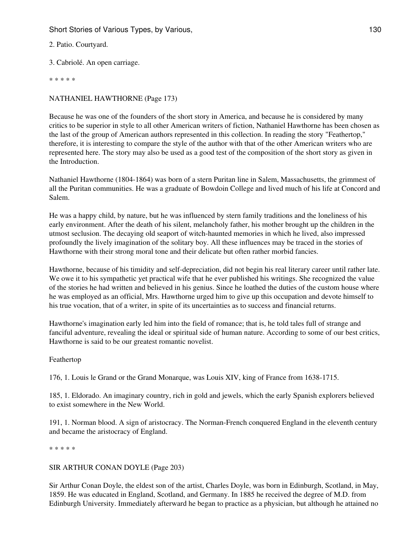2. Patio. Courtyard.

3. Cabriolé. An open carriage.

\* \* \* \* \*

# NATHANIEL HAWTHORNE (Page 173)

Because he was one of the founders of the short story in America, and because he is considered by many critics to be superior in style to all other American writers of fiction, Nathaniel Hawthorne has been chosen as the last of the group of American authors represented in this collection. In reading the story "Feathertop," therefore, it is interesting to compare the style of the author with that of the other American writers who are represented here. The story may also be used as a good test of the composition of the short story as given in the Introduction.

Nathaniel Hawthorne (1804-1864) was born of a stern Puritan line in Salem, Massachusetts, the grimmest of all the Puritan communities. He was a graduate of Bowdoin College and lived much of his life at Concord and Salem.

He was a happy child, by nature, but he was influenced by stern family traditions and the loneliness of his early environment. After the death of his silent, melancholy father, his mother brought up the children in the utmost seclusion. The decaying old seaport of witch-haunted memories in which he lived, also impressed profoundly the lively imagination of the solitary boy. All these influences may be traced in the stories of Hawthorne with their strong moral tone and their delicate but often rather morbid fancies.

Hawthorne, because of his timidity and self-depreciation, did not begin his real literary career until rather late. We owe it to his sympathetic yet practical wife that he ever published his writings. She recognized the value of the stories he had written and believed in his genius. Since he loathed the duties of the custom house where he was employed as an official, Mrs. Hawthorne urged him to give up this occupation and devote himself to his true vocation, that of a writer, in spite of its uncertainties as to success and financial returns.

Hawthorne's imagination early led him into the field of romance; that is, he told tales full of strange and fanciful adventure, revealing the ideal or spiritual side of human nature. According to some of our best critics, Hawthorne is said to be our greatest romantic novelist.

# Feathertop

176, 1. Louis le Grand or the Grand Monarque, was Louis XIV, king of France from 1638-1715.

185, 1. Eldorado. An imaginary country, rich in gold and jewels, which the early Spanish explorers believed to exist somewhere in the New World.

191, 1. Norman blood. A sign of aristocracy. The Norman-French conquered England in the eleventh century and became the aristocracy of England.

\* \* \* \* \*

# SIR ARTHUR CONAN DOYLE (Page 203)

Sir Arthur Conan Doyle, the eldest son of the artist, Charles Doyle, was born in Edinburgh, Scotland, in May, 1859. He was educated in England, Scotland, and Germany. In 1885 he received the degree of M.D. from Edinburgh University. Immediately afterward he began to practice as a physician, but although he attained no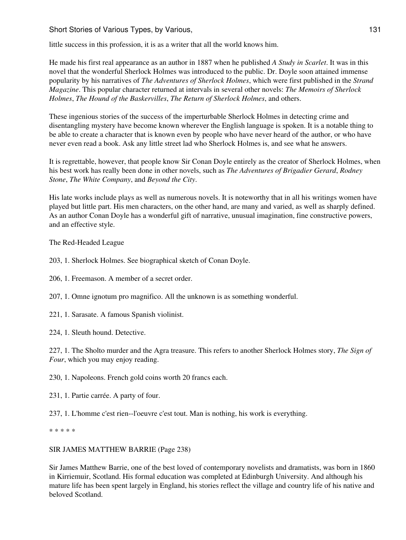little success in this profession, it is as a writer that all the world knows him.

He made his first real appearance as an author in 1887 when he published *A Study in Scarlet*. It was in this novel that the wonderful Sherlock Holmes was introduced to the public. Dr. Doyle soon attained immense popularity by his narratives of *The Adventures of Sherlock Holmes*, which were first published in the *Strand Magazine*. This popular character returned at intervals in several other novels: *The Memoirs of Sherlock Holmes*, *The Hound of the Baskervilles*, *The Return of Sherlock Holmes*, and others.

These ingenious stories of the success of the imperturbable Sherlock Holmes in detecting crime and disentangling mystery have become known wherever the English language is spoken. It is a notable thing to be able to create a character that is known even by people who have never heard of the author, or who have never even read a book. Ask any little street lad who Sherlock Holmes is, and see what he answers.

It is regrettable, however, that people know Sir Conan Doyle entirely as the creator of Sherlock Holmes, when his best work has really been done in other novels, such as *The Adventures of Brigadier Gerard*, *Rodney Stone*, *The White Company*, and *Beyond the City*.

His late works include plays as well as numerous novels. It is noteworthy that in all his writings women have played but little part. His men characters, on the other hand, are many and varied, as well as sharply defined. As an author Conan Doyle has a wonderful gift of narrative, unusual imagination, fine constructive powers, and an effective style.

The Red-Headed League

203, 1. Sherlock Holmes. See biographical sketch of Conan Doyle.

206, 1. Freemason. A member of a secret order.

207, 1. Omne ignotum pro magnifico. All the unknown is as something wonderful.

221, 1. Sarasate. A famous Spanish violinist.

224, 1. Sleuth hound. Detective.

227, 1. The Sholto murder and the Agra treasure. This refers to another Sherlock Holmes story, *The Sign of Four*, which you may enjoy reading.

230, 1. Napoleons. French gold coins worth 20 francs each.

231, 1. Partie carrée. A party of four.

237, 1. L'homme c'est rien--l'oeuvre c'est tout. Man is nothing, his work is everything.

\* \* \* \* \*

#### SIR JAMES MATTHEW BARRIE (Page 238)

Sir James Matthew Barrie, one of the best loved of contemporary novelists and dramatists, was born in 1860 in Kirriemuir, Scotland. His formal education was completed at Edinburgh University. And although his mature life has been spent largely in England, his stories reflect the village and country life of his native and beloved Scotland.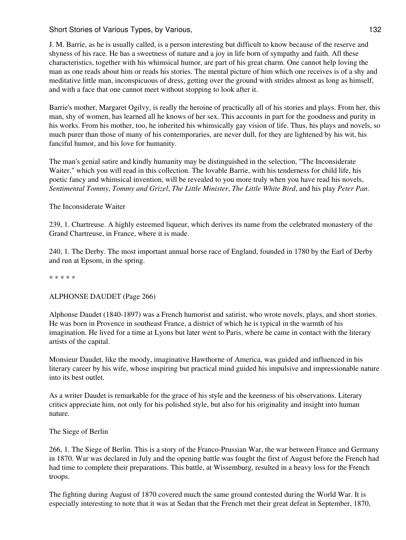J. M. Barrie, as he is usually called, is a person interesting but difficult to know because of the reserve and shyness of his race. He has a sweetness of nature and a joy in life born of sympathy and faith. All these characteristics, together with his whimsical humor, are part of his great charm. One cannot help loving the man as one reads about him or reads his stories. The mental picture of him which one receives is of a shy and meditative little man, inconspicuous of dress, getting over the ground with strides almost as long as himself, and with a face that one cannot meet without stopping to look after it.

Barrie's mother, Margaret Ogilvy, is really the heroine of practically all of his stories and plays. From her, this man, shy of women, has learned all he knows of her sex. This accounts in part for the goodness and purity in his works. From his mother, too, he inherited his whimsically gay vision of life. Thus, his plays and novels, so much purer than those of many of his contemporaries, are never dull, for they are lightened by his wit, his fanciful humor, and his love for humanity.

The man's genial satire and kindly humanity may be distinguished in the selection, "The Inconsiderate Waiter," which you will read in this collection. The lovable Barrie, with his tenderness for child life, his poetic fancy and whimsical invention, will be revealed to you more truly when you have read his novels, *Sentimental Tommy*, *Tommy and Grizel*, *The Little Minister*, *The Little White Bird*, and his play *Peter Pan*.

The Inconsiderate Waiter

239, 1. Chartreuse. A highly esteemed liqueur, which derives its name from the celebrated monastery of the Grand Chartreuse, in France, where it is made.

240, 1. The Derby. The most important annual horse race of England, founded in 1780 by the Earl of Derby and run at Epsom, in the spring.

\* \* \* \* \*

ALPHONSE DAUDET (Page 266)

Alphonse Daudet (1840-1897) was a French humorist and satirist, who wrote novels, plays, and short stories. He was born in Provence in southeast France, a district of which he is typical in the warmth of his imagination. He lived for a time at Lyons but later went to Paris, where he came in contact with the literary artists of the capital.

Monsieur Daudet, like the moody, imaginative Hawthorne of America, was guided and influenced in his literary career by his wife, whose inspiring but practical mind guided his impulsive and impressionable nature into its best outlet.

As a writer Daudet is remarkable for the grace of his style and the keenness of his observations. Literary critics appreciate him, not only for his polished style, but also for his originality and insight into human nature.

The Siege of Berlin

266, 1. The Siege of Berlin. This is a story of the Franco-Prussian War, the war between France and Germany in 1870. War was declared in July and the opening battle was fought the first of August before the French had had time to complete their preparations. This battle, at Wissemburg, resulted in a heavy loss for the French troops.

The fighting during August of 1870 covered much the same ground contested during the World War. It is especially interesting to note that it was at Sedan that the French met their great defeat in September, 1870,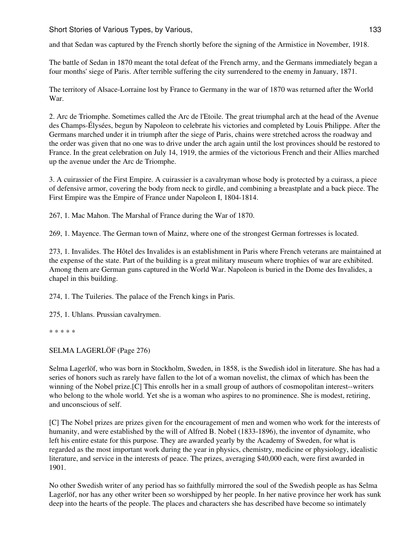and that Sedan was captured by the French shortly before the signing of the Armistice in November, 1918.

The battle of Sedan in 1870 meant the total defeat of the French army, and the Germans immediately began a four months' siege of Paris. After terrible suffering the city surrendered to the enemy in January, 1871.

The territory of Alsace-Lorraine lost by France to Germany in the war of 1870 was returned after the World War.

2. Arc de Triomphe. Sometimes called the Arc de l'Etoile. The great triumphal arch at the head of the Avenue des Champs-Élysées, begun by Napoleon to celebrate his victories and completed by Louis Philippe. After the Germans marched under it in triumph after the siege of Paris, chains were stretched across the roadway and the order was given that no one was to drive under the arch again until the lost provinces should be restored to France. In the great celebration on July 14, 1919, the armies of the victorious French and their Allies marched up the avenue under the Arc de Triomphe.

3. A cuirassier of the First Empire. A cuirassier is a cavalryman whose body is protected by a cuirass, a piece of defensive armor, covering the body from neck to girdle, and combining a breastplate and a back piece. The First Empire was the Empire of France under Napoleon I, 1804-1814.

267, 1. Mac Mahon. The Marshal of France during the War of 1870.

269, 1. Mayence. The German town of Mainz, where one of the strongest German fortresses is located.

273, 1. Invalides. The Hôtel des Invalides is an establishment in Paris where French veterans are maintained at the expense of the state. Part of the building is a great military museum where trophies of war are exhibited. Among them are German guns captured in the World War. Napoleon is buried in the Dome des Invalides, a chapel in this building.

274, 1. The Tuileries. The palace of the French kings in Paris.

275, 1. Uhlans. Prussian cavalrymen.

\* \* \* \* \*

SELMA LAGERLÖF (Page 276)

Selma Lagerlöf, who was born in Stockholm, Sweden, in 1858, is the Swedish idol in literature. She has had a series of honors such as rarely have fallen to the lot of a woman novelist, the climax of which has been the winning of the Nobel prize.[C] This enrolls her in a small group of authors of cosmopolitan interest--writers who belong to the whole world. Yet she is a woman who aspires to no prominence. She is modest, retiring, and unconscious of self.

[C] The Nobel prizes are prizes given for the encouragement of men and women who work for the interests of humanity, and were established by the will of Alfred B. Nobel (1833-1896), the inventor of dynamite, who left his entire estate for this purpose. They are awarded yearly by the Academy of Sweden, for what is regarded as the most important work during the year in physics, chemistry, medicine or physiology, idealistic literature, and service in the interests of peace. The prizes, averaging \$40,000 each, were first awarded in 1901.

No other Swedish writer of any period has so faithfully mirrored the soul of the Swedish people as has Selma Lagerlöf, nor has any other writer been so worshipped by her people. In her native province her work has sunk deep into the hearts of the people. The places and characters she has described have become so intimately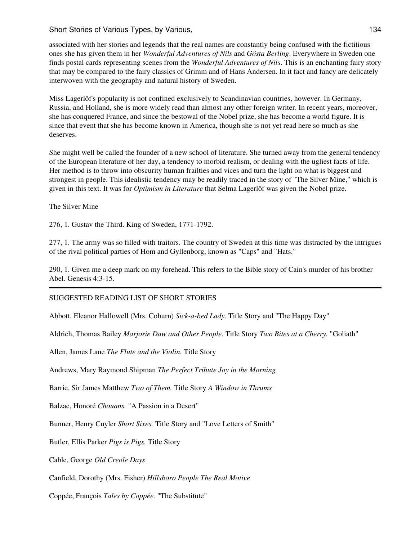associated with her stories and legends that the real names are constantly being confused with the fictitious ones she has given them in her *Wonderful Adventures of Nils* and *Gösta Berling*. Everywhere in Sweden one finds postal cards representing scenes from the *Wonderful Adventures of Nils*. This is an enchanting fairy story that may be compared to the fairy classics of Grimm and of Hans Andersen. In it fact and fancy are delicately interwoven with the geography and natural history of Sweden.

Miss Lagerlöf's popularity is not confined exclusively to Scandinavian countries, however. In Germany, Russia, and Holland, she is more widely read than almost any other foreign writer. In recent years, moreover, she has conquered France, and since the bestowal of the Nobel prize, she has become a world figure. It is since that event that she has become known in America, though she is not yet read here so much as she deserves.

She might well be called the founder of a new school of literature. She turned away from the general tendency of the European literature of her day, a tendency to morbid realism, or dealing with the ugliest facts of life. Her method is to throw into obscurity human frailties and vices and turn the light on what is biggest and strongest in people. This idealistic tendency may be readily traced in the story of "The Silver Mine," which is given in this text. It was for *Optimism in Literature* that Selma Lagerlöf was given the Nobel prize.

The Silver Mine

276, 1. Gustav the Third. King of Sweden, 1771-1792.

277, 1. The army was so filled with traitors. The country of Sweden at this time was distracted by the intrigues of the rival political parties of Hom and Gyllenborg, known as "Caps" and "Hats."

290, 1. Given me a deep mark on my forehead. This refers to the Bible story of Cain's murder of his brother Abel. Genesis 4:3-15.

SUGGESTED READING LIST OF SHORT STORIES

Abbott, Eleanor Hallowell (Mrs. Coburn) *Sick-a-bed Lady.* Title Story and "The Happy Day"

Aldrich, Thomas Bailey *Marjorie Daw and Other People.* Title Story *Two Bites at a Cherry.* "Goliath"

Allen, James Lane *The Flute and the Violin.* Title Story

Andrews, Mary Raymond Shipman *The Perfect Tribute Joy in the Morning*

Barrie, Sir James Matthew *Two of Them.* Title Story *A Window in Thrums*

Balzac, Honoré *Chouans.* "A Passion in a Desert"

Bunner, Henry Cuyler *Short Sixes.* Title Story and "Love Letters of Smith"

Butler, Ellis Parker *Pigs is Pigs.* Title Story

Cable, George *Old Creole Days*

Canfield, Dorothy (Mrs. Fisher) *Hillsboro People The Real Motive*

Coppée, François *Tales by Coppée.* "The Substitute"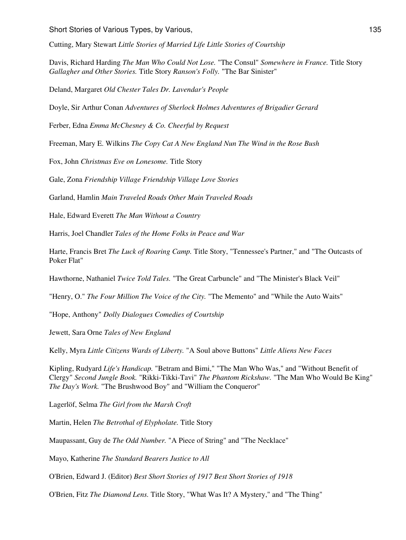Cutting, Mary Stewart *Little Stories of Married Life Little Stories of Courtship*

Davis, Richard Harding *The Man Who Could Not Lose.* "The Consul" *Somewhere in France.* Title Story *Gallagher and Other Stories.* Title Story *Ranson's Folly.* "The Bar Sinister"

Deland, Margaret *Old Chester Tales Dr. Lavendar's People*

Doyle, Sir Arthur Conan *Adventures of Sherlock Holmes Adventures of Brigadier Gerard*

Ferber, Edna *Emma McChesney & Co. Cheerful by Request*

Freeman, Mary E. Wilkins *The Copy Cat A New England Nun The Wind in the Rose Bush*

Fox, John *Christmas Eve on Lonesome.* Title Story

Gale, Zona *Friendship Village Friendship Village Love Stories*

Garland, Hamlin *Main Traveled Roads Other Main Traveled Roads*

Hale, Edward Everett *The Man Without a Country*

Harris, Joel Chandler *Tales of the Home Folks in Peace and War*

Harte, Francis Bret *The Luck of Roaring Camp.* Title Story, "Tennessee's Partner," and "The Outcasts of Poker Flat"

Hawthorne, Nathaniel *Twice Told Tales.* "The Great Carbuncle" and "The Minister's Black Veil"

"Henry, O." *The Four Million The Voice of the City.* "The Memento" and "While the Auto Waits"

"Hope, Anthony" *Dolly Dialogues Comedies of Courtship*

Jewett, Sara Orne *Tales of New England*

Kelly, Myra *Little Citizens Wards of Liberty.* "A Soul above Buttons" *Little Aliens New Faces*

Kipling, Rudyard *Life's Handicap.* "Betram and Bimi," "The Man Who Was," and "Without Benefit of Clergy" *Second Jungle Book.* "Rikki-Tikki-Tavi" *The Phantom Rickshaw.* "The Man Who Would Be King" *The Day's Work.* "The Brushwood Boy" and "William the Conqueror"

Lagerlöf, Selma *The Girl from the Marsh Croft*

Martin, Helen *The Betrothal of Elypholate.* Title Story

Maupassant, Guy de *The Odd Number.* "A Piece of String" and "The Necklace"

Mayo, Katherine *The Standard Bearers Justice to All*

O'Brien, Edward J. (Editor) *Best Short Stories of 1917 Best Short Stories of 1918*

O'Brien, Fitz *The Diamond Lens.* Title Story, "What Was It? A Mystery," and "The Thing"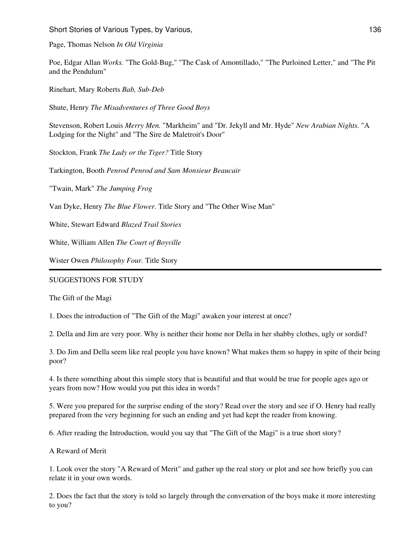Page, Thomas Nelson *In Old Virginia*

Poe, Edgar Allan *Works.* "The Gold-Bug," "The Cask of Amontillado," "The Purloined Letter," and "The Pit and the Pendulum"

Rinehart, Mary Roberts *Bab, Sub-Deb*

Shute, Henry *The Misadventures of Three Good Boys*

Stevenson, Robert Louis *Merry Men.* "Markheim" and "Dr. Jekyll and Mr. Hyde" *New Arabian Nights.* "A Lodging for the Night" and "The Sire de Maletroit's Door"

Stockton, Frank *The Lady or the Tiger?* Title Story

Tarkington, Booth *Penrod Penrod and Sam Monsieur Beaucair*

"Twain, Mark" *The Jumping Frog*

Van Dyke, Henry *The Blue Flower.* Title Story and "The Other Wise Man"

White, Stewart Edward *Blazed Trail Stories*

White, William Allen *The Court of Boyville*

Wister Owen *Philosophy Four.* Title Story

#### SUGGESTIONS FOR STUDY

The Gift of the Magi

1. Does the introduction of "The Gift of the Magi" awaken your interest at once?

2. Della and Jim are very poor. Why is neither their home nor Della in her shabby clothes, ugly or sordid?

3. Do Jim and Della seem like real people you have known? What makes them so happy in spite of their being poor?

4. Is there something about this simple story that is beautiful and that would be true for people ages ago or years from now? How would you put this idea in words?

5. Were you prepared for the surprise ending of the story? Read over the story and see if O. Henry had really prepared from the very beginning for such an ending and yet had kept the reader from knowing.

6. After reading the Introduction, would you say that "The Gift of the Magi" is a true short story?

A Reward of Merit

1. Look over the story "A Reward of Merit" and gather up the real story or plot and see how briefly you can relate it in your own words.

2. Does the fact that the story is told so largely through the conversation of the boys make it more interesting to you?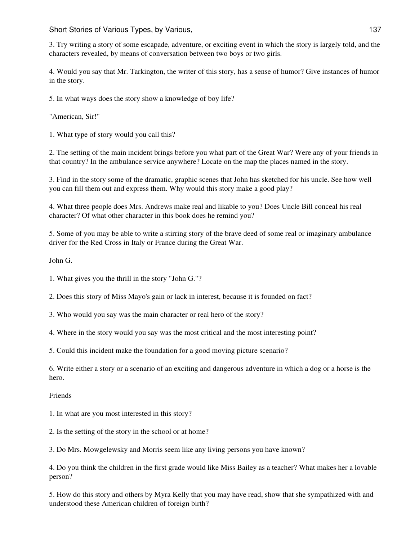3. Try writing a story of some escapade, adventure, or exciting event in which the story is largely told, and the characters revealed, by means of conversation between two boys or two girls.

4. Would you say that Mr. Tarkington, the writer of this story, has a sense of humor? Give instances of humor in the story.

5. In what ways does the story show a knowledge of boy life?

"American, Sir!"

1. What type of story would you call this?

2. The setting of the main incident brings before you what part of the Great War? Were any of your friends in that country? In the ambulance service anywhere? Locate on the map the places named in the story.

3. Find in the story some of the dramatic, graphic scenes that John has sketched for his uncle. See how well you can fill them out and express them. Why would this story make a good play?

4. What three people does Mrs. Andrews make real and likable to you? Does Uncle Bill conceal his real character? Of what other character in this book does he remind you?

5. Some of you may be able to write a stirring story of the brave deed of some real or imaginary ambulance driver for the Red Cross in Italy or France during the Great War.

John G.

1. What gives you the thrill in the story "John G."?

2. Does this story of Miss Mayo's gain or lack in interest, because it is founded on fact?

3. Who would you say was the main character or real hero of the story?

4. Where in the story would you say was the most critical and the most interesting point?

5. Could this incident make the foundation for a good moving picture scenario?

6. Write either a story or a scenario of an exciting and dangerous adventure in which a dog or a horse is the hero.

Friends

1. In what are you most interested in this story?

2. Is the setting of the story in the school or at home?

3. Do Mrs. Mowgelewsky and Morris seem like any living persons you have known?

4. Do you think the children in the first grade would like Miss Bailey as a teacher? What makes her a lovable person?

5. How do this story and others by Myra Kelly that you may have read, show that she sympathized with and understood these American children of foreign birth?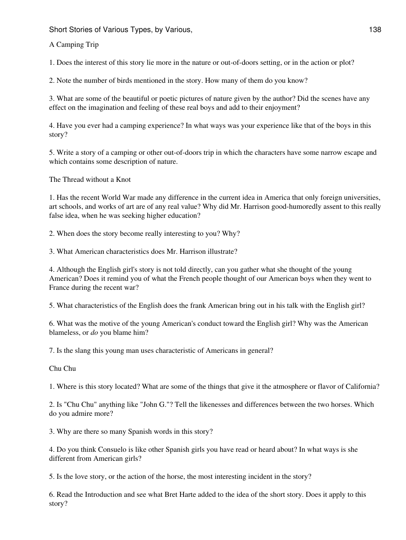A Camping Trip

1. Does the interest of this story lie more in the nature or out-of-doors setting, or in the action or plot?

2. Note the number of birds mentioned in the story. How many of them do you know?

3. What are some of the beautiful or poetic pictures of nature given by the author? Did the scenes have any effect on the imagination and feeling of these real boys and add to their enjoyment?

4. Have you ever had a camping experience? In what ways was your experience like that of the boys in this story?

5. Write a story of a camping or other out-of-doors trip in which the characters have some narrow escape and which contains some description of nature.

The Thread without a Knot

1. Has the recent World War made any difference in the current idea in America that only foreign universities, art schools, and works of art are of any real value? Why did Mr. Harrison good-humoredly assent to this really false idea, when he was seeking higher education?

2. When does the story become really interesting to you? Why?

3. What American characteristics does Mr. Harrison illustrate?

4. Although the English girl's story is not told directly, can you gather what she thought of the young American? Does it remind you of what the French people thought of our American boys when they went to France during the recent war?

5. What characteristics of the English does the frank American bring out in his talk with the English girl?

6. What was the motive of the young American's conduct toward the English girl? Why was the American blameless, or *do* you blame him?

7. Is the slang this young man uses characteristic of Americans in general?

Chu Chu

1. Where is this story located? What are some of the things that give it the atmosphere or flavor of California?

2. Is "Chu Chu" anything like "John G."? Tell the likenesses and differences between the two horses. Which do you admire more?

3. Why are there so many Spanish words in this story?

4. Do you think Consuelo is like other Spanish girls you have read or heard about? In what ways is she different from American girls?

5. Is the love story, or the action of the horse, the most interesting incident in the story?

6. Read the Introduction and see what Bret Harte added to the idea of the short story. Does it apply to this story?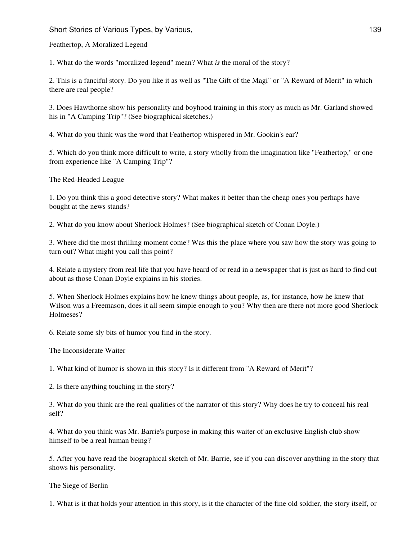Feathertop, A Moralized Legend

1. What do the words "moralized legend" mean? What *is* the moral of the story?

2. This is a fanciful story. Do you like it as well as "The Gift of the Magi" or "A Reward of Merit" in which there are real people?

3. Does Hawthorne show his personality and boyhood training in this story as much as Mr. Garland showed his in "A Camping Trip"? (See biographical sketches.)

4. What do you think was the word that Feathertop whispered in Mr. Gookin's ear?

5. Which do you think more difficult to write, a story wholly from the imagination like "Feathertop," or one from experience like "A Camping Trip"?

The Red-Headed League

1. Do you think this a good detective story? What makes it better than the cheap ones you perhaps have bought at the news stands?

2. What do you know about Sherlock Holmes? (See biographical sketch of Conan Doyle.)

3. Where did the most thrilling moment come? Was this the place where you saw how the story was going to turn out? What might you call this point?

4. Relate a mystery from real life that you have heard of or read in a newspaper that is just as hard to find out about as those Conan Doyle explains in his stories.

5. When Sherlock Holmes explains how he knew things about people, as, for instance, how he knew that Wilson was a Freemason, does it all seem simple enough to you? Why then are there not more good Sherlock Holmeses?

6. Relate some sly bits of humor you find in the story.

The Inconsiderate Waiter

1. What kind of humor is shown in this story? Is it different from "A Reward of Merit"?

2. Is there anything touching in the story?

3. What do you think are the real qualities of the narrator of this story? Why does he try to conceal his real self?

4. What do you think was Mr. Barrie's purpose in making this waiter of an exclusive English club show himself to be a real human being?

5. After you have read the biographical sketch of Mr. Barrie, see if you can discover anything in the story that shows his personality.

The Siege of Berlin

1. What is it that holds your attention in this story, is it the character of the fine old soldier, the story itself, or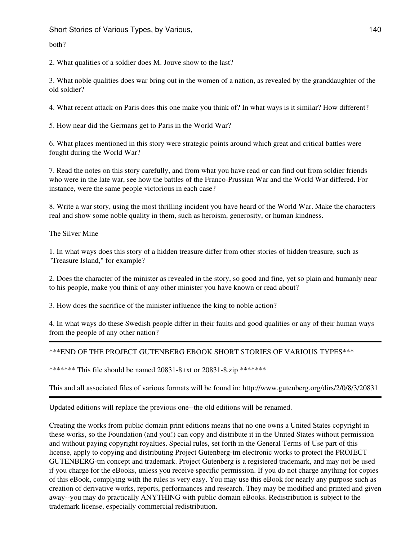Short Stories of Various Types, by Various, 1998, 1999, 1999, 1999, 1999, 1999, 1999, 1999, 1999, 1999, 1999, 1

both?

2. What qualities of a soldier does M. Jouve show to the last?

3. What noble qualities does war bring out in the women of a nation, as revealed by the granddaughter of the old soldier?

4. What recent attack on Paris does this one make you think of? In what ways is it similar? How different?

5. How near did the Germans get to Paris in the World War?

6. What places mentioned in this story were strategic points around which great and critical battles were fought during the World War?

7. Read the notes on this story carefully, and from what you have read or can find out from soldier friends who were in the late war, see how the battles of the Franco-Prussian War and the World War differed. For instance, were the same people victorious in each case?

8. Write a war story, using the most thrilling incident you have heard of the World War. Make the characters real and show some noble quality in them, such as heroism, generosity, or human kindness.

The Silver Mine

1. In what ways does this story of a hidden treasure differ from other stories of hidden treasure, such as "Treasure Island," for example?

2. Does the character of the minister as revealed in the story, so good and fine, yet so plain and humanly near to his people, make you think of any other minister you have known or read about?

3. How does the sacrifice of the minister influence the king to noble action?

4. In what ways do these Swedish people differ in their faults and good qualities or any of their human ways from the people of any other nation?

\*\*\*END OF THE PROJECT GUTENBERG EBOOK SHORT STORIES OF VARIOUS TYPES\*\*\*

\*\*\*\*\*\*\* This file should be named 20831-8.txt or 20831-8.zip \*\*\*\*\*\*\*

This and all associated files of various formats will be found in: http://www.gutenberg.org/dirs/2/0/8/3/20831

Updated editions will replace the previous one--the old editions will be renamed.

Creating the works from public domain print editions means that no one owns a United States copyright in these works, so the Foundation (and you!) can copy and distribute it in the United States without permission and without paying copyright royalties. Special rules, set forth in the General Terms of Use part of this license, apply to copying and distributing Project Gutenberg-tm electronic works to protect the PROJECT GUTENBERG-tm concept and trademark. Project Gutenberg is a registered trademark, and may not be used if you charge for the eBooks, unless you receive specific permission. If you do not charge anything for copies of this eBook, complying with the rules is very easy. You may use this eBook for nearly any purpose such as creation of derivative works, reports, performances and research. They may be modified and printed and given away--you may do practically ANYTHING with public domain eBooks. Redistribution is subject to the trademark license, especially commercial redistribution.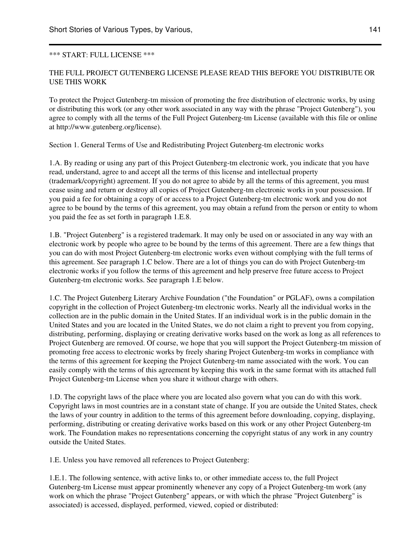## \*\*\* START: FULL LICENSE \*\*\*

# THE FULL PROJECT GUTENBERG LICENSE PLEASE READ THIS BEFORE YOU DISTRIBUTE OR USE THIS WORK

To protect the Project Gutenberg-tm mission of promoting the free distribution of electronic works, by using or distributing this work (or any other work associated in any way with the phrase "Project Gutenberg"), you agree to comply with all the terms of the Full Project Gutenberg-tm License (available with this file or online at http://www.gutenberg.org/license).

Section 1. General Terms of Use and Redistributing Project Gutenberg-tm electronic works

1.A. By reading or using any part of this Project Gutenberg-tm electronic work, you indicate that you have read, understand, agree to and accept all the terms of this license and intellectual property (trademark/copyright) agreement. If you do not agree to abide by all the terms of this agreement, you must cease using and return or destroy all copies of Project Gutenberg-tm electronic works in your possession. If you paid a fee for obtaining a copy of or access to a Project Gutenberg-tm electronic work and you do not agree to be bound by the terms of this agreement, you may obtain a refund from the person or entity to whom you paid the fee as set forth in paragraph 1.E.8.

1.B. "Project Gutenberg" is a registered trademark. It may only be used on or associated in any way with an electronic work by people who agree to be bound by the terms of this agreement. There are a few things that you can do with most Project Gutenberg-tm electronic works even without complying with the full terms of this agreement. See paragraph 1.C below. There are a lot of things you can do with Project Gutenberg-tm electronic works if you follow the terms of this agreement and help preserve free future access to Project Gutenberg-tm electronic works. See paragraph 1.E below.

1.C. The Project Gutenberg Literary Archive Foundation ("the Foundation" or PGLAF), owns a compilation copyright in the collection of Project Gutenberg-tm electronic works. Nearly all the individual works in the collection are in the public domain in the United States. If an individual work is in the public domain in the United States and you are located in the United States, we do not claim a right to prevent you from copying, distributing, performing, displaying or creating derivative works based on the work as long as all references to Project Gutenberg are removed. Of course, we hope that you will support the Project Gutenberg-tm mission of promoting free access to electronic works by freely sharing Project Gutenberg-tm works in compliance with the terms of this agreement for keeping the Project Gutenberg-tm name associated with the work. You can easily comply with the terms of this agreement by keeping this work in the same format with its attached full Project Gutenberg-tm License when you share it without charge with others.

1.D. The copyright laws of the place where you are located also govern what you can do with this work. Copyright laws in most countries are in a constant state of change. If you are outside the United States, check the laws of your country in addition to the terms of this agreement before downloading, copying, displaying, performing, distributing or creating derivative works based on this work or any other Project Gutenberg-tm work. The Foundation makes no representations concerning the copyright status of any work in any country outside the United States.

1.E. Unless you have removed all references to Project Gutenberg:

1.E.1. The following sentence, with active links to, or other immediate access to, the full Project Gutenberg-tm License must appear prominently whenever any copy of a Project Gutenberg-tm work (any work on which the phrase "Project Gutenberg" appears, or with which the phrase "Project Gutenberg" is associated) is accessed, displayed, performed, viewed, copied or distributed: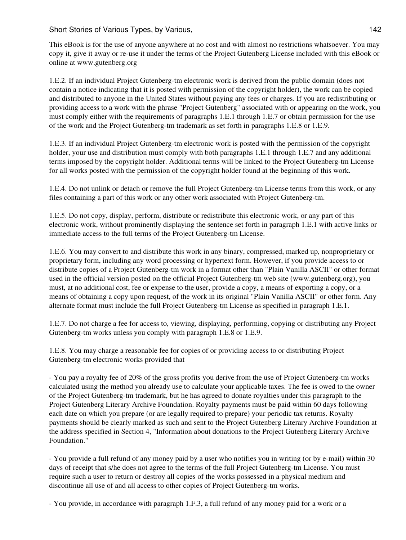This eBook is for the use of anyone anywhere at no cost and with almost no restrictions whatsoever. You may copy it, give it away or re-use it under the terms of the Project Gutenberg License included with this eBook or online at www.gutenberg.org

1.E.2. If an individual Project Gutenberg-tm electronic work is derived from the public domain (does not contain a notice indicating that it is posted with permission of the copyright holder), the work can be copied and distributed to anyone in the United States without paying any fees or charges. If you are redistributing or providing access to a work with the phrase "Project Gutenberg" associated with or appearing on the work, you must comply either with the requirements of paragraphs 1.E.1 through 1.E.7 or obtain permission for the use of the work and the Project Gutenberg-tm trademark as set forth in paragraphs 1.E.8 or 1.E.9.

1.E.3. If an individual Project Gutenberg-tm electronic work is posted with the permission of the copyright holder, your use and distribution must comply with both paragraphs 1.E.1 through 1.E.7 and any additional terms imposed by the copyright holder. Additional terms will be linked to the Project Gutenberg-tm License for all works posted with the permission of the copyright holder found at the beginning of this work.

1.E.4. Do not unlink or detach or remove the full Project Gutenberg-tm License terms from this work, or any files containing a part of this work or any other work associated with Project Gutenberg-tm.

1.E.5. Do not copy, display, perform, distribute or redistribute this electronic work, or any part of this electronic work, without prominently displaying the sentence set forth in paragraph 1.E.1 with active links or immediate access to the full terms of the Project Gutenberg-tm License.

1.E.6. You may convert to and distribute this work in any binary, compressed, marked up, nonproprietary or proprietary form, including any word processing or hypertext form. However, if you provide access to or distribute copies of a Project Gutenberg-tm work in a format other than "Plain Vanilla ASCII" or other format used in the official version posted on the official Project Gutenberg-tm web site (www.gutenberg.org), you must, at no additional cost, fee or expense to the user, provide a copy, a means of exporting a copy, or a means of obtaining a copy upon request, of the work in its original "Plain Vanilla ASCII" or other form. Any alternate format must include the full Project Gutenberg-tm License as specified in paragraph 1.E.1.

1.E.7. Do not charge a fee for access to, viewing, displaying, performing, copying or distributing any Project Gutenberg-tm works unless you comply with paragraph 1.E.8 or 1.E.9.

1.E.8. You may charge a reasonable fee for copies of or providing access to or distributing Project Gutenberg-tm electronic works provided that

- You pay a royalty fee of 20% of the gross profits you derive from the use of Project Gutenberg-tm works calculated using the method you already use to calculate your applicable taxes. The fee is owed to the owner of the Project Gutenberg-tm trademark, but he has agreed to donate royalties under this paragraph to the Project Gutenberg Literary Archive Foundation. Royalty payments must be paid within 60 days following each date on which you prepare (or are legally required to prepare) your periodic tax returns. Royalty payments should be clearly marked as such and sent to the Project Gutenberg Literary Archive Foundation at the address specified in Section 4, "Information about donations to the Project Gutenberg Literary Archive Foundation."

- You provide a full refund of any money paid by a user who notifies you in writing (or by e-mail) within 30 days of receipt that s/he does not agree to the terms of the full Project Gutenberg-tm License. You must require such a user to return or destroy all copies of the works possessed in a physical medium and discontinue all use of and all access to other copies of Project Gutenberg-tm works.

- You provide, in accordance with paragraph 1.F.3, a full refund of any money paid for a work or a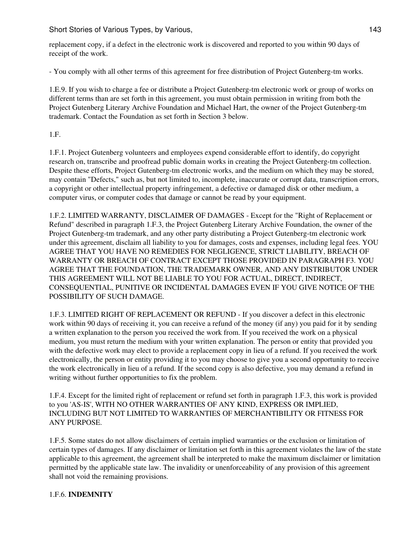replacement copy, if a defect in the electronic work is discovered and reported to you within 90 days of receipt of the work.

- You comply with all other terms of this agreement for free distribution of Project Gutenberg-tm works.

1.E.9. If you wish to charge a fee or distribute a Project Gutenberg-tm electronic work or group of works on different terms than are set forth in this agreement, you must obtain permission in writing from both the Project Gutenberg Literary Archive Foundation and Michael Hart, the owner of the Project Gutenberg-tm trademark. Contact the Foundation as set forth in Section 3 below.

1.F.

1.F.1. Project Gutenberg volunteers and employees expend considerable effort to identify, do copyright research on, transcribe and proofread public domain works in creating the Project Gutenberg-tm collection. Despite these efforts, Project Gutenberg-tm electronic works, and the medium on which they may be stored, may contain "Defects," such as, but not limited to, incomplete, inaccurate or corrupt data, transcription errors, a copyright or other intellectual property infringement, a defective or damaged disk or other medium, a computer virus, or computer codes that damage or cannot be read by your equipment.

1.F.2. LIMITED WARRANTY, DISCLAIMER OF DAMAGES - Except for the "Right of Replacement or Refund" described in paragraph 1.F.3, the Project Gutenberg Literary Archive Foundation, the owner of the Project Gutenberg-tm trademark, and any other party distributing a Project Gutenberg-tm electronic work under this agreement, disclaim all liability to you for damages, costs and expenses, including legal fees. YOU AGREE THAT YOU HAVE NO REMEDIES FOR NEGLIGENCE, STRICT LIABILITY, BREACH OF WARRANTY OR BREACH OF CONTRACT EXCEPT THOSE PROVIDED IN PARAGRAPH F3. YOU AGREE THAT THE FOUNDATION, THE TRADEMARK OWNER, AND ANY DISTRIBUTOR UNDER THIS AGREEMENT WILL NOT BE LIABLE TO YOU FOR ACTUAL, DIRECT, INDIRECT, CONSEQUENTIAL, PUNITIVE OR INCIDENTAL DAMAGES EVEN IF YOU GIVE NOTICE OF THE POSSIBILITY OF SUCH DAMAGE.

1.F.3. LIMITED RIGHT OF REPLACEMENT OR REFUND - If you discover a defect in this electronic work within 90 days of receiving it, you can receive a refund of the money (if any) you paid for it by sending a written explanation to the person you received the work from. If you received the work on a physical medium, you must return the medium with your written explanation. The person or entity that provided you with the defective work may elect to provide a replacement copy in lieu of a refund. If you received the work electronically, the person or entity providing it to you may choose to give you a second opportunity to receive the work electronically in lieu of a refund. If the second copy is also defective, you may demand a refund in writing without further opportunities to fix the problem.

1.F.4. Except for the limited right of replacement or refund set forth in paragraph 1.F.3, this work is provided to you 'AS-IS', WITH NO OTHER WARRANTIES OF ANY KIND, EXPRESS OR IMPLIED, INCLUDING BUT NOT LIMITED TO WARRANTIES OF MERCHANTIBILITY OR FITNESS FOR ANY PURPOSE.

1.F.5. Some states do not allow disclaimers of certain implied warranties or the exclusion or limitation of certain types of damages. If any disclaimer or limitation set forth in this agreement violates the law of the state applicable to this agreement, the agreement shall be interpreted to make the maximum disclaimer or limitation permitted by the applicable state law. The invalidity or unenforceability of any provision of this agreement shall not void the remaining provisions.

# 1.F.6. **INDEMNITY**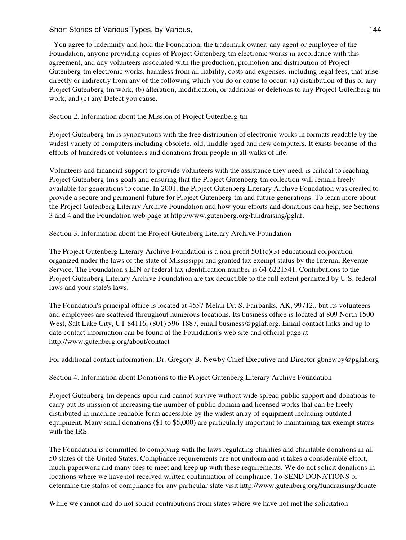Short Stories of Various Types, by Various, 1992. The Short Stories of Various Types, by Various, 1993.

- You agree to indemnify and hold the Foundation, the trademark owner, any agent or employee of the Foundation, anyone providing copies of Project Gutenberg-tm electronic works in accordance with this agreement, and any volunteers associated with the production, promotion and distribution of Project Gutenberg-tm electronic works, harmless from all liability, costs and expenses, including legal fees, that arise directly or indirectly from any of the following which you do or cause to occur: (a) distribution of this or any Project Gutenberg-tm work, (b) alteration, modification, or additions or deletions to any Project Gutenberg-tm work, and (c) any Defect you cause.

Section 2. Information about the Mission of Project Gutenberg-tm

Project Gutenberg-tm is synonymous with the free distribution of electronic works in formats readable by the widest variety of computers including obsolete, old, middle-aged and new computers. It exists because of the efforts of hundreds of volunteers and donations from people in all walks of life.

Volunteers and financial support to provide volunteers with the assistance they need, is critical to reaching Project Gutenberg-tm's goals and ensuring that the Project Gutenberg-tm collection will remain freely available for generations to come. In 2001, the Project Gutenberg Literary Archive Foundation was created to provide a secure and permanent future for Project Gutenberg-tm and future generations. To learn more about the Project Gutenberg Literary Archive Foundation and how your efforts and donations can help, see Sections 3 and 4 and the Foundation web page at http://www.gutenberg.org/fundraising/pglaf.

Section 3. Information about the Project Gutenberg Literary Archive Foundation

The Project Gutenberg Literary Archive Foundation is a non profit  $501(c)(3)$  educational corporation organized under the laws of the state of Mississippi and granted tax exempt status by the Internal Revenue Service. The Foundation's EIN or federal tax identification number is 64-6221541. Contributions to the Project Gutenberg Literary Archive Foundation are tax deductible to the full extent permitted by U.S. federal laws and your state's laws.

The Foundation's principal office is located at 4557 Melan Dr. S. Fairbanks, AK, 99712., but its volunteers and employees are scattered throughout numerous locations. Its business office is located at 809 North 1500 West, Salt Lake City, UT 84116, (801) 596-1887, email business@pglaf.org. Email contact links and up to date contact information can be found at the Foundation's web site and official page at http://www.gutenberg.org/about/contact

For additional contact information: Dr. Gregory B. Newby Chief Executive and Director gbnewby@pglaf.org

Section 4. Information about Donations to the Project Gutenberg Literary Archive Foundation

Project Gutenberg-tm depends upon and cannot survive without wide spread public support and donations to carry out its mission of increasing the number of public domain and licensed works that can be freely distributed in machine readable form accessible by the widest array of equipment including outdated equipment. Many small donations (\$1 to \$5,000) are particularly important to maintaining tax exempt status with the IRS.

The Foundation is committed to complying with the laws regulating charities and charitable donations in all 50 states of the United States. Compliance requirements are not uniform and it takes a considerable effort, much paperwork and many fees to meet and keep up with these requirements. We do not solicit donations in locations where we have not received written confirmation of compliance. To SEND DONATIONS or determine the status of compliance for any particular state visit http://www.gutenberg.org/fundraising/donate

While we cannot and do not solicit contributions from states where we have not met the solicitation